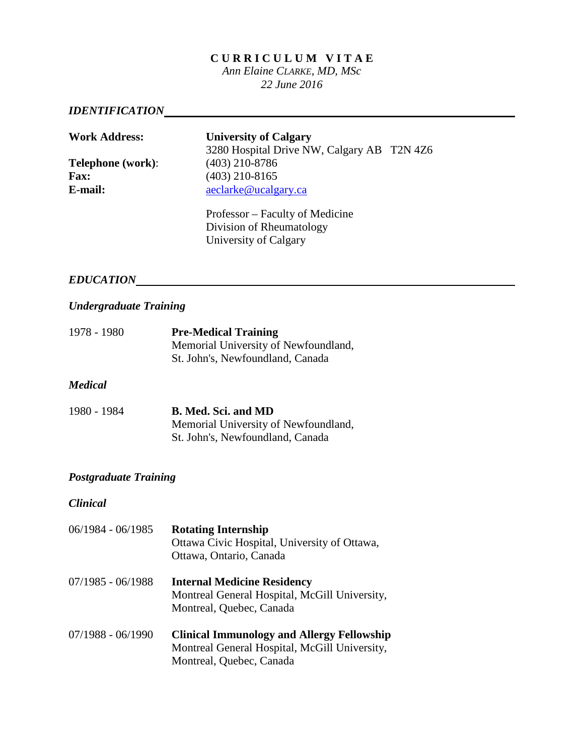#### **C U R R I C U L U M V I T A E**

*Ann Elaine CLARKE, MD, MSc 22 June 2016*

# *IDENTIFICATION*

| <b>Work Address:</b>     | <b>University of Calgary</b><br>3280 Hospital Drive NW, Calgary AB T2N 4Z6 |  |
|--------------------------|----------------------------------------------------------------------------|--|
| <b>Telephone</b> (work): | $(403)$ 210-8786                                                           |  |
| <b>Fax:</b>              | $(403)$ 210-8165                                                           |  |
| E-mail:                  | aeclarke@ucalgary.ca                                                       |  |
|                          | Professor – Faculty of Medicine                                            |  |

Division of Rheumatology University of Calgary

# *EDUCATION*

## *Undergraduate Training*

| 1978 - 1980 | <b>Pre-Medical Training</b>          |
|-------------|--------------------------------------|
|             | Memorial University of Newfoundland, |
|             | St. John's, Newfoundland, Canada     |

#### *Medical*

| 1980 - 1984 | B. Med. Sci. and MD                  |
|-------------|--------------------------------------|
|             | Memorial University of Newfoundland, |
|             | St. John's, Newfoundland, Canada     |

#### *Postgraduate Training*

*Clinical*

| 06/1984 - 06/1985 | <b>Rotating Internship</b><br>Ottawa Civic Hospital, University of Ottawa,<br>Ottawa, Ontario, Canada                          |
|-------------------|--------------------------------------------------------------------------------------------------------------------------------|
| 07/1985 - 06/1988 | <b>Internal Medicine Residency</b><br>Montreal General Hospital, McGill University,<br>Montreal, Quebec, Canada                |
| 07/1988 - 06/1990 | <b>Clinical Immunology and Allergy Fellowship</b><br>Montreal General Hospital, McGill University,<br>Montreal, Quebec, Canada |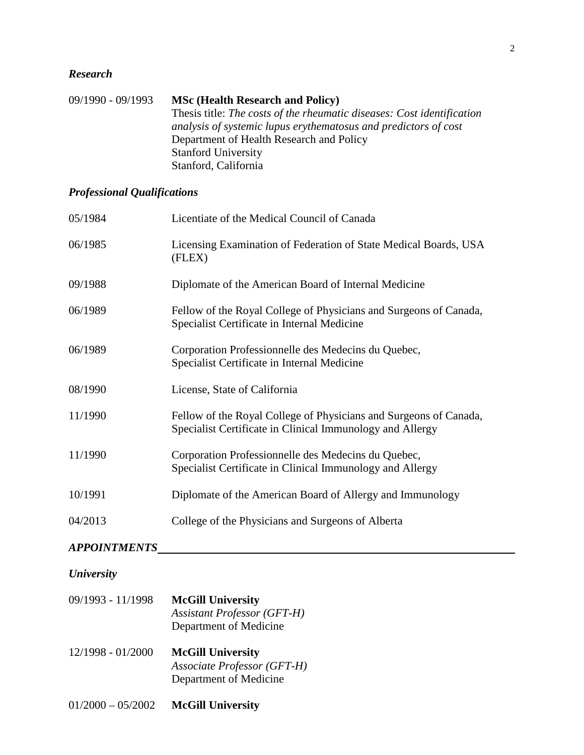## *Research*

| 09/1990 - 09/1993 | <b>MSc (Health Research and Policy)</b>                                |
|-------------------|------------------------------------------------------------------------|
|                   | Thesis title: The costs of the rheumatic diseases: Cost identification |
|                   | analysis of systemic lupus erythematosus and predictors of cost        |
|                   | Department of Health Research and Policy                               |
|                   | <b>Stanford University</b>                                             |
|                   | Stanford, California                                                   |

# *Professional Qualifications*

| 05/1984             | Licentiate of the Medical Council of Canada                                                                                    |
|---------------------|--------------------------------------------------------------------------------------------------------------------------------|
| 06/1985             | Licensing Examination of Federation of State Medical Boards, USA<br>(FLEX)                                                     |
| 09/1988             | Diplomate of the American Board of Internal Medicine                                                                           |
| 06/1989             | Fellow of the Royal College of Physicians and Surgeons of Canada,<br>Specialist Certificate in Internal Medicine               |
| 06/1989             | Corporation Professionnelle des Medecins du Quebec,<br>Specialist Certificate in Internal Medicine                             |
| 08/1990             | License, State of California                                                                                                   |
| 11/1990             | Fellow of the Royal College of Physicians and Surgeons of Canada,<br>Specialist Certificate in Clinical Immunology and Allergy |
| 11/1990             | Corporation Professionnelle des Medecins du Quebec,<br>Specialist Certificate in Clinical Immunology and Allergy               |
| 10/1991             | Diplomate of the American Board of Allergy and Immunology                                                                      |
| 04/2013             | College of the Physicians and Surgeons of Alberta                                                                              |
| <b>APPOINTMENTS</b> |                                                                                                                                |
| <b>University</b>   |                                                                                                                                |
| 09/1993 - 11/1998   | <b>McGill University</b><br><b>Assistant Professor (GFT-H)</b><br>Department of Medicine                                       |
| 12/1998 - 01/2000   | <b>McGill University</b><br>Associate Professor (GFT-H)                                                                        |

- Department of Medicine
- 01/2000 05/2002 **McGill University**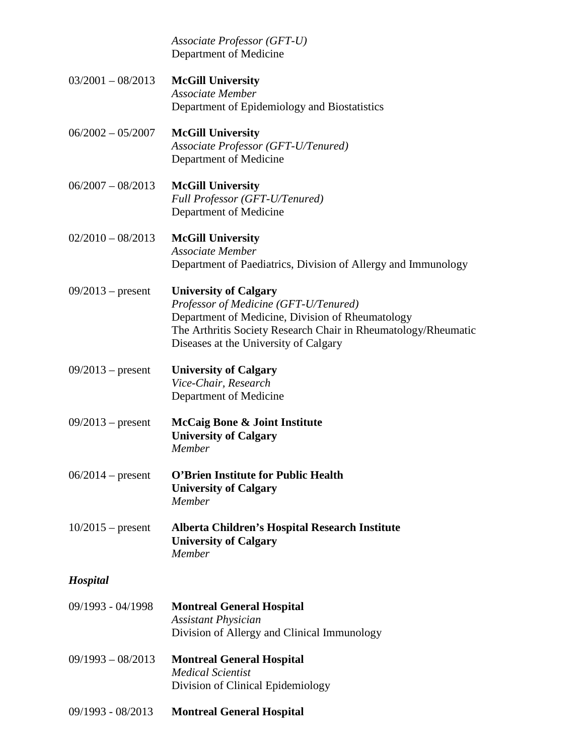|                     | Associate Professor (GFT-U)<br>Department of Medicine                                                                                                                                                                                |
|---------------------|--------------------------------------------------------------------------------------------------------------------------------------------------------------------------------------------------------------------------------------|
| $03/2001 - 08/2013$ | <b>McGill University</b><br>Associate Member<br>Department of Epidemiology and Biostatistics                                                                                                                                         |
| $06/2002 - 05/2007$ | <b>McGill University</b><br>Associate Professor (GFT-U/Tenured)<br>Department of Medicine                                                                                                                                            |
| $06/2007 - 08/2013$ | <b>McGill University</b><br>Full Professor (GFT-U/Tenured)<br>Department of Medicine                                                                                                                                                 |
| $02/2010 - 08/2013$ | <b>McGill University</b><br>Associate Member<br>Department of Paediatrics, Division of Allergy and Immunology                                                                                                                        |
| $09/2013$ – present | <b>University of Calgary</b><br>Professor of Medicine (GFT-U/Tenured)<br>Department of Medicine, Division of Rheumatology<br>The Arthritis Society Research Chair in Rheumatology/Rheumatic<br>Diseases at the University of Calgary |
| $09/2013$ – present | <b>University of Calgary</b><br>Vice-Chair, Research<br>Department of Medicine                                                                                                                                                       |
| $09/2013$ – present | McCaig Bone & Joint Institute<br><b>University of Calgary</b><br>Member                                                                                                                                                              |
| $06/2014$ – present | <b>O'Brien Institute for Public Health</b><br><b>University of Calgary</b><br>Member                                                                                                                                                 |
| $10/2015$ – present | Alberta Children's Hospital Research Institute<br><b>University of Calgary</b><br>Member                                                                                                                                             |
| <b>Hospital</b>     |                                                                                                                                                                                                                                      |
| 09/1993 - 04/1998   | <b>Montreal General Hospital</b><br><b>Assistant Physician</b><br>Division of Allergy and Clinical Immunology                                                                                                                        |
| $09/1993 - 08/2013$ | <b>Montreal General Hospital</b><br><b>Medical Scientist</b><br>Division of Clinical Epidemiology                                                                                                                                    |
| 09/1993 - 08/2013   | <b>Montreal General Hospital</b>                                                                                                                                                                                                     |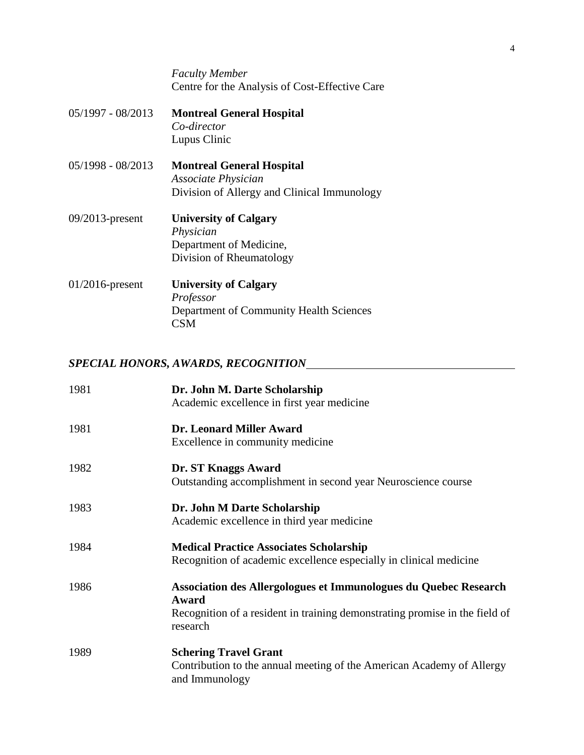*Faculty Member* Centre for the Analysis of Cost-Effective Care

| $05/1997 - 08/2013$ | <b>Montreal General Hospital</b><br>Co-director<br>Lupus Clinic                                        |
|---------------------|--------------------------------------------------------------------------------------------------------|
| $05/1998 - 08/2013$ | <b>Montreal General Hospital</b><br>Associate Physician<br>Division of Allergy and Clinical Immunology |
| $09/2013$ -present  | <b>University of Calgary</b><br>Physician<br>Department of Medicine,<br>Division of Rheumatology       |
| $01/2016$ -present  | <b>University of Calgary</b><br>Professor<br>Department of Community Health Sciences<br><b>CSM</b>     |

# *SPECIAL HONORS, AWARDS, RECOGNITION*

| 1981 | Dr. John M. Darte Scholarship                                                           |
|------|-----------------------------------------------------------------------------------------|
|      | Academic excellence in first year medicine                                              |
| 1981 | <b>Dr. Leonard Miller Award</b>                                                         |
|      | Excellence in community medicine                                                        |
| 1982 | Dr. ST Knaggs Award                                                                     |
|      | Outstanding accomplishment in second year Neuroscience course                           |
| 1983 | Dr. John M Darte Scholarship                                                            |
|      | Academic excellence in third year medicine                                              |
| 1984 | <b>Medical Practice Associates Scholarship</b>                                          |
|      | Recognition of academic excellence especially in clinical medicine                      |
| 1986 | Association des Allergologues et Immunologues du Quebec Research<br>Award               |
|      | Recognition of a resident in training demonstrating promise in the field of             |
|      | research                                                                                |
| 1989 | <b>Schering Travel Grant</b>                                                            |
|      | Contribution to the annual meeting of the American Academy of Allergy<br>and Immunology |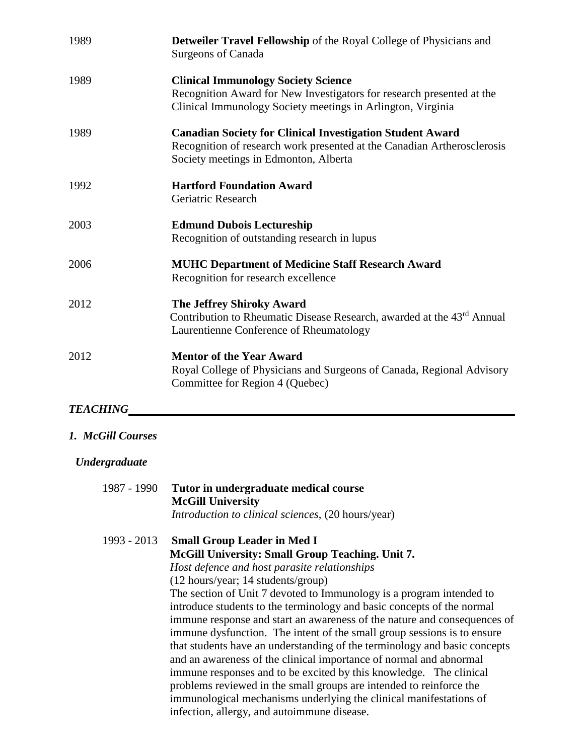| 1989 | Detweiler Travel Fellowship of the Royal College of Physicians and<br><b>Surgeons of Canada</b>                                                                                      |
|------|--------------------------------------------------------------------------------------------------------------------------------------------------------------------------------------|
| 1989 | <b>Clinical Immunology Society Science</b><br>Recognition Award for New Investigators for research presented at the<br>Clinical Immunology Society meetings in Arlington, Virginia   |
| 1989 | <b>Canadian Society for Clinical Investigation Student Award</b><br>Recognition of research work presented at the Canadian Artherosclerosis<br>Society meetings in Edmonton, Alberta |
| 1992 | <b>Hartford Foundation Award</b><br>Geriatric Research                                                                                                                               |
| 2003 | <b>Edmund Dubois Lectureship</b><br>Recognition of outstanding research in lupus                                                                                                     |
| 2006 | <b>MUHC Department of Medicine Staff Research Award</b><br>Recognition for research excellence                                                                                       |
| 2012 | <b>The Jeffrey Shiroky Award</b><br>Contribution to Rheumatic Disease Research, awarded at the 43 <sup>rd</sup> Annual<br>Laurentienne Conference of Rheumatology                    |
| 2012 | <b>Mentor of the Year Award</b><br>Royal College of Physicians and Surgeons of Canada, Regional Advisory<br>Committee for Region 4 (Quebec)                                          |

# *TEACHING*

# *1. McGill Courses*

## *Undergraduate*

| 1987 - 1990   | Tutor in undergraduate medical course<br><b>McGill University</b><br>Introduction to clinical sciences, (20 hours/year)                                                                                                                                                                                                                                                                                                                                                                                                                                                                                                                                                                                                                                                                                                                                                                                                      |
|---------------|------------------------------------------------------------------------------------------------------------------------------------------------------------------------------------------------------------------------------------------------------------------------------------------------------------------------------------------------------------------------------------------------------------------------------------------------------------------------------------------------------------------------------------------------------------------------------------------------------------------------------------------------------------------------------------------------------------------------------------------------------------------------------------------------------------------------------------------------------------------------------------------------------------------------------|
| $1993 - 2013$ | <b>Small Group Leader in Med I</b><br>McGill University: Small Group Teaching. Unit 7.<br>Host defence and host parasite relationships<br>$(12 \text{ hours/year}; 14 \text{ students/group})$<br>The section of Unit 7 devoted to Immunology is a program intended to<br>introduce students to the terminology and basic concepts of the normal<br>immune response and start an awareness of the nature and consequences of<br>immune dysfunction. The intent of the small group sessions is to ensure<br>that students have an understanding of the terminology and basic concepts<br>and an awareness of the clinical importance of normal and abnormal<br>immune responses and to be excited by this knowledge. The clinical<br>problems reviewed in the small groups are intended to reinforce the<br>immunological mechanisms underlying the clinical manifestations of<br>infection, allergy, and autoimmune disease. |
|               |                                                                                                                                                                                                                                                                                                                                                                                                                                                                                                                                                                                                                                                                                                                                                                                                                                                                                                                              |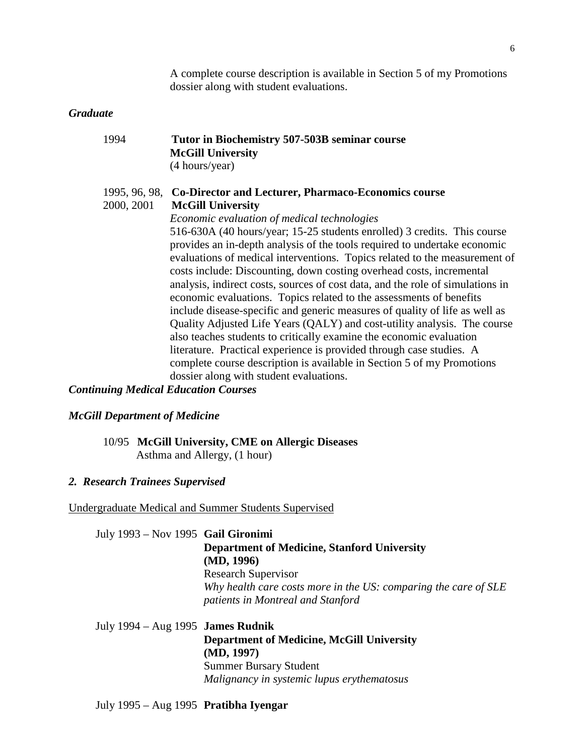A complete course description is available in Section 5 of my Promotions dossier along with student evaluations.

#### *Graduate*

| 1994 | Tutor in Biochemistry 507-503B seminar course |
|------|-----------------------------------------------|
|      | <b>McGill University</b>                      |
|      | (4 hours/year)                                |

#### 1995, 96, 98, **Co-Director and Lecturer, Pharmaco-Economics course** 2000, 2001 **McGill University**

*Economic evaluation of medical technologies* 516-630A (40 hours/year; 15-25 students enrolled) 3 credits. This course provides an in-depth analysis of the tools required to undertake economic evaluations of medical interventions. Topics related to the measurement of costs include: Discounting, down costing overhead costs, incremental analysis, indirect costs, sources of cost data, and the role of simulations in economic evaluations. Topics related to the assessments of benefits include disease-specific and generic measures of quality of life as well as Quality Adjusted Life Years (QALY) and cost-utility analysis. The course also teaches students to critically examine the economic evaluation literature. Practical experience is provided through case studies. A complete course description is available in Section 5 of my Promotions dossier along with student evaluations.

## *Continuing Medical Education Courses*

#### *McGill Department of Medicine*

10/95 **McGill University, CME on Allergic Diseases** Asthma and Allergy, (1 hour)

#### *2. Research Trainees Supervised*

Undergraduate Medical and Summer Students Supervised

July 1993 – Nov 1995 **Gail Gironimi Department of Medicine, Stanford University (MD, 1996)** Research Supervisor *Why health care costs more in the US: comparing the care of SLE patients in Montreal and Stanford*

July 1994 – Aug 1995 **James Rudnik Department of Medicine, McGill University (MD, 1997)** Summer Bursary Student *Malignancy in systemic lupus erythematosus*

July 1995 – Aug 1995 **Pratibha Iyengar**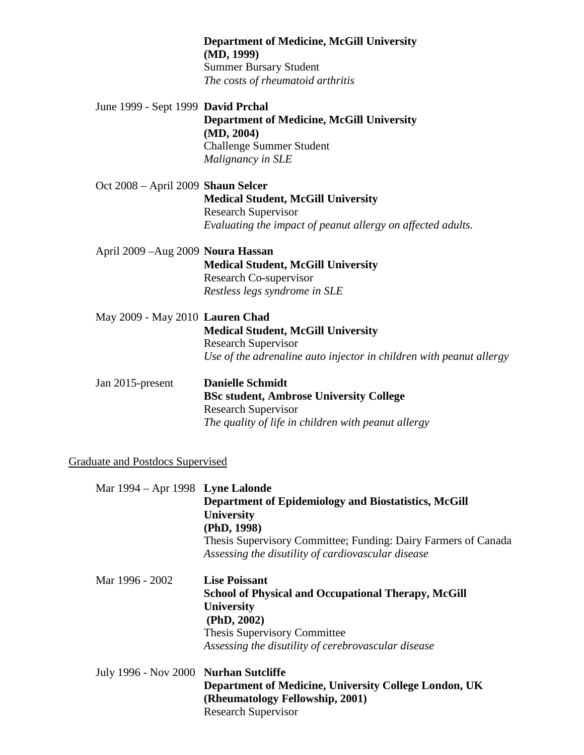|                                    | <b>Department of Medicine, McGill University</b><br>(MD, 1999)<br><b>Summer Bursary Student</b>                                                                |
|------------------------------------|----------------------------------------------------------------------------------------------------------------------------------------------------------------|
|                                    | The costs of rheumatoid arthritis                                                                                                                              |
| June 1999 - Sept 1999 David Prchal | <b>Department of Medicine, McGill University</b><br>(MD, 2004)<br><b>Challenge Summer Student</b><br>Malignancy in SLE                                         |
| Oct 2008 - April 2009 Shaun Selcer | <b>Medical Student, McGill University</b><br><b>Research Supervisor</b><br>Evaluating the impact of peanut allergy on affected adults.                         |
| April 2009 - Aug 2009 Noura Hassan | <b>Medical Student, McGill University</b><br><b>Research Co-supervisor</b><br>Restless legs syndrome in SLE                                                    |
| May 2009 - May 2010 Lauren Chad    | <b>Medical Student, McGill University</b><br><b>Research Supervisor</b><br>Use of the adrenaline auto injector in children with peanut allergy                 |
| Jan 2015-present                   | <b>Danielle Schmidt</b><br><b>BSc student, Ambrose University College</b><br><b>Research Supervisor</b><br>The quality of life in children with peanut allergy |

# Graduate and Postdocs Supervised

| Mar 1994 – Apr 1998 Lyne Lalonde                                                                                       |  |
|------------------------------------------------------------------------------------------------------------------------|--|
| <b>Department of Epidemiology and Biostatistics, McGill</b>                                                            |  |
| <b>University</b>                                                                                                      |  |
| (PhD, 1998)                                                                                                            |  |
| Thesis Supervisory Committee; Funding: Dairy Farmers of Canada                                                         |  |
| Assessing the disutility of cardiovascular disease                                                                     |  |
| <b>Lise Poissant</b>                                                                                                   |  |
| <b>School of Physical and Occupational Therapy, McGill</b>                                                             |  |
| <b>University</b>                                                                                                      |  |
| (PhD, 2002)                                                                                                            |  |
| Thesis Supervisory Committee                                                                                           |  |
| Assessing the disutility of cerebrovascular disease                                                                    |  |
| July 1996 - Nov 2000 Nurhan Sutcliffe                                                                                  |  |
| Department of Medicine, University College London, UK<br>(Rheumatology Fellowship, 2001)<br><b>Research Supervisor</b> |  |
|                                                                                                                        |  |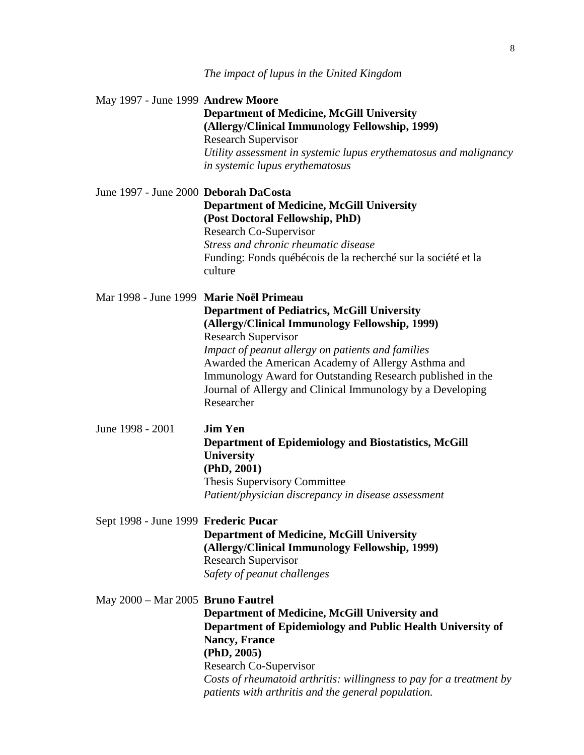| May 1997 - June 1999 Andrew Moore       | <b>Department of Medicine, McGill University</b>                                                     |
|-----------------------------------------|------------------------------------------------------------------------------------------------------|
|                                         | (Allergy/Clinical Immunology Fellowship, 1999)                                                       |
|                                         | <b>Research Supervisor</b>                                                                           |
|                                         | Utility assessment in systemic lupus erythematosus and malignancy<br>in systemic lupus erythematosus |
|                                         |                                                                                                      |
| June 1997 - June 2000 Deborah DaCosta   |                                                                                                      |
|                                         | <b>Department of Medicine, McGill University</b>                                                     |
|                                         | (Post Doctoral Fellowship, PhD)                                                                      |
|                                         | Research Co-Supervisor                                                                               |
|                                         | Stress and chronic rheumatic disease                                                                 |
|                                         | Funding: Fonds québécois de la recherché sur la société et la                                        |
|                                         | culture                                                                                              |
| Mar 1998 - June 1999 Marie Noël Primeau |                                                                                                      |
|                                         | <b>Department of Pediatrics, McGill University</b>                                                   |
|                                         | (Allergy/Clinical Immunology Fellowship, 1999)                                                       |
|                                         | <b>Research Supervisor</b>                                                                           |
|                                         | Impact of peanut allergy on patients and families                                                    |
|                                         | Awarded the American Academy of Allergy Asthma and                                                   |
|                                         | Immunology Award for Outstanding Research published in the                                           |
|                                         | Journal of Allergy and Clinical Immunology by a Developing                                           |
|                                         | Researcher                                                                                           |
| June 1998 - 2001                        | <b>Jim Yen</b>                                                                                       |
|                                         |                                                                                                      |
|                                         | <b>Department of Epidemiology and Biostatistics, McGill</b><br>University                            |
|                                         | (PhD, 2001)                                                                                          |
|                                         | <b>Thesis Supervisory Committee</b>                                                                  |
|                                         | Patient/physician discrepancy in disease assessment                                                  |
|                                         |                                                                                                      |
| Sept 1998 - June 1999 Frederic Pucar    |                                                                                                      |
|                                         | <b>Department of Medicine, McGill University</b>                                                     |
|                                         | (Allergy/Clinical Immunology Fellowship, 1999)                                                       |
|                                         | <b>Research Supervisor</b>                                                                           |
|                                         | Safety of peanut challenges                                                                          |
| May 2000 - Mar 2005 Bruno Fautrel       |                                                                                                      |
|                                         | Department of Medicine, McGill University and                                                        |
|                                         | Department of Epidemiology and Public Health University of                                           |
|                                         | <b>Nancy, France</b>                                                                                 |
|                                         | (PhD, 2005)                                                                                          |
|                                         | Research Co-Supervisor                                                                               |
|                                         | Costs of rheumatoid arthritis: willingness to pay for a treatment by                                 |
|                                         | patients with arthritis and the general population.                                                  |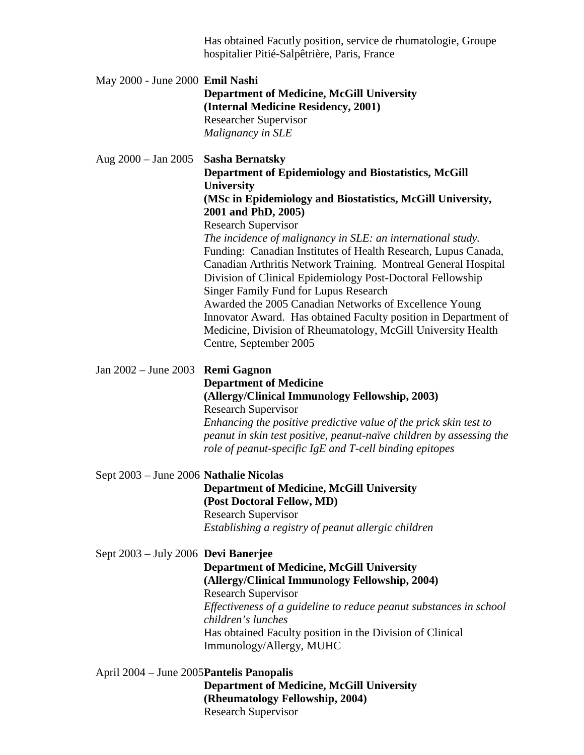|                                           | Has obtained Facutly position, service de rhumatologie, Groupe<br>hospitalier Pitié-Salpêtrière, Paris, France                                                                                                                                                                                                                                                                                                                                                                                                                                                                                                                                                                                                                                                 |
|-------------------------------------------|----------------------------------------------------------------------------------------------------------------------------------------------------------------------------------------------------------------------------------------------------------------------------------------------------------------------------------------------------------------------------------------------------------------------------------------------------------------------------------------------------------------------------------------------------------------------------------------------------------------------------------------------------------------------------------------------------------------------------------------------------------------|
| May 2000 - June 2000 Emil Nashi           | <b>Department of Medicine, McGill University</b><br>(Internal Medicine Residency, 2001)<br><b>Researcher Supervisor</b><br>Malignancy in SLE                                                                                                                                                                                                                                                                                                                                                                                                                                                                                                                                                                                                                   |
| Aug $2000 - \text{Jan } 2005$             | <b>Sasha Bernatsky</b><br><b>Department of Epidemiology and Biostatistics, McGill</b><br><b>University</b><br>(MSc in Epidemiology and Biostatistics, McGill University,<br>2001 and PhD, 2005)<br><b>Research Supervisor</b><br>The incidence of malignancy in SLE: an international study.<br>Funding: Canadian Institutes of Health Research, Lupus Canada,<br>Canadian Arthritis Network Training. Montreal General Hospital<br>Division of Clinical Epidemiology Post-Doctoral Fellowship<br>Singer Family Fund for Lupus Research<br>Awarded the 2005 Canadian Networks of Excellence Young<br>Innovator Award. Has obtained Faculty position in Department of<br>Medicine, Division of Rheumatology, McGill University Health<br>Centre, September 2005 |
| Jan 2002 - June 2003 Remi Gagnon          | <b>Department of Medicine</b><br>(Allergy/Clinical Immunology Fellowship, 2003)<br><b>Research Supervisor</b><br>Enhancing the positive predictive value of the prick skin test to<br>peanut in skin test positive, peanut-naïve children by assessing the<br>role of peanut-specific IgE and T-cell binding epitopes                                                                                                                                                                                                                                                                                                                                                                                                                                          |
| Sept 2003 - June 2006 Nathalie Nicolas    | <b>Department of Medicine, McGill University</b><br>(Post Doctoral Fellow, MD)<br><b>Research Supervisor</b><br>Establishing a registry of peanut allergic children                                                                                                                                                                                                                                                                                                                                                                                                                                                                                                                                                                                            |
| Sept 2003 – July 2006 Devi Banerjee       | <b>Department of Medicine, McGill University</b><br>(Allergy/Clinical Immunology Fellowship, 2004)<br><b>Research Supervisor</b><br>Effectiveness of a guideline to reduce peanut substances in school<br>children's lunches<br>Has obtained Faculty position in the Division of Clinical<br>Immunology/Allergy, MUHC                                                                                                                                                                                                                                                                                                                                                                                                                                          |
| April 2004 – June 2005 Pantelis Panopalis | <b>Department of Medicine, McGill University</b><br>(Rheumatology Fellowship, 2004)                                                                                                                                                                                                                                                                                                                                                                                                                                                                                                                                                                                                                                                                            |

Research Supervisor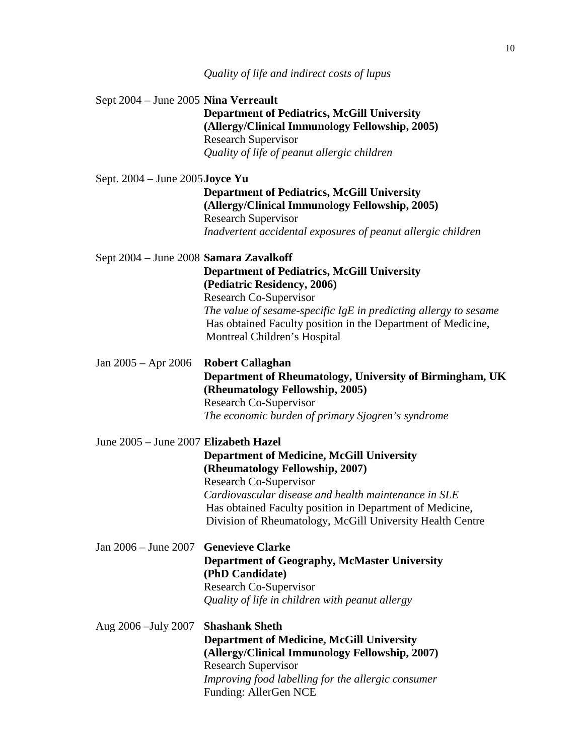|                                        | Quality of life and indirect costs of lupus                                                                                                                                                                                                                                                    |
|----------------------------------------|------------------------------------------------------------------------------------------------------------------------------------------------------------------------------------------------------------------------------------------------------------------------------------------------|
| Sept 2004 - June 2005 Nina Verreault   | <b>Department of Pediatrics, McGill University</b><br>(Allergy/Clinical Immunology Fellowship, 2005)<br><b>Research Supervisor</b><br>Quality of life of peanut allergic children                                                                                                              |
| Sept. $2004 -$ June $2005$ Joyce Yu    | <b>Department of Pediatrics, McGill University</b><br>(Allergy/Clinical Immunology Fellowship, 2005)<br><b>Research Supervisor</b><br>Inadvertent accidental exposures of peanut allergic children                                                                                             |
| Sept 2004 - June 2008 Samara Zavalkoff | <b>Department of Pediatrics, McGill University</b><br>(Pediatric Residency, 2006)<br>Research Co-Supervisor<br>The value of sesame-specific $IgE$ in predicting allergy to sesame<br>Has obtained Faculty position in the Department of Medicine,<br>Montreal Children's Hospital              |
| Jan $2005 -$ Apr $2006$                | <b>Robert Callaghan</b><br>Department of Rheumatology, University of Birmingham, UK<br>(Rheumatology Fellowship, 2005)<br>Research Co-Supervisor<br>The economic burden of primary Sjogren's syndrome                                                                                          |
| June 2005 - June 2007 Elizabeth Hazel  | <b>Department of Medicine, McGill University</b><br>(Rheumatology Fellowship, 2007)<br>Research Co-Supervisor<br>Cardiovascular disease and health maintenance in SLE<br>Has obtained Faculty position in Department of Medicine,<br>Division of Rheumatology, McGill University Health Centre |
| Jan 2006 – June 2007                   | <b>Genevieve Clarke</b><br><b>Department of Geography, McMaster University</b><br>(PhD Candidate)<br>Research Co-Supervisor<br>Quality of life in children with peanut allergy                                                                                                                 |
| Aug 2006 - July 2007                   | <b>Shashank Sheth</b><br><b>Department of Medicine, McGill University</b><br>(Allergy/Clinical Immunology Fellowship, 2007)<br><b>Research Supervisor</b><br>Improving food labelling for the allergic consumer<br>Funding: AllerGen NCE                                                       |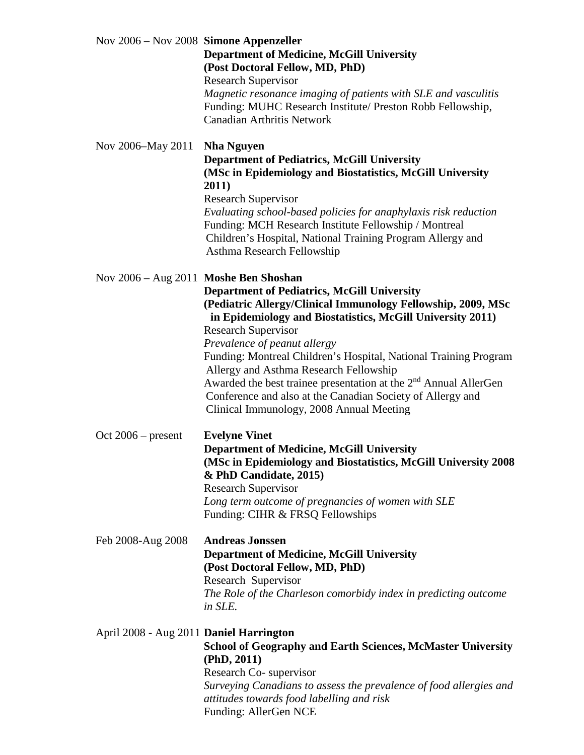| Nov $2006 -$ Nov $2008$ Simone Appenzeller | <b>Department of Medicine, McGill University</b><br>(Post Doctoral Fellow, MD, PhD)<br><b>Research Supervisor</b><br>Magnetic resonance imaging of patients with SLE and vasculitis<br>Funding: MUHC Research Institute/ Preston Robb Fellowship,<br><b>Canadian Arthritis Network</b>                                                                                                                                                                                                                                                                                                          |
|--------------------------------------------|-------------------------------------------------------------------------------------------------------------------------------------------------------------------------------------------------------------------------------------------------------------------------------------------------------------------------------------------------------------------------------------------------------------------------------------------------------------------------------------------------------------------------------------------------------------------------------------------------|
| Nov 2006–May 2011                          | <b>Nha Nguyen</b><br><b>Department of Pediatrics, McGill University</b><br>(MSc in Epidemiology and Biostatistics, McGill University<br>2011)<br><b>Research Supervisor</b><br>Evaluating school-based policies for anaphylaxis risk reduction<br>Funding: MCH Research Institute Fellowship / Montreal<br>Children's Hospital, National Training Program Allergy and<br>Asthma Research Fellowship                                                                                                                                                                                             |
|                                            | Nov 2006 – Aug 2011 Moshe Ben Shoshan<br><b>Department of Pediatrics, McGill University</b><br>(Pediatric Allergy/Clinical Immunology Fellowship, 2009, MSc<br>in Epidemiology and Biostatistics, McGill University 2011)<br><b>Research Supervisor</b><br>Prevalence of peanut allergy<br>Funding: Montreal Children's Hospital, National Training Program<br>Allergy and Asthma Research Fellowship<br>Awarded the best trainee presentation at the 2 <sup>nd</sup> Annual AllerGen<br>Conference and also at the Canadian Society of Allergy and<br>Clinical Immunology, 2008 Annual Meeting |
| Oct $2006$ – present                       | <b>Evelyne Vinet</b><br><b>Department of Medicine, McGill University</b><br>(MSc in Epidemiology and Biostatistics, McGill University 2008<br>& PhD Candidate, 2015)<br><b>Research Supervisor</b><br>Long term outcome of pregnancies of women with SLE<br>Funding: CIHR & FRSQ Fellowships                                                                                                                                                                                                                                                                                                    |
| Feb 2008-Aug 2008                          | <b>Andreas Jonssen</b><br><b>Department of Medicine, McGill University</b><br>(Post Doctoral Fellow, MD, PhD)<br>Research Supervisor<br>The Role of the Charleson comorbidy index in predicting outcome<br>in SLE.                                                                                                                                                                                                                                                                                                                                                                              |
| April 2008 - Aug 2011 Daniel Harrington    | <b>School of Geography and Earth Sciences, McMaster University</b><br>(PhD, 2011)<br>Research Co-supervisor<br>Surveying Canadians to assess the prevalence of food allergies and<br>attitudes towards food labelling and risk<br>Funding: AllerGen NCE                                                                                                                                                                                                                                                                                                                                         |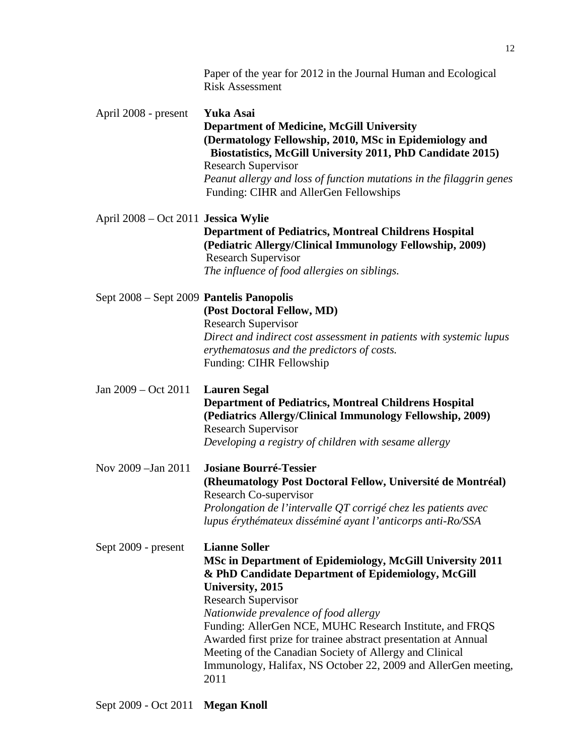|                                          | Paper of the year for 2012 in the Journal Human and Ecological<br><b>Risk Assessment</b>                                                                                                                                                                                                                                                                                                                                                                                                               |
|------------------------------------------|--------------------------------------------------------------------------------------------------------------------------------------------------------------------------------------------------------------------------------------------------------------------------------------------------------------------------------------------------------------------------------------------------------------------------------------------------------------------------------------------------------|
| April 2008 - present                     | Yuka Asai<br><b>Department of Medicine, McGill University</b><br>(Dermatology Fellowship, 2010, MSc in Epidemiology and<br>Biostatistics, McGill University 2011, PhD Candidate 2015)<br><b>Research Supervisor</b><br>Peanut allergy and loss of function mutations in the filaggrin genes<br>Funding: CIHR and AllerGen Fellowships                                                                                                                                                                  |
| April 2008 – Oct 2011 Jessica Wylie      | <b>Department of Pediatrics, Montreal Childrens Hospital</b><br>(Pediatric Allergy/Clinical Immunology Fellowship, 2009)<br><b>Research Supervisor</b><br>The influence of food allergies on siblings.                                                                                                                                                                                                                                                                                                 |
| Sept 2008 - Sept 2009 Pantelis Panopolis | (Post Doctoral Fellow, MD)<br><b>Research Supervisor</b><br>Direct and indirect cost assessment in patients with systemic lupus<br>erythematosus and the predictors of costs.<br>Funding: CIHR Fellowship                                                                                                                                                                                                                                                                                              |
| Jan $2009 - Oct$ 2011                    | <b>Lauren Segal</b><br><b>Department of Pediatrics, Montreal Childrens Hospital</b><br>(Pediatrics Allergy/Clinical Immunology Fellowship, 2009)<br><b>Research Supervisor</b><br>Developing a registry of children with sesame allergy                                                                                                                                                                                                                                                                |
| Nov 2009 - Jan 2011                      | <b>Josiane Bourré-Tessier</b><br>(Rheumatology Post Doctoral Fellow, Université de Montréal)<br><b>Research Co-supervisor</b><br>Prolongation de l'intervalle QT corrigé chez les patients avec<br>lupus érythémateux disséminé ayant l'anticorps anti-Ro/SSA                                                                                                                                                                                                                                          |
| Sept 2009 - present                      | <b>Lianne Soller</b><br>MSc in Department of Epidemiology, McGill University 2011<br>& PhD Candidate Department of Epidemiology, McGill<br>University, 2015<br><b>Research Supervisor</b><br>Nationwide prevalence of food allergy<br>Funding: AllerGen NCE, MUHC Research Institute, and FRQS<br>Awarded first prize for trainee abstract presentation at Annual<br>Meeting of the Canadian Society of Allergy and Clinical<br>Immunology, Halifax, NS October 22, 2009 and AllerGen meeting,<br>2011 |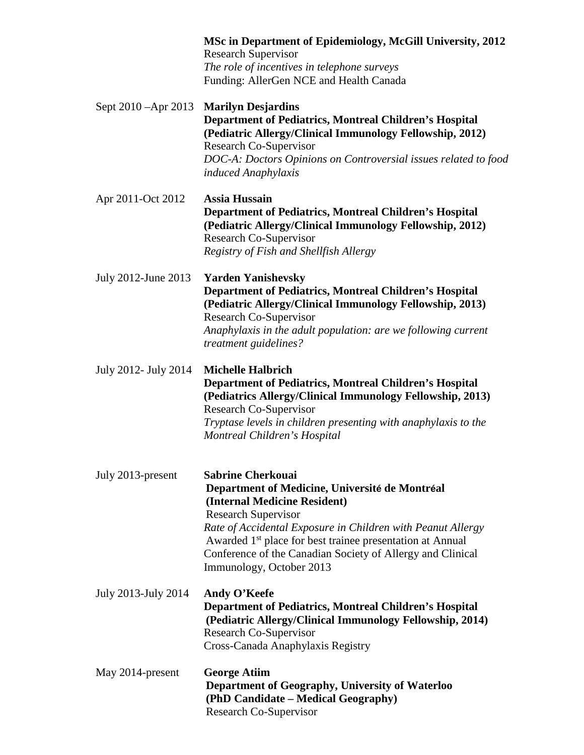|                      | MSc in Department of Epidemiology, McGill University, 2012<br><b>Research Supervisor</b><br>The role of incentives in telephone surveys<br>Funding: AllerGen NCE and Health Canada                                                                                                                                                                                         |
|----------------------|----------------------------------------------------------------------------------------------------------------------------------------------------------------------------------------------------------------------------------------------------------------------------------------------------------------------------------------------------------------------------|
| Sept 2010 – Apr 2013 | <b>Marilyn Desjardins</b><br><b>Department of Pediatrics, Montreal Children's Hospital</b><br>(Pediatric Allergy/Clinical Immunology Fellowship, 2012)<br>Research Co-Supervisor<br>DOC-A: Doctors Opinions on Controversial issues related to food<br>induced Anaphylaxis                                                                                                 |
| Apr 2011-Oct 2012    | <b>Assia Hussain</b><br><b>Department of Pediatrics, Montreal Children's Hospital</b><br>(Pediatric Allergy/Clinical Immunology Fellowship, 2012)<br>Research Co-Supervisor<br>Registry of Fish and Shellfish Allergy                                                                                                                                                      |
| July 2012-June 2013  | <b>Yarden Yanishevsky</b><br>Department of Pediatrics, Montreal Children's Hospital<br>(Pediatric Allergy/Clinical Immunology Fellowship, 2013)<br>Research Co-Supervisor<br>Anaphylaxis in the adult population: are we following current<br>treatment guidelines?                                                                                                        |
| July 2012- July 2014 | <b>Michelle Halbrich</b><br><b>Department of Pediatrics, Montreal Children's Hospital</b><br>(Pediatrics Allergy/Clinical Immunology Fellowship, 2013)<br>Research Co-Supervisor<br>Tryptase levels in children presenting with anaphylaxis to the<br>Montreal Children's Hospital                                                                                         |
| July 2013-present    | <b>Sabrine Cherkouai</b><br>Department of Medicine, Université de Montréal<br>(Internal Medicine Resident)<br><b>Research Supervisor</b><br>Rate of Accidental Exposure in Children with Peanut Allergy<br>Awarded 1 <sup>st</sup> place for best trainee presentation at Annual<br>Conference of the Canadian Society of Allergy and Clinical<br>Immunology, October 2013 |
| July 2013-July 2014  | Andy O'Keefe<br><b>Department of Pediatrics, Montreal Children's Hospital</b><br>(Pediatric Allergy/Clinical Immunology Fellowship, 2014)<br>Research Co-Supervisor<br>Cross-Canada Anaphylaxis Registry                                                                                                                                                                   |
| May 2014-present     | <b>George Atiim</b><br>Department of Geography, University of Waterloo<br>(PhD Candidate – Medical Geography)<br>Research Co-Supervisor                                                                                                                                                                                                                                    |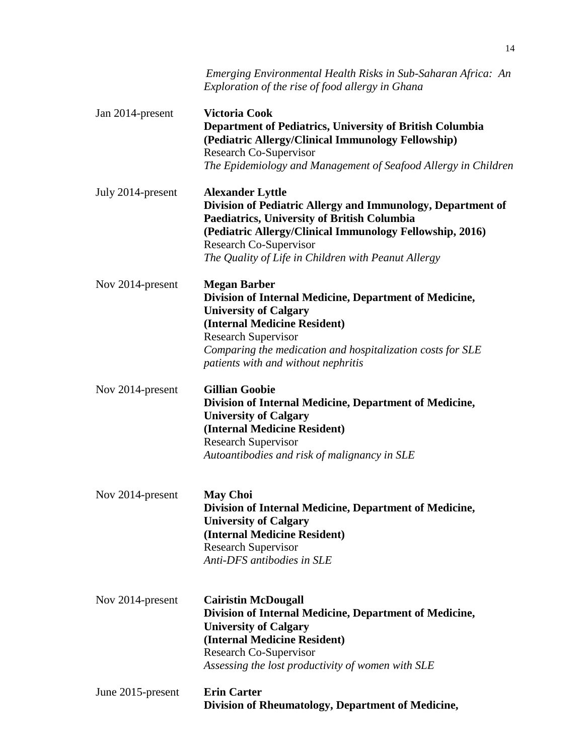|                   | Emerging Environmental Health Risks in Sub-Saharan Africa: An<br>Exploration of the rise of food allergy in Ghana                                                                                                                                                                  |
|-------------------|------------------------------------------------------------------------------------------------------------------------------------------------------------------------------------------------------------------------------------------------------------------------------------|
| Jan 2014-present  | <b>Victoria Cook</b><br>Department of Pediatrics, University of British Columbia<br>(Pediatric Allergy/Clinical Immunology Fellowship)<br>Research Co-Supervisor<br>The Epidemiology and Management of Seafood Allergy in Children                                                 |
| July 2014-present | <b>Alexander Lyttle</b><br>Division of Pediatric Allergy and Immunology, Department of<br>Paediatrics, University of British Columbia<br>(Pediatric Allergy/Clinical Immunology Fellowship, 2016)<br>Research Co-Supervisor<br>The Quality of Life in Children with Peanut Allergy |
| Nov 2014-present  | <b>Megan Barber</b><br>Division of Internal Medicine, Department of Medicine,<br><b>University of Calgary</b><br>(Internal Medicine Resident)<br><b>Research Supervisor</b><br>Comparing the medication and hospitalization costs for SLE<br>patients with and without nephritis   |
| Nov 2014-present  | <b>Gillian Goobie</b><br>Division of Internal Medicine, Department of Medicine,<br><b>University of Calgary</b><br>(Internal Medicine Resident)<br><b>Research Supervisor</b><br>Autoantibodies and risk of malignancy in SLE                                                      |
| Nov 2014-present  | <b>May Choi</b><br>Division of Internal Medicine, Department of Medicine,<br><b>University of Calgary</b><br>(Internal Medicine Resident)<br><b>Research Supervisor</b><br>Anti-DFS antibodies in SLE                                                                              |
| Nov 2014-present  | <b>Cairistin McDougall</b><br>Division of Internal Medicine, Department of Medicine,<br><b>University of Calgary</b><br>(Internal Medicine Resident)<br>Research Co-Supervisor<br>Assessing the lost productivity of women with SLE                                                |
| June 2015-present | <b>Erin Carter</b><br>Division of Rheumatology, Department of Medicine,                                                                                                                                                                                                            |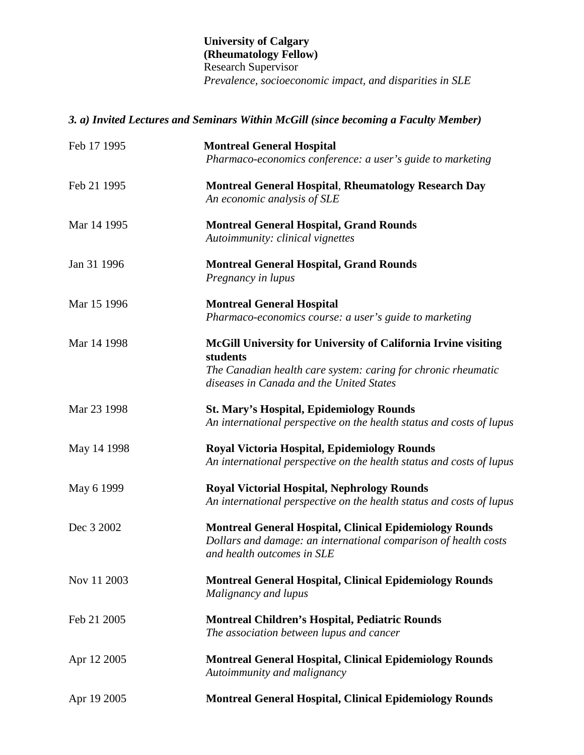#### **University of Calgary (Rheumatology Fellow)** Research Supervisor *Prevalence, socioeconomic impact, and disparities in SLE*

## *3. a) Invited Lectures and Seminars Within McGill (since becoming a Faculty Member)*

| Feb 17 1995 | <b>Montreal General Hospital</b><br>Pharmaco-economics conference: a user's guide to marketing                                                                                          |
|-------------|-----------------------------------------------------------------------------------------------------------------------------------------------------------------------------------------|
| Feb 21 1995 | <b>Montreal General Hospital, Rheumatology Research Day</b><br>An economic analysis of SLE                                                                                              |
| Mar 14 1995 | <b>Montreal General Hospital, Grand Rounds</b><br>Autoimmunity: clinical vignettes                                                                                                      |
| Jan 31 1996 | <b>Montreal General Hospital, Grand Rounds</b><br>Pregnancy in lupus                                                                                                                    |
| Mar 15 1996 | <b>Montreal General Hospital</b><br>Pharmaco-economics course: a user's guide to marketing                                                                                              |
| Mar 14 1998 | McGill University for University of California Irvine visiting<br>students<br>The Canadian health care system: caring for chronic rheumatic<br>diseases in Canada and the United States |
| Mar 23 1998 | <b>St. Mary's Hospital, Epidemiology Rounds</b><br>An international perspective on the health status and costs of lupus                                                                 |
| May 14 1998 | <b>Royal Victoria Hospital, Epidemiology Rounds</b><br>An international perspective on the health status and costs of lupus                                                             |
| May 6 1999  | <b>Royal Victorial Hospital, Nephrology Rounds</b><br>An international perspective on the health status and costs of lupus                                                              |
| Dec 3 2002  | <b>Montreal General Hospital, Clinical Epidemiology Rounds</b><br>Dollars and damage: an international comparison of health costs<br>and health outcomes in SLE                         |
| Nov 11 2003 | <b>Montreal General Hospital, Clinical Epidemiology Rounds</b><br>Malignancy and lupus                                                                                                  |
| Feb 21 2005 | <b>Montreal Children's Hospital, Pediatric Rounds</b><br>The association between lupus and cancer                                                                                       |
| Apr 12 2005 | <b>Montreal General Hospital, Clinical Epidemiology Rounds</b><br>Autoimmunity and malignancy                                                                                           |
| Apr 19 2005 | <b>Montreal General Hospital, Clinical Epidemiology Rounds</b>                                                                                                                          |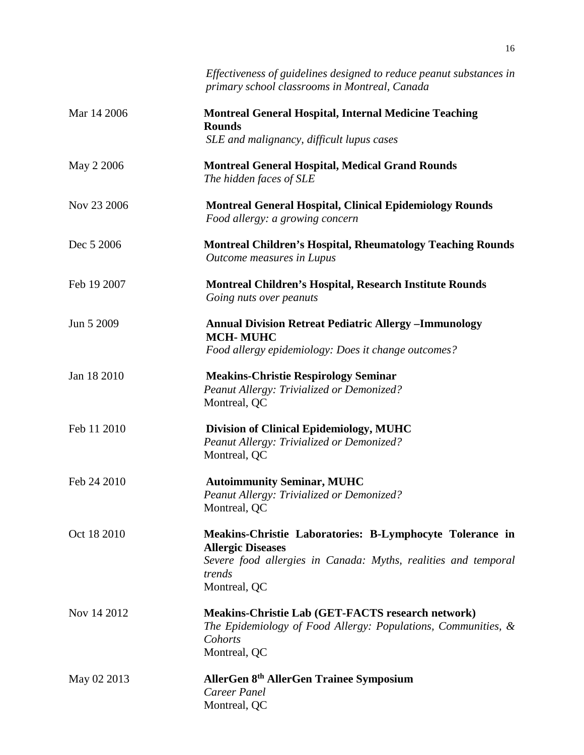|             | Effectiveness of guidelines designed to reduce peanut substances in<br>primary school classrooms in Montreal, Canada                                                             |
|-------------|----------------------------------------------------------------------------------------------------------------------------------------------------------------------------------|
| Mar 14 2006 | <b>Montreal General Hospital, Internal Medicine Teaching</b><br><b>Rounds</b><br>SLE and malignancy, difficult lupus cases                                                       |
| May 2 2006  | <b>Montreal General Hospital, Medical Grand Rounds</b><br>The hidden faces of SLE                                                                                                |
| Nov 23 2006 | <b>Montreal General Hospital, Clinical Epidemiology Rounds</b><br>Food allergy: a growing concern                                                                                |
| Dec 5 2006  | <b>Montreal Children's Hospital, Rheumatology Teaching Rounds</b><br>Outcome measures in Lupus                                                                                   |
| Feb 19 2007 | <b>Montreal Children's Hospital, Research Institute Rounds</b><br>Going nuts over peanuts                                                                                        |
| Jun 5 2009  | <b>Annual Division Retreat Pediatric Allergy -Immunology</b><br><b>MCH-MUHC</b><br>Food allergy epidemiology: Does it change outcomes?                                           |
| Jan 18 2010 | <b>Meakins-Christie Respirology Seminar</b><br>Peanut Allergy: Trivialized or Demonized?<br>Montreal, QC                                                                         |
| Feb 11 2010 | <b>Division of Clinical Epidemiology, MUHC</b><br>Peanut Allergy: Trivialized or Demonized?<br>Montreal, QC                                                                      |
| Feb 24 2010 | <b>Autoimmunity Seminar, MUHC</b><br><b>Peanut Allergy: Trivialized or Demonized?</b><br>Montreal, QC                                                                            |
| Oct 18 2010 | Meakins-Christie Laboratories: B-Lymphocyte Tolerance in<br><b>Allergic Diseases</b><br>Severe food allergies in Canada: Myths, realities and temporal<br>trends<br>Montreal, QC |
| Nov 14 2012 | <b>Meakins-Christie Lab (GET-FACTS research network)</b><br>The Epidemiology of Food Allergy: Populations, Communities, &<br>Cohorts<br>Montreal, QC                             |
| May 02 2013 | AllerGen 8th AllerGen Trainee Symposium<br>Career Panel<br>Montreal, QC                                                                                                          |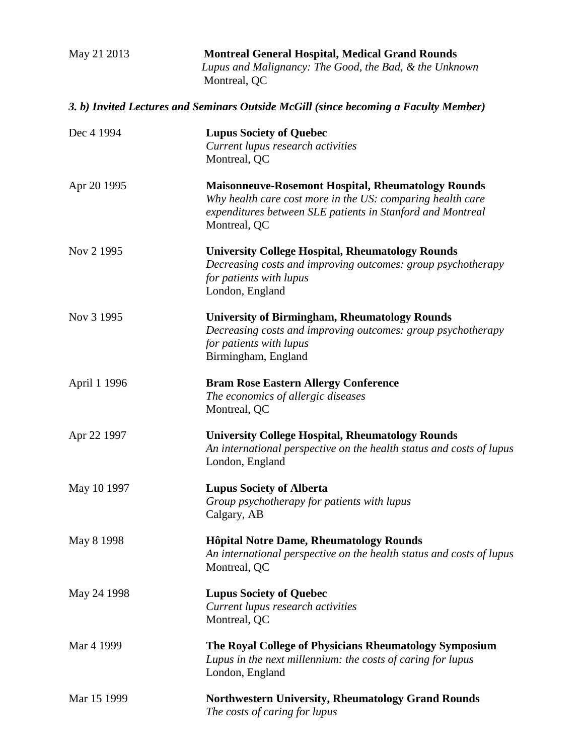| May 21 2013  | <b>Montreal General Hospital, Medical Grand Rounds</b><br>Lupus and Malignancy: The Good, the Bad, & the Unknown<br>Montreal, QC                                                                      |
|--------------|-------------------------------------------------------------------------------------------------------------------------------------------------------------------------------------------------------|
|              | 3. b) Invited Lectures and Seminars Outside McGill (since becoming a Faculty Member)                                                                                                                  |
| Dec 4 1994   | <b>Lupus Society of Quebec</b><br>Current lupus research activities<br>Montreal, QC                                                                                                                   |
| Apr 20 1995  | <b>Maisonneuve-Rosemont Hospital, Rheumatology Rounds</b><br>Why health care cost more in the US: comparing health care<br>expenditures between SLE patients in Stanford and Montreal<br>Montreal, QC |
| Nov 2 1995   | <b>University College Hospital, Rheumatology Rounds</b><br>Decreasing costs and improving outcomes: group psychotherapy<br>for patients with lupus<br>London, England                                 |
| Nov 3 1995   | <b>University of Birmingham, Rheumatology Rounds</b><br>Decreasing costs and improving outcomes: group psychotherapy<br>for patients with lupus<br>Birmingham, England                                |
| April 1 1996 | <b>Bram Rose Eastern Allergy Conference</b><br>The economics of allergic diseases<br>Montreal, QC                                                                                                     |
| Apr 22 1997  | <b>University College Hospital, Rheumatology Rounds</b><br>An international perspective on the health status and costs of lupus<br>London, England                                                    |
| May 10 1997  | <b>Lupus Society of Alberta</b><br>Group psychotherapy for patients with lupus<br>Calgary, AB                                                                                                         |
| May 8 1998   | <b>Hôpital Notre Dame, Rheumatology Rounds</b><br>An international perspective on the health status and costs of lupus<br>Montreal, QC                                                                |
| May 24 1998  | <b>Lupus Society of Quebec</b><br>Current lupus research activities<br>Montreal, QC                                                                                                                   |
| Mar 4 1999   | The Royal College of Physicians Rheumatology Symposium<br>Lupus in the next millennium: the costs of caring for lupus<br>London, England                                                              |
| Mar 15 1999  | <b>Northwestern University, Rheumatology Grand Rounds</b><br>The costs of caring for lupus                                                                                                            |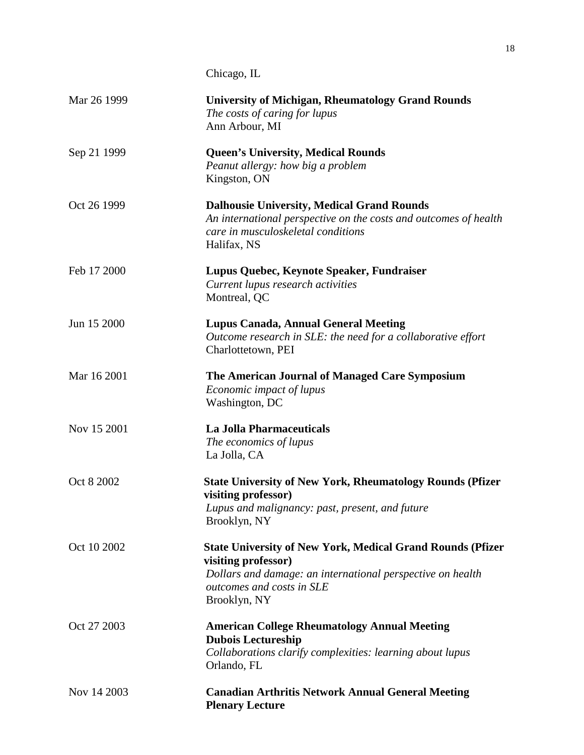|             | Chicago, IL                                                                                                                                                                                         |
|-------------|-----------------------------------------------------------------------------------------------------------------------------------------------------------------------------------------------------|
| Mar 26 1999 | <b>University of Michigan, Rheumatology Grand Rounds</b><br>The costs of caring for lupus<br>Ann Arbour, MI                                                                                         |
| Sep 21 1999 | <b>Queen's University, Medical Rounds</b><br>Peanut allergy: how big a problem<br>Kingston, ON                                                                                                      |
| Oct 26 1999 | <b>Dalhousie University, Medical Grand Rounds</b><br>An international perspective on the costs and outcomes of health<br>care in musculoskeletal conditions<br>Halifax, NS                          |
| Feb 17 2000 | Lupus Quebec, Keynote Speaker, Fundraiser<br>Current lupus research activities<br>Montreal, QC                                                                                                      |
| Jun 15 2000 | <b>Lupus Canada, Annual General Meeting</b><br>Outcome research in SLE: the need for a collaborative effort<br>Charlottetown, PEI                                                                   |
| Mar 16 2001 | The American Journal of Managed Care Symposium<br>Economic impact of lupus<br>Washington, DC                                                                                                        |
| Nov 15 2001 | <b>La Jolla Pharmaceuticals</b><br>The economics of lupus<br>La Jolla, CA                                                                                                                           |
| Oct 8 2002  | <b>State University of New York, Rheumatology Rounds (Pfizer</b><br>visiting professor)<br>Lupus and malignancy: past, present, and future<br>Brooklyn, NY                                          |
| Oct 10 2002 | <b>State University of New York, Medical Grand Rounds (Pfizer</b><br>visiting professor)<br>Dollars and damage: an international perspective on health<br>outcomes and costs in SLE<br>Brooklyn, NY |
| Oct 27 2003 | <b>American College Rheumatology Annual Meeting</b><br><b>Dubois Lectureship</b><br>Collaborations clarify complexities: learning about lupus<br>Orlando, FL                                        |
| Nov 14 2003 | <b>Canadian Arthritis Network Annual General Meeting</b><br><b>Plenary Lecture</b>                                                                                                                  |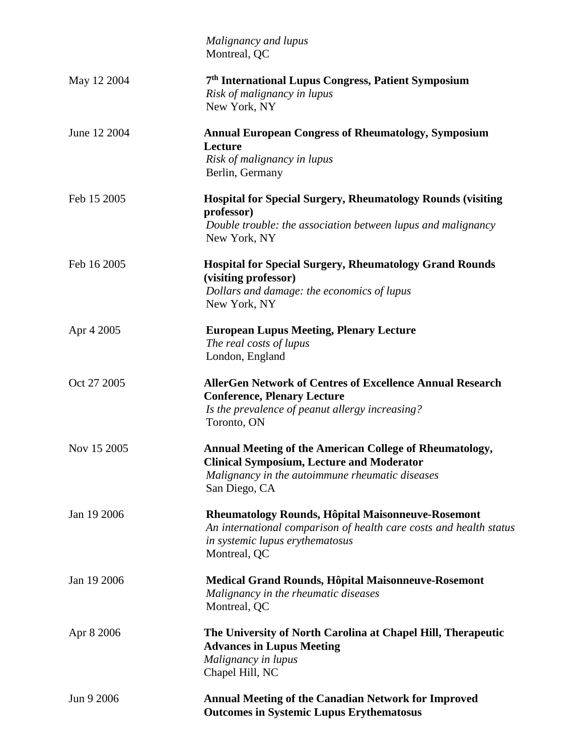|              | Malignancy and lupus<br>Montreal, QC                                                                                                                                                   |
|--------------|----------------------------------------------------------------------------------------------------------------------------------------------------------------------------------------|
| May 12 2004  | 7th International Lupus Congress, Patient Symposium<br>Risk of malignancy in lupus<br>New York, NY                                                                                     |
| June 12 2004 | <b>Annual European Congress of Rheumatology, Symposium</b><br>Lecture<br>Risk of malignancy in lupus<br>Berlin, Germany                                                                |
| Feb 15 2005  | <b>Hospital for Special Surgery, Rheumatology Rounds (visiting</b><br>professor)<br>Double trouble: the association between lupus and malignancy<br>New York, NY                       |
| Feb 16 2005  | <b>Hospital for Special Surgery, Rheumatology Grand Rounds</b><br>(visiting professor)<br>Dollars and damage: the economics of lupus<br>New York, NY                                   |
| Apr 4 2005   | <b>European Lupus Meeting, Plenary Lecture</b><br>The real costs of lupus<br>London, England                                                                                           |
| Oct 27 2005  | <b>AllerGen Network of Centres of Excellence Annual Research</b><br><b>Conference, Plenary Lecture</b><br>Is the prevalence of peanut allergy increasing?<br>Toronto, ON               |
| Nov 15 2005  | <b>Annual Meeting of the American College of Rheumatology,</b><br><b>Clinical Symposium, Lecture and Moderator</b><br>Malignancy in the autoimmune rheumatic diseases<br>San Diego, CA |
| Jan 19 2006  | Rheumatology Rounds, Hôpital Maisonneuve-Rosemont<br>An international comparison of health care costs and health status<br>in systemic lupus erythematosus<br>Montreal, QC             |
| Jan 19 2006  | <b>Medical Grand Rounds, Hôpital Maisonneuve-Rosemont</b><br>Malignancy in the rheumatic diseases<br>Montreal, QC                                                                      |
| Apr 8 2006   | The University of North Carolina at Chapel Hill, Therapeutic<br><b>Advances in Lupus Meeting</b><br>Malignancy in lupus<br>Chapel Hill, NC                                             |
| Jun 9 2006   | <b>Annual Meeting of the Canadian Network for Improved</b><br><b>Outcomes in Systemic Lupus Erythematosus</b>                                                                          |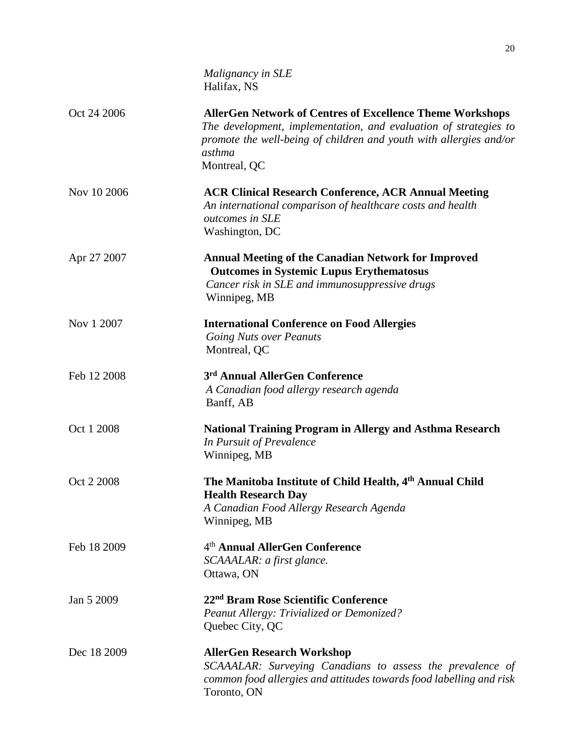|             | Malignancy in SLE<br>Halifax, NS                                                                                                                                                                                                     |
|-------------|--------------------------------------------------------------------------------------------------------------------------------------------------------------------------------------------------------------------------------------|
| Oct 24 2006 | <b>AllerGen Network of Centres of Excellence Theme Workshops</b><br>The development, implementation, and evaluation of strategies to<br>promote the well-being of children and youth with allergies and/or<br>asthma<br>Montreal, QC |
| Nov 10 2006 | <b>ACR Clinical Research Conference, ACR Annual Meeting</b><br>An international comparison of healthcare costs and health<br>outcomes in SLE<br>Washington, DC                                                                       |
| Apr 27 2007 | <b>Annual Meeting of the Canadian Network for Improved</b><br><b>Outcomes in Systemic Lupus Erythematosus</b><br>Cancer risk in SLE and immunosuppressive drugs<br>Winnipeg, MB                                                      |
| Nov 1 2007  | <b>International Conference on Food Allergies</b><br><b>Going Nuts over Peanuts</b><br>Montreal, QC                                                                                                                                  |
| Feb 12 2008 | 3rd Annual AllerGen Conference<br>A Canadian food allergy research agenda<br>Banff, AB                                                                                                                                               |
| Oct 1 2008  | <b>National Training Program in Allergy and Asthma Research</b><br>In Pursuit of Prevalence<br>Winnipeg, MB                                                                                                                          |
| Oct 2 2008  | The Manitoba Institute of Child Health, 4th Annual Child<br><b>Health Research Day</b><br>A Canadian Food Allergy Research Agenda<br>Winnipeg, MB                                                                                    |
| Feb 18 2009 | 4 <sup>th</sup> Annual AllerGen Conference<br>SCAAALAR: a first glance.<br>Ottawa, ON                                                                                                                                                |
| Jan 5 2009  | 22 <sup>nd</sup> Bram Rose Scientific Conference<br>Peanut Allergy: Trivialized or Demonized?<br>Quebec City, QC                                                                                                                     |
| Dec 18 2009 | <b>AllerGen Research Workshop</b><br>SCAAALAR: Surveying Canadians to assess the prevalence of<br>common food allergies and attitudes towards food labelling and risk<br>Toronto, ON                                                 |

20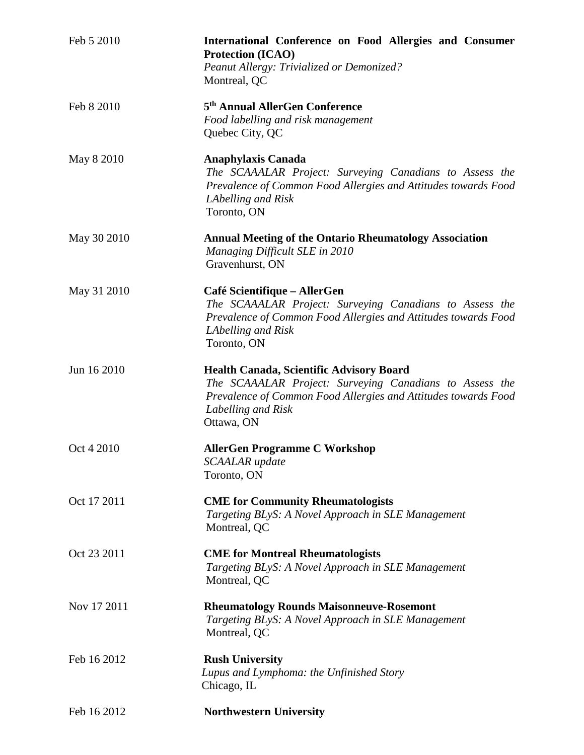| Feb 5 2010  | International Conference on Food Allergies and Consumer<br><b>Protection (ICAO)</b><br>Peanut Allergy: Trivialized or Demonized?<br>Montreal, QC                                                                 |
|-------------|------------------------------------------------------------------------------------------------------------------------------------------------------------------------------------------------------------------|
| Feb 8 2010  | 5 <sup>th</sup> Annual AllerGen Conference<br>Food labelling and risk management<br>Quebec City, QC                                                                                                              |
| May 8 2010  | <b>Anaphylaxis Canada</b><br>The SCAAALAR Project: Surveying Canadians to Assess the<br>Prevalence of Common Food Allergies and Attitudes towards Food<br>LAbelling and Risk<br>Toronto, ON                      |
| May 30 2010 | <b>Annual Meeting of the Ontario Rheumatology Association</b><br>Managing Difficult SLE in 2010<br>Gravenhurst, ON                                                                                               |
| May 31 2010 | Café Scientifique - AllerGen<br>The SCAAALAR Project: Surveying Canadians to Assess the<br>Prevalence of Common Food Allergies and Attitudes towards Food<br>LAbelling and Risk<br>Toronto, ON                   |
| Jun 16 2010 | <b>Health Canada, Scientific Advisory Board</b><br>The SCAAALAR Project: Surveying Canadians to Assess the<br>Prevalence of Common Food Allergies and Attitudes towards Food<br>Labelling and Risk<br>Ottawa, ON |
| Oct 4 2010  | <b>AllerGen Programme C Workshop</b><br><b>SCAALAR</b> update<br>Toronto, ON                                                                                                                                     |
| Oct 17 2011 | <b>CME</b> for Community Rheumatologists<br>Targeting BLyS: A Novel Approach in SLE Management<br>Montreal, QC                                                                                                   |
| Oct 23 2011 | <b>CME</b> for Montreal Rheumatologists<br>Targeting BLyS: A Novel Approach in SLE Management<br>Montreal, QC                                                                                                    |
| Nov 17 2011 | <b>Rheumatology Rounds Maisonneuve-Rosemont</b><br>Targeting BLyS: A Novel Approach in SLE Management<br>Montreal, QC                                                                                            |
| Feb 16 2012 | <b>Rush University</b><br>Lupus and Lymphoma: the Unfinished Story<br>Chicago, IL                                                                                                                                |
| Feb 16 2012 | <b>Northwestern University</b>                                                                                                                                                                                   |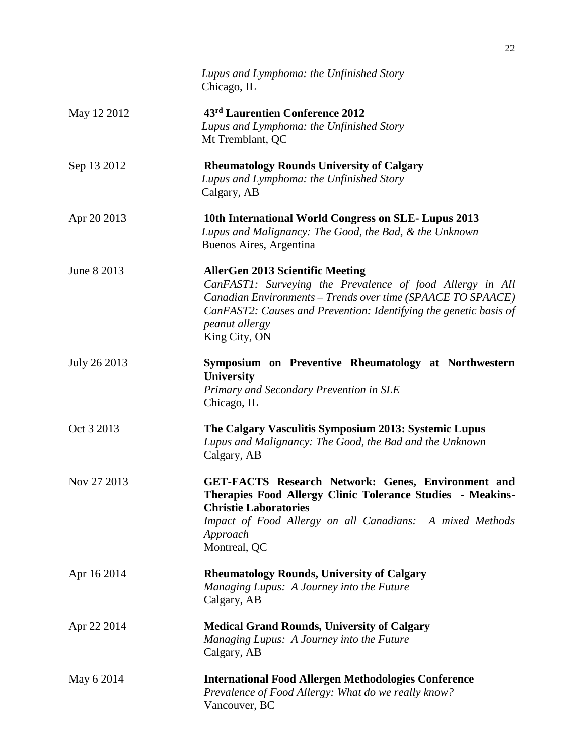|              | Lupus and Lymphoma: the Unfinished Story<br>Chicago, IL                                                                                                                                                                                                                            |
|--------------|------------------------------------------------------------------------------------------------------------------------------------------------------------------------------------------------------------------------------------------------------------------------------------|
| May 12 2012  | 43rd Laurentien Conference 2012<br>Lupus and Lymphoma: the Unfinished Story<br>Mt Tremblant, QC                                                                                                                                                                                    |
| Sep 13 2012  | <b>Rheumatology Rounds University of Calgary</b><br>Lupus and Lymphoma: the Unfinished Story<br>Calgary, AB                                                                                                                                                                        |
| Apr 20 2013  | 10th International World Congress on SLE-Lupus 2013<br>Lupus and Malignancy: The Good, the Bad, & the Unknown<br>Buenos Aires, Argentina                                                                                                                                           |
| June 8 2013  | <b>AllerGen 2013 Scientific Meeting</b><br>CanFAST1: Surveying the Prevalence of food Allergy in All<br>Canadian Environments - Trends over time (SPAACE TO SPAACE)<br>CanFAST2: Causes and Prevention: Identifying the genetic basis of<br><i>peanut allergy</i><br>King City, ON |
| July 26 2013 | Symposium on Preventive Rheumatology at Northwestern<br><b>University</b><br>Primary and Secondary Prevention in SLE<br>Chicago, IL                                                                                                                                                |
| Oct 3 2013   | The Calgary Vasculitis Symposium 2013: Systemic Lupus<br>Lupus and Malignancy: The Good, the Bad and the Unknown<br>Calgary, AB                                                                                                                                                    |
| Nov 27 2013  | <b>GET-FACTS Research Network: Genes, Environment and</b><br>Therapies Food Allergy Clinic Tolerance Studies - Meakins-<br><b>Christie Laboratories</b><br>Impact of Food Allergy on all Canadians: A mixed Methods<br>Approach<br>Montreal, QC                                    |
| Apr 16 2014  | <b>Rheumatology Rounds, University of Calgary</b><br>Managing Lupus: A Journey into the Future<br>Calgary, AB                                                                                                                                                                      |
| Apr 22 2014  | <b>Medical Grand Rounds, University of Calgary</b><br>Managing Lupus: A Journey into the Future<br>Calgary, AB                                                                                                                                                                     |
| May 6 2014   | <b>International Food Allergen Methodologies Conference</b><br>Prevalence of Food Allergy: What do we really know?<br>Vancouver, BC                                                                                                                                                |

22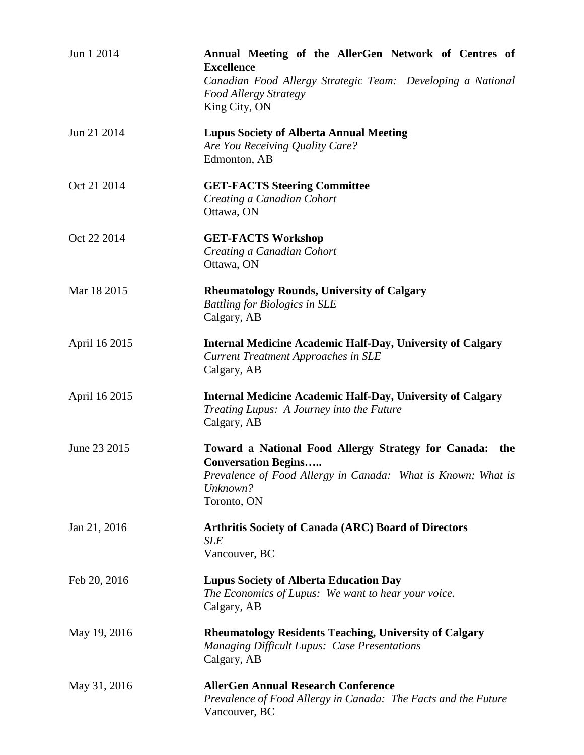| Jun 1 2014    | Annual Meeting of the AllerGen Network of Centres of<br><b>Excellence</b><br>Canadian Food Allergy Strategic Team: Developing a National<br>Food Allergy Strategy<br>King City, ON  |
|---------------|-------------------------------------------------------------------------------------------------------------------------------------------------------------------------------------|
| Jun 21 2014   | <b>Lupus Society of Alberta Annual Meeting</b><br>Are You Receiving Quality Care?<br>Edmonton, AB                                                                                   |
| Oct 21 2014   | <b>GET-FACTS Steering Committee</b><br>Creating a Canadian Cohort<br>Ottawa, ON                                                                                                     |
| Oct 22 2014   | <b>GET-FACTS Workshop</b><br>Creating a Canadian Cohort<br>Ottawa, ON                                                                                                               |
| Mar 18 2015   | <b>Rheumatology Rounds, University of Calgary</b><br><b>Battling for Biologics in SLE</b><br>Calgary, AB                                                                            |
| April 16 2015 | <b>Internal Medicine Academic Half-Day, University of Calgary</b><br><b>Current Treatment Approaches in SLE</b><br>Calgary, AB                                                      |
| April 16 2015 | <b>Internal Medicine Academic Half-Day, University of Calgary</b><br>Treating Lupus: A Journey into the Future<br>Calgary, AB                                                       |
| June 23 2015  | Toward a National Food Allergy Strategy for Canada:<br>the<br><b>Conversation Begins</b><br>Prevalence of Food Allergy in Canada: What is Known; What is<br>Unknown?<br>Toronto, ON |
| Jan 21, 2016  | <b>Arthritis Society of Canada (ARC) Board of Directors</b><br>SLE<br>Vancouver, BC                                                                                                 |
| Feb 20, 2016  | <b>Lupus Society of Alberta Education Day</b><br>The Economics of Lupus: We want to hear your voice.<br>Calgary, AB                                                                 |
| May 19, 2016  | <b>Rheumatology Residents Teaching, University of Calgary</b><br><b>Managing Difficult Lupus: Case Presentations</b><br>Calgary, AB                                                 |
| May 31, 2016  | <b>AllerGen Annual Research Conference</b><br>Prevalence of Food Allergy in Canada: The Facts and the Future<br>Vancouver, BC                                                       |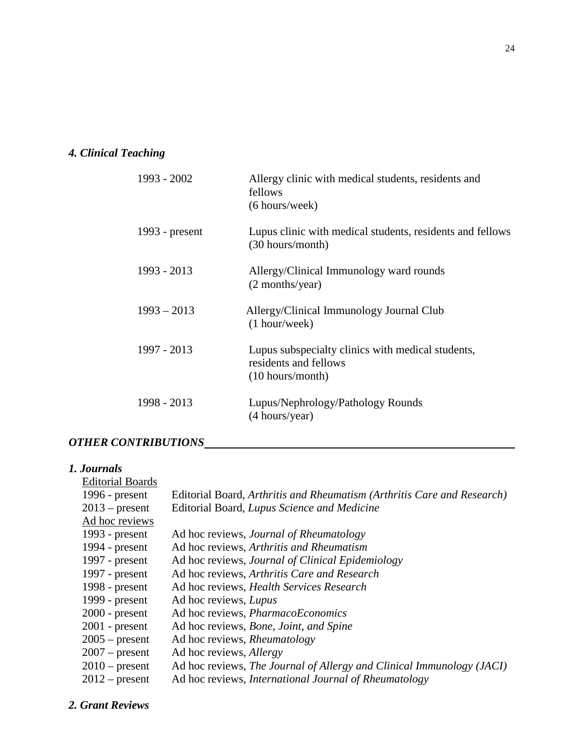# *4. Clinical Teaching*

| 1993 - 2002    | Allergy clinic with medical students, residents and<br>fellows<br>(6 hours/week)                 |
|----------------|--------------------------------------------------------------------------------------------------|
| 1993 - present | Lupus clinic with medical students, residents and fellows<br>(30 hours/month)                    |
| $1993 - 2013$  | Allergy/Clinical Immunology ward rounds<br>(2 months/year)                                       |
| $1993 - 2013$  | Allergy/Clinical Immunology Journal Club<br>$(1$ hour/week)                                      |
| 1997 - 2013    | Lupus subspecialty clinics with medical students,<br>residents and fellows<br>$(10$ hours/month) |
| 1998 - 2013    | Lupus/Nephrology/Pathology Rounds<br>(4 hours/year)                                              |

# *OTHER CONTRIBUTIONS*

# *1. Journals*

| Editorial Board, Arthritis and Rheumatism (Arthritis Care and Research) |
|-------------------------------------------------------------------------|
| Editorial Board, Lupus Science and Medicine                             |
|                                                                         |
| Ad hoc reviews, <i>Journal of Rheumatology</i>                          |
| Ad hoc reviews, Arthritis and Rheumatism                                |
| Ad hoc reviews, Journal of Clinical Epidemiology                        |
| Ad hoc reviews, Arthritis Care and Research                             |
| Ad hoc reviews, Health Services Research                                |
| Ad hoc reviews, Lupus                                                   |
| Ad hoc reviews, <i>PharmacoEconomics</i>                                |
| Ad hoc reviews, <i>Bone</i> , <i>Joint</i> , and <i>Spine</i>           |
| Ad hoc reviews, Rheumatology                                            |
| Ad hoc reviews, <i>Allergy</i>                                          |
| Ad hoc reviews, The Journal of Allergy and Clinical Immunology (JACI)   |
| Ad hoc reviews, International Journal of Rheumatology                   |
|                                                                         |

# *2. Grant Reviews*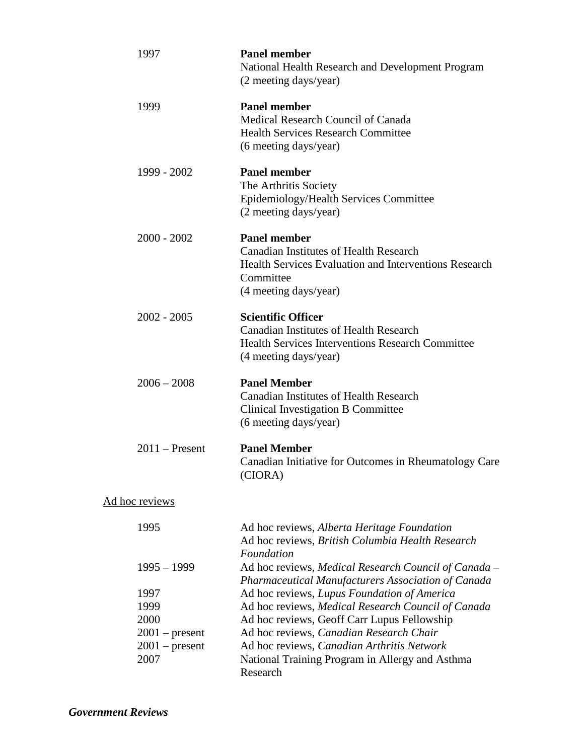| 1997                                 | <b>Panel member</b><br>National Health Research and Development Program<br>(2 meeting days/year)                                                                           |
|--------------------------------------|----------------------------------------------------------------------------------------------------------------------------------------------------------------------------|
| 1999                                 | <b>Panel member</b><br>Medical Research Council of Canada<br><b>Health Services Research Committee</b><br>(6 meeting days/year)                                            |
| 1999 - 2002                          | <b>Panel member</b><br>The Arthritis Society<br>Epidemiology/Health Services Committee<br>(2 meeting days/year)                                                            |
| $2000 - 2002$                        | <b>Panel member</b><br><b>Canadian Institutes of Health Research</b><br><b>Health Services Evaluation and Interventions Research</b><br>Committee<br>(4 meeting days/year) |
| $2002 - 2005$                        | <b>Scientific Officer</b><br><b>Canadian Institutes of Health Research</b><br><b>Health Services Interventions Research Committee</b><br>(4 meeting days/year)             |
| $2006 - 2008$                        | <b>Panel Member</b><br><b>Canadian Institutes of Health Research</b><br>Clinical Investigation B Committee<br>(6 meeting days/year)                                        |
| $2011$ – Present                     | <b>Panel Member</b><br>Canadian Initiative for Outcomes in Rheumatology Care<br>(CIORA)                                                                                    |
| Ad hoc reviews                       |                                                                                                                                                                            |
| 1995                                 | Ad hoc reviews, Alberta Heritage Foundation<br>Ad hoc reviews, British Columbia Health Research<br>Foundation                                                              |
| $1995 - 1999$                        | Ad hoc reviews, Medical Research Council of Canada -<br>Pharmaceutical Manufacturers Association of Canada                                                                 |
| 1997                                 | Ad hoc reviews, Lupus Foundation of America                                                                                                                                |
| 1999                                 | Ad hoc reviews, Medical Research Council of Canada                                                                                                                         |
| 2000                                 | Ad hoc reviews, Geoff Carr Lupus Fellowship                                                                                                                                |
| $2001$ – present<br>$2001$ – present | Ad hoc reviews, Canadian Research Chair<br>Ad hoc reviews, Canadian Arthritis Network                                                                                      |
| 2007                                 | National Training Program in Allergy and Asthma<br>Research                                                                                                                |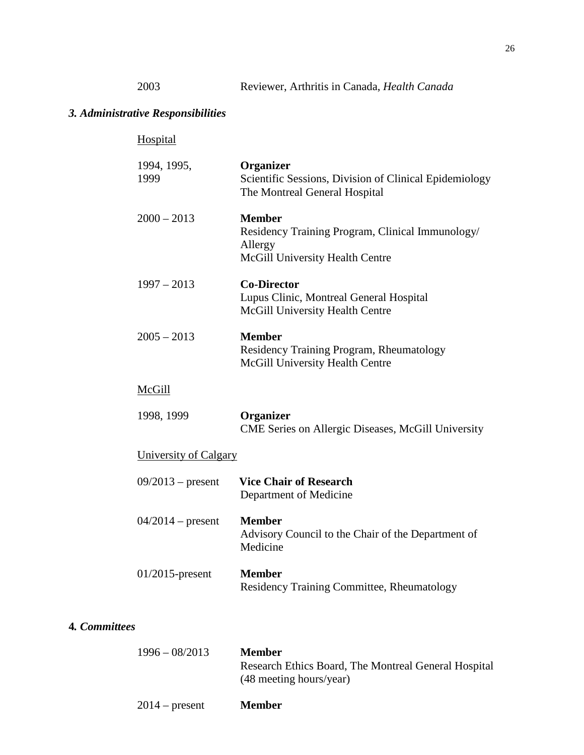# *3. Administrative Responsibilities*

|               | Hospital              |                                                                                                                 |
|---------------|-----------------------|-----------------------------------------------------------------------------------------------------------------|
|               | 1994, 1995,<br>1999   | Organizer<br>Scientific Sessions, Division of Clinical Epidemiology<br>The Montreal General Hospital            |
|               | $2000 - 2013$         | <b>Member</b><br>Residency Training Program, Clinical Immunology/<br>Allergy<br>McGill University Health Centre |
|               | $1997 - 2013$         | <b>Co-Director</b><br>Lupus Clinic, Montreal General Hospital<br>McGill University Health Centre                |
|               | $2005 - 2013$         | <b>Member</b><br>Residency Training Program, Rheumatology<br>McGill University Health Centre                    |
|               | McGill                |                                                                                                                 |
|               | 1998, 1999            | Organizer<br>CME Series on Allergic Diseases, McGill University                                                 |
|               | University of Calgary |                                                                                                                 |
|               | $09/2013$ – present   | <b>Vice Chair of Research</b><br>Department of Medicine                                                         |
|               | $04/2014$ – present   | <b>Member</b><br>Advisory Council to the Chair of the Department of<br>Medicine                                 |
|               | $01/2015$ -present    | <b>Member</b><br>Residency Training Committee, Rheumatology                                                     |
| 4. Committees |                       |                                                                                                                 |

| $1996 - 08/2013$ | <b>Member</b><br>Research Ethics Board, The Montreal General Hospital<br>(48 meeting hours/year) |
|------------------|--------------------------------------------------------------------------------------------------|
| $2014$ – present | <b>Member</b>                                                                                    |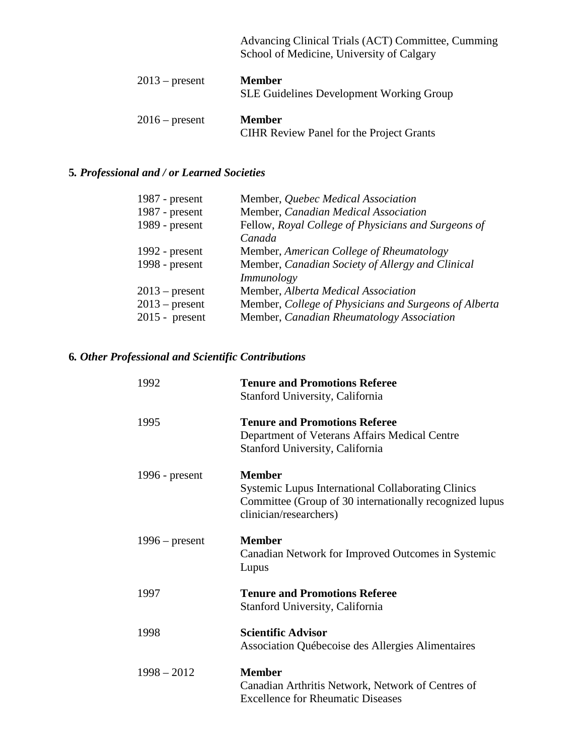|                  | Advancing Clinical Trials (ACT) Committee, Cumming<br>School of Medicine, University of Calgary |
|------------------|-------------------------------------------------------------------------------------------------|
| $2013$ – present | <b>Member</b><br><b>SLE Guidelines Development Working Group</b>                                |
| $2016$ – present | <b>Member</b><br><b>CIHR Review Panel for the Project Grants</b>                                |

# **5***. Professional and / or Learned Societies*

| 1987 - $present$ | Member, Quebec Medical Association                    |
|------------------|-------------------------------------------------------|
| 1987 - $present$ | Member, Canadian Medical Association                  |
| 1989 - present   | Fellow, Royal College of Physicians and Surgeons of   |
|                  | Canada                                                |
| 1992 - $present$ | Member, American College of Rheumatology              |
| 1998 - present   | Member, Canadian Society of Allergy and Clinical      |
|                  | Immunology                                            |
| $2013$ – present | Member, Alberta Medical Association                   |
| $2013$ – present | Member, College of Physicians and Surgeons of Alberta |
| $2015$ - present | Member, Canadian Rheumatology Association             |

# **6***. Other Professional and Scientific Contributions*

| 1992             | <b>Tenure and Promotions Referee</b><br>Stanford University, California                                                                                         |
|------------------|-----------------------------------------------------------------------------------------------------------------------------------------------------------------|
| 1995             | <b>Tenure and Promotions Referee</b><br>Department of Veterans Affairs Medical Centre<br>Stanford University, California                                        |
| 1996 - $present$ | <b>Member</b><br><b>Systemic Lupus International Collaborating Clinics</b><br>Committee (Group of 30 internationally recognized lupus<br>clinician/researchers) |
| $1996$ – present | <b>Member</b><br>Canadian Network for Improved Outcomes in Systemic<br>Lupus                                                                                    |
| 1997             | <b>Tenure and Promotions Referee</b><br>Stanford University, California                                                                                         |
| 1998             | <b>Scientific Advisor</b><br>Association Québecoise des Allergies Alimentaires                                                                                  |
| $1998 - 2012$    | <b>Member</b><br>Canadian Arthritis Network, Network of Centres of<br><b>Excellence for Rheumatic Diseases</b>                                                  |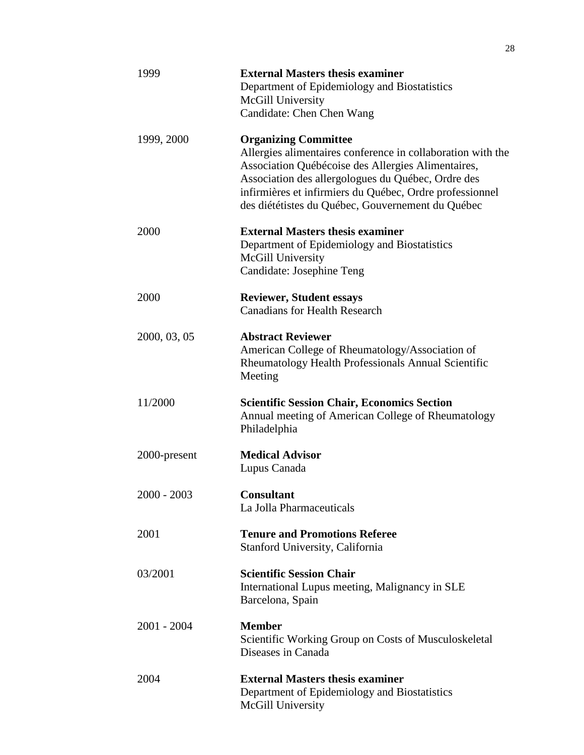| 1999          | <b>External Masters thesis examiner</b><br>Department of Epidemiology and Biostatistics<br>McGill University<br>Candidate: Chen Chen Wang                                                                                                                                                                               |
|---------------|-------------------------------------------------------------------------------------------------------------------------------------------------------------------------------------------------------------------------------------------------------------------------------------------------------------------------|
| 1999, 2000    | <b>Organizing Committee</b><br>Allergies alimentaires conference in collaboration with the<br>Association Québécoise des Allergies Alimentaires,<br>Association des allergologues du Québec, Ordre des<br>infirmières et infirmiers du Québec, Ordre professionnel<br>des diététistes du Québec, Gouvernement du Québec |
| 2000          | <b>External Masters thesis examiner</b><br>Department of Epidemiology and Biostatistics<br>McGill University<br>Candidate: Josephine Teng                                                                                                                                                                               |
| 2000          | <b>Reviewer, Student essays</b><br><b>Canadians for Health Research</b>                                                                                                                                                                                                                                                 |
| 2000, 03, 05  | <b>Abstract Reviewer</b><br>American College of Rheumatology/Association of<br>Rheumatology Health Professionals Annual Scientific<br>Meeting                                                                                                                                                                           |
| 11/2000       | <b>Scientific Session Chair, Economics Section</b><br>Annual meeting of American College of Rheumatology<br>Philadelphia                                                                                                                                                                                                |
| 2000-present  | <b>Medical Advisor</b><br>Lupus Canada                                                                                                                                                                                                                                                                                  |
| $2000 - 2003$ | <b>Consultant</b><br>La Jolla Pharmaceuticals                                                                                                                                                                                                                                                                           |
| 2001          | <b>Tenure and Promotions Referee</b><br>Stanford University, California                                                                                                                                                                                                                                                 |
| 03/2001       | <b>Scientific Session Chair</b><br>International Lupus meeting, Malignancy in SLE<br>Barcelona, Spain                                                                                                                                                                                                                   |
| $2001 - 2004$ | <b>Member</b><br>Scientific Working Group on Costs of Musculoskeletal<br>Diseases in Canada                                                                                                                                                                                                                             |
| 2004          | <b>External Masters thesis examiner</b><br>Department of Epidemiology and Biostatistics<br>McGill University                                                                                                                                                                                                            |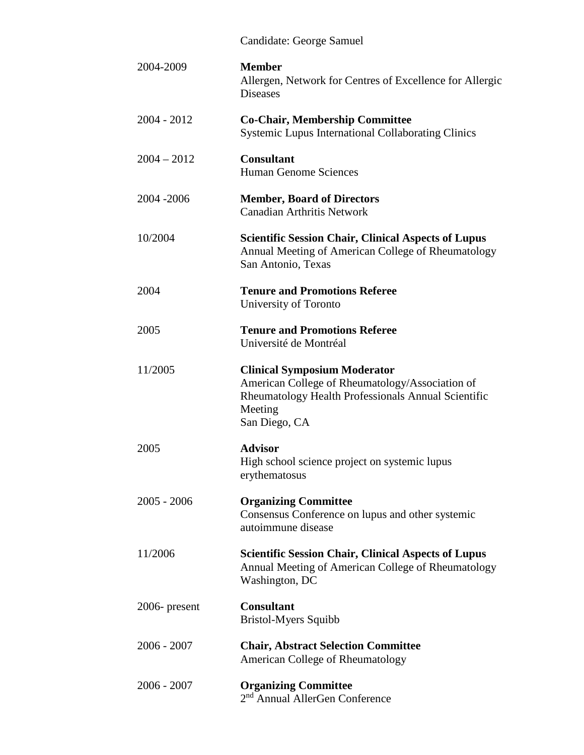|               | Candidate: George Samuel                                                                                                                                                  |
|---------------|---------------------------------------------------------------------------------------------------------------------------------------------------------------------------|
| 2004-2009     | <b>Member</b><br>Allergen, Network for Centres of Excellence for Allergic<br><b>Diseases</b>                                                                              |
| $2004 - 2012$ | <b>Co-Chair, Membership Committee</b><br><b>Systemic Lupus International Collaborating Clinics</b>                                                                        |
| $2004 - 2012$ | <b>Consultant</b><br><b>Human Genome Sciences</b>                                                                                                                         |
| 2004 - 2006   | <b>Member, Board of Directors</b><br><b>Canadian Arthritis Network</b>                                                                                                    |
| 10/2004       | <b>Scientific Session Chair, Clinical Aspects of Lupus</b><br>Annual Meeting of American College of Rheumatology<br>San Antonio, Texas                                    |
| 2004          | <b>Tenure and Promotions Referee</b><br>University of Toronto                                                                                                             |
| 2005          | <b>Tenure and Promotions Referee</b><br>Université de Montréal                                                                                                            |
| 11/2005       | <b>Clinical Symposium Moderator</b><br>American College of Rheumatology/Association of<br>Rheumatology Health Professionals Annual Scientific<br>Meeting<br>San Diego, CA |
| 2005          | <b>Advisor</b><br>High school science project on systemic lupus<br>erythematosus                                                                                          |
| $2005 - 2006$ | <b>Organizing Committee</b><br>Consensus Conference on lupus and other systemic<br>autoimmune disease                                                                     |
| 11/2006       | <b>Scientific Session Chair, Clinical Aspects of Lupus</b><br>Annual Meeting of American College of Rheumatology<br>Washington, DC                                        |
| 2006- present | <b>Consultant</b><br><b>Bristol-Myers Squibb</b>                                                                                                                          |
| $2006 - 2007$ | <b>Chair, Abstract Selection Committee</b><br><b>American College of Rheumatology</b>                                                                                     |
| $2006 - 2007$ | <b>Organizing Committee</b><br>2 <sup>nd</sup> Annual AllerGen Conference                                                                                                 |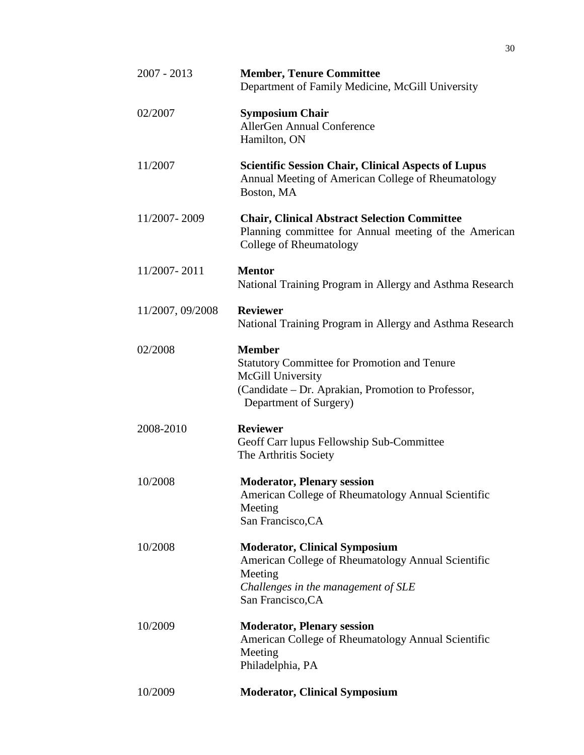| $2007 - 2013$    | <b>Member, Tenure Committee</b><br>Department of Family Medicine, McGill University                                                                                       |
|------------------|---------------------------------------------------------------------------------------------------------------------------------------------------------------------------|
| 02/2007          | <b>Symposium Chair</b><br><b>AllerGen Annual Conference</b><br>Hamilton, ON                                                                                               |
| 11/2007          | <b>Scientific Session Chair, Clinical Aspects of Lupus</b><br>Annual Meeting of American College of Rheumatology<br>Boston, MA                                            |
| 11/2007-2009     | <b>Chair, Clinical Abstract Selection Committee</b><br>Planning committee for Annual meeting of the American<br>College of Rheumatology                                   |
| 11/2007-2011     | <b>Mentor</b><br>National Training Program in Allergy and Asthma Research                                                                                                 |
| 11/2007, 09/2008 | <b>Reviewer</b><br>National Training Program in Allergy and Asthma Research                                                                                               |
| 02/2008          | <b>Member</b><br><b>Statutory Committee for Promotion and Tenure</b><br>McGill University<br>(Candidate - Dr. Aprakian, Promotion to Professor,<br>Department of Surgery) |
| 2008-2010        | <b>Reviewer</b><br>Geoff Carr lupus Fellowship Sub-Committee<br>The Arthritis Society                                                                                     |
| 10/2008          | <b>Moderator, Plenary session</b><br>American College of Rheumatology Annual Scientific<br>Meeting<br>San Francisco, CA                                                   |
| 10/2008          | <b>Moderator, Clinical Symposium</b><br>American College of Rheumatology Annual Scientific<br>Meeting<br>Challenges in the management of SLE<br>San Francisco, CA         |
| 10/2009          | <b>Moderator, Plenary session</b><br>American College of Rheumatology Annual Scientific<br>Meeting<br>Philadelphia, PA                                                    |
| 10/2009          | <b>Moderator, Clinical Symposium</b>                                                                                                                                      |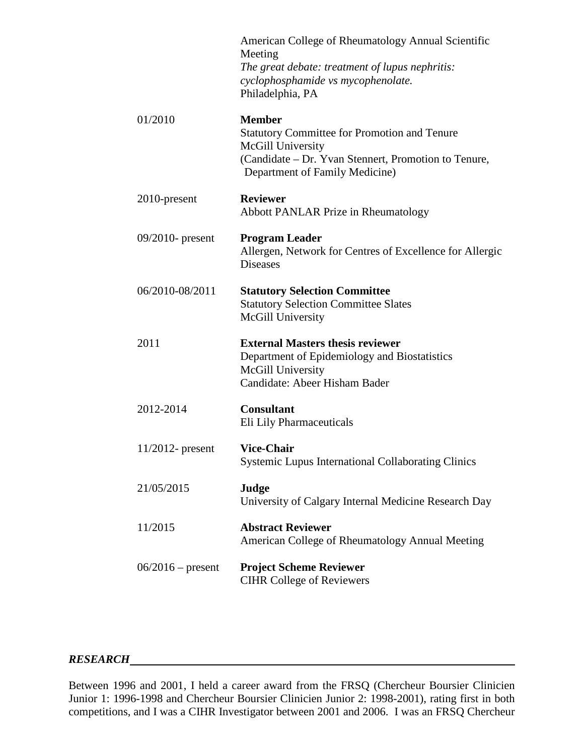|                     | American College of Rheumatology Annual Scientific<br>Meeting<br>The great debate: treatment of lupus nephritis:<br>cyclophosphamide vs mycophenolate.<br>Philadelphia, PA          |
|---------------------|-------------------------------------------------------------------------------------------------------------------------------------------------------------------------------------|
| 01/2010             | <b>Member</b><br><b>Statutory Committee for Promotion and Tenure</b><br>McGill University<br>(Candidate - Dr. Yvan Stennert, Promotion to Tenure,<br>Department of Family Medicine) |
| 2010-present        | <b>Reviewer</b><br><b>Abbott PANLAR Prize in Rheumatology</b>                                                                                                                       |
| $09/2010$ - present | <b>Program Leader</b><br>Allergen, Network for Centres of Excellence for Allergic<br><b>Diseases</b>                                                                                |
| 06/2010-08/2011     | <b>Statutory Selection Committee</b><br><b>Statutory Selection Committee Slates</b><br>McGill University                                                                            |
| 2011                | <b>External Masters thesis reviewer</b><br>Department of Epidemiology and Biostatistics<br>McGill University<br>Candidate: Abeer Hisham Bader                                       |
| 2012-2014           | <b>Consultant</b><br>Eli Lily Pharmaceuticals                                                                                                                                       |
| $11/2012$ - present | <b>Vice-Chair</b><br><b>Systemic Lupus International Collaborating Clinics</b>                                                                                                      |
| 21/05/2015          | Judge<br>University of Calgary Internal Medicine Research Day                                                                                                                       |
| 11/2015             | <b>Abstract Reviewer</b><br>American College of Rheumatology Annual Meeting                                                                                                         |
| $06/2016$ – present | <b>Project Scheme Reviewer</b><br><b>CIHR College of Reviewers</b>                                                                                                                  |

#### *RESEARCH*

Between 1996 and 2001, I held a career award from the FRSQ (Chercheur Boursier Clinicien Junior 1: 1996-1998 and Chercheur Boursier Clinicien Junior 2: 1998-2001), rating first in both competitions, and I was a CIHR Investigator between 2001 and 2006. I was an FRSQ Chercheur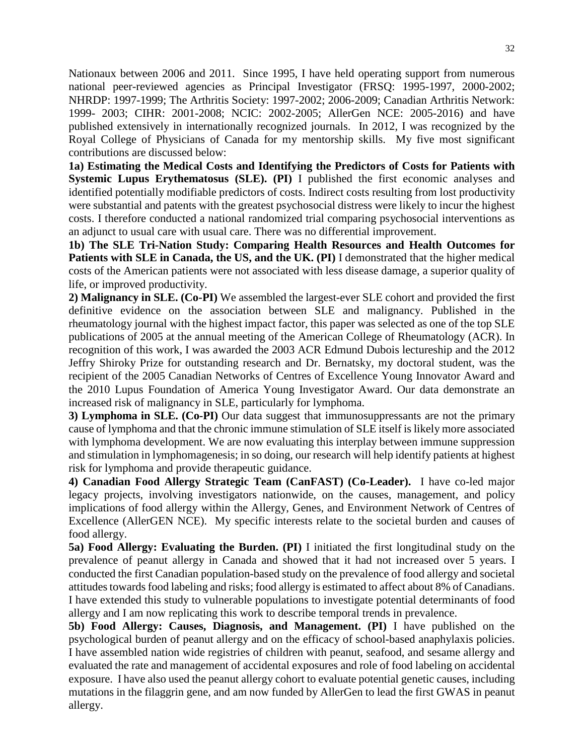Nationaux between 2006 and 2011. Since 1995, I have held operating support from numerous national peer-reviewed agencies as Principal Investigator (FRSQ: 1995-1997, 2000-2002; NHRDP: 1997-1999; The Arthritis Society: 1997-2002; 2006-2009; Canadian Arthritis Network: 1999- 2003; CIHR: 2001-2008; NCIC: 2002-2005; AllerGen NCE: 2005-2016) and have published extensively in internationally recognized journals. In 2012, I was recognized by the Royal College of Physicians of Canada for my mentorship skills. My five most significant contributions are discussed below:

**1a) Estimating the Medical Costs and Identifying the Predictors of Costs for Patients with Systemic Lupus Erythematosus (SLE). (PI)** I published the first economic analyses and identified potentially modifiable predictors of costs. Indirect costs resulting from lost productivity were substantial and patents with the greatest psychosocial distress were likely to incur the highest costs. I therefore conducted a national randomized trial comparing psychosocial interventions as an adjunct to usual care with usual care. There was no differential improvement.

**1b) The SLE Tri-Nation Study: Comparing Health Resources and Health Outcomes for Patients with SLE in Canada, the US, and the UK. (PI)** I demonstrated that the higher medical costs of the American patients were not associated with less disease damage, a superior quality of life, or improved productivity.

**2) Malignancy in SLE. (Co-PI)** We assembled the largest-ever SLE cohort and provided the first definitive evidence on the association between SLE and malignancy. Published in the rheumatology journal with the highest impact factor, this paper was selected as one of the top SLE publications of 2005 at the annual meeting of the American College of Rheumatology (ACR). In recognition of this work, I was awarded the 2003 ACR Edmund Dubois lectureship and the 2012 Jeffry Shiroky Prize for outstanding research and Dr. Bernatsky, my doctoral student, was the recipient of the 2005 Canadian Networks of Centres of Excellence Young Innovator Award and the 2010 Lupus Foundation of America Young Investigator Award. Our data demonstrate an increased risk of malignancy in SLE, particularly for lymphoma.

**3) Lymphoma in SLE. (Co-PI)** Our data suggest that immunosuppressants are not the primary cause of lymphoma and that the chronic immune stimulation of SLE itself is likely more associated with lymphoma development. We are now evaluating this interplay between immune suppression and stimulation in lymphomagenesis; in so doing, our research will help identify patients at highest risk for lymphoma and provide therapeutic guidance.

**4) Canadian Food Allergy Strategic Team (CanFAST) (Co-Leader).** I have co-led major legacy projects, involving investigators nationwide, on the causes, management, and policy implications of food allergy within the Allergy, Genes, and Environment Network of Centres of Excellence (AllerGEN NCE). My specific interests relate to the societal burden and causes of food allergy.

**5a) Food Allergy: Evaluating the Burden. (PI)** I initiated the first longitudinal study on the prevalence of peanut allergy in Canada and showed that it had not increased over 5 years. I conducted the first Canadian population-based study on the prevalence of food allergy and societal attitudes towards food labeling and risks; food allergy is estimated to affect about 8% of Canadians. I have extended this study to vulnerable populations to investigate potential determinants of food allergy and I am now replicating this work to describe temporal trends in prevalence.

**5b) Food Allergy: Causes, Diagnosis, and Management. (PI)** I have published on the psychological burden of peanut allergy and on the efficacy of school-based anaphylaxis policies. I have assembled nation wide registries of children with peanut, seafood, and sesame allergy and evaluated the rate and management of accidental exposures and role of food labeling on accidental exposure. I have also used the peanut allergy cohort to evaluate potential genetic causes, including mutations in the filaggrin gene, and am now funded by AllerGen to lead the first GWAS in peanut allergy.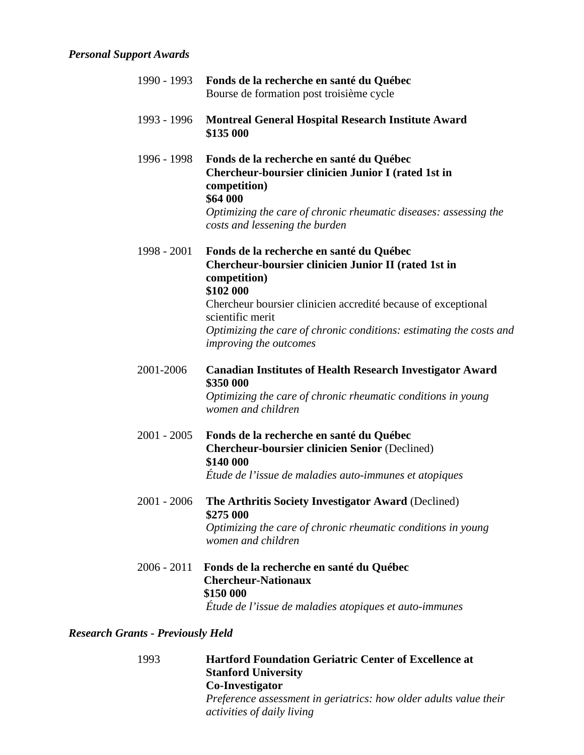## *Personal Support Awards*

| 1990 - 1993   | Fonds de la recherche en santé du Québec<br>Bourse de formation post troisième cycle                                                                                                                                                                                                                                |
|---------------|---------------------------------------------------------------------------------------------------------------------------------------------------------------------------------------------------------------------------------------------------------------------------------------------------------------------|
| 1993 - 1996   | <b>Montreal General Hospital Research Institute Award</b><br>\$135 000                                                                                                                                                                                                                                              |
| 1996 - 1998   | Fonds de la recherche en santé du Québec<br>Chercheur-boursier clinicien Junior I (rated 1st in<br>competition)<br>\$64 000<br>Optimizing the care of chronic rheumatic diseases: assessing the<br>costs and lessening the burden                                                                                   |
| 1998 - 2001   | Fonds de la recherche en santé du Québec<br>Chercheur-boursier clinicien Junior II (rated 1st in<br>competition)<br>\$102 000<br>Chercheur boursier clinicien accredité because of exceptional<br>scientific merit<br>Optimizing the care of chronic conditions: estimating the costs and<br>improving the outcomes |
| 2001-2006     | <b>Canadian Institutes of Health Research Investigator Award</b><br>\$350 000<br>Optimizing the care of chronic rheumatic conditions in young<br>women and children                                                                                                                                                 |
| $2001 - 2005$ | Fonds de la recherche en santé du Québec<br><b>Chercheur-boursier clinicien Senior (Declined)</b><br>\$140 000<br>Étude de l'issue de maladies auto-immunes et atopiques                                                                                                                                            |
| 2001 - 2006   | The Arthritis Society Investigator Award (Declined)<br>\$275 000<br>Optimizing the care of chronic rheumatic conditions in young<br>women and children                                                                                                                                                              |
| $2006 - 2011$ | Fonds de la recherche en santé du Québec                                                                                                                                                                                                                                                                            |

## *Research Grants - Previously Held*

1993 **Hartford Foundation Geriatric Center of Excellence at Stanford University Co-Investigator** *Preference assessment in geriatrics: how older adults value their activities of daily living*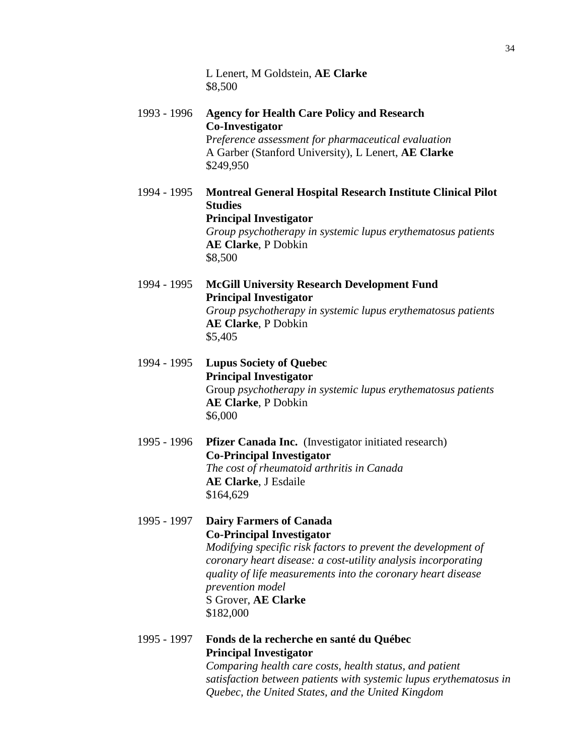L Lenert, M Goldstein, **AE Clarke** \$8,500

- 1993 1996 **Agency for Health Care Policy and Research Co-Investigator** P*reference assessment for pharmaceutical evaluation* A Garber (Stanford University), L Lenert, **AE Clarke** \$249,950
- 1994 1995 **Montreal General Hospital Research Institute Clinical Pilot Studies Principal Investigator** *Group psychotherapy in systemic lupus erythematosus patients* **AE Clarke**, P Dobkin \$8,500
- 1994 1995 **McGill University Research Development Fund Principal Investigator** *Group psychotherapy in systemic lupus erythematosus patients* **AE Clarke**, P Dobkin \$5,405
- 1994 1995 **Lupus Society of Quebec Principal Investigator** Group *psychotherapy in systemic lupus erythematosus patients* **AE Clarke**, P Dobkin \$6,000
- 1995 1996 **Pfizer Canada Inc.** (Investigator initiated research) **Co-Principal Investigator** *The cost of rheumatoid arthritis in Canada* **AE Clarke**, J Esdaile \$164,629
- 1995 1997 **Dairy Farmers of Canada Co-Principal Investigator** *Modifying specific risk factors to prevent the development of coronary heart disease: a cost-utility analysis incorporating quality of life measurements into the coronary heart disease prevention model* S Grover, **AE Clarke** \$182,000
- 1995 1997 **Fonds de la recherche en santé du Québec Principal Investigator** *Comparing health care costs, health status, and patient*

*satisfaction between patients with systemic lupus erythematosus in Quebec, the United States, and the United Kingdom*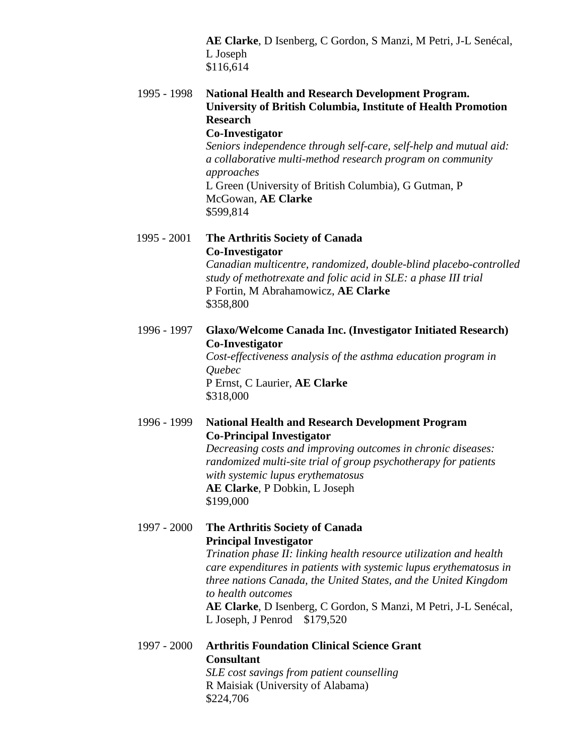**AE Clarke**, D Isenberg, C Gordon, S Manzi, M Petri, J-L Senécal, L Joseph \$116,614

1995 - 1998 **National Health and Research Development Program. University of British Columbia, Institute of Health Promotion Research Co-Investigator** *Seniors independence through self-care, self-help and mutual aid: a collaborative multi-method research program on community approaches* L Green (University of British Columbia), G Gutman, P

> McGowan, **AE Clarke** \$599,814

1995 - 2001 **The Arthritis Society of Canada Co-Investigator**

> *Canadian multicentre, randomized, double-blind placebo-controlled study of methotrexate and folic acid in SLE: a phase III trial* P Fortin, M Abrahamowicz, **AE Clarke** \$358,800

1996 - 1997 **Glaxo/Welcome Canada Inc. (Investigator Initiated Research) Co-Investigator**

*Cost-effectiveness analysis of the asthma education program in Quebec* P Ernst, C Laurier, **AE Clarke** \$318,000

## 1996 - 1999 **National Health and Research Development Program Co-Principal Investigator**

*Decreasing costs and improving outcomes in chronic diseases: randomized multi-site trial of group psychotherapy for patients with systemic lupus erythematosus* **AE Clarke**, P Dobkin, L Joseph \$199,000

1997 - 2000 **The Arthritis Society of Canada Principal Investigator**

*Trination phase II: linking health resource utilization and health care expenditures in patients with systemic lupus erythematosus in three nations Canada, the United States, and the United Kingdom to health outcomes*

**AE Clarke**, D Isenberg, C Gordon, S Manzi, M Petri, J-L Senécal, L Joseph, J Penrod \$179,520

1997 - 2000 **Arthritis Foundation Clinical Science Grant Consultant**

*SLE cost savings from patient counselling* R Maisiak (University of Alabama) \$224,706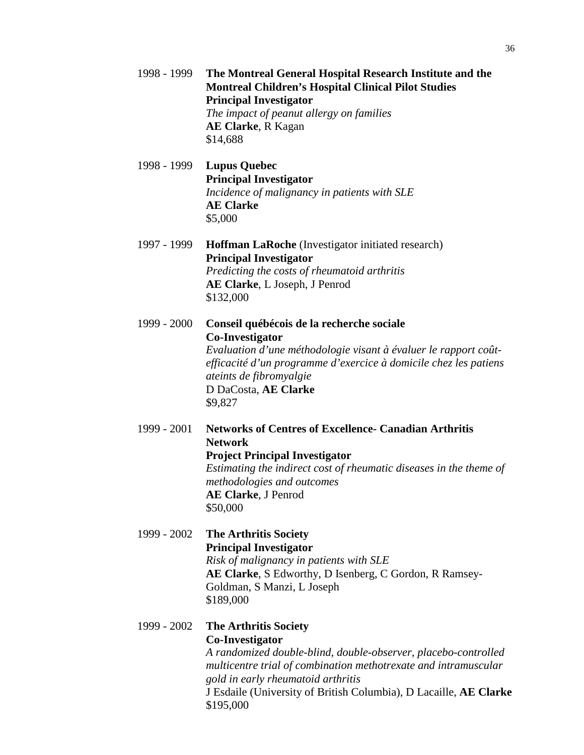|             | <b>Montreal Children's Hospital Clinical Pilot Studies</b><br><b>Principal Investigator</b><br>The impact of peanut allergy on families<br><b>AE Clarke, R Kagan</b><br>\$14,688                                                                                                                             |
|-------------|--------------------------------------------------------------------------------------------------------------------------------------------------------------------------------------------------------------------------------------------------------------------------------------------------------------|
| 1998 - 1999 | <b>Lupus Quebec</b><br><b>Principal Investigator</b><br>Incidence of malignancy in patients with SLE<br><b>AE Clarke</b><br>\$5,000                                                                                                                                                                          |
| 1997 - 1999 | <b>Hoffman LaRoche</b> (Investigator initiated research)<br><b>Principal Investigator</b><br>Predicting the costs of rheumatoid arthritis<br>AE Clarke, L Joseph, J Penrod<br>\$132,000                                                                                                                      |
| 1999 - 2000 | Conseil québécois de la recherche sociale<br><b>Co-Investigator</b><br>Evaluation d'une méthodologie visant à évaluer le rapport coût-<br>efficacité d'un programme d'exercice à domicile chez les patiens<br>ateints de fibromyalgie<br>D DaCosta, AE Clarke<br>\$9,827                                     |
| 1999 - 2001 | <b>Networks of Centres of Excellence- Canadian Arthritis</b><br><b>Network</b><br><b>Project Principal Investigator</b><br>Estimating the indirect cost of rheumatic diseases in the theme of<br>methodologies and outcomes<br>AE Clarke, J Penrod<br>\$50,000                                               |
| 1999 - 2002 | <b>The Arthritis Society</b><br><b>Principal Investigator</b><br>Risk of malignancy in patients with SLE<br>AE Clarke, S Edworthy, D Isenberg, C Gordon, R Ramsey-<br>Goldman, S Manzi, L Joseph<br>\$189,000                                                                                                |
| 1999 - 2002 | <b>The Arthritis Society</b><br>Co-Investigator<br>A randomized double-blind, double-observer, placebo-controlled<br>multicentre trial of combination methotrexate and intramuscular<br>gold in early rheumatoid arthritis<br>J Esdaile (University of British Columbia), D Lacaille, AE Clarke<br>\$195,000 |

1998 - 1999 **The Montreal General Hospital Research Institute and the**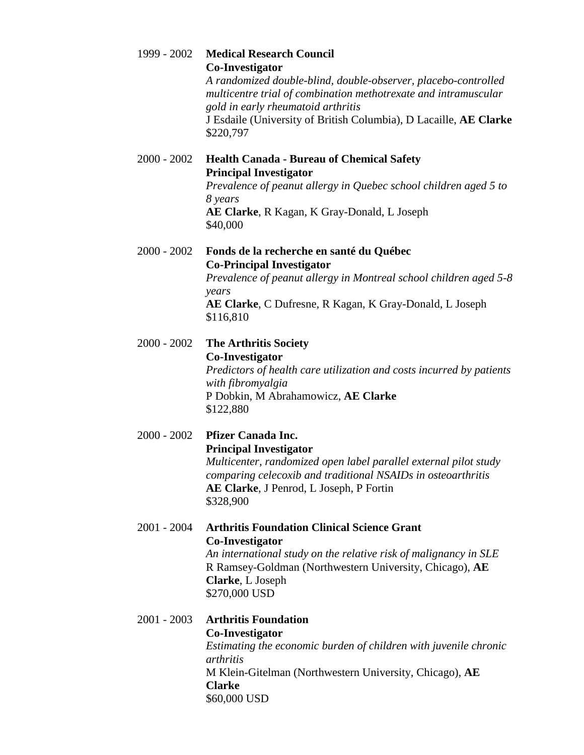| 1999 - 2002   | <b>Medical Research Council</b><br><b>Co-Investigator</b><br>A randomized double-blind, double-observer, placebo-controlled<br>multicentre trial of combination methotrexate and intramuscular<br>gold in early rheumatoid arthritis<br>J Esdaile (University of British Columbia), D Lacaille, AE Clarke<br>\$220,797 |
|---------------|------------------------------------------------------------------------------------------------------------------------------------------------------------------------------------------------------------------------------------------------------------------------------------------------------------------------|
| $2000 - 2002$ | <b>Health Canada - Bureau of Chemical Safety</b><br><b>Principal Investigator</b><br>Prevalence of peanut allergy in Quebec school children aged 5 to<br>8 years<br>AE Clarke, R Kagan, K Gray-Donald, L Joseph<br>\$40,000                                                                                            |
| $2000 - 2002$ | Fonds de la recherche en santé du Québec<br><b>Co-Principal Investigator</b><br>Prevalence of peanut allergy in Montreal school children aged 5-8<br>years<br>AE Clarke, C Dufresne, R Kagan, K Gray-Donald, L Joseph<br>\$116,810                                                                                     |
| $2000 - 2002$ | <b>The Arthritis Society</b><br><b>Co-Investigator</b><br>Predictors of health care utilization and costs incurred by patients<br>with fibromyalgia<br>P Dobkin, M Abrahamowicz, AE Clarke<br>\$122,880                                                                                                                |
| $2000 - 2002$ | Pfizer Canada Inc.<br><b>Principal Investigator</b><br>Multicenter, randomized open label parallel external pilot study<br>comparing celecoxib and traditional NSAIDs in osteoarthritis<br>AE Clarke, J Penrod, L Joseph, P Fortin<br>\$328,900                                                                        |
| $2001 - 2004$ | <b>Arthritis Foundation Clinical Science Grant</b><br><b>Co-Investigator</b><br>An international study on the relative risk of malignancy in SLE<br>R Ramsey-Goldman (Northwestern University, Chicago), AE<br>Clarke, L Joseph<br>\$270,000 USD                                                                       |
| $2001 - 2003$ | <b>Arthritis Foundation</b><br>Co-Investigator<br>Estimating the economic burden of children with juvenile chronic<br>arthritis<br>M Klein-Gitelman (Northwestern University, Chicago), AE<br><b>Clarke</b><br>\$60,000 USD                                                                                            |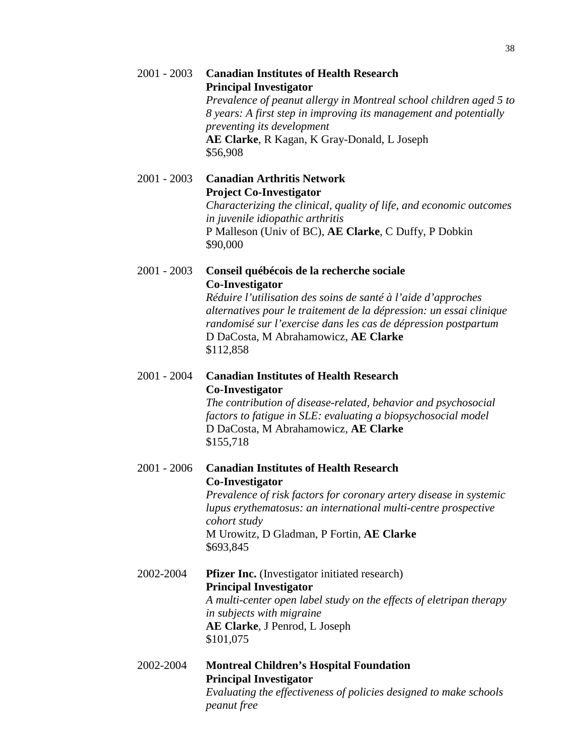|               | Prevalence of peanut allergy in Montreal school children aged 5 to<br>8 years: A first step in improving its management and potentially<br>preventing its development<br>AE Clarke, R Kagan, K Gray-Donald, L Joseph<br>\$56,908                                                                                            |
|---------------|-----------------------------------------------------------------------------------------------------------------------------------------------------------------------------------------------------------------------------------------------------------------------------------------------------------------------------|
| $2001 - 2003$ | <b>Canadian Arthritis Network</b><br><b>Project Co-Investigator</b><br>Characterizing the clinical, quality of life, and economic outcomes<br>in juvenile idiopathic arthritis<br>P Malleson (Univ of BC), AE Clarke, C Duffy, P Dobkin<br>\$90,000                                                                         |
| $2001 - 2003$ | Conseil québécois de la recherche sociale<br>Co-Investigator<br>Réduire l'utilisation des soins de santé à l'aide d'approches<br>alternatives pour le traitement de la dépression: un essai clinique<br>randomisé sur l'exercise dans les cas de dépression postpartum<br>D DaCosta, M Abrahamowicz, AE Clarke<br>\$112,858 |
| $2001 - 2004$ | <b>Canadian Institutes of Health Research</b><br><b>Co-Investigator</b><br>The contribution of disease-related, behavior and psychosocial<br>factors to fatigue in SLE: evaluating a biopsychosocial model<br>D DaCosta, M Abrahamowicz, AE Clarke<br>\$155,718                                                             |
| $2001 - 2006$ | <b>Canadian Institutes of Health Research</b><br><b>Co-Investigator</b><br>Prevalence of risk factors for coronary artery disease in systemic<br>lupus erythematosus: an international multi-centre prospective<br>cohort study<br>M Urowitz, D Gladman, P Fortin, AE Clarke<br>\$693,845                                   |
| 2002-2004     | <b>Pfizer Inc.</b> (Investigator initiated research)<br><b>Principal Investigator</b><br>A multi-center open label study on the effects of eletripan therapy<br>in subjects with migraine<br>AE Clarke, J Penrod, L Joseph<br>\$101,075                                                                                     |
|               |                                                                                                                                                                                                                                                                                                                             |

2001 - 2003 **Canadian Institutes of Health Research Principal Investigator**

2002-2004 **Montreal Children's Hospital Foundation Principal Investigator** *Evaluating the effectiveness of policies designed to make schools peanut free*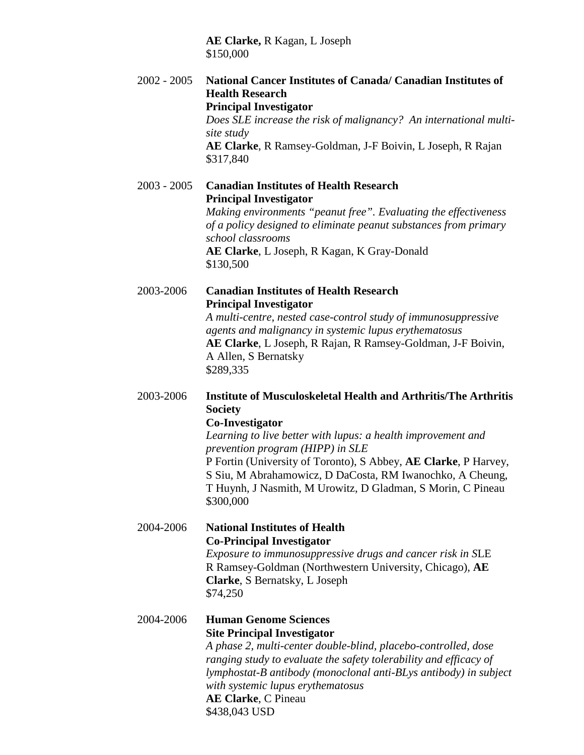**AE Clarke,** R Kagan, L Joseph \$150,000

2002 - 2005 **National Cancer Institutes of Canada/ Canadian Institutes of Health Research Principal Investigator**

*Does SLE increase the risk of malignancy? An international multisite study* **AE Clarke**, R Ramsey-Goldman, J-F Boivin, L Joseph, R Rajan \$317,840

2003 - 2005 **Canadian Institutes of Health Research Principal Investigator** *Making environments "peanut free". Evaluating the effectiveness of a policy designed to eliminate peanut substances from primary school classrooms* **AE Clarke**, L Joseph, R Kagan, K Gray-Donald \$130,500

## 2003-2006 **Canadian Institutes of Health Research Principal Investigator**

*A multi-centre, nested case-control study of immunosuppressive agents and malignancy in systemic lupus erythematosus* **AE Clarke**, L Joseph, R Rajan, R Ramsey-Goldman, J-F Boivin, A Allen, S Bernatsky \$289,335

# 2003-2006 **Institute of Musculoskeletal Health and Arthritis/The Arthritis Society**

**Co-Investigator**

*Learning to live better with lupus: a health improvement and prevention program (HIPP) in SLE* P Fortin (University of Toronto), S Abbey, **AE Clarke**, P Harvey, S Siu, M Abrahamowicz, D DaCosta, RM Iwanochko, A Cheung, T Huynh, J Nasmith, M Urowitz, D Gladman, S Morin, C Pineau \$300,000

# 2004-2006 **National Institutes of Health Co-Principal Investigator**

*Exposure to immunosuppressive drugs and cancer risk in S*LE R Ramsey-Goldman (Northwestern University, Chicago), **AE Clarke**, S Bernatsky, L Joseph \$74,250

# 2004-2006 **Human Genome Sciences Site Principal Investigator**

*A phase 2, multi-center double-blind, placebo-controlled, dose ranging study to evaluate the safety tolerability and efficacy of lymphostat-B antibody (monoclonal anti-BLys antibody) in subject with systemic lupus erythematosus* **AE Clarke**, C Pineau \$438,043 USD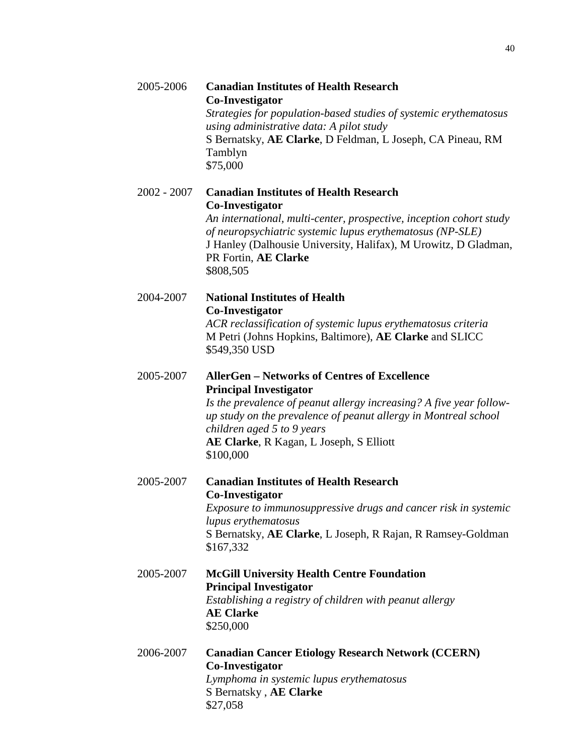| 2005-2006   | <b>Canadian Institutes of Health Research</b><br>Co-Investigator<br>Strategies for population-based studies of systemic erythematosus<br>using administrative data: A pilot study<br>S Bernatsky, AE Clarke, D Feldman, L Joseph, CA Pineau, RM<br>Tamblyn<br>\$75,000                                               |
|-------------|----------------------------------------------------------------------------------------------------------------------------------------------------------------------------------------------------------------------------------------------------------------------------------------------------------------------|
| 2002 - 2007 | <b>Canadian Institutes of Health Research</b><br><b>Co-Investigator</b><br>An international, multi-center, prospective, inception cohort study<br>of neuropsychiatric systemic lupus erythematosus (NP-SLE)<br>J Hanley (Dalhousie University, Halifax), M Urowitz, D Gladman,<br>PR Fortin, AE Clarke<br>\$808,505  |
| 2004-2007   | <b>National Institutes of Health</b><br><b>Co-Investigator</b><br>ACR reclassification of systemic lupus erythematosus criteria<br>M Petri (Johns Hopkins, Baltimore), AE Clarke and SLICC<br>\$549,350 USD                                                                                                          |
| 2005-2007   | <b>AllerGen - Networks of Centres of Excellence</b><br><b>Principal Investigator</b><br>Is the prevalence of peanut allergy increasing? A five year follow-<br>up study on the prevalence of peanut allergy in Montreal school<br>children aged 5 to 9 years<br>AE Clarke, R Kagan, L Joseph, S Elliott<br>\$100,000 |
| 2005-2007   | <b>Canadian Institutes of Health Research</b><br>Co-Investigator<br>Exposure to immunosuppressive drugs and cancer risk in systemic<br>lupus erythematosus<br>S Bernatsky, AE Clarke, L Joseph, R Rajan, R Ramsey-Goldman<br>\$167,332                                                                               |
| 2005-2007   | <b>McGill University Health Centre Foundation</b><br><b>Principal Investigator</b><br>Establishing a registry of children with peanut allergy<br><b>AE Clarke</b><br>\$250,000                                                                                                                                       |
| 2006-2007   | <b>Canadian Cancer Etiology Research Network (CCERN)</b><br><b>Co-Investigator</b><br>Lymphoma in systemic lupus erythematosus                                                                                                                                                                                       |

S Bernatsky , **AE Clarke**

\$27,058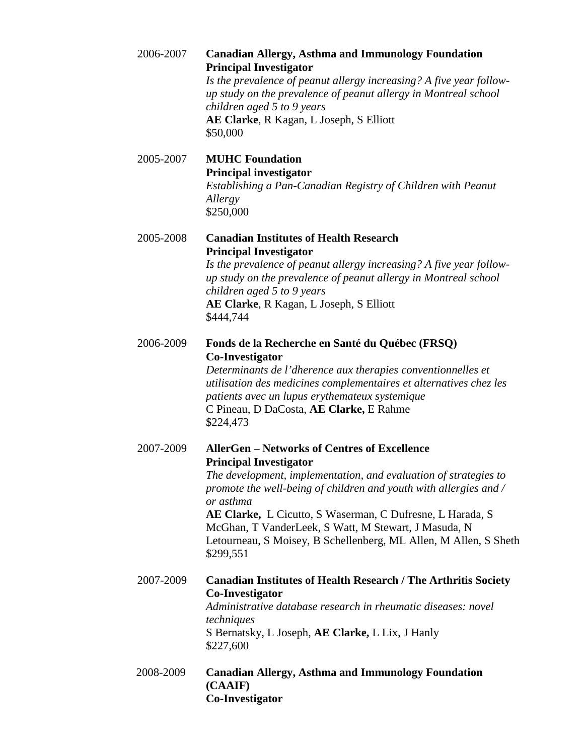| 2006-2007 | <b>Canadian Allergy, Asthma and Immunology Foundation</b><br><b>Principal Investigator</b><br>Is the prevalence of peanut allergy increasing? A five year follow-<br>up study on the prevalence of peanut allergy in Montreal school<br>children aged 5 to 9 years<br>AE Clarke, R Kagan, L Joseph, S Elliott<br>\$50,000                                                                                                                        |
|-----------|--------------------------------------------------------------------------------------------------------------------------------------------------------------------------------------------------------------------------------------------------------------------------------------------------------------------------------------------------------------------------------------------------------------------------------------------------|
| 2005-2007 | <b>MUHC Foundation</b><br><b>Principal investigator</b><br>Establishing a Pan-Canadian Registry of Children with Peanut<br>Allergy<br>\$250,000                                                                                                                                                                                                                                                                                                  |
| 2005-2008 | <b>Canadian Institutes of Health Research</b><br><b>Principal Investigator</b><br>Is the prevalence of peanut allergy increasing? A five year follow-<br>up study on the prevalence of peanut allergy in Montreal school<br>children aged 5 to 9 years<br>AE Clarke, R Kagan, L Joseph, S Elliott<br>\$444,744                                                                                                                                   |
| 2006-2009 | Fonds de la Recherche en Santé du Québec (FRSQ)<br><b>Co-Investigator</b><br>Determinants de l'dherence aux therapies conventionnelles et<br>utilisation des medicines complementaires et alternatives chez les<br>patients avec un lupus erythemateux systemique<br>C Pineau, D DaCosta, AE Clarke, E Rahme<br>\$224,473                                                                                                                        |
| 2007-2009 | <b>AllerGen – Networks of Centres of Excellence</b><br><b>Principal Investigator</b><br>The development, implementation, and evaluation of strategies to<br>promote the well-being of children and youth with allergies and /<br>or asthma<br>AE Clarke, L Cicutto, S Waserman, C Dufresne, L Harada, S<br>McGhan, T VanderLeek, S Watt, M Stewart, J Masuda, N<br>Letourneau, S Moisey, B Schellenberg, ML Allen, M Allen, S Sheth<br>\$299,551 |
| 2007-2009 | <b>Canadian Institutes of Health Research / The Arthritis Society</b><br>Co-Investigator<br>Administrative database research in rheumatic diseases: novel<br>techniques<br>S Bernatsky, L Joseph, AE Clarke, L Lix, J Hanly<br>\$227,600                                                                                                                                                                                                         |
| 2008-2009 | <b>Canadian Allergy, Asthma and Immunology Foundation</b><br>(CAAIF)<br><b>Co-Investigator</b>                                                                                                                                                                                                                                                                                                                                                   |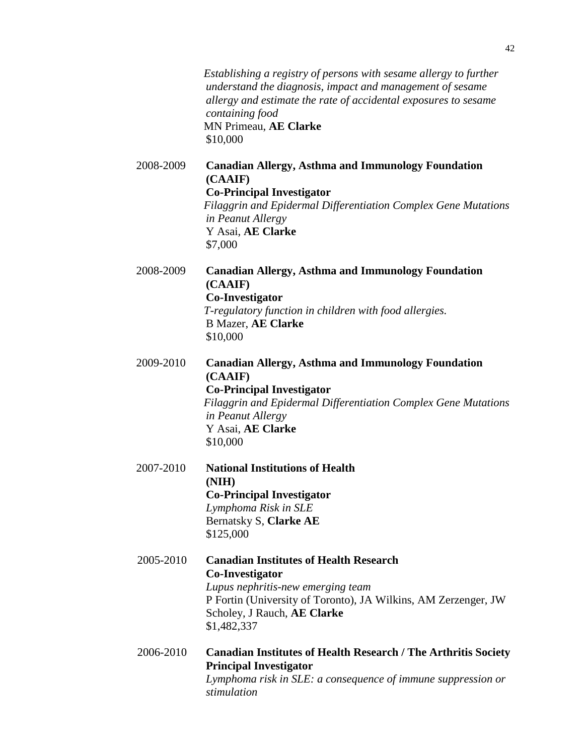|           | Establishing a registry of persons with sesame allergy to further<br>understand the diagnosis, impact and management of sesame<br>allergy and estimate the rate of accidental exposures to sesame<br>containing food<br>MN Primeau, AE Clarke<br>\$10,000 |
|-----------|-----------------------------------------------------------------------------------------------------------------------------------------------------------------------------------------------------------------------------------------------------------|
| 2008-2009 | <b>Canadian Allergy, Asthma and Immunology Foundation</b><br>(CAAIF)<br><b>Co-Principal Investigator</b><br>Filaggrin and Epidermal Differentiation Complex Gene Mutations<br>in Peanut Allergy<br>Y Asai, AE Clarke<br>\$7,000                           |
| 2008-2009 | <b>Canadian Allergy, Asthma and Immunology Foundation</b><br>(CAAIF)<br>Co-Investigator<br>T-regulatory function in children with food allergies.<br><b>B Mazer, AE Clarke</b><br>\$10,000                                                                |
| 2009-2010 | <b>Canadian Allergy, Asthma and Immunology Foundation</b><br>(CAAIF)<br><b>Co-Principal Investigator</b><br>Filaggrin and Epidermal Differentiation Complex Gene Mutations<br>in Peanut Allergy<br>Y Asai, AE Clarke<br>\$10,000                          |
| 2007-2010 | <b>National Institutions of Health</b><br>(NIH)<br><b>Co-Principal Investigator</b><br>Lymphoma Risk in SLE<br>Bernatsky S, Clarke AE<br>\$125,000                                                                                                        |
| 2005-2010 | <b>Canadian Institutes of Health Research</b><br><b>Co-Investigator</b><br>Lupus nephritis-new emerging team<br>P Fortin (University of Toronto), JA Wilkins, AM Zerzenger, JW<br>Scholey, J Rauch, AE Clarke<br>\$1,482,337                              |
| 2006-2010 | <b>Canadian Institutes of Health Research / The Arthritis Society</b><br><b>Principal Investigator</b><br>Lymphoma risk in SLE: a consequence of immune suppression or<br>stimulation                                                                     |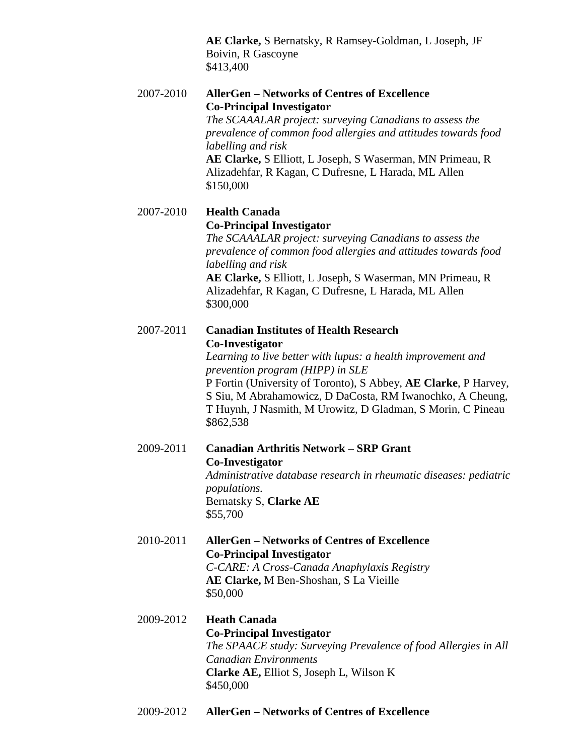**AE Clarke,** S Bernatsky, R Ramsey-Goldman, L Joseph, JF Boivin, R Gascoyne \$413,400

2007-2010 **AllerGen – Networks of Centres of Excellence Co-Principal Investigator** *The SCAAALAR project: surveying Canadians to assess the prevalence of common food allergies and attitudes towards food labelling and risk* **AE Clarke,** S Elliott, L Joseph, S Waserman, MN Primeau, R Alizadehfar, R Kagan, C Dufresne, L Harada, ML Allen \$150,000

# 2007-2010 **Health Canada Co-Principal Investigator**

*The SCAAALAR project: surveying Canadians to assess the prevalence of common food allergies and attitudes towards food labelling and risk*

**AE Clarke,** S Elliott, L Joseph, S Waserman, MN Primeau, R Alizadehfar, R Kagan, C Dufresne, L Harada, ML Allen \$300,000

2007-2011 **Canadian Institutes of Health Research Co-Investigator**

*Learning to live better with lupus: a health improvement and prevention program (HIPP) in SLE* P Fortin (University of Toronto), S Abbey, **AE Clarke**, P Harvey, S Siu, M Abrahamowicz, D DaCosta, RM Iwanochko, A Cheung, T Huynh, J Nasmith, M Urowitz, D Gladman, S Morin, C Pineau \$862,538

2009-2011 **Canadian Arthritis Network – SRP Grant Co-Investigator** *Administrative database research in rheumatic diseases: pediatric populations.*

Bernatsky S, **Clarke AE** \$55,700

2010-2011 **AllerGen – Networks of Centres of Excellence Co-Principal Investigator** *C-CARE: A Cross-Canada Anaphylaxis Registry*

> **AE Clarke,** M Ben-Shoshan, S La Vieille \$50,000

- 2009-2012 **Heath Canada Co-Principal Investigator** *The SPAACE study: Surveying Prevalence of food Allergies in All Canadian Environments* **Clarke AE,** Elliot S, Joseph L, Wilson K \$450,000
- 2009-2012 **AllerGen – Networks of Centres of Excellence**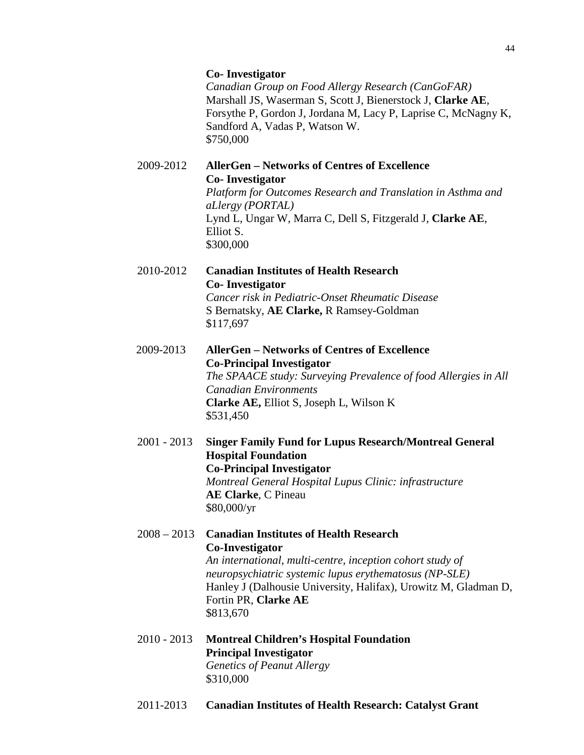#### **Co- Investigator**

*Canadian Group on Food Allergy Research (CanGoFAR)* Marshall JS, Waserman S, Scott J, Bienerstock J, **Clarke AE**, Forsythe P, Gordon J, Jordana M, Lacy P, Laprise C, McNagny K, Sandford A, Vadas P, Watson W. \$750,000

## 2009-2012 **AllerGen – Networks of Centres of Excellence Co- Investigator**

*Platform for Outcomes Research and Translation in Asthma and aLlergy (PORTAL)* Lynd L, Ungar W, Marra C, Dell S, Fitzgerald J, **Clarke AE**, Elliot S. \$300,000

2010-2012 **Canadian Institutes of Health Research Co- Investigator** *Cancer risk in Pediatric-Onset Rheumatic Disease* S Bernatsky, **AE Clarke,** R Ramsey-Goldman

\$117,697

2009-2013 **AllerGen – Networks of Centres of Excellence Co-Principal Investigator**

> *The SPAACE study: Surveying Prevalence of food Allergies in All Canadian Environments* **Clarke AE,** Elliot S, Joseph L, Wilson K \$531,450

- 2001 2013 **Singer Family Fund for Lupus Research/Montreal General Hospital Foundation Co-Principal Investigator** *Montreal General Hospital Lupus Clinic: infrastructure* **AE Clarke**, C Pineau \$80,000/yr
- 2008 2013 **Canadian Institutes of Health Research Co-Investigator** *An international, multi-centre, inception cohort study of neuropsychiatric systemic lupus erythematosus (NP-SLE)* Hanley J (Dalhousie University, Halifax), Urowitz M, Gladman D, Fortin PR, **Clarke AE** \$813,670
- 2010 2013 **Montreal Children's Hospital Foundation Principal Investigator** *Genetics of Peanut Allergy* \$310,000
- 2011-2013 **Canadian Institutes of Health Research: Catalyst Grant**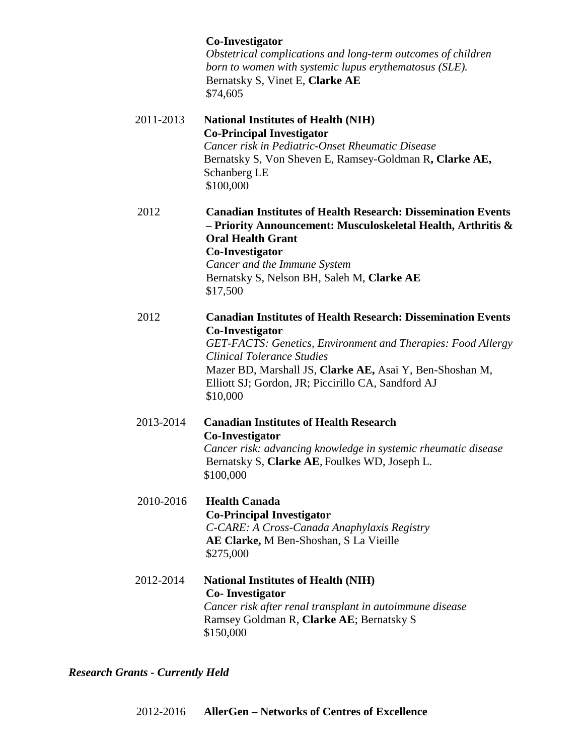# **Co-Investigator**

*Obstetrical complications and long-term outcomes of children born to women with systemic lupus erythematosus (SLE).* Bernatsky S, Vinet E, **Clarke AE** \$74,605

- 2011-2013 **National Institutes of Health (NIH) Co-Principal Investigator** *Cancer risk in Pediatric-Onset Rheumatic Disease* Bernatsky S, Von Sheven E, Ramsey-Goldman R**, Clarke AE,** Schanberg LE \$100,000
- 2012 **Canadian Institutes of Health Research: Dissemination Events – Priority Announcement: Musculoskeletal Health, Arthritis & Oral Health Grant Co-Investigator** *Cancer and the Immune System* Bernatsky S, Nelson BH, Saleh M, **Clarke AE** \$17,500

### 2012 **Canadian Institutes of Health Research: Dissemination Events Co-Investigator**

*GET-FACTS: Genetics, Environment and Therapies: Food Allergy Clinical Tolerance Studies* Mazer BD, Marshall JS, **Clarke AE,** Asai Y, Ben-Shoshan M, Elliott SJ; Gordon, JR; Piccirillo CA, Sandford AJ \$10,000

2013-2014 **Canadian Institutes of Health Research Co-Investigator** *Cancer risk: advancing knowledge in systemic rheumatic disease*  Bernatsky S, **Clarke AE**, Foulkes WD, Joseph L. \$100,000

# 2010-2016 **Health Canada Co-Principal Investigator** *C-CARE: A Cross-Canada Anaphylaxis Registry* **AE Clarke,** M Ben-Shoshan, S La Vieille \$275,000

2012-2014 **National Institutes of Health (NIH) Co- Investigator** *Cancer risk after renal transplant in autoimmune disease* Ramsey Goldman R, **Clarke AE**; Bernatsky S \$150,000

*Research Grants - Currently Held*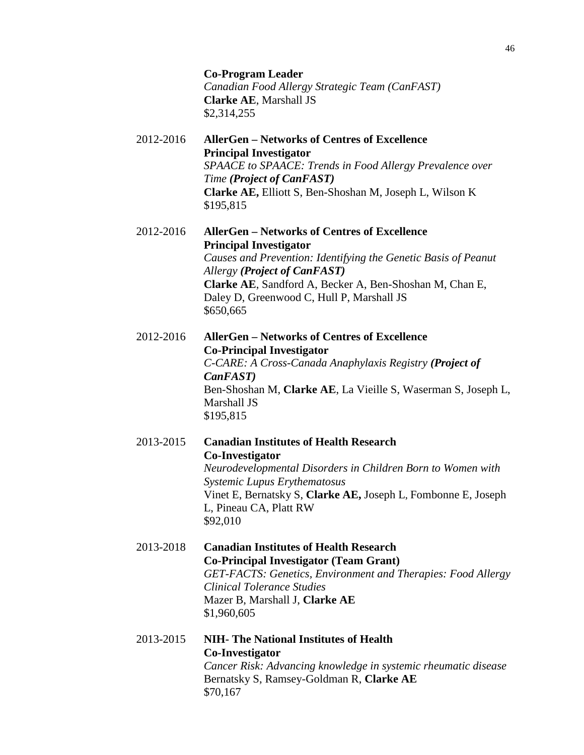**Co-Program Leader** *Canadian Food Allergy Strategic Team (CanFAST)* **Clarke AE**, Marshall JS \$2,314,255

- 2012-2016 **AllerGen – Networks of Centres of Excellence Principal Investigator** *SPAACE to SPAACE: Trends in Food Allergy Prevalence over Time (Project of CanFAST)* **Clarke AE,** Elliott S, Ben-Shoshan M, Joseph L, Wilson K \$195,815
- 2012-2016 **AllerGen – Networks of Centres of Excellence Principal Investigator** *Causes and Prevention: Identifying the Genetic Basis of Peanut Allergy (Project of CanFAST)* **Clarke AE**, Sandford A, Becker A, Ben-Shoshan M, Chan E, Daley D, Greenwood C, Hull P, Marshall JS \$650,665
- 2012-2016 **AllerGen – Networks of Centres of Excellence Co-Principal Investigator** *C-CARE: A Cross-Canada Anaphylaxis Registry (Project of CanFAST)* Ben-Shoshan M, **Clarke AE**, La Vieille S, Waserman S, Joseph L, Marshall JS \$195,815
- 2013-2015 **Canadian Institutes of Health Research Co-Investigator** *Neurodevelopmental Disorders in Children Born to Women with Systemic Lupus Erythematosus* Vinet E, Bernatsky S, **Clarke AE,** Joseph L, Fombonne E, Joseph L, Pineau CA, Platt RW \$92,010
- 2013-2018 **Canadian Institutes of Health Research Co-Principal Investigator (Team Grant)** *GET-FACTS: Genetics, Environment and Therapies: Food Allergy Clinical Tolerance Studies* Mazer B, Marshall J, **Clarke AE** \$1,960,605
- 2013-2015 **NIH- The National Institutes of Health Co-Investigator** *Cancer Risk: Advancing knowledge in systemic rheumatic disease* Bernatsky S, Ramsey-Goldman R, **Clarke AE** \$70,167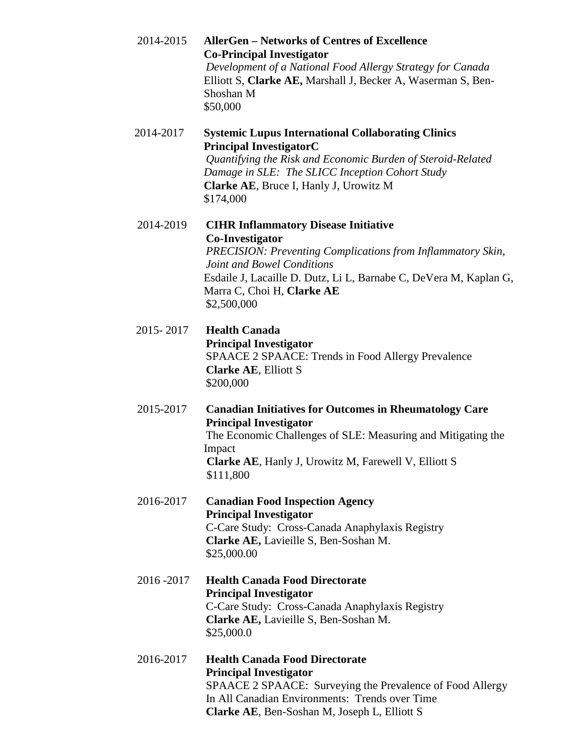2014-2015 **AllerGen – Networks of Centres of Excellence Co-Principal Investigator** *Development of a National Food Allergy Strategy for Canada* Elliott S, **Clarke AE,** Marshall J, Becker A, Waserman S, Ben-Shoshan M \$50,000 2014-2017 **Systemic Lupus International Collaborating Clinics Principal InvestigatorC** *Quantifying the Risk and Economic Burden of Steroid-Related Damage in SLE: The SLICC Inception Cohort Study* **Clarke AE**, Bruce I, Hanly J, Urowitz M \$174,000 2014-2019 **CIHR Inflammatory Disease Initiative Co-Investigator**  *PRECISION: Preventing Complications from Inflammatory Skin, Joint and Bowel Conditions* Esdaile J, Lacaille D. Dutz, Li L, Barnabe C, DeVera M, Kaplan G, Marra C, Choi H, **Clarke AE** \$2,500,000 2015- 2017 **Health Canada Principal Investigator** SPAACE 2 SPAACE: Trends in Food Allergy Prevalence **Clarke AE**, Elliott S \$200,000 2015-2017 **Canadian Initiatives for Outcomes in Rheumatology Care Principal Investigator** The Economic Challenges of SLE: Measuring and Mitigating the Impact **Clarke AE**, Hanly J, Urowitz M, Farewell V, Elliott S \$111,800 2016-2017 **Canadian Food Inspection Agency Principal Investigator** C-Care Study: Cross-Canada Anaphylaxis Registry **Clarke AE,** Lavieille S, Ben-Soshan M. \$25,000.00 2016 -2017 **Health Canada Food Directorate Principal Investigator** C-Care Study: Cross-Canada Anaphylaxis Registry **Clarke AE,** Lavieille S, Ben-Soshan M. \$25,000.0 2016-2017 **Health Canada Food Directorate Principal Investigator** SPAACE 2 SPAACE: Surveying the Prevalence of Food Allergy In All Canadian Environments: Trends over Time **Clarke AE**, Ben-Soshan M, Joseph L, Elliott S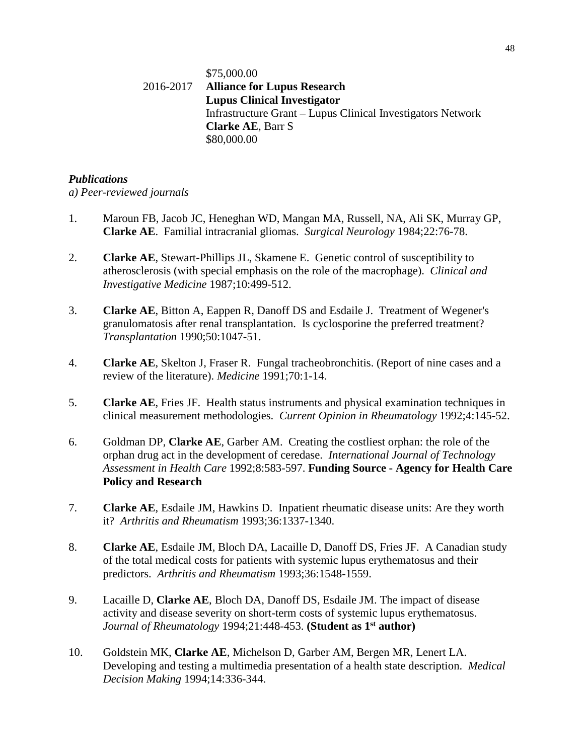## \$75,000.00 2016-2017 **Alliance for Lupus Research Lupus Clinical Investigator** Infrastructure Grant – Lupus Clinical Investigators Network **Clarke AE**, Barr S \$80,000.00

### *Publications*

*a) Peer-reviewed journals*

- 1. Maroun FB, Jacob JC, Heneghan WD, Mangan MA, Russell, NA, Ali SK, Murray GP, **Clarke AE**. Familial intracranial gliomas. *Surgical Neurology* 1984;22:76-78.
- 2. **Clarke AE**, Stewart-Phillips JL, Skamene E. Genetic control of susceptibility to atherosclerosis (with special emphasis on the role of the macrophage). *Clinical and Investigative Medicine* 1987;10:499-512.
- 3. **Clarke AE**, Bitton A, Eappen R, Danoff DS and Esdaile J. Treatment of Wegener's granulomatosis after renal transplantation. Is cyclosporine the preferred treatment? *Transplantation* 1990;50:1047-51.
- 4. **Clarke AE**, Skelton J, Fraser R. Fungal tracheobronchitis. (Report of nine cases and a review of the literature). *Medicine* 1991;70:1-14.
- 5. **Clarke AE**, Fries JF. Health status instruments and physical examination techniques in clinical measurement methodologies. *Current Opinion in Rheumatology* 1992;4:145-52.
- 6. Goldman DP, **Clarke AE**, Garber AM. Creating the costliest orphan: the role of the orphan drug act in the development of ceredase. *International Journal of Technology Assessment in Health Care* 1992;8:583-597. **Funding Source - Agency for Health Care Policy and Research**
- 7. **Clarke AE**, Esdaile JM, Hawkins D. Inpatient rheumatic disease units: Are they worth it? *Arthritis and Rheumatism* 1993;36:1337-1340.
- 8. **Clarke AE**, Esdaile JM, Bloch DA, Lacaille D, Danoff DS, Fries JF. A Canadian study of the total medical costs for patients with systemic lupus erythematosus and their predictors. *Arthritis and Rheumatism* 1993;36:1548-1559.
- 9. Lacaille D, **Clarke AE**, Bloch DA, Danoff DS, Esdaile JM. The impact of disease activity and disease severity on short-term costs of systemic lupus erythematosus. *Journal of Rheumatology* 1994;21:448-453. **(Student as 1st author)**
- 10. Goldstein MK, **Clarke AE**, Michelson D, Garber AM, Bergen MR, Lenert LA. Developing and testing a multimedia presentation of a health state description. *Medical Decision Making* 1994;14:336-344.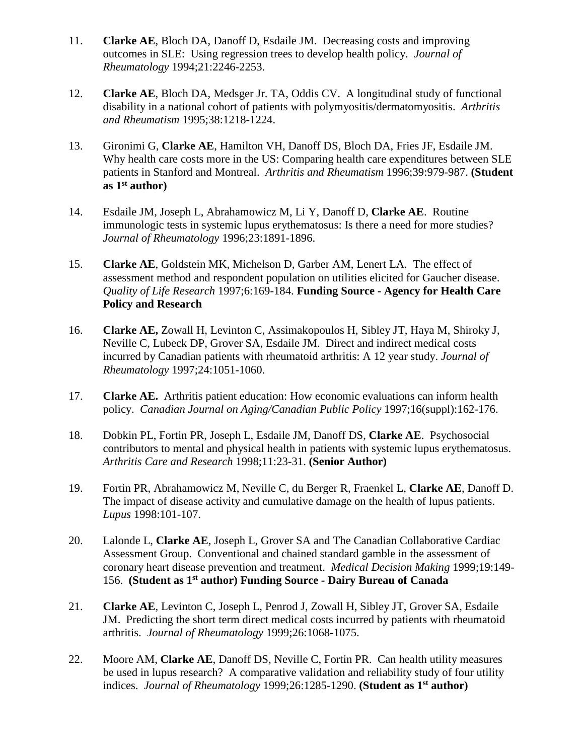- 11. **Clarke AE**, Bloch DA, Danoff D, Esdaile JM. Decreasing costs and improving outcomes in SLE: Using regression trees to develop health policy. *Journal of Rheumatology* 1994;21:2246-2253.
- 12. **Clarke AE**, Bloch DA, Medsger Jr. TA, Oddis CV. A longitudinal study of functional disability in a national cohort of patients with polymyositis/dermatomyositis. *Arthritis and Rheumatism* 1995;38:1218-1224.
- 13. Gironimi G, **Clarke AE**, Hamilton VH, Danoff DS, Bloch DA, Fries JF, Esdaile JM. Why health care costs more in the US: Comparing health care expenditures between SLE patients in Stanford and Montreal. *Arthritis and Rheumatism* 1996;39:979-987. **(Student as 1st author)**
- 14. Esdaile JM, Joseph L, Abrahamowicz M, Li Y, Danoff D, **Clarke AE**. Routine immunologic tests in systemic lupus erythematosus: Is there a need for more studies? *Journal of Rheumatology* 1996;23:1891-1896.
- 15. **Clarke AE**, Goldstein MK, Michelson D, Garber AM, Lenert LA. The effect of assessment method and respondent population on utilities elicited for Gaucher disease. *Quality of Life Research* 1997;6:169-184. **Funding Source - Agency for Health Care Policy and Research**
- 16. **Clarke AE,** Zowall H, Levinton C, Assimakopoulos H, Sibley JT, Haya M, Shiroky J, Neville C, Lubeck DP, Grover SA, Esdaile JM. Direct and indirect medical costs incurred by Canadian patients with rheumatoid arthritis: A 12 year study. *Journal of Rheumatology* 1997;24:1051-1060.
- 17. **Clarke AE.** Arthritis patient education: How economic evaluations can inform health policy. *Canadian Journal on Aging/Canadian Public Policy* 1997;16(suppl):162-176.
- 18. Dobkin PL, Fortin PR, Joseph L, Esdaile JM, Danoff DS, **Clarke AE**. Psychosocial contributors to mental and physical health in patients with systemic lupus erythematosus. *Arthritis Care and Research* 1998;11:23-31. **(Senior Author)**
- 19. Fortin PR, Abrahamowicz M, Neville C, du Berger R, Fraenkel L, **Clarke AE**, Danoff D. The impact of disease activity and cumulative damage on the health of lupus patients. *Lupus* 1998:101-107.
- 20. Lalonde L, **Clarke AE**, Joseph L, Grover SA and The Canadian Collaborative Cardiac Assessment Group. Conventional and chained standard gamble in the assessment of coronary heart disease prevention and treatment. *Medical Decision Making* 1999;19:149- 156. **(Student as 1st author) Funding Source - Dairy Bureau of Canada**
- 21. **Clarke AE**, Levinton C, Joseph L, Penrod J, Zowall H, Sibley JT, Grover SA, Esdaile JM. Predicting the short term direct medical costs incurred by patients with rheumatoid arthritis. *Journal of Rheumatology* 1999;26:1068-1075.
- 22. Moore AM, **Clarke AE**, Danoff DS, Neville C, Fortin PR. Can health utility measures be used in lupus research? A comparative validation and reliability study of four utility indices. *Journal of Rheumatology* 1999;26:1285-1290. **(Student as 1st author)**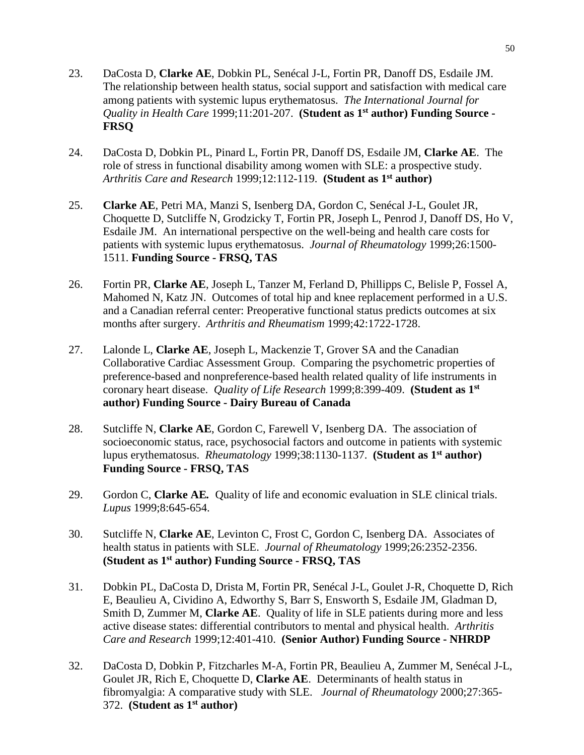- 23. DaCosta D, **Clarke AE**, Dobkin PL, Senécal J-L, Fortin PR, Danoff DS, Esdaile JM. The relationship between health status, social support and satisfaction with medical care among patients with systemic lupus erythematosus. *The International Journal for Quality in Health Care* 1999;11:201-207. **(Student as 1st author) Funding Source - FRSQ**
- 24. DaCosta D, Dobkin PL, Pinard L, Fortin PR, Danoff DS, Esdaile JM, **Clarke AE**. The role of stress in functional disability among women with SLE: a prospective study. *Arthritis Care and Research* 1999;12:112-119. **(Student as 1st author)**
- 25. **Clarke AE**, Petri MA, Manzi S, Isenberg DA, Gordon C, Senécal J-L, Goulet JR, Choquette D, Sutcliffe N, Grodzicky T, Fortin PR, Joseph L, Penrod J, Danoff DS, Ho V, Esdaile JM. An international perspective on the well-being and health care costs for patients with systemic lupus erythematosus. *Journal of Rheumatology* 1999;26:1500- 1511. **Funding Source - FRSQ, TAS**
- 26. Fortin PR, **Clarke AE**, Joseph L, Tanzer M, Ferland D, Phillipps C, Belisle P, Fossel A, Mahomed N, Katz JN. Outcomes of total hip and knee replacement performed in a U.S. and a Canadian referral center: Preoperative functional status predicts outcomes at six months after surgery. *Arthritis and Rheumatism* 1999;42:1722-1728.
- 27. Lalonde L, **Clarke AE**, Joseph L, Mackenzie T, Grover SA and the Canadian Collaborative Cardiac Assessment Group. Comparing the psychometric properties of preference-based and nonpreference-based health related quality of life instruments in coronary heart disease. *Quality of Life Research* 1999;8:399-409. **(Student as 1st author) Funding Source - Dairy Bureau of Canada**
- 28. Sutcliffe N, **Clarke AE**, Gordon C, Farewell V, Isenberg DA. The association of socioeconomic status, race, psychosocial factors and outcome in patients with systemic lupus erythematosus. *Rheumatology* 1999;38:1130-1137. **(Student as 1st author) Funding Source - FRSQ, TAS**
- 29. Gordon C, **Clarke AE***.* Quality of life and economic evaluation in SLE clinical trials. *Lupus* 1999;8:645-654.
- 30. Sutcliffe N, **Clarke AE**, Levinton C, Frost C, Gordon C, Isenberg DA. Associates of health status in patients with SLE. *Journal of Rheumatology* 1999;26:2352-2356. **(Student as 1st author) Funding Source - FRSQ, TAS**
- 31. Dobkin PL, DaCosta D, Drista M, Fortin PR, Senécal J-L, Goulet J-R, Choquette D, Rich E, Beaulieu A, Cividino A, Edworthy S, Barr S, Ensworth S, Esdaile JM, Gladman D, Smith D, Zummer M, **Clarke AE**. Quality of life in SLE patients during more and less active disease states: differential contributors to mental and physical health. *Arthritis Care and Research* 1999;12:401-410. **(Senior Author) Funding Source - NHRDP**
- 32. DaCosta D, Dobkin P, Fitzcharles M-A, Fortin PR, Beaulieu A, Zummer M, Senécal J-L, Goulet JR, Rich E, Choquette D, **Clarke AE**. Determinants of health status in fibromyalgia: A comparative study with SLE. *Journal of Rheumatology* 2000;27:365- 372. **(Student as 1st author)**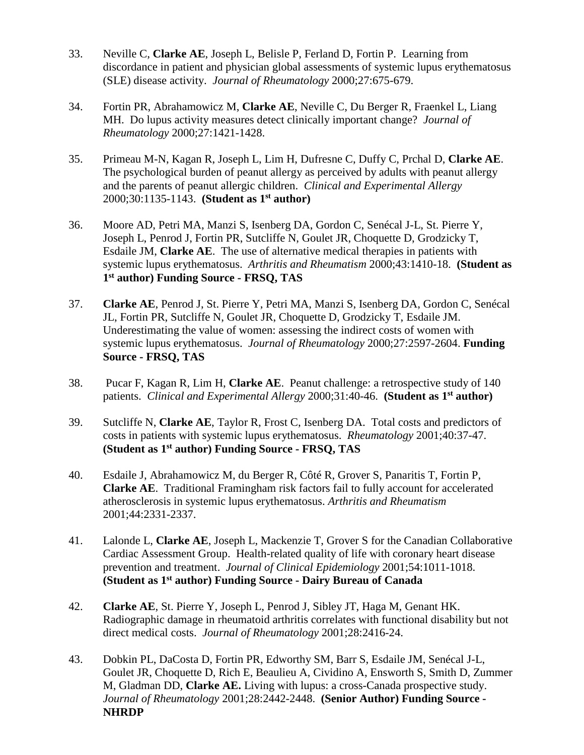- 33. Neville C, **Clarke AE**, Joseph L, Belisle P, Ferland D, Fortin P. Learning from discordance in patient and physician global assessments of systemic lupus erythematosus (SLE) disease activity. *Journal of Rheumatology* 2000;27:675-679.
- 34. Fortin PR, Abrahamowicz M, **Clarke AE**, Neville C, Du Berger R, Fraenkel L, Liang MH. Do lupus activity measures detect clinically important change? *Journal of Rheumatology* 2000;27:1421-1428.
- 35. Primeau M-N, Kagan R, Joseph L, Lim H, Dufresne C, Duffy C, Prchal D, **Clarke AE**. The psychological burden of peanut allergy as perceived by adults with peanut allergy and the parents of peanut allergic children. *Clinical and Experimental Allergy* 2000;30:1135-1143. **(Student as 1st author)**
- 36. Moore AD, Petri MA, Manzi S, Isenberg DA, Gordon C, Senécal J-L, St. Pierre Y, Joseph L, Penrod J, Fortin PR, Sutcliffe N, Goulet JR, Choquette D, Grodzicky T, Esdaile JM, **Clarke AE**. The use of alternative medical therapies in patients with systemic lupus erythematosus. *Arthritis and Rheumatism* 2000;43:1410-18.**(Student as 1st author) Funding Source - FRSQ, TAS**
- 37. **Clarke AE**, Penrod J, St. Pierre Y, Petri MA, Manzi S, Isenberg DA, Gordon C, Senécal JL, Fortin PR, Sutcliffe N, Goulet JR, Choquette D, Grodzicky T, Esdaile JM. Underestimating the value of women: assessing the indirect costs of women with systemic lupus erythematosus. *Journal of Rheumatology* 2000;27:2597-2604. **Funding Source - FRSQ, TAS**
- 38. Pucar F, Kagan R, Lim H, **Clarke AE**. Peanut challenge: a retrospective study of 140 patients. *Clinical and Experimental Allergy* 2000;31:40-46. **(Student as 1st author)**
- 39. Sutcliffe N, **Clarke AE**, Taylor R, Frost C, Isenberg DA. Total costs and predictors of costs in patients with systemic lupus erythematosus. *Rheumatology* 2001;40:37-47. **(Student as 1st author) Funding Source - FRSQ, TAS**
- 40. Esdaile J, Abrahamowicz M, du Berger R, Côté R, Grover S, Panaritis T, Fortin P, **Clarke AE**. Traditional Framingham risk factors fail to fully account for accelerated atherosclerosis in systemic lupus erythematosus. *Arthritis and Rheumatism* 2001;44:2331-2337.
- 41. Lalonde L, **Clarke AE**, Joseph L, Mackenzie T, Grover S for the Canadian Collaborative Cardiac Assessment Group. Health-related quality of life with coronary heart disease prevention and treatment. *Journal of Clinical Epidemiology* 2001;54:1011-1018. **(Student as 1st author) Funding Source - Dairy Bureau of Canada**
- 42. **Clarke AE**, St. Pierre Y, Joseph L, Penrod J, Sibley JT, Haga M, Genant HK. Radiographic damage in rheumatoid arthritis correlates with functional disability but not direct medical costs. *Journal of Rheumatology* 2001;28:2416-24.
- 43. Dobkin PL, DaCosta D, Fortin PR, Edworthy SM, Barr S, Esdaile JM, Senécal J-L, Goulet JR, Choquette D, Rich E, Beaulieu A, Cividino A, Ensworth S, Smith D, Zummer M, Gladman DD, **Clarke AE.** Living with lupus: a cross-Canada prospective study. *Journal of Rheumatology* 2001;28:2442-2448. **(Senior Author) Funding Source - NHRDP**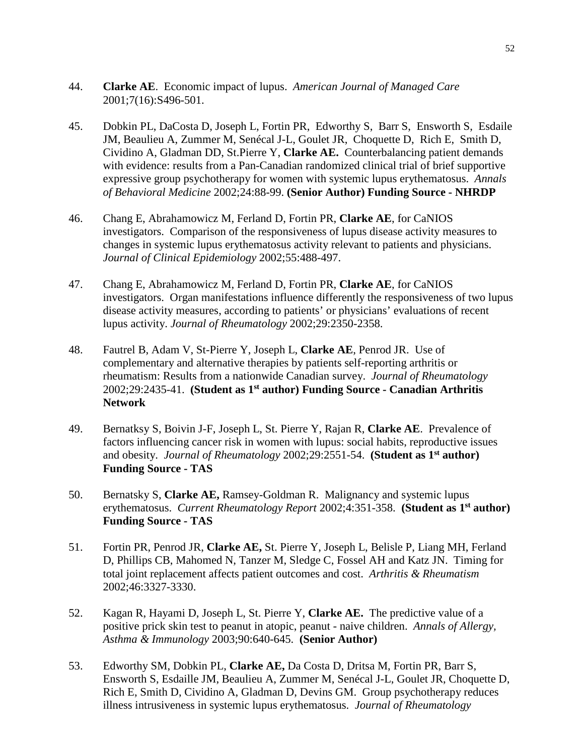- 44. **Clarke AE**. Economic impact of lupus. *American Journal of Managed Care* 2001;7(16):S496-501.
- 45. Dobkin PL, DaCosta D, Joseph L, Fortin PR, Edworthy S, Barr S, Ensworth S, Esdaile JM, Beaulieu A, Zummer M, Senécal J-L, Goulet JR, Choquette D, Rich E, Smith D, Cividino A, Gladman DD, St.Pierre Y, **Clarke AE.** Counterbalancing patient demands with evidence: results from a Pan-Canadian randomized clinical trial of brief supportive expressive group psychotherapy for women with systemic lupus erythematosus. *Annals of Behavioral Medicine* 2002;24:88-99. **(Senior Author) Funding Source - NHRDP**
- 46. Chang E, Abrahamowicz M, Ferland D, Fortin PR, **Clarke AE**, for CaNIOS investigators. Comparison of the responsiveness of lupus disease activity measures to changes in systemic lupus erythematosus activity relevant to patients and physicians. *Journal of Clinical Epidemiology* 2002;55:488-497.
- 47. Chang E, Abrahamowicz M, Ferland D, Fortin PR, **Clarke AE**, for CaNIOS investigators. Organ manifestations influence differently the responsiveness of two lupus disease activity measures, according to patients' or physicians' evaluations of recent lupus activity. *Journal of Rheumatology* 2002;29:2350-2358.
- 48. Fautrel B, Adam V, St-Pierre Y, Joseph L, **Clarke AE**, Penrod JR. Use of complementary and alternative therapies by patients self-reporting arthritis or rheumatism: Results from a nationwide Canadian survey. *Journal of Rheumatology* 2002;29:2435-41. **(Student as 1st author) Funding Source - Canadian Arthritis Network**
- 49. Bernatksy S, Boivin J-F, Joseph L, St. Pierre Y, Rajan R, **Clarke AE**. Prevalence of factors influencing cancer risk in women with lupus: social habits, reproductive issues and obesity. *Journal of Rheumatology* 2002;29:2551-54. **(Student as 1st author) Funding Source - TAS**
- 50. Bernatsky S, **Clarke AE,** Ramsey-Goldman R. Malignancy and systemic lupus erythematosus. *Current Rheumatology Report* 2002;4:351-358.**(Student as 1st author) Funding Source - TAS**
- 51. Fortin PR, Penrod JR, **Clarke AE,** St. Pierre Y, Joseph L, Belisle P, Liang MH, Ferland D, Phillips CB, Mahomed N, Tanzer M, Sledge C, Fossel AH and Katz JN. Timing for total joint replacement affects patient outcomes and cost. *Arthritis & Rheumatism*  2002;46:3327-3330.
- 52. Kagan R, Hayami D, Joseph L, St. Pierre Y, **Clarke AE.** The predictive value of a positive prick skin test to peanut in atopic, peanut - naive children. *Annals of Allergy, Asthma & Immunology* 2003;90:640-645. **(Senior Author)**
- 53. Edworthy SM, Dobkin PL, **Clarke AE,** Da Costa D, Dritsa M, Fortin PR, Barr S, Ensworth S, Esdaille JM, Beaulieu A, Zummer M, Senécal J-L, Goulet JR, Choquette D, Rich E, Smith D, Cividino A, Gladman D, Devins GM. Group psychotherapy reduces illness intrusiveness in systemic lupus erythematosus. *Journal of Rheumatology*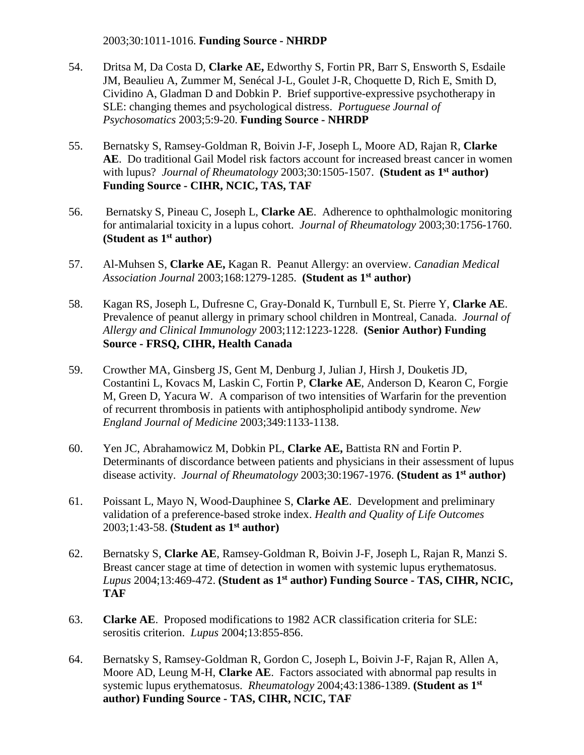### 2003;30:1011-1016. **Funding Source - NHRDP**

- 54. Dritsa M, Da Costa D, **Clarke AE,** Edworthy S, Fortin PR, Barr S, Ensworth S, Esdaile JM, Beaulieu A, Zummer M, Senécal J-L, Goulet J-R, Choquette D, Rich E, Smith D, Cividino A, Gladman D and Dobkin P. Brief supportive-expressive psychotherapy in SLE: changing themes and psychological distress. *Portuguese Journal of Psychosomatics* 2003;5:9-20. **Funding Source - NHRDP**
- 55. Bernatsky S, Ramsey-Goldman R, Boivin J-F, Joseph L, Moore AD, Rajan R, **Clarke AE**. Do traditional Gail Model risk factors account for increased breast cancer in women with lupus? *Journal of Rheumatology* 2003;30:1505-1507. **(Student as 1st author) Funding Source - CIHR, NCIC, TAS, TAF**
- 56. Bernatsky S, Pineau C, Joseph L, **Clarke AE**. Adherence to ophthalmologic monitoring for antimalarial toxicity in a lupus cohort. *Journal of Rheumatology* 2003;30:1756-1760. **(Student as 1st author)**
- 57. Al-Muhsen S, **Clarke AE,** Kagan R. Peanut Allergy: an overview. *Canadian Medical Association Journal* 2003;168:1279-1285. **(Student as 1st author)**
- 58. Kagan RS, Joseph L, Dufresne C, Gray-Donald K, Turnbull E, St. Pierre Y, **Clarke AE**. Prevalence of peanut allergy in primary school children in Montreal, Canada. *Journal of Allergy and Clinical Immunology* 2003;112:1223-1228. **(Senior Author) Funding Source - FRSQ, CIHR, Health Canada**
- 59. Crowther MA, Ginsberg JS, Gent M, Denburg J, Julian J, Hirsh J, Douketis JD, Costantini L, Kovacs M, Laskin C, Fortin P, **Clarke AE**, Anderson D, Kearon C, Forgie M, Green D, Yacura W. A comparison of two intensities of Warfarin for the prevention of recurrent thrombosis in patients with antiphospholipid antibody syndrome. *New England Journal of Medicine* 2003;349:1133-1138.
- 60. Yen JC, Abrahamowicz M, Dobkin PL, **Clarke AE,** Battista RN and Fortin P. Determinants of discordance between patients and physicians in their assessment of lupus disease activity. *Journal of Rheumatology* 2003;30:1967-1976. **(Student as 1st author)**
- 61. Poissant L, Mayo N, Wood-Dauphinee S, **Clarke AE**. Development and preliminary validation of a preference-based stroke index. *Health and Quality of Life Outcomes* 2003;1:43-58. **(Student as 1st author)**
- 62. Bernatsky S, **Clarke AE**, Ramsey-Goldman R, Boivin J-F, Joseph L, Rajan R, Manzi S. Breast cancer stage at time of detection in women with systemic lupus erythematosus. *Lupus* 2004;13:469-472. **(Student as 1st author) Funding Source - TAS, CIHR, NCIC, TAF**
- 63. **Clarke AE**. Proposed modifications to 1982 ACR classification criteria for SLE: serositis criterion. *Lupus* 2004;13:855-856.
- 64. Bernatsky S, Ramsey-Goldman R, Gordon C, Joseph L, Boivin J-F, Rajan R, Allen A, Moore AD, Leung M-H, **Clarke AE**. Factors associated with abnormal pap results in systemic lupus erythematosus. *Rheumatology* 2004;43:1386-1389. **(Student as 1st author) Funding Source - TAS, CIHR, NCIC, TAF**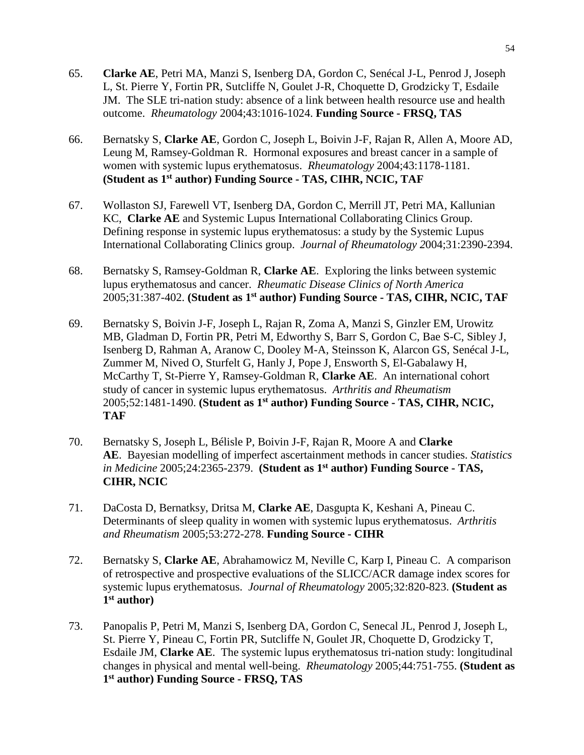- 65. **Clarke AE**, Petri MA, Manzi S, Isenberg DA, Gordon C, Senécal J-L, Penrod J, Joseph L, St. Pierre Y, Fortin PR, Sutcliffe N, Goulet J-R, Choquette D, Grodzicky T, Esdaile JM. The SLE tri-nation study: absence of a link between health resource use and health outcome. *Rheumatology* 2004;43:1016-1024. **Funding Source - FRSQ, TAS**
- 66. Bernatsky S, **Clarke AE**, Gordon C, Joseph L, Boivin J-F, Rajan R, Allen A, Moore AD, Leung M, Ramsey-Goldman R. Hormonal exposures and breast cancer in a sample of women with systemic lupus erythematosus. *Rheumatology* 2004;43:1178-1181. **(Student as 1st author) Funding Source - TAS, CIHR, NCIC, TAF**
- 67. Wollaston SJ, Farewell VT, Isenberg DA, Gordon C, Merrill JT, Petri MA, Kallunian KC, **Clarke AE** and Systemic Lupus International Collaborating Clinics Group. Defining response in systemic lupus erythematosus: a study by the Systemic Lupus International Collaborating Clinics group. *Journal of Rheumatology 2*004;31:2390-2394.
- 68. Bernatsky S, Ramsey-Goldman R, **Clarke AE**. Exploring the links between systemic lupus erythematosus and cancer. *Rheumatic Disease Clinics of North America* 2005;31:387-402. **(Student as 1st author) Funding Source - TAS, CIHR, NCIC, TAF**
- 69. Bernatsky S, Boivin J-F, Joseph L, Rajan R, Zoma A, Manzi S, Ginzler EM, Urowitz MB, Gladman D, Fortin PR, Petri M, Edworthy S, Barr S, Gordon C, Bae S-C, Sibley J, Isenberg D, Rahman A, Aranow C, Dooley M-A, Steinsson K, Alarcon GS, Senécal J-L, Zummer M, Nived O, Sturfelt G, Hanly J, Pope J, Ensworth S, El-Gabalawy H, McCarthy T, St-Pierre Y, Ramsey-Goldman R, **Clarke AE**. An international cohort study of cancer in systemic lupus erythematosus. *Arthritis and Rheumatism* 2005;52:1481-1490. **(Student as 1st author) Funding Source - TAS, CIHR, NCIC, TAF**
- 70. Bernatsky S, Joseph L, Bélisle P, Boivin J-F, Rajan R, Moore A and **Clarke AE**. Bayesian modelling of imperfect ascertainment methods in cancer studies. *Statistics in Medicine* 2005;24:2365-2379.**(Student as 1st author) Funding Source - TAS, CIHR, NCIC**
- 71. DaCosta D, Bernatksy, Dritsa M, **Clarke AE**, Dasgupta K, Keshani A, Pineau C. Determinants of sleep quality in women with systemic lupus erythematosus. *Arthritis and Rheumatism* 2005;53:272-278. **Funding Source - CIHR**
- 72. Bernatsky S, **Clarke AE**, Abrahamowicz M, Neville C, Karp I, Pineau C. A comparison of retrospective and prospective evaluations of the SLICC/ACR damage index scores for systemic lupus erythematosus. *Journal of Rheumatology* 2005;32:820-823. **(Student as 1st author)**
- 73. Panopalis P, Petri M, Manzi S, Isenberg DA, Gordon C, Senecal JL, Penrod J, Joseph L, St. Pierre Y, Pineau C, Fortin PR, Sutcliffe N, Goulet JR, Choquette D, Grodzicky T, Esdaile JM, **Clarke AE**. The systemic lupus erythematosus tri-nation study: longitudinal changes in physical and mental well-being. *Rheumatology* 2005;44:751-755. **(Student as 1st author) Funding Source - FRSQ, TAS**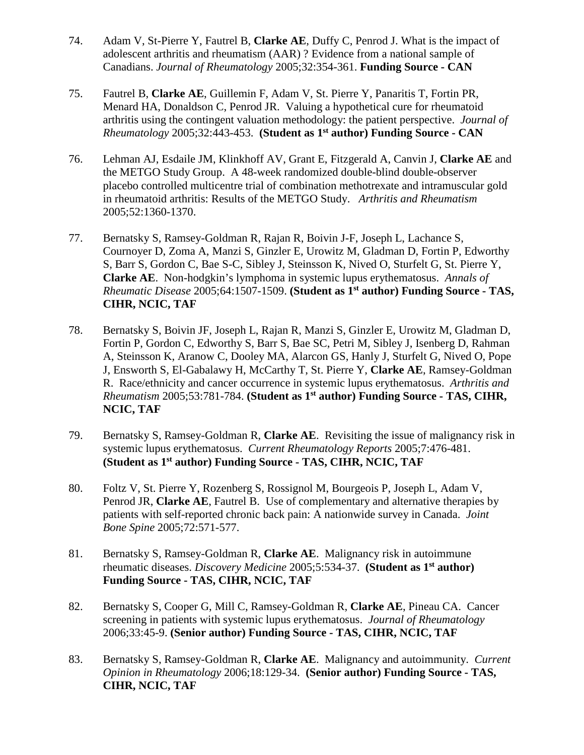- 74. Adam V, St-Pierre Y, Fautrel B, **Clarke AE**, Duffy C, Penrod J. What is the impact of adolescent arthritis and rheumatism (AAR) ? Evidence from a national sample of Canadians. *Journal of Rheumatology* 2005;32:354-361. **Funding Source - CAN**
- 75. Fautrel B, **Clarke AE**, Guillemin F, Adam V, St. Pierre Y, Panaritis T, Fortin PR, Menard HA, Donaldson C, Penrod JR. Valuing a hypothetical cure for rheumatoid arthritis using the contingent valuation methodology: the patient perspective. *Journal of Rheumatology* 2005;32:443-453. **(Student as 1st author) Funding Source - CAN**
- 76. Lehman AJ, Esdaile JM, Klinkhoff AV, Grant E, Fitzgerald A, Canvin J, **Clarke AE** and the METGO Study Group. A 48-week randomized double-blind double-observer placebo controlled multicentre trial of combination methotrexate and intramuscular gold in rheumatoid arthritis: Results of the METGO Study. *Arthritis and Rheumatism*  2005;52:1360-1370.
- 77. Bernatsky S, Ramsey-Goldman R, Rajan R, Boivin J-F, Joseph L, Lachance S, Cournoyer D, Zoma A, Manzi S, Ginzler E, Urowitz M, Gladman D, Fortin P, Edworthy S, Barr S, Gordon C, Bae S-C, Sibley J, Steinsson K, Nived O, Sturfelt G, St. Pierre Y, **Clarke AE**. Non-hodgkin's lymphoma in systemic lupus erythematosus. *Annals of Rheumatic Disease* 2005;64:1507-1509. **(Student as 1st author) Funding Source - TAS, CIHR, NCIC, TAF**
- 78. Bernatsky S, Boivin JF, Joseph L, Rajan R, Manzi S, Ginzler E, Urowitz M, Gladman D, Fortin P, Gordon C, Edworthy S, Barr S, Bae SC, Petri M, Sibley J, Isenberg D, Rahman A, Steinsson K, Aranow C, Dooley MA, Alarcon GS, Hanly J, Sturfelt G, Nived O, Pope J, Ensworth S, El-Gabalawy H, McCarthy T, St. Pierre Y, **Clarke AE**, Ramsey-Goldman R. Race/ethnicity and cancer occurrence in systemic lupus erythematosus. *Arthritis and Rheumatism* 2005;53:781-784. **(Student as 1st author) Funding Source - TAS, CIHR, NCIC, TAF**
- 79. Bernatsky S, Ramsey-Goldman R, **Clarke AE**. Revisiting the issue of malignancy risk in systemic lupus erythematosus. *Current Rheumatology Reports* 2005;7:476-481. **(Student as 1st author) Funding Source - TAS, CIHR, NCIC, TAF**
- 80. Foltz V, St. Pierre Y, Rozenberg S, Rossignol M, Bourgeois P, Joseph L, Adam V, Penrod JR, **Clarke AE**, Fautrel B. Use of complementary and alternative therapies by patients with self-reported chronic back pain: A nationwide survey in Canada. *Joint Bone Spine* 2005;72:571-577.
- 81. Bernatsky S, Ramsey-Goldman R, **Clarke AE**. Malignancy risk in autoimmune rheumatic diseases. *Discovery Medicine* 2005;5:534-37. **(Student as 1st author) Funding Source - TAS, CIHR, NCIC, TAF**
- 82. Bernatsky S, Cooper G, Mill C, Ramsey-Goldman R, **Clarke AE**, Pineau CA. Cancer screening in patients with systemic lupus erythematosus. *Journal of Rheumatology*  2006;33:45-9. **(Senior author) Funding Source - TAS, CIHR, NCIC, TAF**
- 83. Bernatsky S, Ramsey-Goldman R, **Clarke AE**. Malignancy and autoimmunity. *Current Opinion in Rheumatology* 2006;18:129-34. **(Senior author) Funding Source - TAS, CIHR, NCIC, TAF**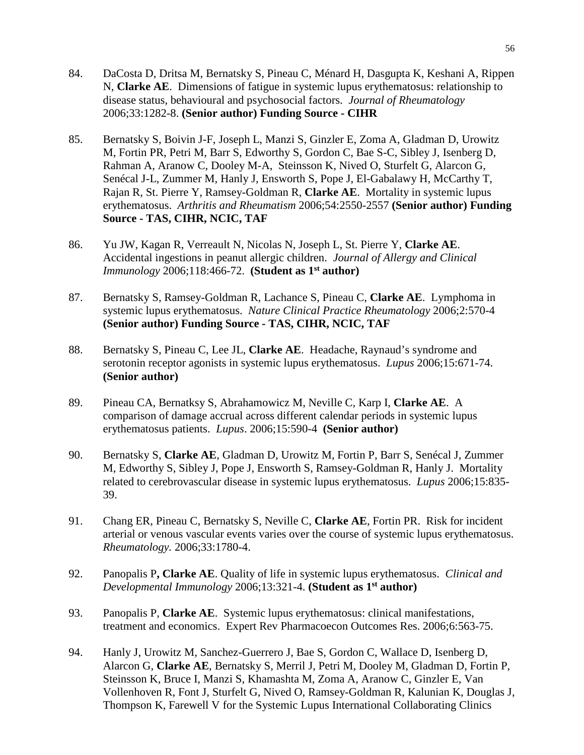- 84. DaCosta D, Dritsa M, Bernatsky S, Pineau C, Ménard H, Dasgupta K, Keshani A, Rippen N, **Clarke AE**. Dimensions of fatigue in systemic lupus erythematosus: relationship to disease status, behavioural and psychosocial factors. *Journal of Rheumatology* 2006;33:1282-8. **(Senior author) Funding Source - CIHR**
- 85. Bernatsky S, Boivin J-F, Joseph L, Manzi S, Ginzler E, Zoma A, Gladman D, Urowitz M, Fortin PR, Petri M, Barr S, Edworthy S, Gordon C, Bae S-C, Sibley J, Isenberg D, Rahman A, Aranow C, Dooley M-A, Steinsson K, Nived O, Sturfelt G, Alarcon G, Senécal J-L, Zummer M, Hanly J, Ensworth S, Pope J, El-Gabalawy H, McCarthy T, Rajan R, St. Pierre Y, Ramsey-Goldman R, **Clarke AE**. Mortality in systemic lupus erythematosus. *Arthritis and Rheumatism* 2006;54:2550-2557 **(Senior author) Funding Source - TAS, CIHR, NCIC, TAF**
- 86. Yu JW, Kagan R, Verreault N, Nicolas N, Joseph L, St. Pierre Y, **Clarke AE**. Accidental ingestions in peanut allergic children. *Journal of Allergy and Clinical Immunology* 2006;118:466-72. **(Student as 1st author)**
- 87. Bernatsky S, Ramsey-Goldman R, Lachance S, Pineau C, **Clarke AE**. Lymphoma in systemic lupus erythematosus. *Nature Clinical Practice Rheumatology* 2006;2:570-4 **(Senior author) Funding Source - TAS, CIHR, NCIC, TAF**
- 88. Bernatsky S, Pineau C, Lee JL, **Clarke AE**. Headache, Raynaud's syndrome and serotonin receptor agonists in systemic lupus erythematosus. *Lupus* 2006;15:671-74. **(Senior author)**
- 89. Pineau CA, Bernatksy S, Abrahamowicz M, Neville C, Karp I, **Clarke AE**. A comparison of damage accrual across different calendar periods in systemic lupus erythematosus patients. *Lupus*. 2006;15:590-4 **(Senior author)**
- 90. Bernatsky S, **Clarke AE**, Gladman D, Urowitz M, Fortin P, Barr S, Senécal J, Zummer M, Edworthy S, Sibley J, Pope J, Ensworth S, Ramsey-Goldman R, Hanly J. Mortality related to cerebrovascular disease in systemic lupus erythematosus. *Lupus* 2006;15:835- 39.
- 91. Chang ER, Pineau C, Bernatsky S, Neville C, **Clarke AE**, Fortin PR. Risk for incident arterial or venous vascular events varies over the course of systemic lupus erythematosus. *Rheumatology.* 2006;33:1780-4.
- 92. Panopalis P**, Clarke AE**. Quality of life in systemic lupus erythematosus. *Clinical and Developmental Immunology* 2006;13:321-4. **(Student as 1st author)**
- 93. Panopalis P, **Clarke AE**. Systemic lupus erythematosus: clinical manifestations, treatment and economics. Expert Rev Pharmacoecon Outcomes Res. 2006;6:563-75.
- 94. Hanly J, Urowitz M, Sanchez-Guerrero J, Bae S, Gordon C, Wallace D, Isenberg D, Alarcon G, **Clarke AE**, Bernatsky S, Merril J, Petri M, Dooley M, Gladman D, Fortin P, Steinsson K, Bruce I, Manzi S, Khamashta M, Zoma A, Aranow C, Ginzler E, Van Vollenhoven R, Font J, Sturfelt G, Nived O, Ramsey-Goldman R, Kalunian K, Douglas J, Thompson K, Farewell V for the Systemic Lupus International Collaborating Clinics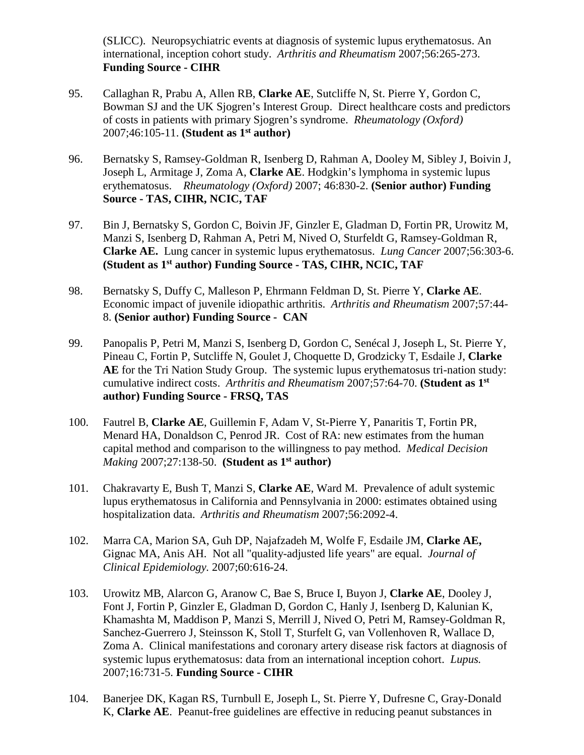(SLICC). Neuropsychiatric events at diagnosis of systemic lupus erythematosus. An international, inception cohort study. *Arthritis and Rheumatism* 2007;56:265-273. **Funding Source - CIHR**

- 95. Callaghan R, Prabu A, Allen RB, **Clarke AE**, Sutcliffe N, St. Pierre Y, Gordon C, Bowman SJ and the UK Sjogren's Interest Group. Direct healthcare costs and predictors of costs in patients with primary Sjogren's syndrome. *Rheumatology (Oxford)* 2007;46:105-11. **(Student as 1st author)**
- 96. Bernatsky S, Ramsey-Goldman R, Isenberg D, Rahman A, Dooley M, Sibley J, Boivin J, Joseph L, Armitage J, Zoma A, **Clarke AE**. Hodgkin's lymphoma in systemic lupus erythematosus. *Rheumatology (Oxford)* 2007; 46:830-2. **(Senior author) Funding Source - TAS, CIHR, NCIC, TAF**
- 97. Bin J, Bernatsky S, Gordon C, Boivin JF, Ginzler E, Gladman D, Fortin PR, Urowitz M, Manzi S, Isenberg D, Rahman A, Petri M, Nived O, Sturfeldt G, Ramsey-Goldman R, **Clarke AE.** Lung cancer in systemic lupus erythematosus. *Lung Cancer* 2007;56:303-6. **(Student as 1st author) Funding Source - TAS, CIHR, NCIC, TAF**
- 98. Bernatsky S, Duffy C, Malleson P, Ehrmann Feldman D, St. Pierre Y, **Clarke AE**. Economic impact of juvenile idiopathic arthritis. *Arthritis and Rheumatism* 2007;57:44- 8. **(Senior author) Funding Source - CAN**
- 99. Panopalis P, Petri M, Manzi S, Isenberg D, Gordon C, Senécal J, Joseph L, St. Pierre Y, Pineau C, Fortin P, Sutcliffe N, Goulet J, Choquette D, Grodzicky T, Esdaile J, **Clarke AE** for the Tri Nation Study Group. The systemic lupus erythematosus tri-nation study: cumulative indirect costs. *Arthritis and Rheumatism* 2007;57:64-70. **(Student as 1st author) Funding Source - FRSQ, TAS**
- 100. Fautrel B, **Clarke AE**, Guillemin F, Adam V, St-Pierre Y, Panaritis T, Fortin PR, Menard HA, Donaldson C, Penrod JR. Cost of RA: new estimates from the human capital method and comparison to the willingness to pay method. *Medical Decision Making* 2007;27:138-50. **(Student as 1st author)**
- 101. Chakravarty E, Bush T, Manzi S, **Clarke AE**, Ward M. Prevalence of adult systemic lupus erythematosus in California and Pennsylvania in 2000: estimates obtained using hospitalization data. *Arthritis and Rheumatism* 2007;56:2092-4.
- 102. Marra CA, Marion SA, Guh DP, Najafzadeh M, Wolfe F, Esdaile JM, **Clarke AE,** Gignac MA, Anis AH. Not all "quality-adjusted life years" are equal. *Journal of Clinical Epidemiology.* 2007;60:616-24.
- 103. Urowitz MB, Alarcon G, Aranow C, Bae S, Bruce I, Buyon J, **Clarke AE**, Dooley J, Font J, Fortin P, Ginzler E, Gladman D, Gordon C, Hanly J, Isenberg D, Kalunian K, Khamashta M, Maddison P, Manzi S, Merrill J, Nived O, Petri M, Ramsey-Goldman R, Sanchez-Guerrero J, Steinsson K, Stoll T, Sturfelt G, van Vollenhoven R, Wallace D, Zoma A. Clinical manifestations and coronary artery disease risk factors at diagnosis of systemic lupus erythematosus: data from an international inception cohort. *Lupus.* 2007;16:731-5. **Funding Source - CIHR**
- 104. Banerjee DK, Kagan RS, Turnbull E, Joseph L, St. Pierre Y, Dufresne C, Gray-Donald K, **Clarke AE**. Peanut-free guidelines are effective in reducing peanut substances in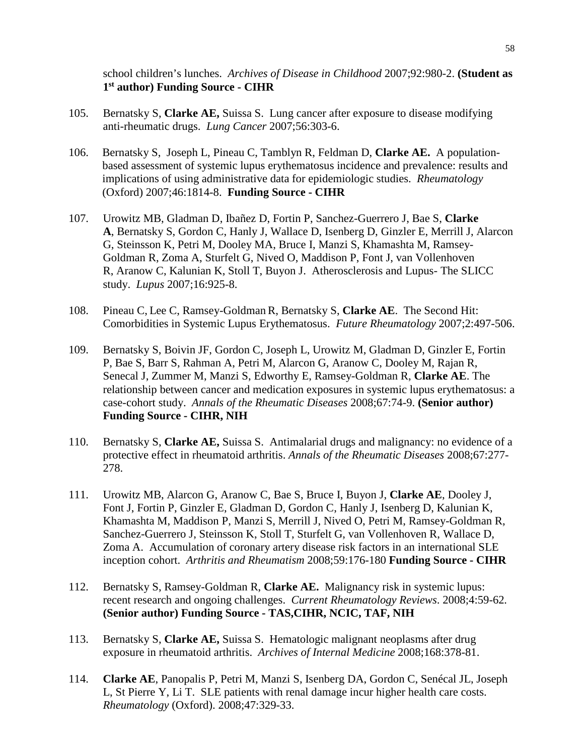school children's lunches. *Archives of Disease in Childhood* 2007;92:980-2. **(Student as 1st author) Funding Source - CIHR**

- 105. Bernatsky S, **Clarke AE,** Suissa S. Lung cancer after exposure to disease modifying anti-rheumatic drugs. *Lung Cancer* 2007;56:303-6.
- 106. Bernatsky S, Joseph L, Pineau C, Tamblyn R, Feldman D, **Clarke AE.** A populationbased assessment of systemic lupus erythematosus incidence and prevalence: results and implications of using administrative data for epidemiologic studies. *Rheumatology* (Oxford) 2007;46:1814-8. **Funding Source - CIHR**
- 107. [Urowitz MB,](http://www.ncbi.nlm.nih.gov/sites/?Db=pubmed&Cmd=Search&Term=%22Urowitz%20MB%22%5BAuthor%5D&itool=EntrezSystem2.PEntrez.Pubmed.Pubmed_ResultsPanel.Pubmed_RVAbstractPlus) [Gladman D,](http://www.ncbi.nlm.nih.gov/sites/?Db=pubmed&Cmd=Search&Term=%22Gladman%20D%22%5BAuthor%5D&itool=EntrezSystem2.PEntrez.Pubmed.Pubmed_ResultsPanel.Pubmed_RVAbstractPlus) [Ibañez D,](http://www.ncbi.nlm.nih.gov/sites/?Db=pubmed&Cmd=Search&Term=%22Iba%C3%B1ez%20D%22%5BAuthor%5D&itool=EntrezSystem2.PEntrez.Pubmed.Pubmed_ResultsPanel.Pubmed_RVAbstractPlus) [Fortin P,](http://www.ncbi.nlm.nih.gov/sites/?Db=pubmed&Cmd=Search&Term=%22Fortin%20P%22%5BAuthor%5D&itool=EntrezSystem2.PEntrez.Pubmed.Pubmed_ResultsPanel.Pubmed_RVAbstractPlus) [Sanchez-Guerrero J,](http://www.ncbi.nlm.nih.gov/sites/?Db=pubmed&Cmd=Search&Term=%22Sanchez-Guerrero%20J%22%5BAuthor%5D&itool=EntrezSystem2.PEntrez.Pubmed.Pubmed_ResultsPanel.Pubmed_RVAbstractPlus) [Bae S,](http://www.ncbi.nlm.nih.gov/sites/?Db=pubmed&Cmd=Search&Term=%22Bae%20S%22%5BAuthor%5D&itool=EntrezSystem2.PEntrez.Pubmed.Pubmed_ResultsPanel.Pubmed_RVAbstractPlus) **[Clarke](http://www.ncbi.nlm.nih.gov/sites/?Db=pubmed&Cmd=Search&Term=%22Clarke%20A%22%5BAuthor%5D&itool=EntrezSystem2.PEntrez.Pubmed.Pubmed_ResultsPanel.Pubmed_RVAbstractPlus)  [A](http://www.ncbi.nlm.nih.gov/sites/?Db=pubmed&Cmd=Search&Term=%22Clarke%20A%22%5BAuthor%5D&itool=EntrezSystem2.PEntrez.Pubmed.Pubmed_ResultsPanel.Pubmed_RVAbstractPlus)**, [Bernatsky S,](http://www.ncbi.nlm.nih.gov/sites/?Db=pubmed&Cmd=Search&Term=%22Bernatsky%20S%22%5BAuthor%5D&itool=EntrezSystem2.PEntrez.Pubmed.Pubmed_ResultsPanel.Pubmed_RVAbstractPlus) [Gordon C,](http://www.ncbi.nlm.nih.gov/sites/?Db=pubmed&Cmd=Search&Term=%22Gordon%20C%22%5BAuthor%5D&itool=EntrezSystem2.PEntrez.Pubmed.Pubmed_ResultsPanel.Pubmed_RVAbstractPlus) [Hanly J,](http://www.ncbi.nlm.nih.gov/sites/?Db=pubmed&Cmd=Search&Term=%22Hanly%20J%22%5BAuthor%5D&itool=EntrezSystem2.PEntrez.Pubmed.Pubmed_ResultsPanel.Pubmed_RVAbstractPlus) [Wallace D,](http://www.ncbi.nlm.nih.gov/sites/?Db=pubmed&Cmd=Search&Term=%22Wallace%20D%22%5BAuthor%5D&itool=EntrezSystem2.PEntrez.Pubmed.Pubmed_ResultsPanel.Pubmed_RVAbstractPlus) [Isenberg D,](http://www.ncbi.nlm.nih.gov/sites/?Db=pubmed&Cmd=Search&Term=%22Isenberg%20D%22%5BAuthor%5D&itool=EntrezSystem2.PEntrez.Pubmed.Pubmed_ResultsPanel.Pubmed_RVAbstractPlus) [Ginzler E,](http://www.ncbi.nlm.nih.gov/sites/?Db=pubmed&Cmd=Search&Term=%22Ginzler%20E%22%5BAuthor%5D&itool=EntrezSystem2.PEntrez.Pubmed.Pubmed_ResultsPanel.Pubmed_RVAbstractPlus) [Merrill J,](http://www.ncbi.nlm.nih.gov/sites/?Db=pubmed&Cmd=Search&Term=%22Merrill%20J%22%5BAuthor%5D&itool=EntrezSystem2.PEntrez.Pubmed.Pubmed_ResultsPanel.Pubmed_RVAbstractPlus) [Alarcon](http://www.ncbi.nlm.nih.gov/sites/?Db=pubmed&Cmd=Search&Term=%22Alarcon%20G%22%5BAuthor%5D&itool=EntrezSystem2.PEntrez.Pubmed.Pubmed_ResultsPanel.Pubmed_RVAbstractPlus)  [G,](http://www.ncbi.nlm.nih.gov/sites/?Db=pubmed&Cmd=Search&Term=%22Alarcon%20G%22%5BAuthor%5D&itool=EntrezSystem2.PEntrez.Pubmed.Pubmed_ResultsPanel.Pubmed_RVAbstractPlus) [Steinsson K,](http://www.ncbi.nlm.nih.gov/sites/?Db=pubmed&Cmd=Search&Term=%22Steinsson%20K%22%5BAuthor%5D&itool=EntrezSystem2.PEntrez.Pubmed.Pubmed_ResultsPanel.Pubmed_RVAbstractPlus) [Petri M,](http://www.ncbi.nlm.nih.gov/sites/?Db=pubmed&Cmd=Search&Term=%22Petri%20M%22%5BAuthor%5D&itool=EntrezSystem2.PEntrez.Pubmed.Pubmed_ResultsPanel.Pubmed_RVAbstractPlus) [Dooley MA,](http://www.ncbi.nlm.nih.gov/sites/?Db=pubmed&Cmd=Search&Term=%22Dooley%20MA%22%5BAuthor%5D&itool=EntrezSystem2.PEntrez.Pubmed.Pubmed_ResultsPanel.Pubmed_RVAbstractPlus) [Bruce I,](http://www.ncbi.nlm.nih.gov/sites/?Db=pubmed&Cmd=Search&Term=%22Bruce%20I%22%5BAuthor%5D&itool=EntrezSystem2.PEntrez.Pubmed.Pubmed_ResultsPanel.Pubmed_RVAbstractPlus) [Manzi S,](http://www.ncbi.nlm.nih.gov/sites/?Db=pubmed&Cmd=Search&Term=%22Manzi%20S%22%5BAuthor%5D&itool=EntrezSystem2.PEntrez.Pubmed.Pubmed_ResultsPanel.Pubmed_RVAbstractPlus) [Khamashta M,](http://www.ncbi.nlm.nih.gov/sites/?Db=pubmed&Cmd=Search&Term=%22Khamashta%20M%22%5BAuthor%5D&itool=EntrezSystem2.PEntrez.Pubmed.Pubmed_ResultsPanel.Pubmed_RVAbstractPlus) [Ramsey-](http://www.ncbi.nlm.nih.gov/sites/?Db=pubmed&Cmd=Search&Term=%22Ramsey-Goldman%20R%22%5BAuthor%5D&itool=EntrezSystem2.PEntrez.Pubmed.Pubmed_ResultsPanel.Pubmed_RVAbstractPlus)[Goldman R,](http://www.ncbi.nlm.nih.gov/sites/?Db=pubmed&Cmd=Search&Term=%22Ramsey-Goldman%20R%22%5BAuthor%5D&itool=EntrezSystem2.PEntrez.Pubmed.Pubmed_ResultsPanel.Pubmed_RVAbstractPlus) [Zoma A,](http://www.ncbi.nlm.nih.gov/sites/?Db=pubmed&Cmd=Search&Term=%22Zoma%20A%22%5BAuthor%5D&itool=EntrezSystem2.PEntrez.Pubmed.Pubmed_ResultsPanel.Pubmed_RVAbstractPlus) [Sturfelt G,](http://www.ncbi.nlm.nih.gov/sites/?Db=pubmed&Cmd=Search&Term=%22Sturfelt%20G%22%5BAuthor%5D&itool=EntrezSystem2.PEntrez.Pubmed.Pubmed_ResultsPanel.Pubmed_RVAbstractPlus) [Nived O,](http://www.ncbi.nlm.nih.gov/sites/?Db=pubmed&Cmd=Search&Term=%22Nived%20O%22%5BAuthor%5D&itool=EntrezSystem2.PEntrez.Pubmed.Pubmed_ResultsPanel.Pubmed_RVAbstractPlus) [Maddison P,](http://www.ncbi.nlm.nih.gov/sites/?Db=pubmed&Cmd=Search&Term=%22Maddison%20P%22%5BAuthor%5D&itool=EntrezSystem2.PEntrez.Pubmed.Pubmed_ResultsPanel.Pubmed_RVAbstractPlus) [Font J,](http://www.ncbi.nlm.nih.gov/sites/?Db=pubmed&Cmd=Search&Term=%22Font%20J%22%5BAuthor%5D&itool=EntrezSystem2.PEntrez.Pubmed.Pubmed_ResultsPanel.Pubmed_RVAbstractPlus) [van Vollenhoven](http://www.ncbi.nlm.nih.gov/sites/?Db=pubmed&Cmd=Search&Term=%22van%20Vollenhoven%20R%22%5BAuthor%5D&itool=EntrezSystem2.PEntrez.Pubmed.Pubmed_ResultsPanel.Pubmed_RVAbstractPlus)  [R,](http://www.ncbi.nlm.nih.gov/sites/?Db=pubmed&Cmd=Search&Term=%22van%20Vollenhoven%20R%22%5BAuthor%5D&itool=EntrezSystem2.PEntrez.Pubmed.Pubmed_ResultsPanel.Pubmed_RVAbstractPlus) [Aranow C,](http://www.ncbi.nlm.nih.gov/sites/?Db=pubmed&Cmd=Search&Term=%22Aranow%20C%22%5BAuthor%5D&itool=EntrezSystem2.PEntrez.Pubmed.Pubmed_ResultsPanel.Pubmed_RVAbstractPlus) [Kalunian K,](http://www.ncbi.nlm.nih.gov/sites/?Db=pubmed&Cmd=Search&Term=%22Kalunian%20K%22%5BAuthor%5D&itool=EntrezSystem2.PEntrez.Pubmed.Pubmed_ResultsPanel.Pubmed_RVAbstractPlus) [Stoll T,](http://www.ncbi.nlm.nih.gov/sites/?Db=pubmed&Cmd=Search&Term=%22Stoll%20T%22%5BAuthor%5D&itool=EntrezSystem2.PEntrez.Pubmed.Pubmed_ResultsPanel.Pubmed_RVAbstractPlus) [Buyon J.](http://www.ncbi.nlm.nih.gov/sites/?Db=pubmed&Cmd=Search&Term=%22Buyon%20J%22%5BAuthor%5D&itool=EntrezSystem2.PEntrez.Pubmed.Pubmed_ResultsPanel.Pubmed_RVAbstractPlus) Atherosclerosis and Lupus- The SLICC study. *Lupus* 2007;16:925-8.
- 108. Pineau C, Lee C, Ramsey-Goldman R, Bernatsky S, **Clarke AE**. The Second Hit: Comorbidities in Systemic Lupus Erythematosus. *Future Rheumatology* 2007;2:497-506.
- 109. Bernatsky S, Boivin JF, Gordon C, Joseph L, Urowitz M, Gladman D, Ginzler E, Fortin P, Bae S, Barr S, Rahman A, Petri M, Alarcon G, Aranow C, Dooley M, Rajan R, Senecal J, Zummer M, Manzi S, Edworthy E, Ramsey-Goldman R, **Clarke AE**. The relationship between cancer and medication exposures in systemic lupus erythematosus: a case-cohort study. *Annals of the Rheumatic Diseases* 2008;67:74-9. **(Senior author) Funding Source - CIHR, NIH**
- 110. Bernatsky S, **Clarke AE,** Suissa S. Antimalarial drugs and malignancy: no evidence of a protective effect in rheumatoid arthritis. *Annals of the Rheumatic Diseases* 2008;67:277- 278.
- 111. Urowitz MB, Alarcon G, Aranow C, Bae S, Bruce I, Buyon J, **Clarke AE**, Dooley J, Font J, Fortin P, Ginzler E, Gladman D, Gordon C, Hanly J, Isenberg D, Kalunian K, Khamashta M, Maddison P, Manzi S, Merrill J, Nived O, Petri M, Ramsey-Goldman R, Sanchez-Guerrero J, Steinsson K, Stoll T, Sturfelt G, van Vollenhoven R, Wallace D, Zoma A. Accumulation of coronary artery disease risk factors in an international SLE inception cohort. *Arthritis and Rheumatism* 2008;59:176-180 **Funding Source - CIHR**
- 112. Bernatsky S, Ramsey-Goldman R, **Clarke AE.** Malignancy risk in systemic lupus: recent research and ongoing challenges. *Current Rheumatology Reviews*. 2008;4:59-62*.* **(Senior author) Funding Source - TAS,CIHR, NCIC, TAF, NIH**
- 113. Bernatsky S, **Clarke AE,** Suissa S. Hematologic malignant neoplasms after drug exposure in rheumatoid arthritis. *Archives of Internal Medicine* 2008;168:378-81.
- 114. **Clarke AE**, Panopalis P, Petri M, Manzi S, Isenberg DA, Gordon C, Senécal JL, Joseph L, St Pierre Y, Li T. SLE patients with renal damage incur higher health care costs. *Rheumatology* (Oxford). 2008;47:329-33.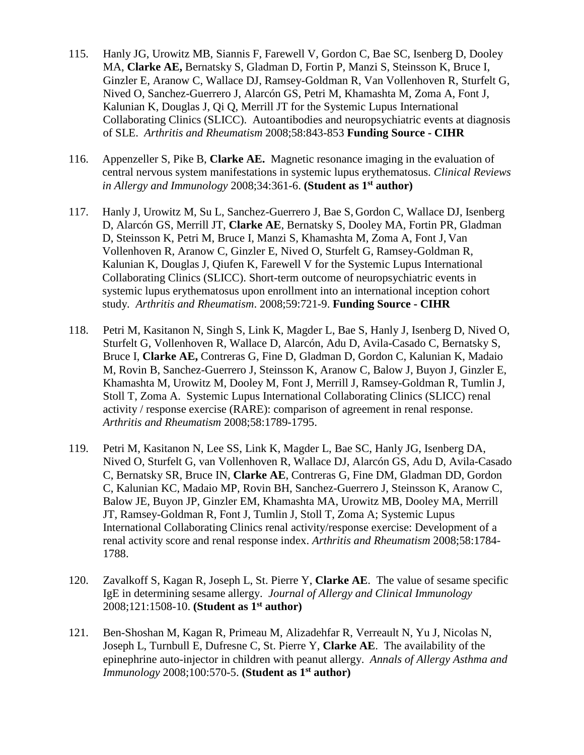- 115. Hanly JG, Urowitz MB, Siannis F, Farewell V, Gordon C, Bae SC, Isenberg D, Dooley MA, **Clarke AE,** Bernatsky S, Gladman D, Fortin P, Manzi S, Steinsson K, Bruce I, Ginzler E, Aranow C, Wallace DJ, Ramsey-Goldman R, Van Vollenhoven R, Sturfelt G, Nived O, Sanchez-Guerrero J, Alarcón GS, Petri M, Khamashta M, Zoma A, Font J, Kalunian K, Douglas J, Qi Q, Merrill JT for the Systemic Lupus International Collaborating Clinics (SLICC). Autoantibodies and neuropsychiatric events at diagnosis of SLE. *Arthritis and Rheumatism* 2008;58:843-853 **Funding Source - CIHR**
- 116. Appenzeller S, Pike B, **Clarke AE.** Magnetic resonance imaging in the evaluation of central nervous system manifestations in systemic lupus erythematosus. *Clinical Reviews in Allergy and Immunology* 2008;34:361-6. **(Student as 1st author)**
- 117. Hanly J, Urowitz M, Su L, Sanchez-Guerrero J, Bae S, Gordon C, Wallace DJ, Isenberg D, Alarcón GS, Merrill JT, **Clarke AE**, Bernatsky S, Dooley MA, Fortin PR, Gladman D, Steinsson K, Petri M, Bruce I, Manzi S, Khamashta M, Zoma A, Font J, Van Vollenhoven R, Aranow C, Ginzler E, Nived O, Sturfelt G, Ramsey-Goldman R, Kalunian K, Douglas J, Qiufen K, Farewell V for the Systemic Lupus International Collaborating Clinics (SLICC). Short-term outcome of neuropsychiatric events in systemic lupus erythematosus upon enrollment into an international inception cohort study*. Arthritis and Rheumatism*. 2008;59:721-9. **Funding Source - CIHR**
- 118. Petri M, Kasitanon N, Singh S, Link K, Magder L, Bae S, Hanly J, Isenberg D, Nived O, Sturfelt G, Vollenhoven R, Wallace D, Alarcón, Adu D, Avila-Casado C, Bernatsky S, Bruce I, **Clarke AE,** Contreras G, Fine D, Gladman D, Gordon C, Kalunian K, Madaio M, Rovin B, Sanchez-Guerrero J, Steinsson K, Aranow C, Balow J, Buyon J, Ginzler E, Khamashta M, Urowitz M, Dooley M, Font J, Merrill J, Ramsey-Goldman R, Tumlin J, Stoll T, Zoma A. Systemic Lupus International Collaborating Clinics (SLICC) renal activity / response exercise (RARE): comparison of agreement in renal response. *Arthritis and Rheumatism* 2008;58:1789-1795.
- 119. Petri M, Kasitanon N, Lee SS, Link K, Magder L, Bae SC, Hanly JG, Isenberg DA, Nived O, Sturfelt G, van Vollenhoven R, Wallace DJ, Alarcón GS, Adu D, Avila-Casado C, Bernatsky SR, Bruce IN, **Clarke AE**, Contreras G, Fine DM, Gladman DD, Gordon C, Kalunian KC, Madaio MP, Rovin BH, Sanchez-Guerrero J, Steinsson K, Aranow C, Balow JE, Buyon JP, Ginzler EM, Khamashta MA, Urowitz MB, Dooley MA, Merrill JT, Ramsey-Goldman R, Font J, Tumlin J, Stoll T, Zoma A; Systemic Lupus International Collaborating Clinics renal activity/response exercise: Development of a renal activity score and renal response index. *Arthritis and Rheumatism* 2008;58:1784- 1788.
- 120. Zavalkoff S, Kagan R, Joseph L, St. Pierre Y, **Clarke AE**. The value of sesame specific IgE in determining sesame allergy. *Journal of Allergy and Clinical Immunology* 2008;121:1508-10. **(Student as 1st author)**
- 121. Ben-Shoshan M, Kagan R, Primeau M, Alizadehfar R, Verreault N, Yu J, Nicolas N, Joseph L, Turnbull E, Dufresne C, St. Pierre Y, **Clarke AE**. The availability of the epinephrine auto-injector in children with peanut allergy. *Annals of Allergy Asthma and Immunology* 2008;100:570-5. **(Student as 1st author)**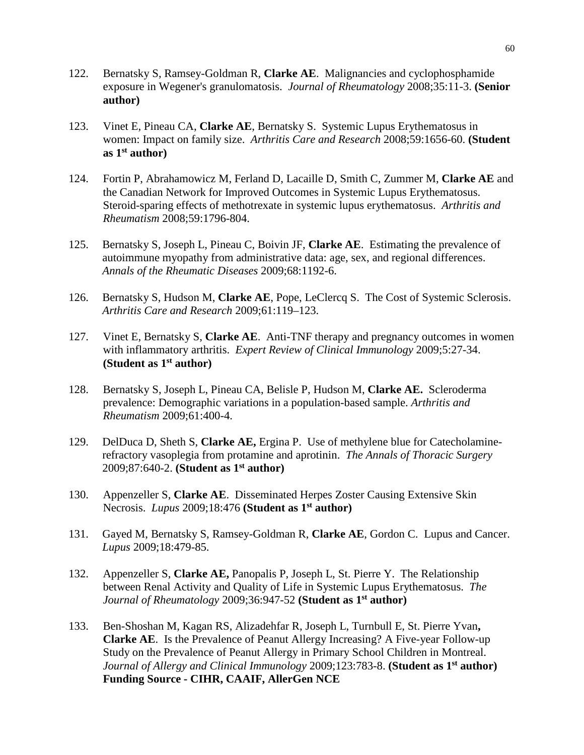- 122. Bernatsky S, Ramsey-Goldman R, **Clarke AE**. Malignancies and cyclophosphamide exposure in Wegener's granulomatosis. *Journal of Rheumatology* 2008;35:11-3. **(Senior author)**
- 123. Vinet E, Pineau CA, **Clarke AE**, Bernatsky S. Systemic Lupus Erythematosus in women: Impact on family size. *Arthritis Care and Research* 2008;59:1656-60. **(Student as 1st author)**
- 124. Fortin P, Abrahamowicz M, Ferland D, Lacaille D, Smith C, Zummer M, **Clarke AE** and the Canadian Network for Improved Outcomes in Systemic Lupus Erythematosus. Steroid-sparing effects of methotrexate in systemic lupus erythematosus. *Arthritis and Rheumatism* 2008;59:1796-804.
- 125. Bernatsky S, Joseph L, Pineau C, Boivin JF, **Clarke AE**. Estimating the prevalence of autoimmune myopathy from administrative data: age, sex, and regional differences. *Annals of the Rheumatic Diseases* 2009;68:1192-6.
- 126. Bernatsky S, Hudson M, **Clarke AE**, Pope, LeClercq S. The Cost of Systemic Sclerosis. *Arthritis Care and Research* 2009;61:119–123.
- 127. Vinet E, Bernatsky S, **Clarke AE**. Anti-TNF therapy and pregnancy outcomes in women with inflammatory arthritis. *Expert Review of Clinical Immunology* 2009;5:27-34. **(Student as 1st author)**
- 128. Bernatsky S, Joseph L, Pineau CA, Belisle P, Hudson M, **Clarke AE.** Scleroderma prevalence: Demographic variations in a population-based sample. *Arthritis and Rheumatism* 2009;61:400-4.
- 129. DelDuca D, Sheth S, **Clarke AE,** Ergina P. Use of methylene blue for Catecholaminerefractory vasoplegia from protamine and aprotinin. *The Annals of Thoracic Surgery*  2009;87:640-2. **(Student as 1st author)**
- 130. Appenzeller S, **Clarke AE**. Disseminated Herpes Zoster Causing Extensive Skin Necrosis. *Lupus* 2009;18:476 **(Student as 1st author)**
- 131. Gayed M, Bernatsky S, Ramsey-Goldman R, **Clarke AE**, Gordon C. Lupus and Cancer. *Lupus* 2009;18:479-85.
- 132. Appenzeller S, **Clarke AE,** Panopalis P, Joseph L, St. Pierre Y. The Relationship between Renal Activity and Quality of Life in Systemic Lupus Erythematosus. *The Journal of Rheumatology* 2009;36:947-52 **(Student as 1st author)**
- 133. Ben-Shoshan M, Kagan RS, Alizadehfar R, Joseph L, Turnbull E, St. Pierre Yvan**, Clarke AE**. Is the Prevalence of Peanut Allergy Increasing? A Five-year Follow-up Study on the Prevalence of Peanut Allergy in Primary School Children in Montreal. *Journal of Allergy and Clinical Immunology* 2009;123:783-8. **(Student as 1st author) Funding Source - CIHR, CAAIF, AllerGen NCE**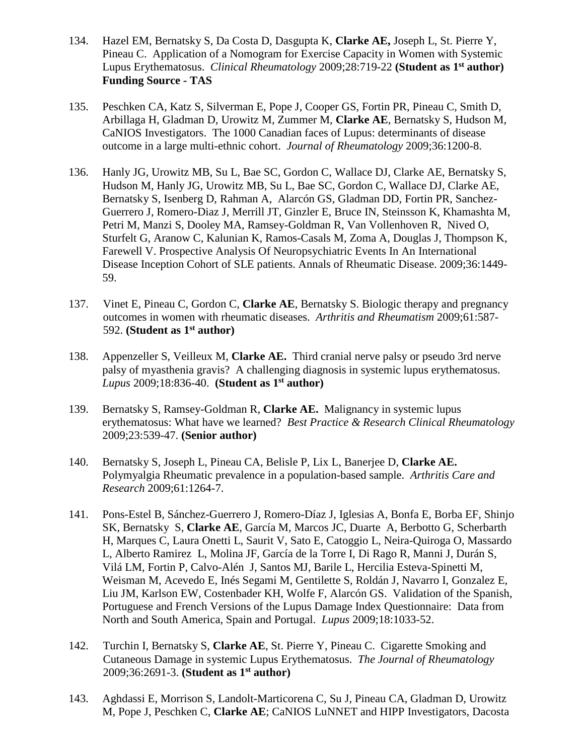- 134. Hazel EM, Bernatsky S, Da Costa D, Dasgupta K, **Clarke AE,** Joseph L, St. Pierre Y, Pineau C. Application of a Nomogram for Exercise Capacity in Women with Systemic Lupus Erythematosus. *Clinical Rheumatology* 2009;28:719-22 **(Student as 1st author) Funding Source - TAS**
- 135. Peschken CA, Katz S, Silverman E, Pope J, Cooper GS, Fortin PR, Pineau C, Smith D, Arbillaga H, Gladman D, Urowitz M, Zummer M, **Clarke AE**, Bernatsky S, Hudson M, CaNIOS Investigators. The 1000 Canadian faces of Lupus: determinants of disease outcome in a large multi-ethnic cohort. *Journal of Rheumatology* 2009;36:1200-8.
- 136. Hanly JG, Urowitz MB, Su L, Bae SC, Gordon C, Wallace DJ, Clarke AE, Bernatsky S, Hudson M, Hanly JG, Urowitz MB, Su L, Bae SC, Gordon C, Wallace DJ, Clarke AE, Bernatsky S, Isenberg D, Rahman A, Alarcón GS, Gladman DD, Fortin PR, Sanchez-Guerrero J, Romero-Diaz J, Merrill JT, Ginzler E, Bruce IN, Steinsson K, Khamashta M, Petri M, Manzi S, Dooley MA, Ramsey-Goldman R, Van Vollenhoven R, Nived O, Sturfelt G, Aranow C, Kalunian K, Ramos-Casals M, Zoma A, Douglas J, Thompson K, Farewell V. Prospective Analysis Of Neuropsychiatric Events In An International Disease Inception Cohort of SLE patients. Annals of Rheumatic Disease. 2009;36:1449- 59.
- 137. Vinet E, Pineau C, Gordon C, **Clarke AE**, Bernatsky S. Biologic therapy and pregnancy outcomes in women with rheumatic diseases. *Arthritis and Rheumatism* 2009;61:587- 592. **(Student as 1st author)**
- 138. Appenzeller S, Veilleux M, **Clarke AE.** Third cranial nerve palsy or pseudo 3rd nerve palsy of myasthenia gravis? A challenging diagnosis in systemic lupus erythematosus. *Lupus* 2009;18:836-40. **(Student as 1st author)**
- 139. Bernatsky S, Ramsey-Goldman R, **Clarke AE.** Malignancy in systemic lupus erythematosus: What have we learned? *Best Practice & Research Clinical Rheumatology*  2009;23:539-47. **(Senior author)**
- 140. Bernatsky S, Joseph L, Pineau CA, Belisle P, Lix L, Banerjee D, **Clarke AE.** Polymyalgia Rheumatic prevalence in a population-based sample. *Arthritis Care and Research* 2009;61:1264-7.
- 141. Pons-Estel B, Sánchez-Guerrero J, Romero-Díaz J, Iglesias A, Bonfa E, Borba EF, Shinjo SK, Bernatsky S, **Clarke AE**, García M, Marcos JC, Duarte A, Berbotto G, Scherbarth H, Marques C, Laura Onetti L, Saurit V, Sato E, Catoggio L, Neira-Quiroga O, Massardo L, Alberto Ramirez L, Molina JF, García de la Torre I, Di Rago R, Manni J, Durán S, Vilá LM, Fortin P, Calvo-Alén J, Santos MJ, Barile L, Hercilia Esteva-Spinetti M, Weisman M, Acevedo E, Inés Segami M, Gentilette S, Roldán J, Navarro I, Gonzalez E, Liu JM, Karlson EW, Costenbader KH, Wolfe F, Alarcón GS. Validation of the Spanish, Portuguese and French Versions of the Lupus Damage Index Questionnaire: Data from North and South America, Spain and Portugal. *Lupus* 2009;18:1033-52.
- 142. Turchin I, Bernatsky S, **Clarke AE**, St. Pierre Y, Pineau C. Cigarette Smoking and Cutaneous Damage in systemic Lupus Erythematosus. *The Journal of Rheumatology* 2009;36:2691-3. **(Student as 1st author)**
- 143. Aghdassi E, Morrison S, Landolt-Marticorena C, Su J, Pineau CA, Gladman D, Urowitz M, Pope J, Peschken C, **Clarke AE**; CaNIOS LuNNET and HIPP Investigators, Dacosta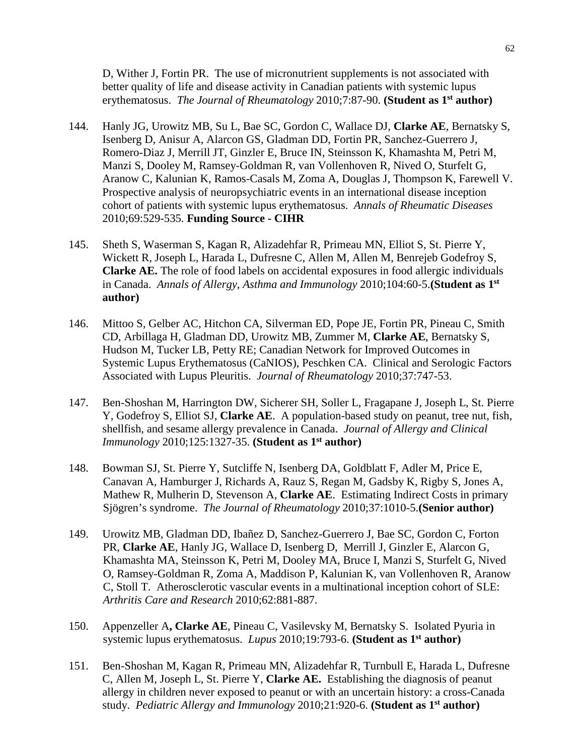D, Wither J, Fortin PR. The use of micronutrient supplements is not associated with better quality of life and disease activity in Canadian patients with systemic lupus erythematosus. *The Journal of Rheumatology* 2010;7:87-90. **(Student as 1st author)**

- 144. Hanly JG, Urowitz MB, Su L, Bae SC, Gordon C, Wallace DJ, **Clarke AE**, Bernatsky S, Isenberg D, Anisur A, Alarcon GS, Gladman DD, Fortin PR, Sanchez-Guerrero J, Romero-Diaz J, Merrill JT, Ginzler E, Bruce IN, Steinsson K, Khamashta M, Petri M, Manzi S, Dooley M, Ramsey-Goldman R, van Vollenhoven R, Nived O, Sturfelt G, Aranow C, Kalunian K, Ramos-Casals M, Zoma A, Douglas J, Thompson K, Farewell V. Prospective analysis of neuropsychiatric events in an international disease inception cohort of patients with systemic lupus erythematosus. *Annals of Rheumatic Diseases*  2010;69:529-535. **Funding Source - CIHR**
- 145. Sheth S, Waserman S, Kagan R, Alizadehfar R, Primeau MN, Elliot S, St. Pierre Y, Wickett R, Joseph L, Harada L, Dufresne C, Allen M, Allen M, Benrejeb Godefroy S, **Clarke AE.** The role of food labels on accidental exposures in food allergic individuals in Canada. *Annals of Allergy*, *Asthma and Immunology* 2010;104:60-5.**(Student as 1st author)**
- 146. Mittoo S, Gelber AC, Hitchon CA, Silverman ED, Pope JE, Fortin PR, Pineau C, Smith CD, Arbillaga H, Gladman DD, Urowitz MB, Zummer M, **Clarke AE**, Bernatsky S, Hudson M, Tucker LB, Petty RE; Canadian Network for Improved Outcomes in Systemic Lupus Erythematosus (CaNIOS), Peschken CA. Clinical and Serologic Factors Associated with Lupus Pleuritis. *Journal of Rheumatology* 2010;37:747-53.
- 147. Ben-Shoshan M, Harrington DW, Sicherer SH, Soller L, Fragapane J, Joseph L, St. Pierre Y, Godefroy S, Elliot SJ, **Clarke AE**. A population-based study on peanut, tree nut, fish, shellfish, and sesame allergy prevalence in Canada. *Journal of Allergy and Clinical Immunology* 2010;125:1327-35. **(Student as 1st author)**
- 148. Bowman SJ, St. Pierre Y, Sutcliffe N, Isenberg DA, Goldblatt F, Adler M, Price E, Canavan A, Hamburger J, Richards A, Rauz S, Regan M, Gadsby K, Rigby S, Jones A, Mathew R, Mulherin D, Stevenson A, **Clarke AE**. Estimating Indirect Costs in primary Sjögren's syndrome. *The Journal of Rheumatology* 2010;37:1010-5.**(Senior author)**
- 149. Urowitz MB, Gladman DD, Ibañez D, Sanchez-Guerrero J, Bae SC, Gordon C, Forton PR, **Clarke AE**, Hanly JG, Wallace D, Isenberg D, Merrill J, Ginzler E, Alarcon G, Khamashta MA, Steinsson K, Petri M, Dooley MA, Bruce I, Manzi S, Sturfelt G, Nived O, Ramsey-Goldman R, Zoma A, Maddison P, Kalunian K, van Vollenhoven R, Aranow C, Stoll T.Atherosclerotic vascular events in a multinational inception cohort of SLE: *Arthritis Care and Research* 2010;62:881-887.
- 150. Appenzeller A**, Clarke AE**, Pineau C, Vasilevsky M, Bernatsky S. Isolated Pyuria in systemic lupus erythematosus. *Lupus* 2010;19:793-6. **(Student as 1st author)**
- 151. Ben-Shoshan M, Kagan R, Primeau MN, Alizadehfar R, Turnbull E, Harada L, Dufresne C, Allen M, Joseph L, St. Pierre Y, **Clarke AE.** Establishing the diagnosis of peanut allergy in children never exposed to peanut or with an uncertain history: a cross-Canada study. *Pediatric Allergy and Immunology* 2010;21:920-6. **(Student as 1st author)**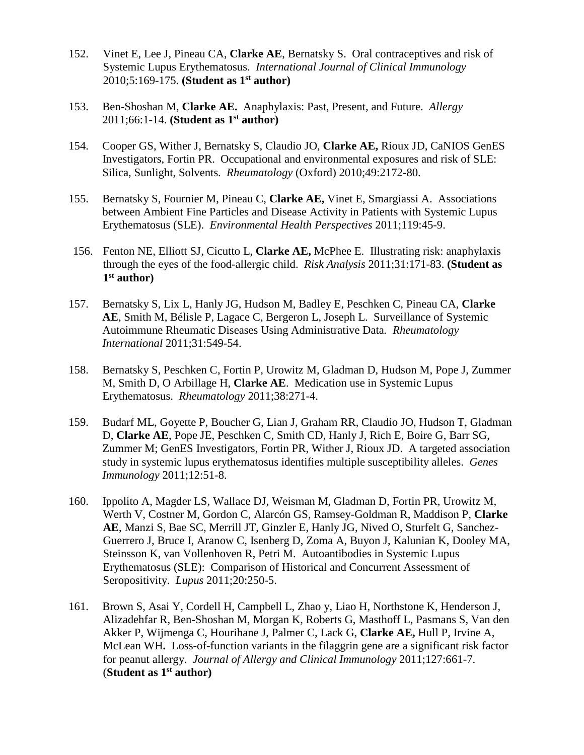- 152. Vinet E, Lee J, Pineau CA, **Clarke AE**, Bernatsky S. Oral contraceptives and risk of Systemic Lupus Erythematosus. *International Journal of Clinical Immunology* 2010;5:169-175. **(Student as 1st author)**
- 153. Ben-Shoshan M, **Clarke AE.** Anaphylaxis: Past, Present, and Future. *Allergy* 2011;66:1-14. **(Student as 1st author)**
- 154. Cooper GS, Wither J, Bernatsky S, Claudio JO, **Clarke AE,** Rioux JD, CaNIOS GenES Investigators, Fortin PR. Occupational and environmental exposures and risk of SLE: Silica, Sunlight, Solvents. *Rheumatology* (Oxford) 2010;49:2172-80.
- 155. Bernatsky S, Fournier M, Pineau C, **Clarke AE,** Vinet E, Smargiassi A. Associations between Ambient Fine Particles and Disease Activity in Patients with Systemic Lupus Erythematosus (SLE). *Environmental Health Perspectives* 2011;119:45-9.
- 156. Fenton NE, Elliott SJ, Cicutto L, **Clarke AE,** McPhee E. Illustrating risk: anaphylaxis through the eyes of the food-allergic child. *Risk Analysis* 2011;31:171-83. **(Student as 1st author)**
- 157. Bernatsky S, Lix L, Hanly JG, Hudson M, Badley E, Peschken C, Pineau CA, **Clarke AE**, Smith M, Bélisle P, Lagace C, Bergeron L, Joseph L. Surveillance of Systemic Autoimmune Rheumatic Diseases Using Administrative Data*. Rheumatology International* 2011;31:549-54.
- 158. Bernatsky S, Peschken C, Fortin P, Urowitz M, Gladman D, Hudson M, Pope J, Zummer M, Smith D, O Arbillage H, **Clarke AE**. Medication use in Systemic Lupus Erythematosus. *Rheumatology* 2011;38:271-4.
- 159. Budarf ML, Goyette P, Boucher G, Lian J, Graham RR, Claudio JO, Hudson T, Gladman D, **Clarke AE**, Pope JE, Peschken C, Smith CD, Hanly J, Rich E, Boire G, Barr SG, Zummer M; GenES Investigators, Fortin PR, Wither J, Rioux JD. A targeted association study in systemic lupus erythematosus identifies multiple susceptibility alleles. *Genes Immunology* 2011;12:51-8.
- 160. Ippolito A, Magder LS, Wallace DJ, Weisman M, Gladman D, Fortin PR, Urowitz M, Werth V, Costner M, Gordon C, Alarcón GS, Ramsey-Goldman R, Maddison P, **Clarke AE**, Manzi S, Bae SC, Merrill JT, Ginzler E, Hanly JG, Nived O, Sturfelt G, Sanchez-Guerrero J, Bruce I, Aranow C, Isenberg D, Zoma A, Buyon J, Kalunian K, Dooley MA, Steinsson K, van Vollenhoven R, Petri M. Autoantibodies in Systemic Lupus Erythematosus (SLE): Comparison of Historical and Concurrent Assessment of Seropositivity. *Lupus* 2011;20:250-5.
- 161. Brown S, Asai Y, Cordell H, Campbell L, Zhao y, Liao H, Northstone K, Henderson J, Alizadehfar R, Ben-Shoshan M, Morgan K, Roberts G, Masthoff L, Pasmans S, Van den Akker P, Wijmenga C, Hourihane J, Palmer C, Lack G, **Clarke AE,** Hull P, Irvine A, McLean WH**.** Loss-of-function variants in the filaggrin gene are a significant risk factor for peanut allergy. *Journal of Allergy and Clinical Immunology* 2011;127:661-7. (**Student as 1st author)**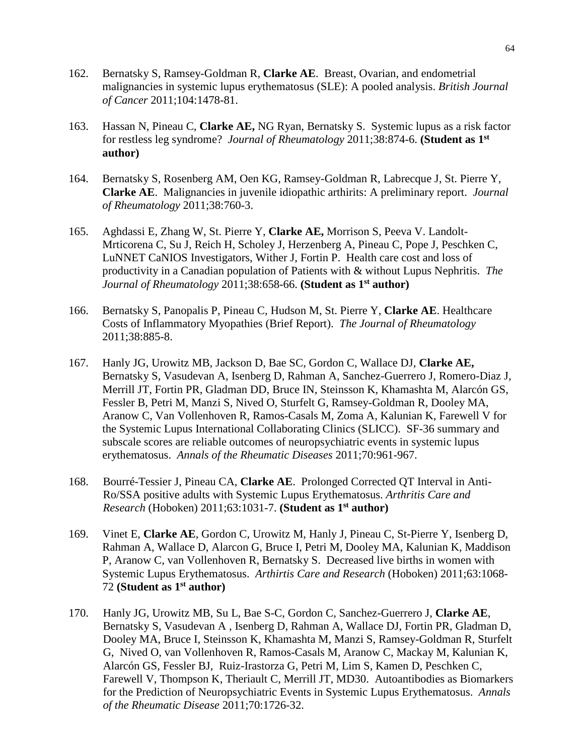- 162. Bernatsky S, Ramsey-Goldman R, **Clarke AE**. Breast, Ovarian, and endometrial malignancies in systemic lupus erythematosus (SLE): A pooled analysis. *British Journal of Cancer* 2011;104:1478-81.
- 163. Hassan N, Pineau C, **Clarke AE,** NG Ryan, Bernatsky S.Systemic lupus as a risk factor for restless leg syndrome? *Journal of Rheumatology* 2011;38:874-6. **(Student as 1st author)**
- 164. Bernatsky S, Rosenberg AM, Oen KG, Ramsey-Goldman R, Labrecque J, St. Pierre Y, **Clarke AE**. Malignancies in juvenile idiopathic arthirits: A preliminary report. *Journal of Rheumatology* 2011;38:760-3.
- 165. Aghdassi E, Zhang W, St. Pierre Y, **Clarke AE,** Morrison S, Peeva V. Landolt-Mrticorena C, Su J, Reich H, Scholey J, Herzenberg A, Pineau C, Pope J, Peschken C, LuNNET CaNIOS Investigators, Wither J, Fortin P. Health care cost and loss of productivity in a Canadian population of Patients with & without Lupus Nephritis. *The Journal of Rheumatology* 2011;38:658-66. **(Student as 1st author)**
- 166. Bernatsky S, Panopalis P, Pineau C, Hudson M, St. Pierre Y, **Clarke AE**. Healthcare Costs of Inflammatory Myopathies (Brief Report). *The Journal of Rheumatology*  2011;38:885-8.
- 167. Hanly JG, Urowitz MB, Jackson D, Bae SC, Gordon C, Wallace DJ, **Clarke AE,** Bernatsky S, Vasudevan A, Isenberg D, Rahman A, Sanchez-Guerrero J, Romero-Diaz J, Merrill JT, Fortin PR, Gladman DD, Bruce IN, Steinsson K, Khamashta M, Alarcón GS, Fessler B, Petri M, Manzi S, Nived O, Sturfelt G, Ramsey-Goldman R, Dooley MA, Aranow C, Van Vollenhoven R, Ramos-Casals M, Zoma A, Kalunian K, Farewell V for the Systemic Lupus International Collaborating Clinics (SLICC). SF-36 summary and subscale scores are reliable outcomes of neuropsychiatric events in systemic lupus erythematosus. *Annals of the Rheumatic Diseases* 2011;70:961-967.
- 168. Bourré-Tessier J, Pineau CA, **Clarke AE**. Prolonged Corrected QT Interval in Anti-Ro/SSA positive adults with Systemic Lupus Erythematosus. *Arthritis Care and Research* (Hoboken) 2011;63:1031-7. **(Student as 1st author)**
- 169. Vinet E, **Clarke AE**, Gordon C, Urowitz M, Hanly J, Pineau C, St-Pierre Y, Isenberg D, Rahman A, Wallace D, Alarcon G, Bruce I, Petri M, Dooley MA, Kalunian K, Maddison P, Aranow C, van Vollenhoven R, Bernatsky S. Decreased live births in women with Systemic Lupus Erythematosus. *Arthirtis Care and Research* (Hoboken) 2011;63:1068- 72 **(Student as 1st author)**
- 170. Hanly JG, Urowitz MB, Su L, Bae S-C, Gordon C, Sanchez-Guerrero J, **Clarke AE**, Bernatsky S, Vasudevan A , Isenberg D, Rahman A, Wallace DJ, Fortin PR, Gladman D, Dooley MA, Bruce I, Steinsson K, Khamashta M, Manzi S, Ramsey-Goldman R, Sturfelt G, Nived O, van Vollenhoven R, Ramos-Casals M, Aranow C, Mackay M, Kalunian K, Alarcón GS, Fessler BJ, Ruiz-Irastorza G, Petri M, Lim S, Kamen D, Peschken C, Farewell V, Thompson K, Theriault C, Merrill JT, MD30. Autoantibodies as Biomarkers for the Prediction of Neuropsychiatric Events in Systemic Lupus Erythematosus. *Annals of the Rheumatic Disease* 2011;70:1726-32.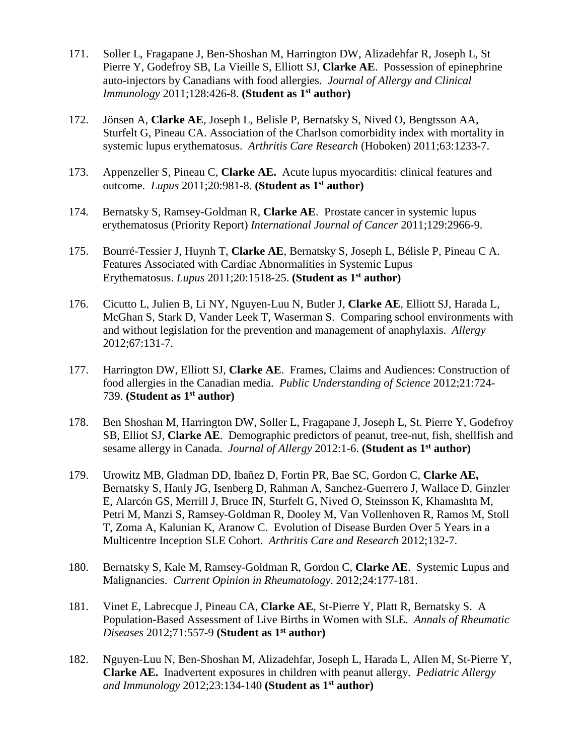- 171. Soller L, Fragapane J, Ben-Shoshan M, Harrington DW, Alizadehfar R, Joseph L, St Pierre Y, Godefroy SB, La Vieille S, Elliott SJ, **Clarke AE**. Possession of epinephrine auto-injectors by Canadians with food allergies. *Journal of Allergy and Clinical Immunology* 2011;128:426-8. **(Student as 1st author)**
- 172. Jönsen A, **Clarke AE**, Joseph L, Belisle P, Bernatsky S, Nived O, Bengtsson AA, Sturfelt G, Pineau CA. Association of the Charlson comorbidity index with mortality in systemic lupus erythematosus. *Arthritis Care Research* (Hoboken) 2011;63:1233-7.
- 173. Appenzeller S, Pineau C, **Clarke AE.** Acute lupus myocarditis: clinical features and outcome. *Lupus* 2011;20:981-8. **(Student as 1st author)**
- 174. Bernatsky S, Ramsey-Goldman R, **Clarke AE**. Prostate cancer in systemic lupus erythematosus (Priority Report) *International Journal of Cancer* 2011;129:2966-9.
- 175. Bourré-Tessier J, Huynh T, **Clarke AE**, Bernatsky S, Joseph L, Bélisle P, Pineau C A. Features Associated with Cardiac Abnormalities in Systemic Lupus Erythematosus. *Lupus* 2011;20:1518-25. **(Student as 1st author)**
- 176. Cicutto L, Julien B, Li NY, Nguyen-Luu N, Butler J, **Clarke AE**, Elliott SJ, Harada L, McGhan S, Stark D, Vander Leek T, Waserman S. Comparing school environments with and without legislation for the prevention and management of anaphylaxis. *Allergy* 2012;67:131-7.
- 177. Harrington DW, Elliott SJ, **Clarke AE**. Frames, Claims and Audiences: Construction of food allergies in the Canadian media. *Public Understanding of Science* 2012;21:724- 739. **(Student as 1st author)**
- 178. Ben Shoshan M, Harrington DW, Soller L, Fragapane J, Joseph L, St. Pierre Y, Godefroy SB, Elliot SJ, **Clarke AE**. Demographic predictors of peanut, tree-nut, fish, shellfish and sesame allergy in Canada. *Journal of Allergy* 2012:1-6. **(Student as 1st author)**
- 179. Urowitz MB, Gladman DD, Ibañez D, Fortin PR, Bae SC, Gordon C, **Clarke AE,** Bernatsky S, Hanly JG, Isenberg D, Rahman A, Sanchez-Guerrero J, Wallace D, Ginzler E, Alarcón GS, Merrill J, Bruce IN, Sturfelt G, Nived O, Steinsson K, Khamashta M, Petri M, Manzi S, Ramsey-Goldman R, Dooley M, Van Vollenhoven R, Ramos M, Stoll T, Zoma A, Kalunian K, Aranow C. Evolution of Disease Burden Over 5 Years in a Multicentre Inception SLE Cohort. *Arthritis Care and Research* 2012;132-7.
- 180. Bernatsky S, Kale M, Ramsey-Goldman R, Gordon C, **Clarke AE**. Systemic Lupus and Malignancies. *Current Opinion in Rheumatology*. 2012;24:177-181.
- 181. Vinet E, Labrecque J, Pineau CA, **Clarke AE**, St-Pierre Y, Platt R, Bernatsky S. A Population-Based Assessment of Live Births in Women with SLE. *Annals of Rheumatic Diseases* 2012;71:557-9 **(Student as 1st author)**
- 182. Nguyen-Luu N, Ben-Shoshan M, Alizadehfar, Joseph L, Harada L, Allen M, St-Pierre Y, **Clarke AE.** Inadvertent exposures in children with peanut allergy. *Pediatric Allergy and Immunology* 2012;23:134-140 **(Student as 1st author)**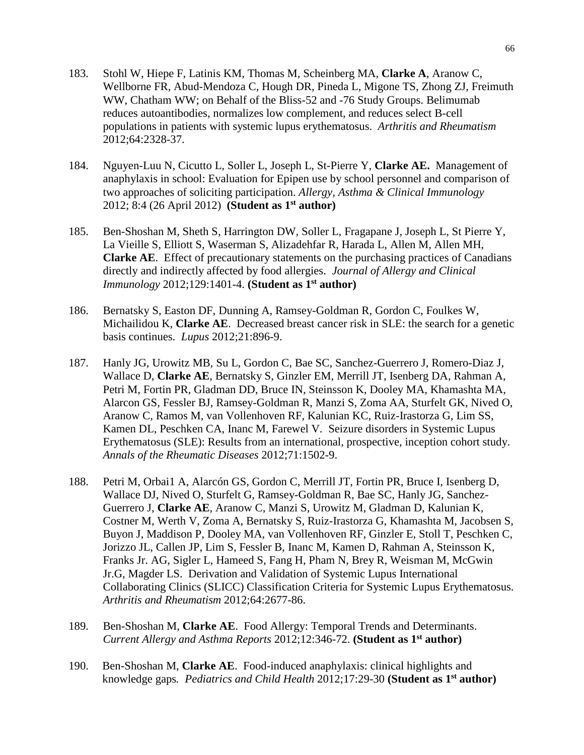- 183. Stohl W, Hiepe F, Latinis KM, Thomas M, Scheinberg MA, **Clarke A**, Aranow C, Wellborne FR, Abud-Mendoza C, Hough DR, Pineda L, Migone TS, Zhong ZJ, Freimuth WW, Chatham WW; on Behalf of the Bliss-52 and -76 Study Groups. Belimumab reduces autoantibodies, normalizes low complement, and reduces select B-cell populations in patients with systemic lupus erythematosus. *Arthritis and Rheumatism* 2012;64:2328-37.
- 184. Nguyen-Luu N, Cicutto L, Soller L, Joseph L, St-Pierre Y, **Clarke AE.** Management of anaphylaxis in school: Evaluation for Epipen use by school personnel and comparison of two approaches of soliciting participation. *Allergy, Asthma & Clinical Immunology*  2012; 8:4 (26 April 2012) **(Student as 1st author)**
- 185. Ben-Shoshan M, Sheth S, Harrington DW, Soller L, Fragapane J, Joseph L, St Pierre Y, La Vieille S, Elliott S, Waserman S, Alizadehfar R, Harada L, Allen M, Allen MH, **Clarke AE**. Effect of precautionary statements on the purchasing practices of Canadians directly and indirectly affected by food allergies. *Journal of Allergy and Clinical Immunology* 2012;129:1401-4. **(Student as 1st author)**
- 186. Bernatsky S, Easton DF, Dunning A, Ramsey-Goldman R, Gordon C, Foulkes W, Michailidou K, **Clarke AE**. Decreased breast cancer risk in SLE: the search for a genetic basis continues. *Lupus* 2012;21:896-9.
- 187. Hanly JG, Urowitz MB, Su L, Gordon C, Bae SC, Sanchez-Guerrero J, Romero-Diaz J, Wallace D, **Clarke AE**, Bernatsky S, Ginzler EM, Merrill JT, Isenberg DA, Rahman A, Petri M, Fortin PR, Gladman DD, Bruce IN, Steinsson K, Dooley MA, Khamashta MA, Alarcon GS, Fessler BJ, Ramsey-Goldman R, Manzi S, Zoma AA, Sturfelt GK, Nived O, Aranow C, Ramos M, van Vollenhoven RF, Kalunian KC, Ruiz-Irastorza G, Lim SS, Kamen DL, Peschken CA, Inanc M, Farewel V. Seizure disorders in Systemic Lupus Erythematosus (SLE): Results from an international, prospective, inception cohort study. *Annals of the Rheumatic Diseases* 2012;71:1502-9.
- 188. Petri M, Orbai1 A, Alarcón GS, Gordon C, Merrill JT, Fortin PR, Bruce I, Isenberg D, Wallace DJ, Nived O, Sturfelt G, Ramsey-Goldman R, Bae SC, Hanly JG, Sanchez-Guerrero J, **Clarke AE**, Aranow C, Manzi S, Urowitz M, Gladman D, Kalunian K, Costner M, Werth V, Zoma A, Bernatsky S, Ruiz-Irastorza G, Khamashta M, Jacobsen S, Buyon J, Maddison P, Dooley MA, van Vollenhoven RF, Ginzler E, Stoll T, Peschken C, Jorizzo JL, Callen JP, Lim S, Fessler B, Inanc M, Kamen D, Rahman A, Steinsson K, Franks Jr. AG, Sigler L, Hameed S, Fang H, Pham N, Brey R, Weisman M, McGwin Jr.G, Magder LS. Derivation and Validation of Systemic Lupus International Collaborating Clinics (SLICC) Classification Criteria for Systemic Lupus Erythematosus. *Arthritis and Rheumatism* 2012;64:2677-86.
- 189. Ben-Shoshan M, **Clarke AE**. Food Allergy: Temporal Trends and Determinants. *Current Allergy and Asthma Reports* 2012;12:346-72. **(Student as 1st author)**
- 190. Ben-Shoshan M, **Clarke AE**. Food-induced anaphylaxis: clinical highlights and knowledge gaps*. Pediatrics and Child Health* 2012;17:29-30 **(Student as 1st author)**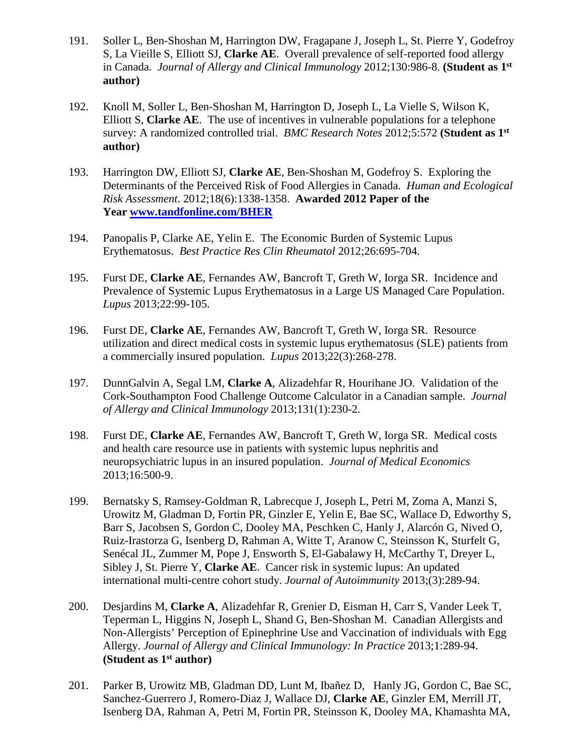- 191. Soller L, Ben-Shoshan M, Harrington DW, Fragapane J, Joseph L, St. Pierre Y, Godefroy S, La Vieille S, Elliott SJ, **Clarke AE**. Overall prevalence of self-reported food allergy in Canada. *Journal of Allergy and Clinical Immunology* 2012;130:986-8. **(Student as 1st author)**
- 192. Knoll M, Soller L, Ben-Shoshan M, Harrington D, Joseph L, La Vielle S, Wilson K, Elliott S, **Clarke AE**. The use of incentives in vulnerable populations for a telephone survey: A randomized controlled trial. *BMC Research Notes* 2012;5:572 **(Student as 1st author)**
- 193. Harrington DW, Elliott SJ, **Clarke AE**, Ben-Shoshan M, Godefroy S. Exploring the Determinants of the Perceived Risk of Food Allergies in Canada. *Human and Ecological Risk Assessment*. 2012;18(6):1338-1358. **Awarded 2012 Paper of the Year [www.tandfonline.com/BHER](http://www.tandfonline.com/BHER)**
- 194. Panopalis P, Clarke AE, Yelin E. The Economic Burden of Systemic Lupus Erythematosus. *Best Practice Res Clin Rheumatol* 2012;26:695-704.
- 195. Furst DE, **Clarke AE**, Fernandes AW, Bancroft T, Greth W, Iorga SR. Incidence and Prevalence of Systemic Lupus Erythematosus in a Large US Managed Care Population. *Lupus* 2013;22:99-105.
- 196. Furst DE, **Clarke AE**, Fernandes AW, Bancroft T, Greth W, Iorga SR. Resource utilization and direct medical costs in systemic lupus erythematosus (SLE) patients from a commercially insured population. *Lupus* 2013;22(3):268-278.
- 197. DunnGalvin A, Segal LM, **Clarke A**, Alizadehfar R, Hourihane JO. Validation of the Cork-Southampton Food Challenge Outcome Calculator in a Canadian sample. *Journal of Allergy and Clinical Immunology* 2013;131(1):230-2.
- 198. Furst DE, **Clarke AE**, Fernandes AW, Bancroft T, Greth W, Iorga SR. Medical costs and health care resource use in patients with systemic lupus nephritis and neuropsychiatric lupus in an insured population. *Journal of Medical Economics* 2013;16:500-9.
- 199. Bernatsky S, Ramsey-Goldman R, Labrecque J, Joseph L, Petri M, Zoma A, Manzi S, Urowitz M, Gladman D, Fortin PR, Ginzler E, Yelin E, Bae SC, Wallace D, Edworthy S, Barr S, Jacobsen S, Gordon C, Dooley MA, Peschken C, Hanly J, Alarcón G, Nived O, Ruiz-Irastorza G, Isenberg D, Rahman A, Witte T, Aranow C, Steinsson K, Sturfelt G, Senécal JL, Zummer M, Pope J, Ensworth S, El-Gabalawy H, McCarthy T, Dreyer L, Sibley J, St. Pierre Y, **Clarke AE**. Cancer risk in systemic lupus: An updated international multi-centre cohort study. *Journal of Autoimmunity* 2013;(3):289-94.
- 200. Desjardins M, **Clarke A**, Alizadehfar R, Grenier D, Eisman H, Carr S, Vander Leek T, Teperman L, Higgins N, Joseph L, Shand G, Ben-Shoshan M. Canadian Allergists and Non-Allergists' Perception of Epinephrine Use and Vaccination of individuals with Egg Allergy. *Journal of Allergy and Clinical Immunology: In Practice* 2013;1:289-94. **(Student as 1st author)**
- 201. Parker B, Urowitz MB, Gladman DD, Lunt M, Ibañez D, Hanly JG, Gordon C, Bae SC, Sanchez-Guerrero J, Romero-Diaz J, Wallace DJ, **Clarke AE**, Ginzler EM, Merrill JT, Isenberg DA, Rahman A, Petri M, Fortin PR, Steinsson K, Dooley MA, Khamashta MA,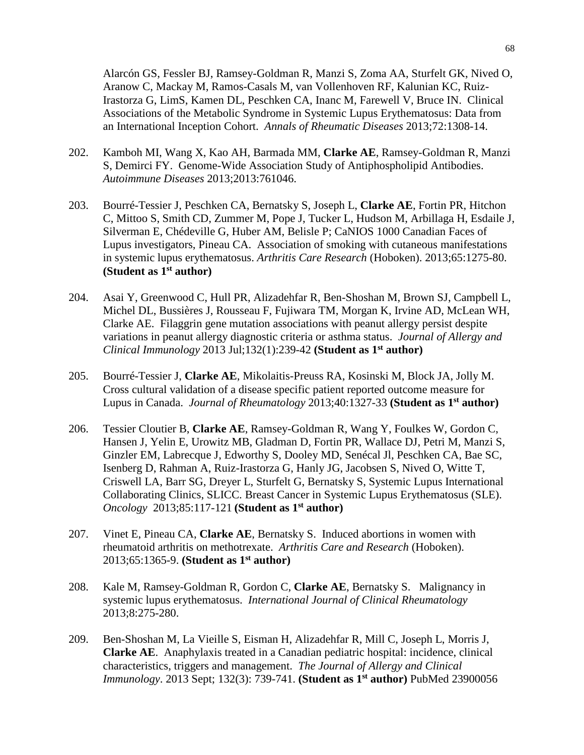Alarcón GS, Fessler BJ, Ramsey-Goldman R, Manzi S, Zoma AA, Sturfelt GK, Nived O, Aranow C, Mackay M, Ramos-Casals M, van Vollenhoven RF, Kalunian KC, Ruiz-Irastorza G, LimS, Kamen DL, Peschken CA, Inanc M, Farewell V, Bruce IN. Clinical Associations of the Metabolic Syndrome in Systemic Lupus Erythematosus: Data from an International Inception Cohort. *Annals of Rheumatic Diseases* 2013;72:1308-14.

- 202. Kamboh MI, Wang X, Kao AH, Barmada MM, **Clarke AE**, Ramsey-Goldman R, Manzi S, Demirci FY. Genome-Wide Association Study of Antiphospholipid Antibodies. *Autoimmune Diseases* 2013;2013:761046.
- 203. Bourré-Tessier J, Peschken CA, Bernatsky S, Joseph L, **Clarke AE**, Fortin PR, Hitchon C, Mittoo S, Smith CD, Zummer M, Pope J, Tucker L, Hudson M, Arbillaga H, Esdaile J, Silverman E, Chédeville G, Huber AM, Belisle P; CaNIOS 1000 Canadian Faces of Lupus investigators, Pineau CA. Association of smoking with cutaneous manifestations in systemic lupus erythematosus. *Arthritis Care Research* (Hoboken). 2013;65:1275-80. **(Student as 1st author)**
- 204. Asai Y, Greenwood C, Hull PR, Alizadehfar R, Ben-Shoshan M, Brown SJ, Campbell L, Michel DL, Bussières J, Rousseau F, Fujiwara TM, Morgan K, Irvine AD, McLean WH, Clarke AE. Filaggrin gene mutation associations with peanut allergy persist despite variations in peanut allergy diagnostic criteria or asthma status. *Journal of Allergy and Clinical Immunology* 2013 Jul;132(1):239-42 **(Student as 1st author)**
- 205. Bourré-Tessier J, **Clarke AE**, Mikolaitis-Preuss RA, Kosinski M, Block JA, Jolly M. Cross cultural validation of a disease specific patient reported outcome measure for Lupus in Canada. *Journal of Rheumatology* 2013;40:1327-33 **(Student as 1st author)**
- 206. Tessier Cloutier B, **Clarke AE**, Ramsey-Goldman R, Wang Y, Foulkes W, Gordon C, Hansen J, Yelin E, Urowitz MB, Gladman D, Fortin PR, Wallace DJ, Petri M, Manzi S, Ginzler EM, Labrecque J, Edworthy S, Dooley MD, Senécal Jl, Peschken CA, Bae SC, Isenberg D, Rahman A, Ruiz-Irastorza G, Hanly JG, Jacobsen S, Nived O, Witte T, Criswell LA, Barr SG, Dreyer L, Sturfelt G, Bernatsky S, Systemic Lupus International Collaborating Clinics, SLICC. Breast Cancer in Systemic Lupus Erythematosus (SLE). *Oncology* 2013;85:117-121 **(Student as 1st author)**
- 207. Vinet E, Pineau CA, **Clarke AE**, Bernatsky S. Induced abortions in women with rheumatoid arthritis on methotrexate. *Arthritis Care and Research* (Hoboken). 2013;65:1365-9. **(Student as 1st author)**
- 208. Kale M, Ramsey-Goldman R, Gordon C, **Clarke AE**, Bernatsky S. Malignancy in systemic lupus erythematosus. *International Journal of Clinical Rheumatology* 2013;8:275-280.
- 209. Ben-Shoshan M, La Vieille S, Eisman H, Alizadehfar R, Mill C, Joseph L, Morris J, **Clarke AE**. Anaphylaxis treated in a Canadian pediatric hospital: incidence, clinical characteristics, triggers and management. *The Journal of Allergy and Clinical Immunology*. 2013 Sept; 132(3): 739-741. **(Student as 1st author)** PubMed 23900056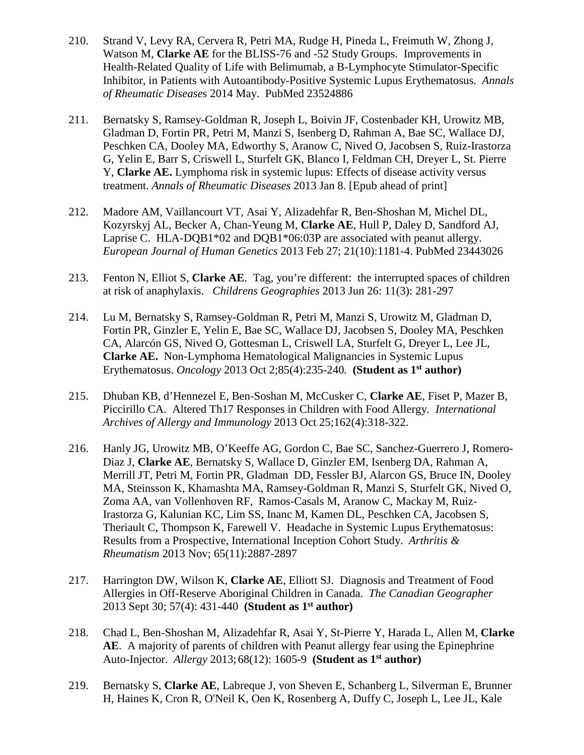- 210. Strand V, Levy RA, Cervera R, Petri MA, Rudge H, Pineda L, Freimuth W, Zhong J, Watson M, **Clarke AE** for the BLISS-76 and -52 Study Groups. Improvements in Health-Related Quality of Life with Belimumab, a B-Lymphocyte Stimulator-Specific Inhibitor, in Patients with Autoantibody-Positive Systemic Lupus Erythematosus. *Annals of Rheumatic Disease*s 2014 May. PubMed 23524886
- 211. Bernatsky S, Ramsey-Goldman R, Joseph L, Boivin JF, Costenbader KH, Urowitz MB, Gladman D, Fortin PR, Petri M, Manzi S, Isenberg D, Rahman A, Bae SC, Wallace DJ, Peschken CA, Dooley MA, Edworthy S, Aranow C, Nived O, Jacobsen S, Ruiz-Irastorza G, Yelin E, Barr S, Criswell L, Sturfelt GK, Blanco I, Feldman CH, Dreyer L, St. Pierre Y, **Clarke AE.** Lymphoma risk in systemic lupus: Effects of disease activity versus treatment. *Annals of Rheumatic Diseases* 2013 Jan 8. [Epub ahead of print]
- 212. Madore AM, Vaillancourt VT, Asai Y, Alizadehfar R, Ben-Shoshan M, Michel DL, Kozyrskyj AL, Becker A, Chan-Yeung M, **Clarke AE**, Hull P, Daley D, Sandford AJ, Laprise C. HLA-DQB1\*02 and DQB1\*06:03P are associated with peanut allergy. *European Journal of Human Genetics* 2013 Feb 27; 21(10):1181-4. PubMed 23443026
- 213. Fenton N, Elliot S, **Clarke AE**. Tag, you're different: the interrupted spaces of children at risk of anaphylaxis. *Childrens Geographies* 2013 Jun 26: 11(3): 281-297
- 214. Lu M, Bernatsky S, Ramsey-Goldman R, Petri M, Manzi S, Urowitz M, Gladman D, Fortin PR, Ginzler E, Yelin E, Bae SC, Wallace DJ, Jacobsen S, Dooley MA, Peschken CA, Alarcón GS, Nived O, Gottesman L, Criswell LA, Sturfelt G, Dreyer L, Lee JL, **Clarke AE.** Non-Lymphoma Hematological Malignancies in Systemic Lupus Erythematosus. *Oncology* 2013 Oct 2;85(4):235-240*.* **(Student as 1st author)**
- 215. Dhuban KB, d'Hennezel E, Ben-Soshan M, McCusker C, **Clarke AE**, Fiset P, Mazer B, Piccirillo CA. Altered Th17 Responses in Children with Food Allergy. *International Archives of Allergy and Immunology* 2013 Oct 25;162(4):318-322.
- 216. Hanly JG, Urowitz MB, O'Keeffe AG, Gordon C, Bae SC, Sanchez-Guerrero J, Romero-Diaz J, **Clarke AE**, Bernatsky S, Wallace D, Ginzler EM, Isenberg DA, Rahman A, Merrill JT, Petri M, Fortin PR, Gladman DD, Fessler BJ, Alarcon GS, Bruce IN, Dooley MA, Steinsson K, Khamashta MA, Ramsey-Goldman R, Manzi S, Sturfelt GK, Nived O, Zoma AA, van Vollenhoven RF, Ramos-Casals M, Aranow C, Mackay M, Ruiz-Irastorza G, Kalunian KC, Lim SS, Inanc M, Kamen DL, Peschken CA, Jacobsen S, Theriault C, Thompson K, Farewell V. Headache in Systemic Lupus Erythematosus: Results from a Prospective, International Inception Cohort Study. *Arthritis & Rheumatism* 2013 Nov; 65(11):2887-2897
- 217. Harrington DW, Wilson K, **Clarke AE**, Elliott SJ. Diagnosis and Treatment of Food Allergies in Off-Reserve Aboriginal Children in Canada. *The Canadian Geographer*  2013 Sept 30; 57(4): 431-440 **(Student as 1st author)**
- 218. Chad L, Ben-Shoshan M, Alizadehfar R, Asai Y, St-Pierre Y, Harada L, Allen M, **Clarke AE**. A majority of parents of children with Peanut allergy fear using the Epinephrine Auto-Injector. *Allergy* 2013;68(12): 1605-9 **(Student as 1st author)**
- 219. Bernatsky S, **Clarke AE**, Labreque J, von Sheven E, Schanberg L, Silverman E, Brunner H, Haines K, Cron R, O'Neil K, Oen K, Rosenberg A, Duffy C, Joseph L, Lee JL, Kale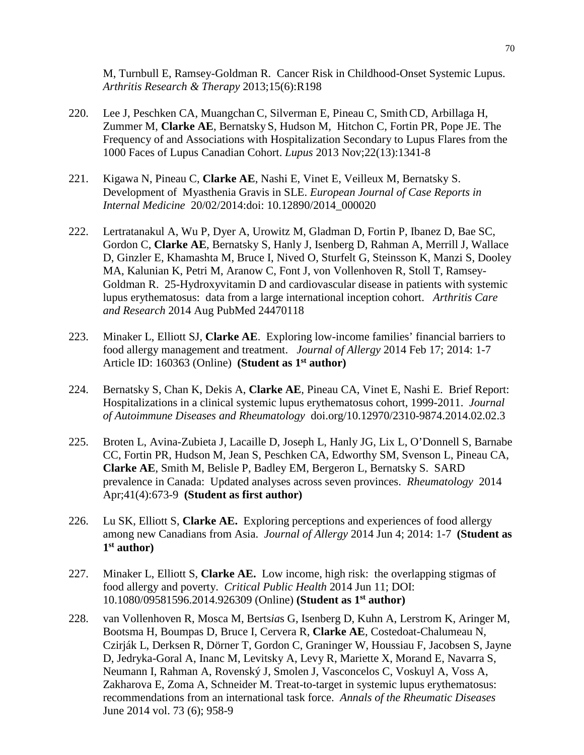M, Turnbull E, Ramsey-Goldman R. Cancer Risk in Childhood-Onset Systemic Lupus. *Arthritis Research & Therapy* 2013;15(6):R198

- 220. Lee J, Peschken CA, Muangchan C, Silverman E, Pineau C, SmithCD, Arbillaga H, Zummer M, **Clarke AE**, Bernatsky S, Hudson M, Hitchon C, Fortin PR, Pope JE. The Frequency of and Associations with Hospitalization Secondary to Lupus Flares from the 1000 Faces of Lupus Canadian Cohort. *Lupus* 2013 Nov;22(13):1341-8
- 221. Kigawa N, Pineau C, **Clarke AE**, Nashi E, Vinet E, Veilleux M, Bernatsky S. Development of Myasthenia Gravis in SLE. *European Journal of Case Reports in Internal Medicine* 20/02/2014:doi: 10.12890/2014\_000020
- 222. Lertratanakul A, Wu P, Dyer A, Urowitz M, Gladman D, Fortin P, Ibanez D, Bae SC, Gordon C, **Clarke AE**, Bernatsky S, Hanly J, Isenberg D, Rahman A, Merrill J, Wallace D, Ginzler E, Khamashta M, Bruce I, Nived O, Sturfelt G, Steinsson K, Manzi S, Dooley MA, Kalunian K, Petri M, Aranow C, Font J, von Vollenhoven R, Stoll T, Ramsey-Goldman R. 25-Hydroxyvitamin D and cardiovascular disease in patients with systemic lupus erythematosus: data from a large international inception cohort. *Arthritis Care and Research* 2014 Aug PubMed 24470118
- 223. Minaker L, Elliott SJ, **Clarke AE**. Exploring low-income families' financial barriers to food allergy management and treatment. *Journal of Allergy* 2014 Feb 17; 2014: 1-7 Article ID: 160363 (Online)**(Student as 1st author)**
- 224. Bernatsky S, Chan K, Dekis A, **Clarke AE**, Pineau CA, Vinet E, Nashi E. Brief Report: Hospitalizations in a clinical systemic lupus erythematosus cohort, 1999-2011. *Journal of Autoimmune Diseases and Rheumatology* doi.org/10.12970/2310-9874.2014.02.02.3
- 225. Broten L, Avina-Zubieta J, Lacaille D, Joseph L, Hanly JG, Lix L, O'Donnell S, Barnabe CC, Fortin PR, Hudson M, Jean S, Peschken CA, Edworthy SM, Svenson L, Pineau CA, **Clarke AE**, Smith M, Belisle P, Badley EM, Bergeron L, Bernatsky S. SARD prevalence in Canada: Updated analyses across seven provinces. *Rheumatology* 2014 Apr;41(4):673-9 **(Student as first author)**
- 226. Lu SK, Elliott S, **Clarke AE.** Exploring perceptions and experiences of food allergy among new Canadians from Asia. *Journal of Allergy* 2014 Jun 4; 2014: 1-7 **(Student as 1st author)**
- 227. Minaker L, Elliott S, **Clarke AE.** Low income, high risk: the overlapping stigmas of food allergy and poverty. *Critical Public Health* 2014 Jun 11; DOI: 10.1080/09581596.2014.926309 (Online) **(Student as 1st author)**
- 228. van Vollenhoven R, Mosca M, Berts*ia*s G, Isenberg D, Kuhn A, Lerstrom K, Aringer M, Bootsma H, Boumpas D, Bruce I, Cervera R, **Clarke AE**, Costedoat-Chalumeau N, Czirják L, Derksen R, Dörner T, Gordon C, Graninger W, Houssiau F, Jacobsen S, Jayne D, Jedryka-Goral A, Inanc M, Levitsky A, Levy R, Mariette X, Morand E, Navarra S, Neumann I, Rahman A, Rovenský J, Smolen J, Vasconcelos C, Voskuyl A, Voss A, Zakharova E, Zoma A, Schneider M. Treat-to-target in systemic lupus erythematosus: recommendations from an international task force. *Annals of the Rheumatic Diseases*  June 2014 vol. 73 (6); 958-9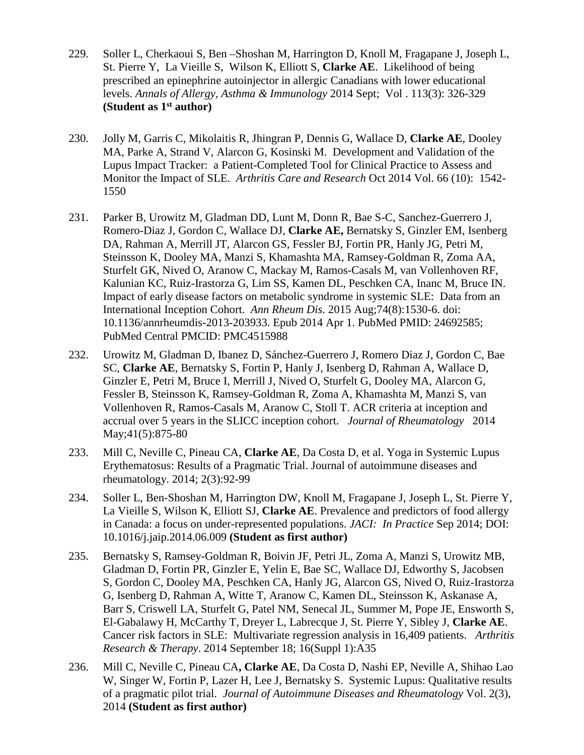- 229. Soller L, Cherkaoui S, Ben –Shoshan M, Harrington D, Knoll M, Fragapane J, Joseph L, St. Pierre Y, La Vieille S, Wilson K, Elliott S, **Clarke AE**. Likelihood of being prescribed an epinephrine autoinjector in allergic Canadians with lower educational levels. *Annals of Allergy, Asthma & Immunology* 2014 Sept; Vol . 113(3): 326-329 **(Student as 1st author)**
- 230. Jolly M, Garris C, Mikolaitis R, Jhingran P, Dennis G, Wallace D, **Clarke AE**, Dooley MA, Parke A, Strand V, Alarcon G, Kosinski M. Development and Validation of the Lupus Impact Tracker: a Patient-Completed Tool for Clinical Practice to Assess and Monitor the Impact of SLE. *Arthritis Care and Research* Oct 2014 Vol. 66 (10): 1542- 1550
- 231. Parker B, Urowitz M, Gladman DD, Lunt M, Donn R, Bae S-C, Sanchez-Guerrero J, Romero-Diaz J, Gordon C, Wallace DJ, **Clarke AE,** Bernatsky S, Ginzler EM, Isenberg DA, Rahman A, Merrill JT, Alarcon GS, Fessler BJ, Fortin PR, Hanly JG, Petri M, Steinsson K, Dooley MA, Manzi S, Khamashta MA, Ramsey-Goldman R, Zoma AA, Sturfelt GK, Nived O, Aranow C, Mackay M, Ramos-Casals M, van Vollenhoven RF, Kalunian KC, Ruiz-Irastorza G, Lim SS, Kamen DL, Peschken CA, Inanc M, Bruce IN. Impact of early disease factors on metabolic syndrome in systemic SLE: Data from an International Inception Cohort. *Ann Rheum Dis*. 2015 Aug;74(8):1530-6. doi: 10.1136/annrheumdis-2013-203933. Epub 2014 Apr 1. PubMed PMID: 24692585; PubMed Central PMCID: PMC4515988
- 232. Urowitz M, Gladman D, Ibanez D, Sánchez-Guerrero J, Romero Diaz J, Gordon C, Bae SC, **Clarke AE**, Bernatsky S, Fortin P, Hanly J, Isenberg D, Rahman A, Wallace D, Ginzler E, Petri M, Bruce I, Merrill J, Nived O, Sturfelt G, Dooley MA, Alarcon G, Fessler B, Steinsson K, Ramsey-Goldman R, Zoma A, Khamashta M, Manzi S, van Vollenhoven R, Ramos-Casals M, Aranow C, Stoll T. ACR criteria at inception and accrual over 5 years in the SLICC inception cohort. *Journal of Rheumatology* 2014 May;41(5):875-80
- 233. Mill C, Neville C, Pineau CA, **Clarke AE**, Da Costa D, et al. Yoga in Systemic Lupus Erythematosus: Results of a Pragmatic Trial. Journal of autoimmune diseases and rheumatology. 2014; 2(3):92-99
- 234. Soller L, Ben-Shoshan M, Harrington DW, Knoll M, Fragapane J, Joseph L, St. Pierre Y, La Vieille S, Wilson K, Elliott SJ, **Clarke AE**. Prevalence and predictors of food allergy in Canada: a focus on under-represented populations. *JACI: In Practice* Sep 2014; DOI: 10.1016/j.jaip.2014.06.009 **(Student as first author)**
- 235. Bernatsky S, Ramsey-Goldman R, Boivin JF, Petri JL, Zoma A, Manzi S, Urowitz MB, Gladman D, Fortin PR, Ginzler E, Yelin E, Bae SC, Wallace DJ, Edworthy S, Jacobsen S, Gordon C, Dooley MA, Peschken CA, Hanly JG, Alarcon GS, Nived O, Ruiz-Irastorza G, Isenberg D, Rahman A, Witte T, Aranow C, Kamen DL, Steinsson K, Askanase A, Barr S, Criswell LA, Sturfelt G, Patel NM, Senecal JL, Summer M, Pope JE, Ensworth S, El-Gabalawy H, McCarthy T, Dreyer L, Labrecque J, St. Pierre Y, Sibley J, **Clarke AE**. Cancer risk factors in SLE: Multivariate regression analysis in 16,409 patients. *Arthritis Research & Therapy*. 2014 September 18; 16(Suppl 1):A35
- 236. Mill C, Neville C, Pineau CA**, Clarke AE**, Da Costa D, Nashi EP, Neville A, Shihao Lao W, Singer W, Fortin P, Lazer H, Lee J, Bernatsky S. Systemic Lupus: Qualitative results of a pragmatic pilot trial. *Journal of Autoimmune Diseases and Rheumatology* Vol. 2(3), 2014 **(Student as first author)**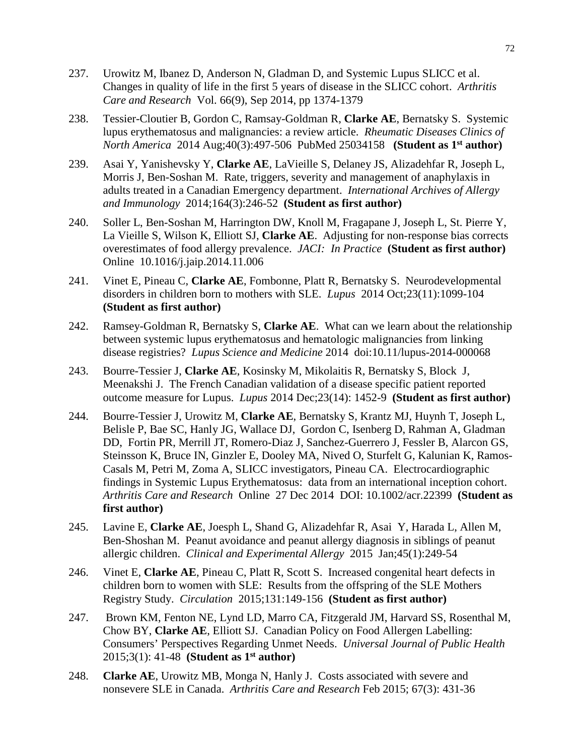- 237. Urowitz M, Ibanez D, Anderson N, Gladman D, and Systemic Lupus SLICC et al. Changes in quality of life in the first 5 years of disease in the SLICC cohort. *Arthritis Care and Research* Vol. 66(9), Sep 2014, pp 1374-1379
- 238. Tessier-Cloutier B, Gordon C, Ramsay-Goldman R, **Clarke AE**, Bernatsky S. Systemic lupus erythematosus and malignancies: a review article. *Rheumatic Diseases Clinics of North America* 2014 Aug;40(3):497-506 PubMed 25034158 **(Student as 1st author)**
- 239. Asai Y, Yanishevsky Y, **Clarke AE**, LaVieille S, Delaney JS, Alizadehfar R, Joseph L, Morris J, Ben-Soshan M. Rate, triggers, severity and management of anaphylaxis in adults treated in a Canadian Emergency department. *International Archives of Allergy and Immunology* 2014;164(3):246-52 **(Student as first author)**
- 240. Soller L, Ben-Soshan M, Harrington DW, Knoll M, Fragapane J, Joseph L, St. Pierre Y, La Vieille S, Wilson K, Elliott SJ, **Clarke AE**. Adjusting for non-response bias corrects overestimates of food allergy prevalence. *JACI: In Practice* **(Student as first author)**  Online 10.1016/j.jaip.2014.11.006
- 241. Vinet E, Pineau C, **Clarke AE**, Fombonne, Platt R, Bernatsky S. Neurodevelopmental disorders in children born to mothers with SLE. *Lupus* 2014 Oct;23(11):1099-104 **(Student as first author)**
- 242. Ramsey-Goldman R, Bernatsky S, **Clarke AE**. What can we learn about the relationship between systemic lupus erythematosus and hematologic malignancies from linking disease registries? *Lupus Science and Medicine* 2014 doi:10.11/lupus-2014-000068
- 243. Bourre-Tessier J, **Clarke AE**, Kosinsky M, Mikolaitis R, Bernatsky S, Block J, Meenakshi J. The French Canadian validation of a disease specific patient reported outcome measure for Lupus. *Lupus* 2014 Dec;23(14): 1452-9 **(Student as first author)**
- 244. Bourre-Tessier J, Urowitz M, **Clarke AE**, Bernatsky S, Krantz MJ, Huynh T, Joseph L, Belisle P, Bae SC, Hanly JG, Wallace DJ, Gordon C, Isenberg D, Rahman A, Gladman DD, Fortin PR, Merrill JT, Romero-Diaz J, Sanchez-Guerrero J, Fessler B, Alarcon GS, Steinsson K, Bruce IN, Ginzler E, Dooley MA, Nived O, Sturfelt G, Kalunian K, Ramos-Casals M, Petri M, Zoma A, SLICC investigators, Pineau CA. Electrocardiographic findings in Systemic Lupus Erythematosus: data from an international inception cohort. *Arthritis Care and Research* Online 27 Dec 2014 DOI: 10.1002/acr.22399 **(Student as first author)**
- 245. Lavine E, **Clarke AE**, Joesph L, Shand G, Alizadehfar R, Asai Y, Harada L, Allen M, Ben-Shoshan M. Peanut avoidance and peanut allergy diagnosis in siblings of peanut allergic children. *Clinical and Experimental Allergy* 2015 Jan;45(1):249-54
- 246. Vinet E, **Clarke AE**, Pineau C, Platt R, Scott S. Increased congenital heart defects in children born to women with SLE: Results from the offspring of the SLE Mothers Registry Study. *Circulation* 2015;131:149-156 **(Student as first author)**
- 247. Brown KM, Fenton NE, Lynd LD, Marro CA, Fitzgerald JM, Harvard SS, Rosenthal M, Chow BY, **Clarke AE**, Elliott SJ. Canadian Policy on Food Allergen Labelling: Consumers' Perspectives Regarding Unmet Needs. *Universal Journal of Public Health*  2015;3(1): 41-48 **(Student as 1st author)**
- 248. **Clarke AE**, Urowitz MB, Monga N, Hanly J. Costs associated with severe and nonsevere SLE in Canada. *Arthritis Care and Research* Feb 2015; 67(3): 431-36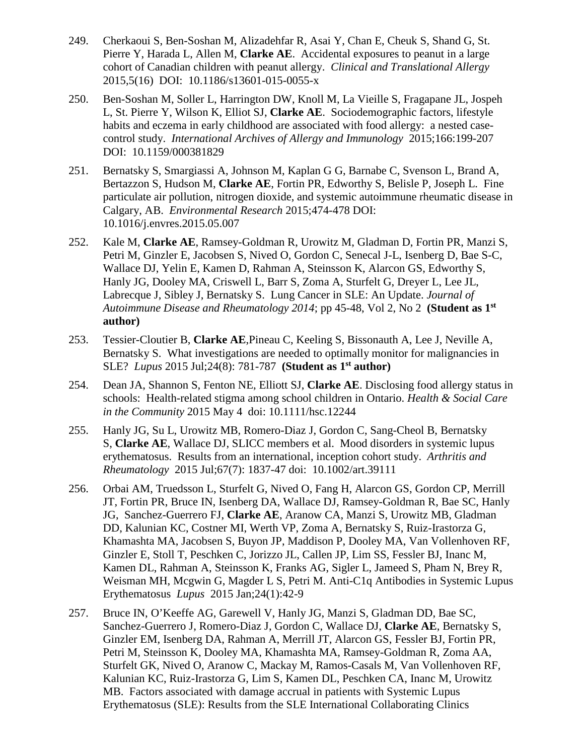- 249. Cherkaoui S, Ben-Soshan M, Alizadehfar R, Asai Y, Chan E, Cheuk S, Shand G, St. Pierre Y, Harada L, Allen M, **Clarke AE**. Accidental exposures to peanut in a large cohort of Canadian children with peanut allergy. *Clinical and Translational Allergy* 2015,5(16) DOI: 10.1186/s13601-015-0055-x
- 250. Ben-Soshan M, Soller L, Harrington DW, Knoll M, La Vieille S, Fragapane JL, Jospeh L, St. Pierre Y, Wilson K, Elliot SJ, **Clarke AE**. Sociodemographic factors, lifestyle habits and eczema in early childhood are associated with food allergy: a nested casecontrol study. *International Archives of Allergy and Immunology* 2015;166:199-207 DOI: 10.1159/000381829
- 251. Bernatsky S, Smargiassi A, Johnson M, Kaplan G G, Barnabe C, Svenson L, Brand A, Bertazzon S, Hudson M, **Clarke AE**, Fortin PR, Edworthy S, Belisle P, Joseph L. Fine particulate air pollution, nitrogen dioxide, and systemic autoimmune rheumatic disease in Calgary, AB. *Environmental Research* 2015;474-478 DOI: 10.1016/j.envres.2015.05.007
- 252. Kale M, **Clarke AE**, Ramsey-Goldman R, Urowitz M, Gladman D, Fortin PR, Manzi S, Petri M, Ginzler E, Jacobsen S, Nived O, Gordon C, Senecal J-L, Isenberg D, Bae S-C, Wallace DJ, Yelin E, Kamen D, Rahman A, Steinsson K, Alarcon GS, Edworthy S, Hanly JG, Dooley MA, Criswell L, Barr S, Zoma A, Sturfelt G, Dreyer L, Lee JL, Labrecque J, Sibley J, Bernatsky S. Lung Cancer in SLE: An Update. *Journal of Autoimmune Disease and Rheumatology 2014*; pp 45-48, Vol 2, No 2 **(Student as 1st author)**
- 253. Tessier-Cloutier B, **Clarke AE**,Pineau C, Keeling S, Bissonauth A, Lee J, Neville A, Bernatsky S. What investigations are needed to optimally monitor for malignancies in SLE? *Lupus* 2015 Jul;24(8): 781-787 **(Student as 1st author)**
- 254. Dean JA, Shannon S, Fenton NE, Elliott SJ, **Clarke AE**. Disclosing food allergy status in schools: Health-related stigma among school children in Ontario. *Health & Social Care in the Community* 2015 May 4 doi: 10.1111/hsc.12244
- 255. Hanly JG, Su L, Urowitz MB, Romero-Diaz J, Gordon C, Sang-Cheol B, Bernatsky S, **Clarke AE**, Wallace DJ, SLICC members et al. Mood disorders in systemic lupus erythematosus. Results from an international, inception cohort study. *Arthritis and Rheumatology* 2015 Jul;67(7): 1837-47 doi: 10.1002/art.39111
- 256. Orbai AM, Truedsson L, Sturfelt G, Nived O, Fang H, Alarcon GS, Gordon CP, Merrill JT, Fortin PR, Bruce IN, Isenberg DA, Wallace DJ, Ramsey-Goldman R, Bae SC, Hanly JG, Sanchez-Guerrero FJ, **Clarke AE**, Aranow CA, Manzi S, Urowitz MB, Gladman DD, Kalunian KC, Costner MI, Werth VP, Zoma A, Bernatsky S, Ruiz-Irastorza G, Khamashta MA, Jacobsen S, Buyon JP, Maddison P, Dooley MA, Van Vollenhoven RF, Ginzler E, Stoll T, Peschken C, Jorizzo JL, Callen JP, Lim SS, Fessler BJ, Inanc M, Kamen DL, Rahman A, Steinsson K, Franks AG, Sigler L, Jameed S, Pham N, Brey R, Weisman MH, Mcgwin G, Magder L S, Petri M. Anti-C1q Antibodies in Systemic Lupus Erythematosus *Lupus* 2015 Jan;24(1):42-9
- 257. Bruce IN, O'Keeffe AG, Garewell V, Hanly JG, Manzi S, Gladman DD, Bae SC, Sanchez-Guerrero J, Romero-Diaz J, Gordon C, Wallace DJ, **Clarke AE**, Bernatsky S, Ginzler EM, Isenberg DA, Rahman A, Merrill JT, Alarcon GS, Fessler BJ, Fortin PR, Petri M, Steinsson K, Dooley MA, Khamashta MA, Ramsey-Goldman R, Zoma AA, Sturfelt GK, Nived O, Aranow C, Mackay M, Ramos-Casals M, Van Vollenhoven RF, Kalunian KC, Ruiz-Irastorza G, Lim S, Kamen DL, Peschken CA, Inanc M, Urowitz MB. Factors associated with damage accrual in patients with Systemic Lupus Erythematosus (SLE): Results from the SLE International Collaborating Clinics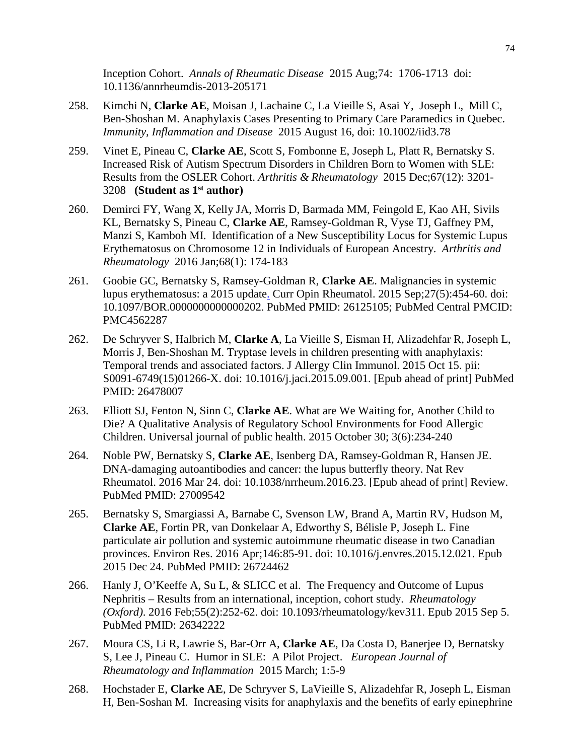Inception Cohort. *Annals of Rheumatic Disease* 2015 Aug;74: 1706-1713 doi: 10.1136/annrheumdis-2013-205171

- 258. Kimchi N, **Clarke AE**, Moisan J, Lachaine C, La Vieille S, Asai Y, Joseph L, Mill C, Ben-Shoshan M. Anaphylaxis Cases Presenting to Primary Care Paramedics in Quebec. *Immunity, Inflammation and Disease* 2015 August 16, doi: 10.1002/iid3.78
- 259. Vinet E, Pineau C, **Clarke AE**, Scott S, Fombonne E, Joseph L, Platt R, Bernatsky S. Increased Risk of Autism Spectrum Disorders in Children Born to Women with SLE: Results from the OSLER Cohort. *Arthritis & Rheumatology* 2015 Dec;67(12): 3201- 3208 **(Student as 1st author)**
- 260. Demirci FY, Wang X, Kelly JA, Morris D, Barmada MM, Feingold E, Kao AH, Sivils KL, Bernatsky S, Pineau C, **Clarke AE**, Ramsey-Goldman R, Vyse TJ, Gaffney PM, Manzi S, Kamboh MI. Identification of a New Susceptibility Locus for Systemic Lupus Erythematosus on Chromosome 12 in Individuals of European Ancestry. *Arthritis and Rheumatology* 2016 Jan;68(1): 174-183
- 261. Goobie GC, Bernatsky S, Ramsey-Goldman R, **Clarke AE**. [Malignancies in systemic](http://www.ncbi.nlm.nih.gov/pubmed/26125105)  [lupus erythematosus: a 2015 update.](http://www.ncbi.nlm.nih.gov/pubmed/26125105) Curr Opin Rheumatol. 2015 Sep;27(5):454-60. doi: 10.1097/BOR.0000000000000202. PubMed PMID: 26125105; PubMed Central PMCID: PMC4562287
- 262. De Schryver S, Halbrich M, **Clarke A**, La Vieille S, Eisman H, Alizadehfar R, Joseph L, Morris J, Ben-Shoshan M. [Tryptase levels in children presenting with anaphylaxis:](http://www.ncbi.nlm.nih.gov/pubmed/26478007)  [Temporal trends and associated factors.](http://www.ncbi.nlm.nih.gov/pubmed/26478007) J Allergy Clin Immunol. 2015 Oct 15. pii: S0091-6749(15)01266-X. doi: 10.1016/j.jaci.2015.09.001. [Epub ahead of print] PubMed PMID: 26478007
- 263. Elliott SJ, Fenton N, Sinn C, **Clarke AE**. What are We Waiting for, Another Child to Die? A Qualitative Analysis of Regulatory School Environments for Food Allergic Children. Universal journal of public health. 2015 October 30; 3(6):234-240
- 264. Noble PW, Bernatsky S, **Clarke AE**, Isenberg DA, Ramsey-Goldman R, Hansen JE. [DNA-damaging autoantibodies and cancer: the lupus butterfly theory.](http://www.ncbi.nlm.nih.gov/pubmed/27009542) Nat Rev Rheumatol. 2016 Mar 24. doi: 10.1038/nrrheum.2016.23. [Epub ahead of print] Review. PubMed PMID: 27009542
- 265. Bernatsky S, Smargiassi A, Barnabe C, Svenson LW, Brand A, Martin RV, Hudson M, **Clarke AE**, Fortin PR, van Donkelaar A, Edworthy S, Bélisle P, Joseph L. [Fine](http://www.ncbi.nlm.nih.gov/pubmed/26724462)  [particulate air pollution and systemic autoimmune rheumatic disease in two Canadian](http://www.ncbi.nlm.nih.gov/pubmed/26724462)  [provinces.](http://www.ncbi.nlm.nih.gov/pubmed/26724462) Environ Res. 2016 Apr;146:85-91. doi: 10.1016/j.envres.2015.12.021. Epub 2015 Dec 24. PubMed PMID: 26724462
- 266. Hanly J, O'Keeffe A, Su L, & SLICC et al. The Frequency and Outcome of Lupus Nephritis – Results from an international, inception, cohort study. *Rheumatology (Oxford)*. 2016 Feb;55(2):252-62. doi: 10.1093/rheumatology/kev311. Epub 2015 Sep 5. PubMed PMID: 26342222
- 267. Moura CS, Li R, Lawrie S, Bar-Orr A, **Clarke AE**, Da Costa D, Banerjee D, Bernatsky S, Lee J, Pineau C. Humor in SLE: A Pilot Project. *European Journal of Rheumatology and Inflammation* 2015 March; 1:5-9
- 268. Hochstader E, **Clarke AE**, De Schryver S, LaVieille S, Alizadehfar R, Joseph L, Eisman H, Ben-Soshan M. Increasing visits for anaphylaxis and the benefits of early epinephrine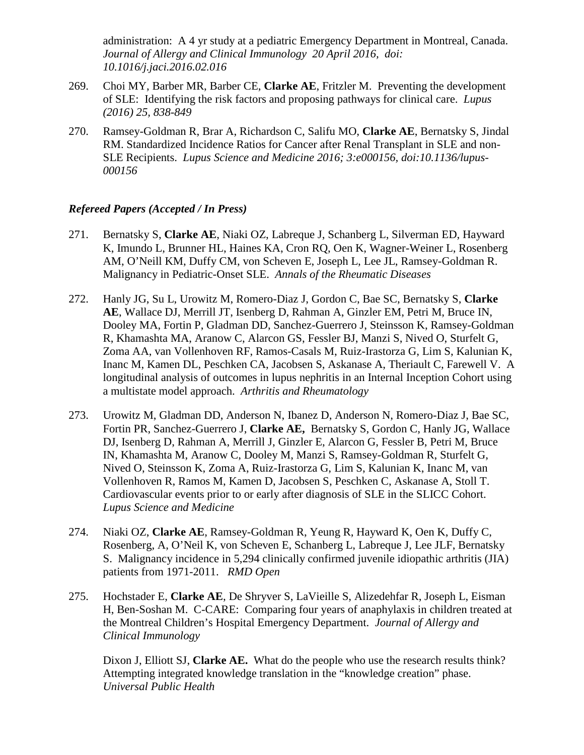administration: A 4 yr study at a pediatric Emergency Department in Montreal, Canada. *Journal of Allergy and Clinical Immunology 20 April 2016, doi: 10.1016/j.jaci.2016.02.016*

- 269. Choi MY, Barber MR, Barber CE, **Clarke AE**, Fritzler M. Preventing the development of SLE: Identifying the risk factors and proposing pathways for clinical care. *Lupus (2016) 25, 838-849*
- 270. Ramsey-Goldman R, Brar A, Richardson C, Salifu MO, **Clarke AE**, Bernatsky S, Jindal RM. Standardized Incidence Ratios for Cancer after Renal Transplant in SLE and non-SLE Recipients. *Lupus Science and Medicine 2016; 3:e000156, doi:10.1136/lupus-000156*

## *Refereed Papers (Accepted / In Press)*

- 271. Bernatsky S, **Clarke AE**, Niaki OZ, Labreque J, Schanberg L, Silverman ED, Hayward K, Imundo L, Brunner HL, Haines KA, Cron RQ, Oen K, Wagner-Weiner L, Rosenberg AM, O'Neill KM, Duffy CM, von Scheven E, Joseph L, Lee JL, Ramsey-Goldman R. Malignancy in Pediatric-Onset SLE. *Annals of the Rheumatic Diseases*
- 272. Hanly JG, Su L, Urowitz M, Romero-Diaz J, Gordon C, Bae SC, Bernatsky S, **Clarke AE**, Wallace DJ, Merrill JT, Isenberg D, Rahman A, Ginzler EM, Petri M, Bruce IN, Dooley MA, Fortin P, Gladman DD, Sanchez-Guerrero J, Steinsson K, Ramsey-Goldman R, Khamashta MA, Aranow C, Alarcon GS, Fessler BJ, Manzi S, Nived O, Sturfelt G, Zoma AA, van Vollenhoven RF, Ramos-Casals M, Ruiz-Irastorza G, Lim S, Kalunian K, Inanc M, Kamen DL, Peschken CA, Jacobsen S, Askanase A, Theriault C, Farewell V. A longitudinal analysis of outcomes in lupus nephritis in an Internal Inception Cohort using a multistate model approach. *Arthritis and Rheumatology*
- 273. Urowitz M, Gladman DD, Anderson N, Ibanez D, Anderson N, Romero-Diaz J, Bae SC, Fortin PR, Sanchez-Guerrero J, **Clarke AE,** Bernatsky S, Gordon C, Hanly JG, Wallace DJ, Isenberg D, Rahman A, Merrill J, Ginzler E, Alarcon G, Fessler B, Petri M, Bruce IN, Khamashta M, Aranow C, Dooley M, Manzi S, Ramsey-Goldman R, Sturfelt G, Nived O, Steinsson K, Zoma A, Ruiz-Irastorza G, Lim S, Kalunian K, Inanc M, van Vollenhoven R, Ramos M, Kamen D, Jacobsen S, Peschken C, Askanase A, Stoll T. Cardiovascular events prior to or early after diagnosis of SLE in the SLICC Cohort. *Lupus Science and Medicine*
- 274. Niaki OZ, **Clarke AE**, Ramsey-Goldman R, Yeung R, Hayward K, Oen K, Duffy C, Rosenberg, A, O'Neil K, von Scheven E, Schanberg L, Labreque J, Lee JLF, Bernatsky S. Malignancy incidence in 5,294 clinically confirmed juvenile idiopathic arthritis (JIA) patients from 1971-2011. *RMD Open*
- 275. Hochstader E, **Clarke AE**, De Shryver S, LaVieille S, Alizedehfar R, Joseph L, Eisman H, Ben-Soshan M. C-CARE: Comparing four years of anaphylaxis in children treated at the Montreal Children's Hospital Emergency Department. *Journal of Allergy and Clinical Immunology*

Dixon J, Elliott SJ, **Clarke AE.** What do the people who use the research results think? Attempting integrated knowledge translation in the "knowledge creation" phase. *Universal Public Health*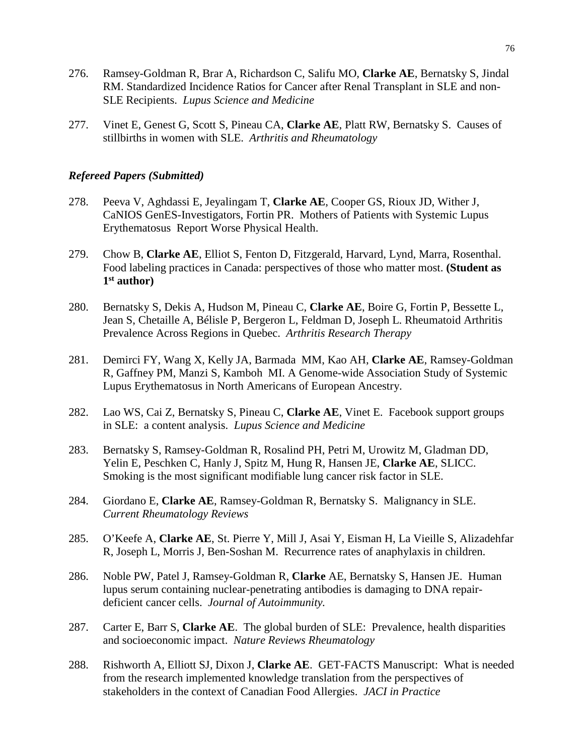- 276. Ramsey-Goldman R, Brar A, Richardson C, Salifu MO, **Clarke AE**, Bernatsky S, Jindal RM. Standardized Incidence Ratios for Cancer after Renal Transplant in SLE and non-SLE Recipients. *Lupus Science and Medicine*
- 277. Vinet E, Genest G, Scott S, Pineau CA, **Clarke AE**, Platt RW, Bernatsky S. Causes of stillbirths in women with SLE. *Arthritis and Rheumatology*

#### *Refereed Papers (Submitted)*

- 278. Peeva V, Aghdassi E, Jeyalingam T, **Clarke AE**, Cooper GS, Rioux JD, Wither J, CaNIOS GenES-Investigators, Fortin PR. Mothers of Patients with Systemic Lupus Erythematosus Report Worse Physical Health.
- 279. Chow B, **Clarke AE**, Elliot S, Fenton D, Fitzgerald, Harvard, Lynd, Marra, Rosenthal. Food labeling practices in Canada: perspectives of those who matter most. **(Student as 1st author)**
- 280. Bernatsky S, Dekis A, Hudson M, Pineau C, **Clarke AE**, Boire G, Fortin P, Bessette L, Jean S, Chetaille A, Bélisle P, Bergeron L, Feldman D, Joseph L. Rheumatoid Arthritis Prevalence Across Regions in Quebec. *Arthritis Research Therapy*
- 281. Demirci FY, Wang X, Kelly JA, Barmada MM, Kao AH, **Clarke AE**, Ramsey-Goldman R, Gaffney PM, Manzi S, Kamboh MI. A Genome-wide Association Study of Systemic Lupus Erythematosus in North Americans of European Ancestry.
- 282. Lao WS, Cai Z, Bernatsky S, Pineau C, **Clarke AE**, Vinet E. Facebook support groups in SLE: a content analysis. *Lupus Science and Medicine*
- 283. Bernatsky S, Ramsey-Goldman R, Rosalind PH, Petri M, Urowitz M, Gladman DD, Yelin E, Peschken C, Hanly J, Spitz M, Hung R, Hansen JE, **Clarke AE**, SLICC. Smoking is the most significant modifiable lung cancer risk factor in SLE.
- 284. Giordano E, **Clarke AE**, Ramsey-Goldman R, Bernatsky S. Malignancy in SLE. *Current Rheumatology Reviews*
- 285. O'Keefe A, **Clarke AE**, St. Pierre Y, Mill J, Asai Y, Eisman H, La Vieille S, Alizadehfar R, Joseph L, Morris J, Ben-Soshan M. Recurrence rates of anaphylaxis in children.
- 286. Noble PW, Patel J, Ramsey-Goldman R, **Clarke** AE, Bernatsky S, Hansen JE. Human lupus serum containing nuclear-penetrating antibodies is damaging to DNA repairdeficient cancer cells. *Journal of Autoimmunity.*
- 287. Carter E, Barr S, **Clarke AE**. The global burden of SLE: Prevalence, health disparities and socioeconomic impact. *Nature Reviews Rheumatology*
- 288. Rishworth A, Elliott SJ, Dixon J, **Clarke AE**. GET-FACTS Manuscript: What is needed from the research implemented knowledge translation from the perspectives of stakeholders in the context of Canadian Food Allergies. *JACI in Practice*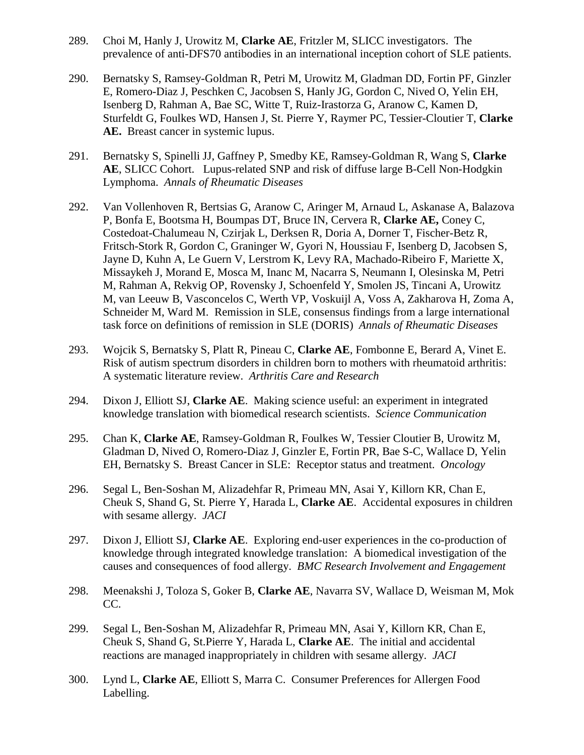- 289. Choi M, Hanly J, Urowitz M, **Clarke AE**, Fritzler M, SLICC investigators. The prevalence of anti-DFS70 antibodies in an international inception cohort of SLE patients.
- 290. Bernatsky S, Ramsey-Goldman R, Petri M, Urowitz M, Gladman DD, Fortin PF, Ginzler E, Romero-Diaz J, Peschken C, Jacobsen S, Hanly JG, Gordon C, Nived O, Yelin EH, Isenberg D, Rahman A, Bae SC, Witte T, Ruiz-Irastorza G, Aranow C, Kamen D, Sturfeldt G, Foulkes WD, Hansen J, St. Pierre Y, Raymer PC, Tessier-Cloutier T, **Clarke AE.** Breast cancer in systemic lupus.
- 291. Bernatsky S, Spinelli JJ, Gaffney P, Smedby KE, Ramsey-Goldman R, Wang S, **Clarke AE**, SLICC Cohort. Lupus-related SNP and risk of diffuse large B-Cell Non-Hodgkin Lymphoma. *Annals of Rheumatic Diseases*
- 292. Van Vollenhoven R, Bertsias G, Aranow C, Aringer M, Arnaud L, Askanase A, Balazova P, Bonfa E, Bootsma H, Boumpas DT, Bruce IN, Cervera R, **Clarke AE,** Coney C, Costedoat-Chalumeau N, Czirjak L, Derksen R, Doria A, Dorner T, Fischer-Betz R, Fritsch-Stork R, Gordon C, Graninger W, Gyori N, Houssiau F, Isenberg D, Jacobsen S, Jayne D, Kuhn A, Le Guern V, Lerstrom K, Levy RA, Machado-Ribeiro F, Mariette X, Missaykeh J, Morand E, Mosca M, Inanc M, Nacarra S, Neumann I, Olesinska M, Petri M, Rahman A, Rekvig OP, Rovensky J, Schoenfeld Y, Smolen JS, Tincani A, Urowitz M, van Leeuw B, Vasconcelos C, Werth VP, Voskuijl A, Voss A, Zakharova H, Zoma A, Schneider M, Ward M. Remission in SLE, consensus findings from a large international task force on definitions of remission in SLE (DORIS) *Annals of Rheumatic Diseases*
- 293. Wojcik S, Bernatsky S, Platt R, Pineau C, **Clarke AE**, Fombonne E, Berard A, Vinet E. Risk of autism spectrum disorders in children born to mothers with rheumatoid arthritis: A systematic literature review. *Arthritis Care and Research*
- 294. Dixon J, Elliott SJ, **Clarke AE**. Making science useful: an experiment in integrated knowledge translation with biomedical research scientists. *Science Communication*
- 295. Chan K, **Clarke AE**, Ramsey-Goldman R, Foulkes W, Tessier Cloutier B, Urowitz M, Gladman D, Nived O, Romero-Diaz J, Ginzler E, Fortin PR, Bae S-C, Wallace D, Yelin EH, Bernatsky S. Breast Cancer in SLE: Receptor status and treatment. *Oncology*
- 296. Segal L, Ben-Soshan M, Alizadehfar R, Primeau MN, Asai Y, Killorn KR, Chan E, Cheuk S, Shand G, St. Pierre Y, Harada L, **Clarke AE**. Accidental exposures in children with sesame allergy. *JACI*
- 297. Dixon J, Elliott SJ, **Clarke AE**. Exploring end-user experiences in the co-production of knowledge through integrated knowledge translation: A biomedical investigation of the causes and consequences of food allergy. *BMC Research Involvement and Engagement*
- 298. Meenakshi J, Toloza S, Goker B, **Clarke AE**, Navarra SV, Wallace D, Weisman M, Mok CC.
- 299. Segal L, Ben-Soshan M, Alizadehfar R, Primeau MN, Asai Y, Killorn KR, Chan E, Cheuk S, Shand G, St.Pierre Y, Harada L, **Clarke AE**. The initial and accidental reactions are managed inappropriately in children with sesame allergy. *JACI*
- 300. Lynd L, **Clarke AE**, Elliott S, Marra C. Consumer Preferences for Allergen Food Labelling.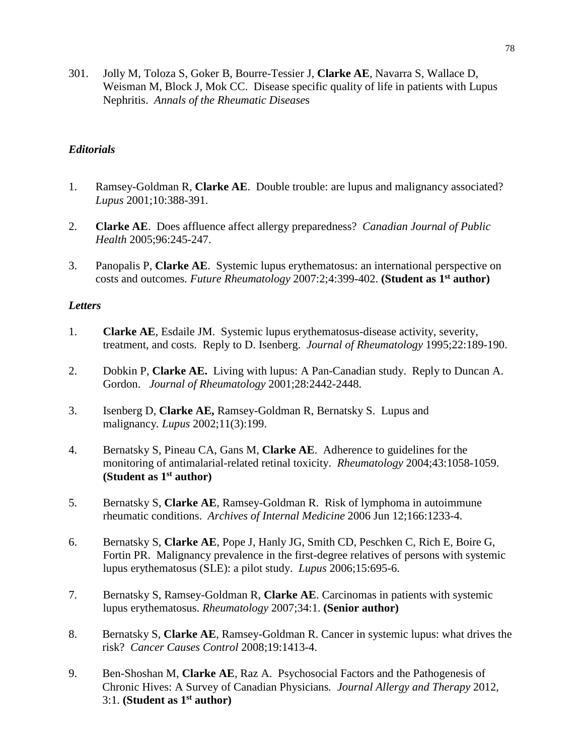301. Jolly M, Toloza S, Goker B, Bourre-Tessier J, **Clarke AE**, Navarra S, Wallace D, Weisman M, Block J, Mok CC. Disease specific quality of life in patients with Lupus Nephritis. *Annals of the Rheumatic Disease*s

## *Editorials*

- 1. Ramsey-Goldman R, **Clarke AE**. Double trouble: are lupus and malignancy associated? *Lupus* 2001;10:388-391.
- 2. **Clarke AE**. Does affluence affect allergy preparedness? *Canadian Journal of Public Health* 2005;96:245-247.
- 3. Panopalis P, **Clarke AE**. Systemic lupus erythematosus: an international perspective on costs and outcomes*. Future Rheumatology* 2007:2;4:399-402. **(Student as 1st author)**

### *Letters*

- 1. **Clarke AE**, Esdaile JM. Systemic lupus erythematosus-disease activity, severity, treatment, and costs. Reply to D. Isenberg. *Journal of Rheumatology* 1995;22:189-190.
- 2. Dobkin P, **Clarke AE.** Living with lupus: A Pan-Canadian study. Reply to Duncan A. Gordon. *Journal of Rheumatology* 2001;28:2442-2448.
- 3. Isenberg D, **Clarke AE,** Ramsey-Goldman R, Bernatsky S. Lupus and malignancy*. [Lupus](javascript:AL_get(this,%20)* 2002;11(3):199.
- 4. Bernatsky S, Pineau CA, Gans M, **Clarke AE**. Adherence to guidelines for the monitoring of antimalarial-related retinal toxicity. *Rheumatology* 2004;43:1058-1059. **(Student as 1st author)**
- 5. Bernatsky S, **Clarke AE**, Ramsey-Goldman R. Risk of lymphoma in autoimmune rheumatic conditions. *Archives of Internal Medicine* 2006 Jun 12;166:1233-4.
- 6. Bernatsky S, **Clarke AE**, Pope J, Hanly JG, Smith CD, Peschken C, Rich E, Boire G, Fortin PR. Malignancy prevalence in the first-degree relatives of persons with systemic lupus erythematosus (SLE): a pilot study. *Lupus* 2006;15:695-6.
- 7. Bernatsky S, Ramsey-Goldman R, **Clarke AE**. Carcinomas in patients with systemic lupus erythematosus. *Rheumatology* 2007;34:1. **(Senior author)**
- 8. Bernatsky S, **Clarke AE**, Ramsey-Goldman R. Cancer in systemic lupus: what drives the risk? *Cancer Causes Control* 2008;19:1413-4.
- 9. Ben-Shoshan M, **Clarke AE**, Raz A. Psychosocial Factors and the Pathogenesis of Chronic Hives: A Survey of Canadian Physicians*. Journal Allergy and Therapy* 2012, 3:1. **(Student as 1st author)**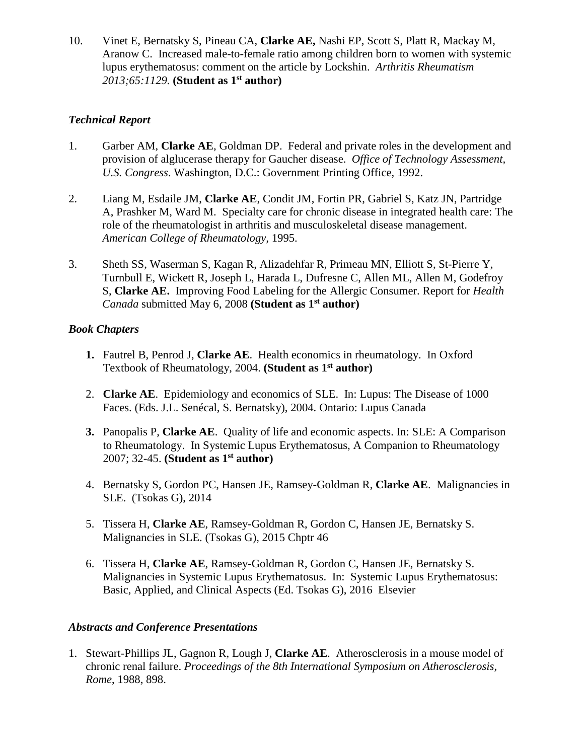10. Vinet E, Bernatsky S, Pineau CA, **Clarke AE,** Nashi EP, Scott S, Platt R, Mackay M, Aranow C. Increased male-to-female ratio among children born to women with systemic lupus erythematosus: comment on the article by Lockshin. *Arthritis Rheumatism 2013;65:1129.* **(Student as 1st author)**

## *Technical Report*

- 1. Garber AM, **Clarke AE**, Goldman DP. Federal and private roles in the development and provision of alglucerase therapy for Gaucher disease. *Office of Technology Assessment, U.S. Congress*. Washington, D.C.: Government Printing Office, 1992.
- 2. Liang M, Esdaile JM, **Clarke AE**, Condit JM, Fortin PR, Gabriel S, Katz JN, Partridge A, Prashker M, Ward M. Specialty care for chronic disease in integrated health care: The role of the rheumatologist in arthritis and musculoskeletal disease management. *American College of Rheumatology,* 1995.
- 3. Sheth SS, Waserman S, Kagan R, Alizadehfar R, Primeau MN, Elliott S, St-Pierre Y, Turnbull E, Wickett R, Joseph L, Harada L, Dufresne C, Allen ML, Allen M, Godefroy S, **Clarke AE.** Improving Food Labeling for the Allergic Consumer. Report for *Health Canada* submitted May 6, 2008 **(Student as 1st author)**

## *Book Chapters*

- **1.** Fautrel B, Penrod J, **Clarke AE**. Health economics in rheumatology. In Oxford Textbook of Rheumatology, 2004. **(Student as 1st author)**
- 2. **Clarke AE**. Epidemiology and economics of SLE. In: Lupus: The Disease of 1000 Faces. (Eds. J.L. Senécal, S. Bernatsky), 2004. Ontario: Lupus Canada
- **3.** Panopalis P, **Clarke AE**. Quality of life and economic aspects. In: SLE: A Comparison to Rheumatology. In Systemic Lupus Erythematosus, A Companion to Rheumatology 2007; 32-45. **(Student as 1st author)**
- 4. Bernatsky S, Gordon PC, Hansen JE, Ramsey-Goldman R, **Clarke AE**. Malignancies in SLE. (Tsokas G), 2014
- 5. Tissera H, **Clarke AE**, Ramsey-Goldman R, Gordon C, Hansen JE, Bernatsky S. Malignancies in SLE. (Tsokas G), 2015 Chptr 46
- 6. Tissera H, **Clarke AE**, Ramsey-Goldman R, Gordon C, Hansen JE, Bernatsky S. Malignancies in Systemic Lupus Erythematosus. In: Systemic Lupus Erythematosus: Basic, Applied, and Clinical Aspects (Ed. Tsokas G), 2016 Elsevier

# *Abstracts and Conference Presentations*

1. Stewart-Phillips JL, Gagnon R, Lough J, **Clarke AE**. Atherosclerosis in a mouse model of chronic renal failure. *Proceedings of the 8th International Symposium on Atherosclerosis, Rome*, 1988, 898.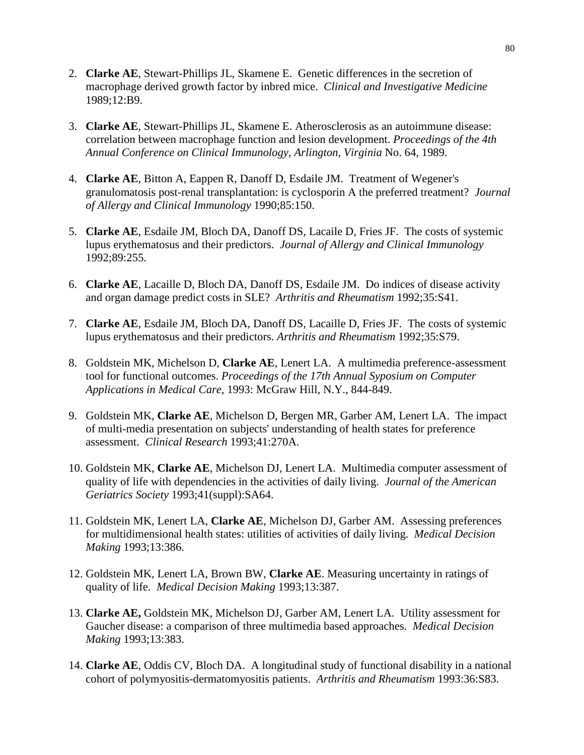- 2. **Clarke AE**, Stewart-Phillips JL, Skamene E. Genetic differences in the secretion of macrophage derived growth factor by inbred mice. *Clinical and Investigative Medicine* 1989;12:B9.
- 3. **Clarke AE**, Stewart-Phillips JL, Skamene E. Atherosclerosis as an autoimmune disease: correlation between macrophage function and lesion development. *Proceedings of the 4th Annual Conference on Clinical Immunology, Arlington, Virginia* No. 64, 1989.
- 4. **Clarke AE**, Bitton A, Eappen R, Danoff D, Esdaile JM. Treatment of Wegener's granulomatosis post-renal transplantation: is cyclosporin A the preferred treatment? *Journal of Allergy and Clinical Immunology* 1990;85:150.
- 5. **Clarke AE**, Esdaile JM, Bloch DA, Danoff DS, Lacaile D, Fries JF. The costs of systemic lupus erythematosus and their predictors. *Journal of Allergy and Clinical Immunology* 1992;89:255.
- 6. **Clarke AE**, Lacaille D, Bloch DA, Danoff DS, Esdaile JM. Do indices of disease activity and organ damage predict costs in SLE? *Arthritis and Rheumatism* 1992;35:S41.
- 7. **Clarke AE**, Esdaile JM, Bloch DA, Danoff DS, Lacaille D, Fries JF. The costs of systemic lupus erythematosus and their predictors. *Arthritis and Rheumatism* 1992;35:S79.
- 8. Goldstein MK, Michelson D, **Clarke AE**, Lenert LA. A multimedia preference-assessment tool for functional outcomes. *Proceedings of the 17th Annual Syposium on Computer Applications in Medical Care*, 1993: McGraw Hill, N.Y., 844-849.
- 9. Goldstein MK, **Clarke AE**, Michelson D, Bergen MR, Garber AM, Lenert LA. The impact of multi-media presentation on subjects' understanding of health states for preference assessment. *Clinical Research* 1993;41:270A.
- 10. Goldstein MK, **Clarke AE**, Michelson DJ, Lenert LA. Multimedia computer assessment of quality of life with dependencies in the activities of daily living. *Journal of the American Geriatrics Society* 1993;41(suppl):SA64.
- 11. Goldstein MK, Lenert LA, **Clarke AE**, Michelson DJ, Garber AM. Assessing preferences for multidimensional health states: utilities of activities of daily living. *Medical Decision Making* 1993;13:386.
- 12. Goldstein MK, Lenert LA, Brown BW, **Clarke AE**. Measuring uncertainty in ratings of quality of life. *Medical Decision Making* 1993;13:387.
- 13. **Clarke AE,** Goldstein MK, Michelson DJ, Garber AM, Lenert LA. Utility assessment for Gaucher disease: a comparison of three multimedia based approaches. *Medical Decision Making* 1993;13:383.
- 14. **Clarke AE**, Oddis CV, Bloch DA. A longitudinal study of functional disability in a national cohort of polymyositis-dermatomyositis patients. *Arthritis and Rheumatism* 1993:36:S83.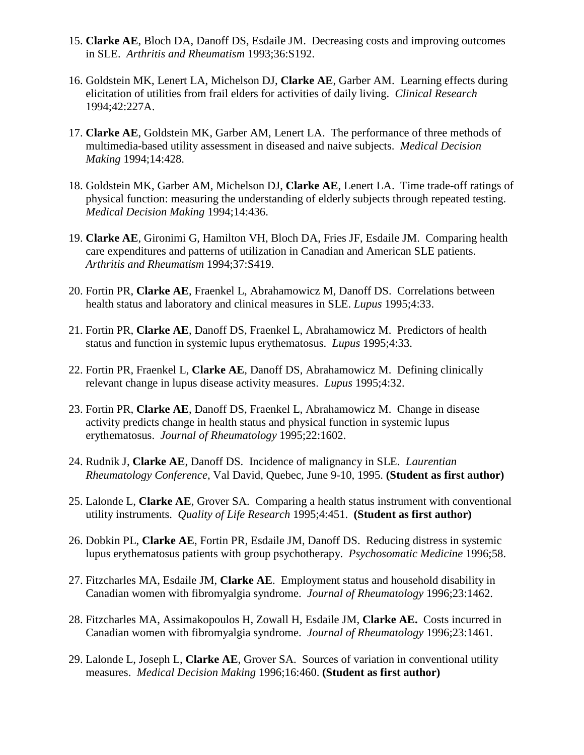- 15. **Clarke AE**, Bloch DA, Danoff DS, Esdaile JM. Decreasing costs and improving outcomes in SLE. *Arthritis and Rheumatism* 1993;36:S192.
- 16. Goldstein MK, Lenert LA, Michelson DJ, **Clarke AE**, Garber AM. Learning effects during elicitation of utilities from frail elders for activities of daily living. *Clinical Research* 1994;42:227A.
- 17. **Clarke AE**, Goldstein MK, Garber AM, Lenert LA. The performance of three methods of multimedia-based utility assessment in diseased and naive subjects. *Medical Decision Making* 1994;14:428.
- 18. Goldstein MK, Garber AM, Michelson DJ, **Clarke AE**, Lenert LA. Time trade-off ratings of physical function: measuring the understanding of elderly subjects through repeated testing. *Medical Decision Making* 1994;14:436.
- 19. **Clarke AE**, Gironimi G, Hamilton VH, Bloch DA, Fries JF, Esdaile JM. Comparing health care expenditures and patterns of utilization in Canadian and American SLE patients. *Arthritis and Rheumatism* 1994;37:S419.
- 20. Fortin PR, **Clarke AE**, Fraenkel L, Abrahamowicz M, Danoff DS. Correlations between health status and laboratory and clinical measures in SLE. *Lupus* 1995;4:33.
- 21. Fortin PR, **Clarke AE**, Danoff DS, Fraenkel L, Abrahamowicz M. Predictors of health status and function in systemic lupus erythematosus. *Lupus* 1995;4:33.
- 22. Fortin PR, Fraenkel L, **Clarke AE**, Danoff DS, Abrahamowicz M. Defining clinically relevant change in lupus disease activity measures. *Lupus* 1995;4:32.
- 23. Fortin PR, **Clarke AE**, Danoff DS, Fraenkel L, Abrahamowicz M. Change in disease activity predicts change in health status and physical function in systemic lupus erythematosus. *Journal of Rheumatology* 1995;22:1602.
- 24. Rudnik J, **Clarke AE**, Danoff DS. Incidence of malignancy in SLE. *Laurentian Rheumatology Conference*, Val David, Quebec, June 9-10, 1995. **(Student as first author)**
- 25. Lalonde L, **Clarke AE**, Grover SA. Comparing a health status instrument with conventional utility instruments. *Quality of Life Research* 1995;4:451. **(Student as first author)**
- 26. Dobkin PL, **Clarke AE**, Fortin PR, Esdaile JM, Danoff DS. Reducing distress in systemic lupus erythematosus patients with group psychotherapy. *Psychosomatic Medicine* 1996;58.
- 27. Fitzcharles MA, Esdaile JM, **Clarke AE**. Employment status and household disability in Canadian women with fibromyalgia syndrome. *Journal of Rheumatology* 1996;23:1462.
- 28. Fitzcharles MA, Assimakopoulos H, Zowall H, Esdaile JM, **Clarke AE.** Costs incurred in Canadian women with fibromyalgia syndrome. *Journal of Rheumatology* 1996;23:1461.
- 29. Lalonde L, Joseph L, **Clarke AE**, Grover SA. Sources of variation in conventional utility measures. *Medical Decision Making* 1996;16:460. **(Student as first author)**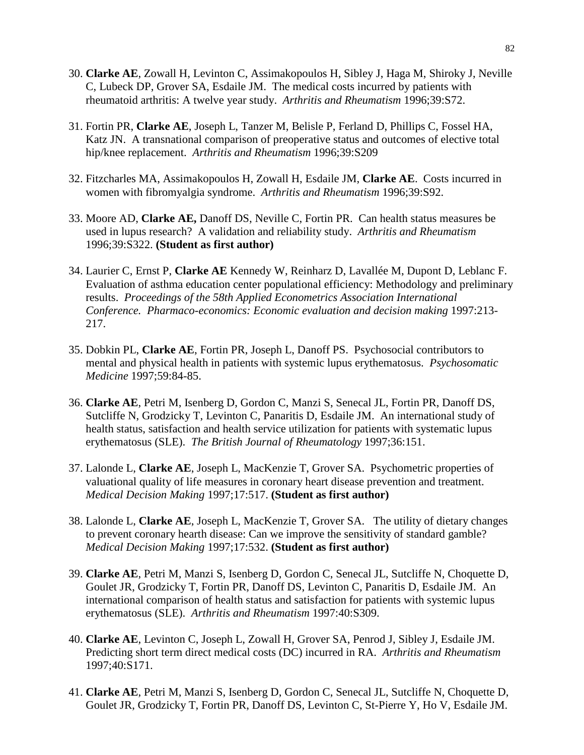- 30. **Clarke AE**, Zowall H, Levinton C, Assimakopoulos H, Sibley J, Haga M, Shiroky J, Neville C, Lubeck DP, Grover SA, Esdaile JM. The medical costs incurred by patients with rheumatoid arthritis: A twelve year study. *Arthritis and Rheumatism* 1996;39:S72.
- 31. Fortin PR, **Clarke AE**, Joseph L, Tanzer M, Belisle P, Ferland D, Phillips C, Fossel HA, Katz JN. A transnational comparison of preoperative status and outcomes of elective total hip/knee replacement. *Arthritis and Rheumatism* 1996;39:S209
- 32. Fitzcharles MA, Assimakopoulos H, Zowall H, Esdaile JM, **Clarke AE**. Costs incurred in women with fibromyalgia syndrome. *Arthritis and Rheumatism* 1996;39:S92.
- 33. Moore AD, **Clarke AE,** Danoff DS, Neville C, Fortin PR. Can health status measures be used in lupus research? A validation and reliability study. *Arthritis and Rheumatism* 1996;39:S322. **(Student as first author)**
- 34. Laurier C, Ernst P, **Clarke AE** Kennedy W, Reinharz D, Lavallée M, Dupont D, Leblanc F. Evaluation of asthma education center populational efficiency: Methodology and preliminary results. *Proceedings of the 58th Applied Econometrics Association International Conference. Pharmaco-economics: Economic evaluation and decision making* 1997:213- 217.
- 35. Dobkin PL, **Clarke AE**, Fortin PR, Joseph L, Danoff PS. Psychosocial contributors to mental and physical health in patients with systemic lupus erythematosus. *Psychosomatic Medicine* 1997;59:84-85.
- 36. **Clarke AE**, Petri M, Isenberg D, Gordon C, Manzi S, Senecal JL, Fortin PR, Danoff DS, Sutcliffe N, Grodzicky T, Levinton C, Panaritis D, Esdaile JM. An international study of health status, satisfaction and health service utilization for patients with systematic lupus erythematosus (SLE). *The British Journal of Rheumatology* 1997;36:151.
- 37. Lalonde L, **Clarke AE**, Joseph L, MacKenzie T, Grover SA. Psychometric properties of valuational quality of life measures in coronary heart disease prevention and treatment. *Medical Decision Making* 1997;17:517. **(Student as first author)**
- 38. Lalonde L, **Clarke AE**, Joseph L, MacKenzie T, Grover SA. The utility of dietary changes to prevent coronary hearth disease: Can we improve the sensitivity of standard gamble? *Medical Decision Making* 1997;17:532. **(Student as first author)**
- 39. **Clarke AE**, Petri M, Manzi S, Isenberg D, Gordon C, Senecal JL, Sutcliffe N, Choquette D, Goulet JR, Grodzicky T, Fortin PR, Danoff DS, Levinton C, Panaritis D, Esdaile JM. An international comparison of health status and satisfaction for patients with systemic lupus erythematosus (SLE). *Arthritis and Rheumatism* 1997:40:S309.
- 40. **Clarke AE**, Levinton C, Joseph L, Zowall H, Grover SA, Penrod J, Sibley J, Esdaile JM. Predicting short term direct medical costs (DC) incurred in RA. *Arthritis and Rheumatism* 1997;40:S171.
- 41. **Clarke AE**, Petri M, Manzi S, Isenberg D, Gordon C, Senecal JL, Sutcliffe N, Choquette D, Goulet JR, Grodzicky T, Fortin PR, Danoff DS, Levinton C, St-Pierre Y, Ho V, Esdaile JM.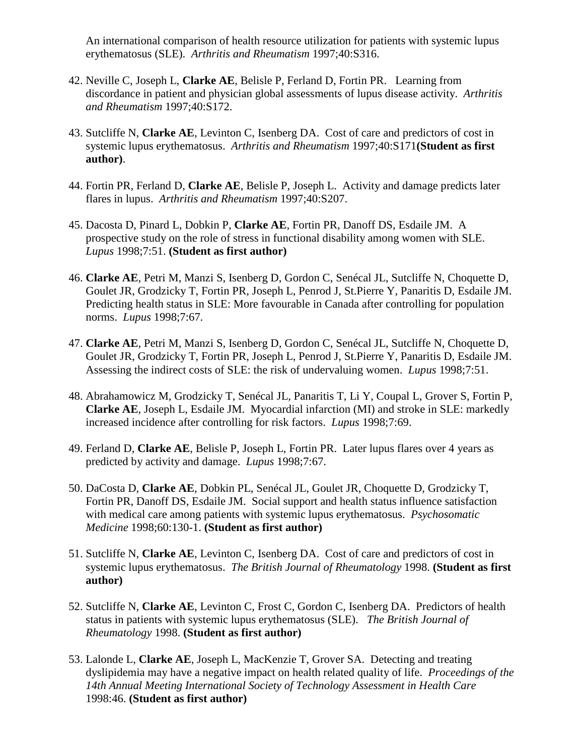An international comparison of health resource utilization for patients with systemic lupus erythematosus (SLE). *Arthritis and Rheumatism* 1997;40:S316.

- 42. Neville C, Joseph L, **Clarke AE**, Belisle P, Ferland D, Fortin PR. Learning from discordance in patient and physician global assessments of lupus disease activity. *Arthritis and Rheumatism* 1997;40:S172.
- 43. Sutcliffe N, **Clarke AE**, Levinton C, Isenberg DA. Cost of care and predictors of cost in systemic lupus erythematosus. *Arthritis and Rheumatism* 1997;40:S171**(Student as first author)**.
- 44. Fortin PR, Ferland D, **Clarke AE**, Belisle P, Joseph L. Activity and damage predicts later flares in lupus. *Arthritis and Rheumatism* 1997;40:S207.
- 45. Dacosta D, Pinard L, Dobkin P, **Clarke AE**, Fortin PR, Danoff DS, Esdaile JM. A prospective study on the role of stress in functional disability among women with SLE. *Lupus* 1998;7:51. **(Student as first author)**
- 46. **Clarke AE**, Petri M, Manzi S, Isenberg D, Gordon C, Senécal JL, Sutcliffe N, Choquette D, Goulet JR, Grodzicky T, Fortin PR, Joseph L, Penrod J, St.Pierre Y, Panaritis D, Esdaile JM. Predicting health status in SLE: More favourable in Canada after controlling for population norms. *Lupus* 1998;7:67.
- 47. **Clarke AE**, Petri M, Manzi S, Isenberg D, Gordon C, Senécal JL, Sutcliffe N, Choquette D, Goulet JR, Grodzicky T, Fortin PR, Joseph L, Penrod J, St.Pierre Y, Panaritis D, Esdaile JM. Assessing the indirect costs of SLE: the risk of undervaluing women. *Lupus* 1998;7:51.
- 48. Abrahamowicz M, Grodzicky T, Senécal JL, Panaritis T, Li Y, Coupal L, Grover S, Fortin P, **Clarke AE**, Joseph L, Esdaile JM. Myocardial infarction (MI) and stroke in SLE: markedly increased incidence after controlling for risk factors. *Lupus* 1998;7:69.
- 49. Ferland D, **Clarke AE**, Belisle P, Joseph L, Fortin PR. Later lupus flares over 4 years as predicted by activity and damage. *Lupus* 1998;7:67.
- 50. DaCosta D, **Clarke AE**, Dobkin PL, Senécal JL, Goulet JR, Choquette D, Grodzicky T, Fortin PR, Danoff DS, Esdaile JM. Social support and health status influence satisfaction with medical care among patients with systemic lupus erythematosus. *Psychosomatic Medicine* 1998;60:130-1. **(Student as first author)**
- 51. Sutcliffe N, **Clarke AE**, Levinton C, Isenberg DA. Cost of care and predictors of cost in systemic lupus erythematosus. *The British Journal of Rheumatology* 1998. **(Student as first author)**
- 52. Sutcliffe N, **Clarke AE**, Levinton C, Frost C, Gordon C, Isenberg DA. Predictors of health status in patients with systemic lupus erythematosus (SLE). *The British Journal of Rheumatology* 1998. **(Student as first author)**
- 53. Lalonde L, **Clarke AE**, Joseph L, MacKenzie T, Grover SA. Detecting and treating dyslipidemia may have a negative impact on health related quality of life. *Proceedings of the 14th Annual Meeting International Society of Technology Assessment in Health Care*  1998:46. **(Student as first author)**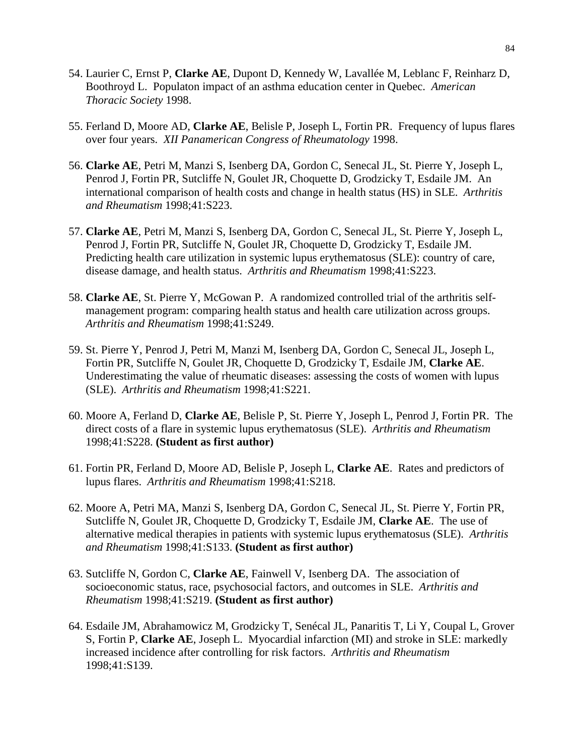- 54. Laurier C, Ernst P, **Clarke AE**, Dupont D, Kennedy W, Lavallée M, Leblanc F, Reinharz D, Boothroyd L. Populaton impact of an asthma education center in Quebec. *American Thoracic Society* 1998.
- 55. Ferland D, Moore AD, **Clarke AE**, Belisle P, Joseph L, Fortin PR. Frequency of lupus flares over four years. *XII Panamerican Congress of Rheumatology* 1998.
- 56. **Clarke AE**, Petri M, Manzi S, Isenberg DA, Gordon C, Senecal JL, St. Pierre Y, Joseph L, Penrod J, Fortin PR, Sutcliffe N, Goulet JR, Choquette D, Grodzicky T, Esdaile JM. An international comparison of health costs and change in health status (HS) in SLE. *Arthritis and Rheumatism* 1998;41:S223.
- 57. **Clarke AE**, Petri M, Manzi S, Isenberg DA, Gordon C, Senecal JL, St. Pierre Y, Joseph L, Penrod J, Fortin PR, Sutcliffe N, Goulet JR, Choquette D, Grodzicky T, Esdaile JM. Predicting health care utilization in systemic lupus erythematosus (SLE): country of care, disease damage, and health status. *Arthritis and Rheumatism* 1998;41:S223.
- 58. **Clarke AE**, St. Pierre Y, McGowan P. A randomized controlled trial of the arthritis selfmanagement program: comparing health status and health care utilization across groups. *Arthritis and Rheumatism* 1998;41:S249.
- 59. St. Pierre Y, Penrod J, Petri M, Manzi M, Isenberg DA, Gordon C, Senecal JL, Joseph L, Fortin PR, Sutcliffe N, Goulet JR, Choquette D, Grodzicky T, Esdaile JM, **Clarke AE**. Underestimating the value of rheumatic diseases: assessing the costs of women with lupus (SLE). *Arthritis and Rheumatism* 1998;41:S221.
- 60. Moore A, Ferland D, **Clarke AE**, Belisle P, St. Pierre Y, Joseph L, Penrod J, Fortin PR. The direct costs of a flare in systemic lupus erythematosus (SLE). *Arthritis and Rheumatism*  1998;41:S228. **(Student as first author)**
- 61. Fortin PR, Ferland D, Moore AD, Belisle P, Joseph L, **Clarke AE**. Rates and predictors of lupus flares. *Arthritis and Rheumatism* 1998;41:S218.
- 62. Moore A, Petri MA, Manzi S, Isenberg DA, Gordon C, Senecal JL, St. Pierre Y, Fortin PR, Sutcliffe N, Goulet JR, Choquette D, Grodzicky T, Esdaile JM, **Clarke AE**. The use of alternative medical therapies in patients with systemic lupus erythematosus (SLE). *Arthritis and Rheumatism* 1998;41:S133. **(Student as first author)**
- 63. Sutcliffe N, Gordon C, **Clarke AE**, Fainwell V, Isenberg DA. The association of socioeconomic status, race, psychosocial factors, and outcomes in SLE. *Arthritis and Rheumatism* 1998;41:S219. **(Student as first author)**
- 64. Esdaile JM, Abrahamowicz M, Grodzicky T, Senécal JL, Panaritis T, Li Y, Coupal L, Grover S, Fortin P, **Clarke AE**, Joseph L. Myocardial infarction (MI) and stroke in SLE: markedly increased incidence after controlling for risk factors. *Arthritis and Rheumatism* 1998;41:S139.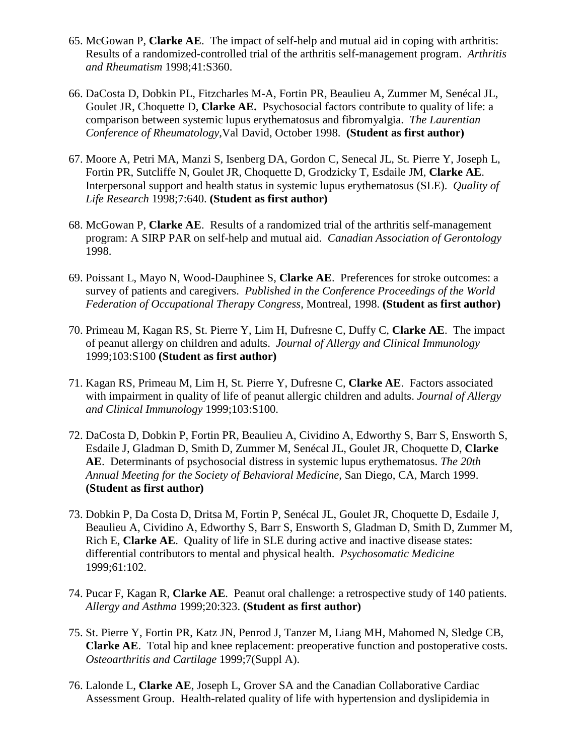- 65. McGowan P, **Clarke AE**. The impact of self-help and mutual aid in coping with arthritis: Results of a randomized-controlled trial of the arthritis self-management program. *Arthritis and Rheumatism* 1998;41:S360.
- 66. DaCosta D, Dobkin PL, Fitzcharles M-A, Fortin PR, Beaulieu A, Zummer M, Senécal JL, Goulet JR, Choquette D, **Clarke AE.** Psychosocial factors contribute to quality of life: a comparison between systemic lupus erythematosus and fibromyalgia. *The Laurentian Conference of Rheumatology,*Val David, October 1998. **(Student as first author)**
- 67. Moore A, Petri MA, Manzi S, Isenberg DA, Gordon C, Senecal JL, St. Pierre Y, Joseph L, Fortin PR, Sutcliffe N, Goulet JR, Choquette D, Grodzicky T, Esdaile JM, **Clarke AE**. Interpersonal support and health status in systemic lupus erythematosus (SLE). *Quality of Life Research* 1998;7:640. **(Student as first author)**
- 68. McGowan P, **Clarke AE**. Results of a randomized trial of the arthritis self-management program: A SIRP PAR on self-help and mutual aid. *Canadian Association of Gerontology* 1998.
- 69. Poissant L, Mayo N, Wood-Dauphinee S, **Clarke AE**. Preferences for stroke outcomes: a survey of patients and caregivers. *Published in the Conference Proceedings of the World Federation of Occupational Therapy Congress*, Montreal, 1998. **(Student as first author)**
- 70. Primeau M, Kagan RS, St. Pierre Y, Lim H, Dufresne C, Duffy C, **Clarke AE**. The impact of peanut allergy on children and adults. *Journal of Allergy and Clinical Immunology* 1999;103:S100 **(Student as first author)**
- 71. Kagan RS, Primeau M, Lim H, St. Pierre Y, Dufresne C, **Clarke AE**. Factors associated with impairment in quality of life of peanut allergic children and adults. *Journal of Allergy and Clinical Immunology* 1999;103:S100.
- 72. DaCosta D, Dobkin P, Fortin PR, Beaulieu A, Cividino A, Edworthy S, Barr S, Ensworth S, Esdaile J, Gladman D, Smith D, Zummer M, Senécal JL, Goulet JR, Choquette D, **Clarke AE**. Determinants of psychosocial distress in systemic lupus erythematosus. *The 20th Annual Meeting for the Society of Behavioral Medicine*, San Diego, CA, March 1999. **(Student as first author)**
- 73. Dobkin P, Da Costa D, Dritsa M, Fortin P, Senécal JL, Goulet JR, Choquette D, Esdaile J, Beaulieu A, Cividino A, Edworthy S, Barr S, Ensworth S, Gladman D, Smith D, Zummer M, Rich E, **Clarke AE**. Quality of life in SLE during active and inactive disease states: differential contributors to mental and physical health. *Psychosomatic Medicine* 1999;61:102.
- 74. Pucar F, Kagan R, **Clarke AE**. Peanut oral challenge: a retrospective study of 140 patients. *Allergy and Asthma* 1999;20:323. **(Student as first author)**
- 75. St. Pierre Y, Fortin PR, Katz JN, Penrod J, Tanzer M, Liang MH, Mahomed N, Sledge CB, **Clarke AE**. Total hip and knee replacement: preoperative function and postoperative costs. *Osteoarthritis and Cartilage* 1999;7(Suppl A).
- 76. Lalonde L, **Clarke AE**, Joseph L, Grover SA and the Canadian Collaborative Cardiac Assessment Group. Health-related quality of life with hypertension and dyslipidemia in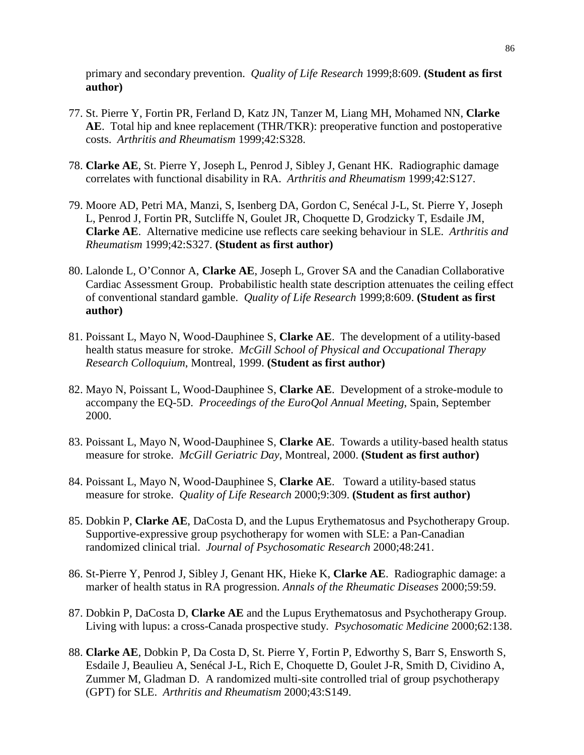primary and secondary prevention. *Quality of Life Research* 1999;8:609. **(Student as first author)**

- 77. St. Pierre Y, Fortin PR, Ferland D, Katz JN, Tanzer M, Liang MH, Mohamed NN, **Clarke AE**. Total hip and knee replacement (THR/TKR): preoperative function and postoperative costs. *Arthritis and Rheumatism* 1999;42:S328.
- 78. **Clarke AE**, St. Pierre Y, Joseph L, Penrod J, Sibley J, Genant HK. Radiographic damage correlates with functional disability in RA. *Arthritis and Rheumatism* 1999;42:S127.
- 79. Moore AD, Petri MA, Manzi, S, Isenberg DA, Gordon C, Senécal J-L, St. Pierre Y, Joseph L, Penrod J, Fortin PR, Sutcliffe N, Goulet JR, Choquette D, Grodzicky T, Esdaile JM, **Clarke AE**. Alternative medicine use reflects care seeking behaviour in SLE. *Arthritis and Rheumatism* 1999;42:S327. **(Student as first author)**
- 80. Lalonde L, O'Connor A, **Clarke AE**, Joseph L, Grover SA and the Canadian Collaborative Cardiac Assessment Group. Probabilistic health state description attenuates the ceiling effect of conventional standard gamble. *Quality of Life Research* 1999;8:609. **(Student as first author)**
- 81. Poissant L, Mayo N, Wood-Dauphinee S, **Clarke AE**. The development of a utility-based health status measure for stroke. *McGill School of Physical and Occupational Therapy Research Colloquium*, Montreal, 1999. **(Student as first author)**
- 82. Mayo N, Poissant L, Wood-Dauphinee S, **Clarke AE**. Development of a stroke-module to accompany the EQ-5D. *Proceedings of the EuroQol Annual Meeting*, Spain, September 2000.
- 83. Poissant L, Mayo N, Wood-Dauphinee S, **Clarke AE**. Towards a utility-based health status measure for stroke. *McGill Geriatric Day*, Montreal, 2000. **(Student as first author)**
- 84. Poissant L, Mayo N, Wood-Dauphinee S, **Clarke AE**. Toward a utility-based status measure for stroke. *Quality of Life Research* 2000;9:309. **(Student as first author)**
- 85. Dobkin P, **Clarke AE**, DaCosta D, and the Lupus Erythematosus and Psychotherapy Group. Supportive-expressive group psychotherapy for women with SLE: a Pan-Canadian randomized clinical trial. *Journal of Psychosomatic Research* 2000;48:241.
- 86. St-Pierre Y, Penrod J, Sibley J, Genant HK, Hieke K, **Clarke AE**. Radiographic damage: a marker of health status in RA progression. *Annals of the Rheumatic Diseases* 2000;59:59.
- 87. Dobkin P, DaCosta D, **Clarke AE** and the Lupus Erythematosus and Psychotherapy Group. Living with lupus: a cross-Canada prospective study. *Psychosomatic Medicine* 2000;62:138.
- 88. **Clarke AE**, Dobkin P, Da Costa D, St. Pierre Y, Fortin P, Edworthy S, Barr S, Ensworth S, Esdaile J, Beaulieu A, Senécal J-L, Rich E, Choquette D, Goulet J-R, Smith D, Cividino A, Zummer M, Gladman D. A randomized multi-site controlled trial of group psychotherapy (GPT) for SLE. *Arthritis and Rheumatism* 2000;43:S149.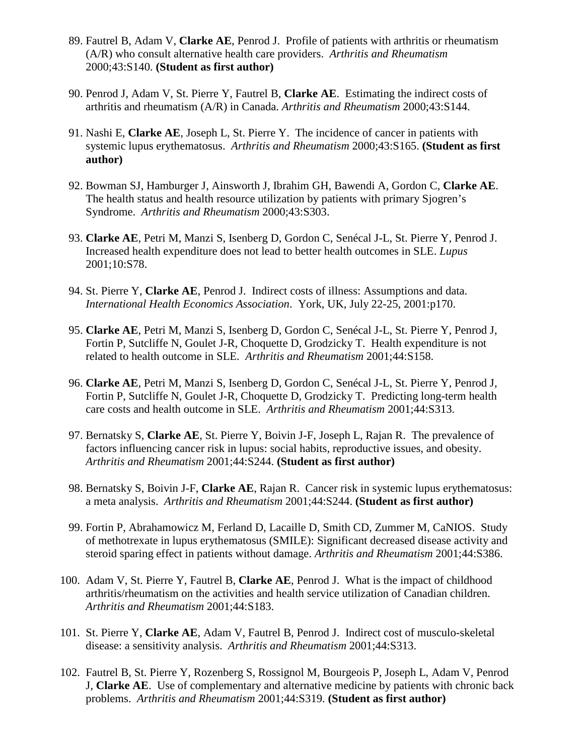- 89. Fautrel B, Adam V, **Clarke AE**, Penrod J. Profile of patients with arthritis or rheumatism (A/R) who consult alternative health care providers. *Arthritis and Rheumatism* 2000;43:S140. **(Student as first author)**
- 90. Penrod J, Adam V, St. Pierre Y, Fautrel B, **Clarke AE**. Estimating the indirect costs of arthritis and rheumatism (A/R) in Canada. *Arthritis and Rheumatism* 2000;43:S144.
- 91. Nashi E, **Clarke AE**, Joseph L, St. Pierre Y. The incidence of cancer in patients with systemic lupus erythematosus. *Arthritis and Rheumatism* 2000;43:S165. **(Student as first author)**
- 92. Bowman SJ, Hamburger J, Ainsworth J, Ibrahim GH, Bawendi A, Gordon C, **Clarke AE**. The health status and health resource utilization by patients with primary Sjogren's Syndrome. *Arthritis and Rheumatism* 2000;43:S303.
- 93. **Clarke AE**, Petri M, Manzi S, Isenberg D, Gordon C, Senécal J-L, St. Pierre Y, Penrod J. Increased health expenditure does not lead to better health outcomes in SLE. *Lupus* 2001;10:S78.
- 94. St. Pierre Y, **Clarke AE**, Penrod J. Indirect costs of illness: Assumptions and data. *International Health Economics Association*. York, UK, July 22-25, 2001:p170.
- 95. **Clarke AE**, Petri M, Manzi S, Isenberg D, Gordon C, Senécal J-L, St. Pierre Y, Penrod J, Fortin P, Sutcliffe N, Goulet J-R, Choquette D, Grodzicky T. Health expenditure is not related to health outcome in SLE. *Arthritis and Rheumatism* 2001;44:S158.
- 96. **Clarke AE**, Petri M, Manzi S, Isenberg D, Gordon C, Senécal J-L, St. Pierre Y, Penrod J, Fortin P, Sutcliffe N, Goulet J-R, Choquette D, Grodzicky T. Predicting long-term health care costs and health outcome in SLE. *Arthritis and Rheumatism* 2001;44:S313.
- 97. Bernatsky S, **Clarke AE**, St. Pierre Y, Boivin J-F, Joseph L, Rajan R. The prevalence of factors influencing cancer risk in lupus: social habits, reproductive issues, and obesity. *Arthritis and Rheumatism* 2001;44:S244. **(Student as first author)**
- 98. Bernatsky S, Boivin J-F, **Clarke AE**, Rajan R. Cancer risk in systemic lupus erythematosus: a meta analysis. *Arthritis and Rheumatism* 2001;44:S244. **(Student as first author)**
- 99. Fortin P, Abrahamowicz M, Ferland D, Lacaille D, Smith CD, Zummer M, CaNIOS. Study of methotrexate in lupus erythematosus (SMILE): Significant decreased disease activity and steroid sparing effect in patients without damage. *Arthritis and Rheumatism* 2001;44:S386.
- 100. Adam V, St. Pierre Y, Fautrel B, **Clarke AE**, Penrod J. What is the impact of childhood arthritis/rheumatism on the activities and health service utilization of Canadian children. *Arthritis and Rheumatism* 2001;44:S183.
- 101. St. Pierre Y, **Clarke AE**, Adam V, Fautrel B, Penrod J. Indirect cost of musculo-skeletal disease: a sensitivity analysis. *Arthritis and Rheumatism* 2001;44:S313.
- 102. Fautrel B, St. Pierre Y, Rozenberg S, Rossignol M, Bourgeois P, Joseph L, Adam V, Penrod J, **Clarke AE**. Use of complementary and alternative medicine by patients with chronic back problems. *Arthritis and Rheumatism* 2001;44:S319. **(Student as first author)**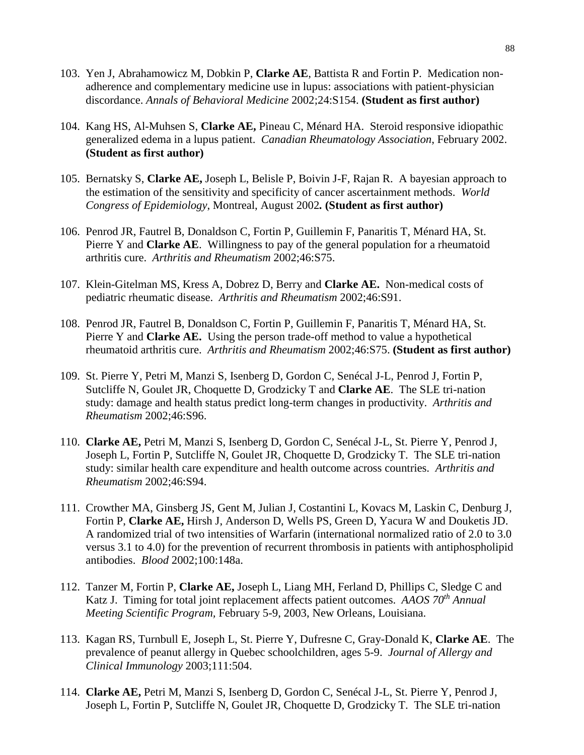- 103. Yen J, Abrahamowicz M, Dobkin P, **Clarke AE**, Battista R and Fortin P. Medication nonadherence and complementary medicine use in lupus: associations with patient-physician discordance. *Annals of Behavioral Medicine* 2002;24:S154. **(Student as first author)**
- 104. Kang HS, Al-Muhsen S, **Clarke AE,** Pineau C, Ménard HA. Steroid responsive idiopathic generalized edema in a lupus patient. *Canadian Rheumatology Association*, February 2002. **(Student as first author)**
- 105. Bernatsky S, **Clarke AE,** Joseph L, Belisle P, Boivin J-F, Rajan R. A bayesian approach to the estimation of the sensitivity and specificity of cancer ascertainment methods. *World Congress of Epidemiology*, Montreal, August 2002*.* **(Student as first author)**
- 106. Penrod JR, Fautrel B, Donaldson C, Fortin P, Guillemin F, Panaritis T, Ménard HA, St. Pierre Y and **Clarke AE**. Willingness to pay of the general population for a rheumatoid arthritis cure. *Arthritis and Rheumatism* 2002;46:S75.
- 107. Klein-Gitelman MS, Kress A, Dobrez D, Berry and **Clarke AE.** Non-medical costs of pediatric rheumatic disease. *Arthritis and Rheumatism* 2002;46:S91.
- 108. Penrod JR, Fautrel B, Donaldson C, Fortin P, Guillemin F, Panaritis T, Ménard HA, St. Pierre Y and **Clarke AE.** Using the person trade-off method to value a hypothetical rheumatoid arthritis cure. *Arthritis and Rheumatism* 2002;46:S75. **(Student as first author)**
- 109. St. Pierre Y, Petri M, Manzi S, Isenberg D, Gordon C, Senécal J-L, Penrod J, Fortin P, Sutcliffe N, Goulet JR, Choquette D, Grodzicky T and **Clarke AE**. The SLE tri-nation study: damage and health status predict long-term changes in productivity. *Arthritis and Rheumatism* 2002;46:S96.
- 110. **Clarke AE,** Petri M, Manzi S, Isenberg D, Gordon C, Senécal J-L, St. Pierre Y, Penrod J, Joseph L, Fortin P, Sutcliffe N, Goulet JR, Choquette D, Grodzicky T. The SLE tri-nation study: similar health care expenditure and health outcome across countries. *Arthritis and Rheumatism* 2002;46:S94.
- 111. Crowther MA, Ginsberg JS, Gent M, Julian J, Costantini L, Kovacs M, Laskin C, Denburg J, Fortin P, **Clarke AE,** Hirsh J, Anderson D, Wells PS, Green D, Yacura W and Douketis JD. A randomized trial of two intensities of Warfarin (international normalized ratio of 2.0 to 3.0 versus 3.1 to 4.0) for the prevention of recurrent thrombosis in patients with antiphospholipid antibodies. *Blood* 2002;100:148a.
- 112. Tanzer M, Fortin P, **Clarke AE,** Joseph L, Liang MH, Ferland D, Phillips C, Sledge C and Katz J. Timing for total joint replacement affects patient outcomes. *AAOS 70th Annual Meeting Scientific Program,* February 5-9, 2003, New Orleans, Louisiana.
- 113. Kagan RS, Turnbull E, Joseph L, St. Pierre Y, Dufresne C, Gray-Donald K, **Clarke AE**. The prevalence of peanut allergy in Quebec schoolchildren, ages 5-9. *Journal of Allergy and Clinical Immunology* 2003;111:504.
- 114. **Clarke AE,** Petri M, Manzi S, Isenberg D, Gordon C, Senécal J-L, St. Pierre Y, Penrod J, Joseph L, Fortin P, Sutcliffe N, Goulet JR, Choquette D, Grodzicky T. The SLE tri-nation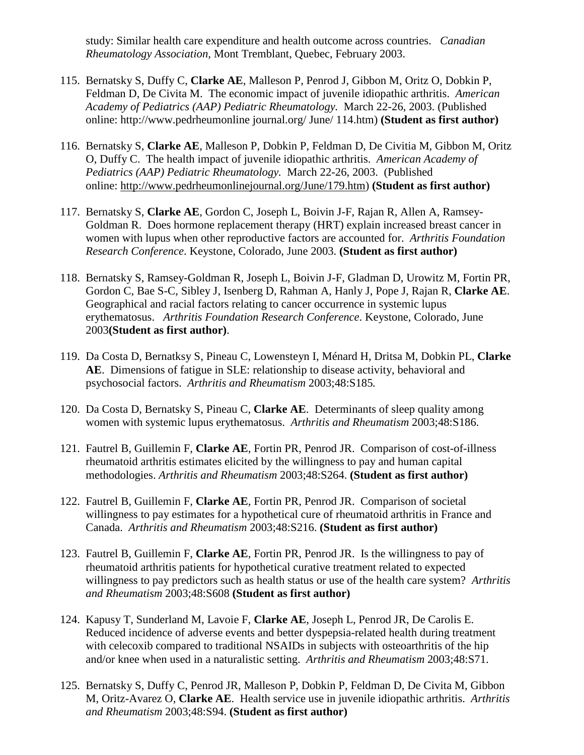study: Similar health care expenditure and health outcome across countries. *Canadian Rheumatology Association,* Mont Tremblant, Quebec, February 2003.

- 115. Bernatsky S, Duffy C, **Clarke AE**, Malleson P, Penrod J, Gibbon M, Oritz O, Dobkin P, Feldman D, De Civita M. The economic impact of juvenile idiopathic arthritis. *American Academy of Pediatrics (AAP) Pediatric Rheumatology.* March 22-26, 2003. (Published online: http://www.pedrheumonline journal.org/ June/ 114.htm) **(Student as first author)**
- 116. Bernatsky S, **Clarke AE**, Malleson P, Dobkin P, Feldman D, De Civitia M, Gibbon M, Oritz O, Duffy C. The health impact of juvenile idiopathic arthritis. *American Academy of Pediatrics (AAP) Pediatric Rheumatology.* March 22-26, 2003. (Published online: [http://www.pedrheumonlinejournal.org/June/179.htm\)](http://www.pedrheumonlinejournal.org/June/179.htm) **(Student as first author)**
- 117. Bernatsky S, **Clarke AE**, Gordon C, Joseph L, Boivin J-F, Rajan R, Allen A, Ramsey-Goldman R. Does hormone replacement therapy (HRT) explain increased breast cancer in women with lupus when other reproductive factors are accounted for. *Arthritis Foundation Research Conference*. Keystone, Colorado, June 2003. **(Student as first author)**
- 118. Bernatsky S, Ramsey-Goldman R, Joseph L, Boivin J-F, Gladman D, Urowitz M, Fortin PR, Gordon C, Bae S-C, Sibley J, Isenberg D, Rahman A, Hanly J, Pope J, Rajan R, **Clarke AE**. Geographical and racial factors relating to cancer occurrence in systemic lupus erythematosus. *Arthritis Foundation Research Conference*. Keystone, Colorado, June 2003**(Student as first author)**.
- 119. Da Costa D, Bernatksy S, Pineau C, Lowensteyn I, Ménard H, Dritsa M, Dobkin PL, **Clarke AE**. Dimensions of fatigue in SLE: relationship to disease activity, behavioral and psychosocial factors. *Arthritis and Rheumatism* 2003;48:S185*.*
- 120. Da Costa D, Bernatsky S, Pineau C, **Clarke AE**. Determinants of sleep quality among women with systemic lupus erythematosus. *Arthritis and Rheumatism* 2003;48:S186.
- 121. Fautrel B, Guillemin F, **Clarke AE**, Fortin PR, Penrod JR. Comparison of cost-of-illness rheumatoid arthritis estimates elicited by the willingness to pay and human capital methodologies. *Arthritis and Rheumatism* 2003;48:S264. **(Student as first author)**
- 122. Fautrel B, Guillemin F, **Clarke AE**, Fortin PR, Penrod JR. Comparison of societal willingness to pay estimates for a hypothetical cure of rheumatoid arthritis in France and Canada. *Arthritis and Rheumatism* 2003;48:S216. **(Student as first author)**
- 123. Fautrel B, Guillemin F, **Clarke AE**, Fortin PR, Penrod JR. Is the willingness to pay of rheumatoid arthritis patients for hypothetical curative treatment related to expected willingness to pay predictors such as health status or use of the health care system? *Arthritis and Rheumatism* 2003;48:S608 **(Student as first author)**
- 124. Kapusy T, Sunderland M, Lavoie F, **Clarke AE**, Joseph L, Penrod JR, De Carolis E. Reduced incidence of adverse events and better dyspepsia-related health during treatment with celecoxib compared to traditional NSAIDs in subjects with osteoarthritis of the hip and/or knee when used in a naturalistic setting. *Arthritis and Rheumatism* 2003;48:S71.
- 125. Bernatsky S, Duffy C, Penrod JR, Malleson P, Dobkin P, Feldman D, De Civita M, Gibbon M, Oritz-Avarez O, **Clarke AE**. Health service use in juvenile idiopathic arthritis. *Arthritis and Rheumatism* 2003;48:S94. **(Student as first author)**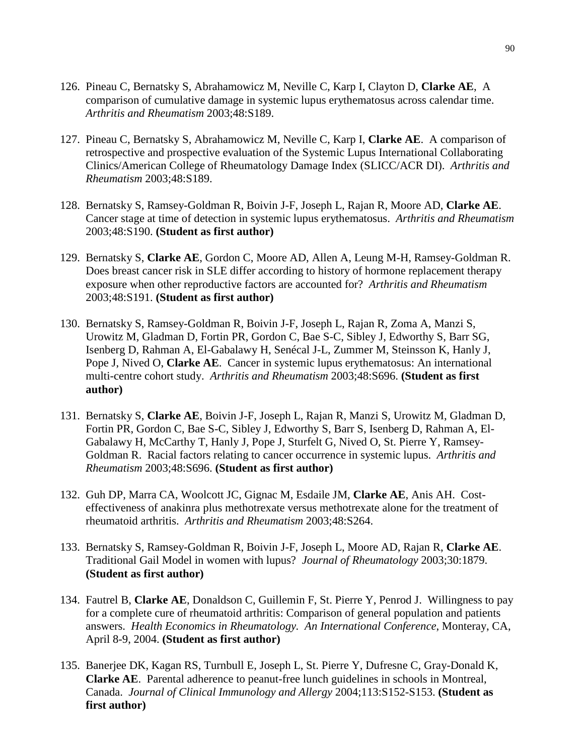- 126. Pineau C, Bernatsky S, Abrahamowicz M, Neville C, Karp I, Clayton D, **Clarke AE**, A comparison of cumulative damage in systemic lupus erythematosus across calendar time. *Arthritis and Rheumatism* 2003;48:S189.
- 127. Pineau C, Bernatsky S, Abrahamowicz M, Neville C, Karp I, **Clarke AE**. A comparison of retrospective and prospective evaluation of the Systemic Lupus International Collaborating Clinics/American College of Rheumatology Damage Index (SLICC/ACR DI). *Arthritis and Rheumatism* 2003;48:S189.
- 128. Bernatsky S, Ramsey-Goldman R, Boivin J-F, Joseph L, Rajan R, Moore AD, **Clarke AE**. Cancer stage at time of detection in systemic lupus erythematosus. *Arthritis and Rheumatism*  2003;48:S190. **(Student as first author)**
- 129. Bernatsky S, **Clarke AE**, Gordon C, Moore AD, Allen A, Leung M-H, Ramsey-Goldman R. Does breast cancer risk in SLE differ according to history of hormone replacement therapy exposure when other reproductive factors are accounted for? *Arthritis and Rheumatism*  2003;48:S191. **(Student as first author)**
- 130. Bernatsky S, Ramsey-Goldman R, Boivin J-F, Joseph L, Rajan R, Zoma A, Manzi S, Urowitz M, Gladman D, Fortin PR, Gordon C, Bae S-C, Sibley J, Edworthy S, Barr SG, Isenberg D, Rahman A, El-Gabalawy H, Senécal J-L, Zummer M, Steinsson K, Hanly J, Pope J, Nived O, **Clarke AE**. Cancer in systemic lupus erythematosus: An international multi-centre cohort study. *Arthritis and Rheumatism* 2003;48:S696. **(Student as first author)**
- 131. Bernatsky S, **Clarke AE**, Boivin J-F, Joseph L, Rajan R, Manzi S, Urowitz M, Gladman D, Fortin PR, Gordon C, Bae S-C, Sibley J, Edworthy S, Barr S, Isenberg D, Rahman A, El-Gabalawy H, McCarthy T, Hanly J, Pope J, Sturfelt G, Nived O, St. Pierre Y, Ramsey-Goldman R. Racial factors relating to cancer occurrence in systemic lupus. *Arthritis and Rheumatism* 2003;48:S696. **(Student as first author)**
- 132. Guh DP, Marra CA, Woolcott JC, Gignac M, Esdaile JM, **Clarke AE**, Anis AH. Costeffectiveness of anakinra plus methotrexate versus methotrexate alone for the treatment of rheumatoid arthritis. *Arthritis and Rheumatism* 2003;48:S264.
- 133. Bernatsky S, Ramsey-Goldman R, Boivin J-F, Joseph L, Moore AD, Rajan R, **Clarke AE**. Traditional Gail Model in women with lupus? *Journal of Rheumatology* 2003;30:1879. **(Student as first author)**
- 134. Fautrel B, **Clarke AE**, Donaldson C, Guillemin F, St. Pierre Y, Penrod J. Willingness to pay for a complete cure of rheumatoid arthritis: Comparison of general population and patients answers. *Health Economics in Rheumatology. An International Conference*, Monteray, CA, April 8-9, 2004. **(Student as first author)**
- 135. Banerjee DK, Kagan RS, Turnbull E, Joseph L, St. Pierre Y, Dufresne C, Gray-Donald K, **Clarke AE**. Parental adherence to peanut-free lunch guidelines in schools in Montreal, Canada. *Journal of Clinical Immunology and Allergy* 2004;113:S152-S153. **(Student as first author)**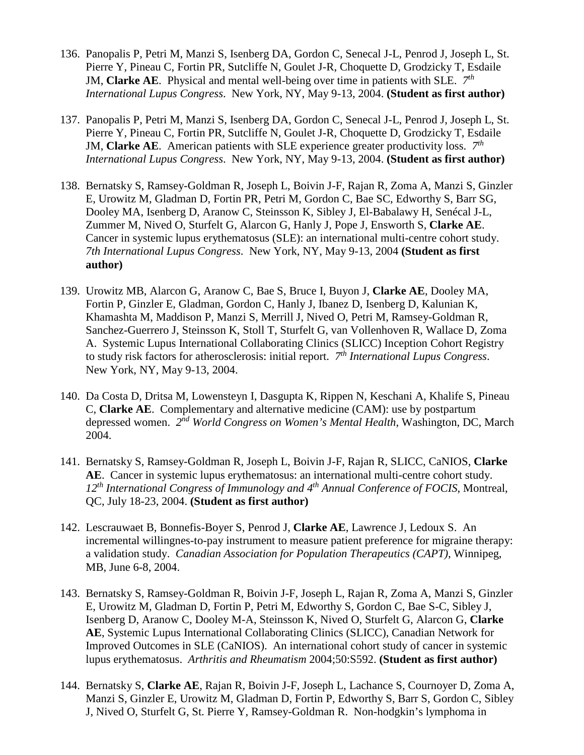- 136. Panopalis P, Petri M, Manzi S, Isenberg DA, Gordon C, Senecal J-L, Penrod J, Joseph L, St. Pierre Y, Pineau C, Fortin PR, Sutcliffe N, Goulet J-R, Choquette D, Grodzicky T, Esdaile JM, **Clarke AE**. Physical and mental well-being over time in patients with SLE. *7th International Lupus Congress*. New York, NY, May 9-13, 2004. **(Student as first author)**
- 137. Panopalis P, Petri M, Manzi S, Isenberg DA, Gordon C, Senecal J-L, Penrod J, Joseph L, St. Pierre Y, Pineau C, Fortin PR, Sutcliffe N, Goulet J-R, Choquette D, Grodzicky T, Esdaile JM, **Clarke AE**. American patients with SLE experience greater productivity loss. *7th International Lupus Congress*. New York, NY, May 9-13, 2004. **(Student as first author)**
- 138. Bernatsky S, Ramsey-Goldman R, Joseph L, Boivin J-F, Rajan R, Zoma A, Manzi S, Ginzler E, Urowitz M, Gladman D, Fortin PR, Petri M, Gordon C, Bae SC, Edworthy S, Barr SG, Dooley MA, Isenberg D, Aranow C, Steinsson K, Sibley J, El-Babalawy H, Senécal J-L, Zummer M, Nived O, Sturfelt G, Alarcon G, Hanly J, Pope J, Ensworth S, **Clarke AE**. Cancer in systemic lupus erythematosus (SLE): an international multi-centre cohort study. *7th International Lupus Congress*. New York, NY, May 9-13, 2004 **(Student as first author)**
- 139. Urowitz MB, Alarcon G, Aranow C, Bae S, Bruce I, Buyon J, **Clarke AE**, Dooley MA, Fortin P, Ginzler E, Gladman, Gordon C, Hanly J, Ibanez D, Isenberg D, Kalunian K, Khamashta M, Maddison P, Manzi S, Merrill J, Nived O, Petri M, Ramsey-Goldman R, Sanchez-Guerrero J, Steinsson K, Stoll T, Sturfelt G, van Vollenhoven R, Wallace D, Zoma A. Systemic Lupus International Collaborating Clinics (SLICC) Inception Cohort Registry to study risk factors for atherosclerosis: initial report. *7th International Lupus Congress*. New York, NY, May 9-13, 2004.
- 140. Da Costa D, Dritsa M, Lowensteyn I, Dasgupta K, Rippen N, Keschani A, Khalife S, Pineau C, **Clarke AE**. Complementary and alternative medicine (CAM): use by postpartum depressed women. *2nd World Congress on Women's Mental Health*, Washington, DC, March 2004.
- 141. Bernatsky S, Ramsey-Goldman R, Joseph L, Boivin J-F, Rajan R, SLICC, CaNIOS, **Clarke AE**. Cancer in systemic lupus erythematosus: an international multi-centre cohort study. *12th International Congress of Immunology and 4th Annual Conference of FOCIS*, Montreal, QC, July 18-23, 2004. **(Student as first author)**
- 142. Lescrauwaet B, Bonnefis-Boyer S, Penrod J, **Clarke AE**, Lawrence J, Ledoux S. An incremental willingnes-to-pay instrument to measure patient preference for migraine therapy: a validation study. *Canadian Association for Population Therapeutics (CAPT)*, Winnipeg, MB, June 6-8, 2004.
- 143. Bernatsky S, Ramsey-Goldman R, Boivin J-F, Joseph L, Rajan R, Zoma A, Manzi S, Ginzler E, Urowitz M, Gladman D, Fortin P, Petri M, Edworthy S, Gordon C, Bae S-C, Sibley J, Isenberg D, Aranow C, Dooley M-A, Steinsson K, Nived O, Sturfelt G, Alarcon G, **Clarke AE**, Systemic Lupus International Collaborating Clinics (SLICC), Canadian Network for Improved Outcomes in SLE (CaNIOS). An international cohort study of cancer in systemic lupus erythematosus. *Arthritis and Rheumatism* 2004;50:S592. **(Student as first author)**
- 144. Bernatsky S, **Clarke AE**, Rajan R, Boivin J-F, Joseph L, Lachance S, Cournoyer D, Zoma A, Manzi S, Ginzler E, Urowitz M, Gladman D, Fortin P, Edworthy S, Barr S, Gordon C, Sibley J, Nived O, Sturfelt G, St. Pierre Y, Ramsey-Goldman R. Non-hodgkin's lymphoma in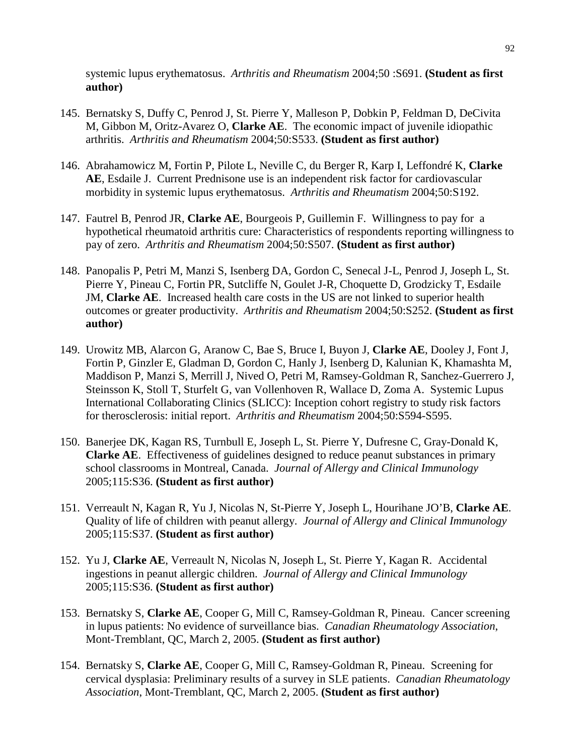systemic lupus erythematosus. *Arthritis and Rheumatism* 2004;50 :S691. **(Student as first author)**

- 145. Bernatsky S, Duffy C, Penrod J, St. Pierre Y, Malleson P, Dobkin P, Feldman D, DeCivita M, Gibbon M, Oritz-Avarez O, **Clarke AE**. The economic impact of juvenile idiopathic arthritis. *Arthritis and Rheumatism* 2004;50:S533. **(Student as first author)**
- 146. Abrahamowicz M, Fortin P, Pilote L, Neville C, du Berger R, Karp I, Leffondré K, **Clarke AE**, Esdaile J. Current Prednisone use is an independent risk factor for cardiovascular morbidity in systemic lupus erythematosus. *Arthritis and Rheumatism* 2004;50:S192.
- 147. Fautrel B, Penrod JR, **Clarke AE**, Bourgeois P, Guillemin F. Willingness to pay for a hypothetical rheumatoid arthritis cure: Characteristics of respondents reporting willingness to pay of zero. *Arthritis and Rheumatism* 2004;50:S507. **(Student as first author)**
- 148. Panopalis P, Petri M, Manzi S, Isenberg DA, Gordon C, Senecal J-L, Penrod J, Joseph L, St. Pierre Y, Pineau C, Fortin PR, Sutcliffe N, Goulet J-R, Choquette D, Grodzicky T, Esdaile JM, **Clarke AE**. Increased health care costs in the US are not linked to superior health outcomes or greater productivity. *Arthritis and Rheumatism* 2004;50:S252. **(Student as first author)**
- 149. Urowitz MB, Alarcon G, Aranow C, Bae S, Bruce I, Buyon J, **Clarke AE**, Dooley J, Font J, Fortin P, Ginzler E, Gladman D, Gordon C, Hanly J, Isenberg D, Kalunian K, Khamashta M, Maddison P, Manzi S, Merrill J, Nived O, Petri M, Ramsey-Goldman R, Sanchez-Guerrero J, Steinsson K, Stoll T, Sturfelt G, van Vollenhoven R, Wallace D, Zoma A. Systemic Lupus International Collaborating Clinics (SLICC): Inception cohort registry to study risk factors for therosclerosis: initial report. *Arthritis and Rheumatism* 2004;50:S594-S595.
- 150. Banerjee DK, Kagan RS, Turnbull E, Joseph L, St. Pierre Y, Dufresne C, Gray-Donald K, **Clarke AE**. Effectiveness of guidelines designed to reduce peanut substances in primary school classrooms in Montreal, Canada. *Journal of Allergy and Clinical Immunology* 2005;115:S36. **(Student as first author)**
- 151. Verreault N, Kagan R, Yu J, Nicolas N, St-Pierre Y, Joseph L, Hourihane JO'B, **Clarke AE**. Quality of life of children with peanut allergy. *Journal of Allergy and Clinical Immunology* 2005;115:S37. **(Student as first author)**
- 152. Yu J, **Clarke AE**, Verreault N, Nicolas N, Joseph L, St. Pierre Y, Kagan R. Accidental ingestions in peanut allergic children. *Journal of Allergy and Clinical Immunology* 2005;115:S36. **(Student as first author)**
- 153. Bernatsky S, **Clarke AE**, Cooper G, Mill C, Ramsey-Goldman R, Pineau. Cancer screening in lupus patients: No evidence of surveillance bias. *Canadian Rheumatology Association*, Mont-Tremblant, QC, March 2, 2005. **(Student as first author)**
- 154. Bernatsky S, **Clarke AE**, Cooper G, Mill C, Ramsey-Goldman R, Pineau. Screening for cervical dysplasia: Preliminary results of a survey in SLE patients. *Canadian Rheumatology Association*, Mont-Tremblant, QC, March 2, 2005. **(Student as first author)**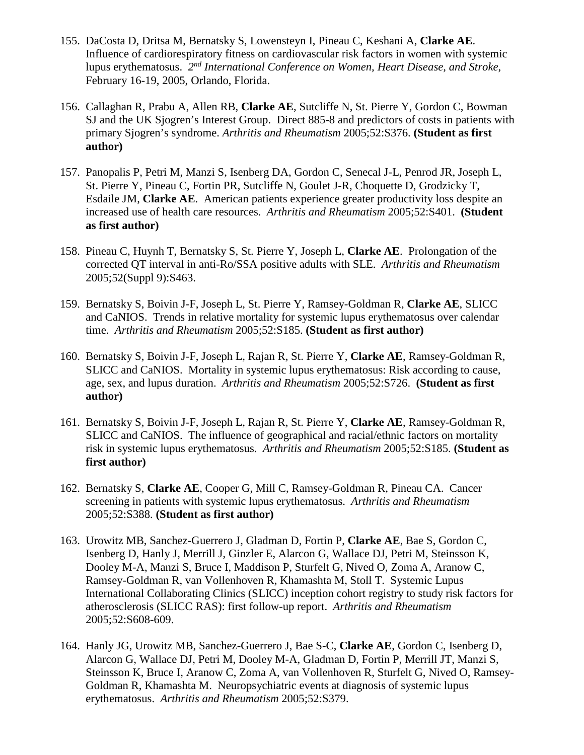- 155. DaCosta D, Dritsa M, Bernatsky S, Lowensteyn I, Pineau C, Keshani A, **Clarke AE**. Influence of cardiorespiratory fitness on cardiovascular risk factors in women with systemic lupus erythematosus. *2nd International Conference on Women, Heart Disease, and Stroke*, February 16-19, 2005, Orlando, Florida.
- 156. Callaghan R, Prabu A, Allen RB, **Clarke AE**, Sutcliffe N, St. Pierre Y, Gordon C, Bowman SJ and the UK Sjogren's Interest Group. Direct 885-8 and predictors of costs in patients with primary Sjogren's syndrome. *Arthritis and Rheumatism* 2005;52:S376. **(Student as first author)**
- 157. Panopalis P, Petri M, Manzi S, Isenberg DA, Gordon C, Senecal J-L, Penrod JR, Joseph L, St. Pierre Y, Pineau C, Fortin PR, Sutcliffe N, Goulet J-R, Choquette D, Grodzicky T, Esdaile JM, **Clarke AE**. American patients experience greater productivity loss despite an increased use of health care resources. *Arthritis and Rheumatism* 2005;52:S401. **(Student as first author)**
- 158. Pineau C, Huynh T, Bernatsky S, St. Pierre Y, Joseph L, **Clarke AE**. Prolongation of the corrected QT interval in anti-Ro/SSA positive adults with SLE. *Arthritis and Rheumatism* 2005;52(Suppl 9):S463.
- 159. Bernatsky S, Boivin J-F, Joseph L, St. Pierre Y, Ramsey-Goldman R, **Clarke AE**, SLICC and CaNIOS. Trends in relative mortality for systemic lupus erythematosus over calendar time. *Arthritis and Rheumatism* 2005;52:S185. **(Student as first author)**
- 160. Bernatsky S, Boivin J-F, Joseph L, Rajan R, St. Pierre Y, **Clarke AE**, Ramsey-Goldman R, SLICC and CaNIOS. Mortality in systemic lupus erythematosus: Risk according to cause, age, sex, and lupus duration. *Arthritis and Rheumatism* 2005;52:S726. **(Student as first author)**
- 161. Bernatsky S, Boivin J-F, Joseph L, Rajan R, St. Pierre Y, **Clarke AE**, Ramsey-Goldman R, SLICC and CaNIOS. The influence of geographical and racial/ethnic factors on mortality risk in systemic lupus erythematosus. *Arthritis and Rheumatism* 2005;52:S185. **(Student as first author)**
- 162. Bernatsky S, **Clarke AE**, Cooper G, Mill C, Ramsey-Goldman R, Pineau CA. Cancer screening in patients with systemic lupus erythematosus. *Arthritis and Rheumatism* 2005;52:S388. **(Student as first author)**
- 163. Urowitz MB, Sanchez-Guerrero J, Gladman D, Fortin P, **Clarke AE**, Bae S, Gordon C, Isenberg D, Hanly J, Merrill J, Ginzler E, Alarcon G, Wallace DJ, Petri M, Steinsson K, Dooley M-A, Manzi S, Bruce I, Maddison P, Sturfelt G, Nived O, Zoma A, Aranow C, Ramsey-Goldman R, van Vollenhoven R, Khamashta M, Stoll T. Systemic Lupus International Collaborating Clinics (SLICC) inception cohort registry to study risk factors for atherosclerosis (SLICC RAS): first follow-up report. *Arthritis and Rheumatism* 2005;52:S608-609.
- 164. Hanly JG, Urowitz MB, Sanchez-Guerrero J, Bae S-C, **Clarke AE**, Gordon C, Isenberg D, Alarcon G, Wallace DJ, Petri M, Dooley M-A, Gladman D, Fortin P, Merrill JT, Manzi S, Steinsson K, Bruce I, Aranow C, Zoma A, van Vollenhoven R, Sturfelt G, Nived O, Ramsey-Goldman R, Khamashta M. Neuropsychiatric events at diagnosis of systemic lupus erythematosus. *Arthritis and Rheumatism* 2005;52:S379.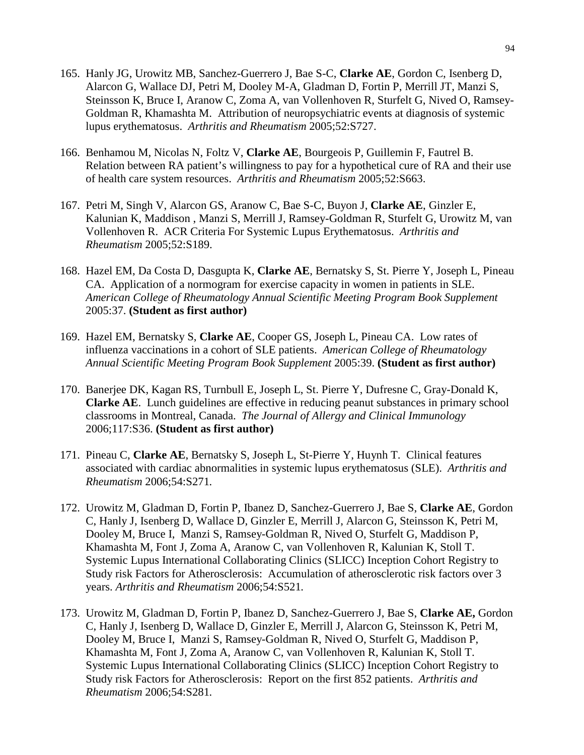- 165. Hanly JG, Urowitz MB, Sanchez-Guerrero J, Bae S-C, **Clarke AE**, Gordon C, Isenberg D, Alarcon G, Wallace DJ, Petri M, Dooley M-A, Gladman D, Fortin P, Merrill JT, Manzi S, Steinsson K, Bruce I, Aranow C, Zoma A, van Vollenhoven R, Sturfelt G, Nived O, Ramsey-Goldman R, Khamashta M. Attribution of neuropsychiatric events at diagnosis of systemic lupus erythematosus. *Arthritis and Rheumatism* 2005;52:S727.
- 166. Benhamou M, Nicolas N, Foltz V, **Clarke AE**, Bourgeois P, Guillemin F, Fautrel B. Relation between RA patient's willingness to pay for a hypothetical cure of RA and their use of health care system resources. *Arthritis and Rheumatism* 2005;52:S663.
- 167. Petri M, Singh V, Alarcon GS, Aranow C, Bae S-C, Buyon J, **Clarke AE**, Ginzler E, Kalunian K, Maddison , Manzi S, Merrill J, Ramsey-Goldman R, Sturfelt G, Urowitz M, van Vollenhoven R. ACR Criteria For Systemic Lupus Erythematosus. *Arthritis and Rheumatism* 2005;52:S189.
- 168. Hazel EM, Da Costa D, Dasgupta K, **Clarke AE**, Bernatsky S, St. Pierre Y, Joseph L, Pineau CA. Application of a normogram for exercise capacity in women in patients in SLE. *American College of Rheumatology Annual Scientific Meeting Program Book Supplement* 2005:37. **(Student as first author)**
- 169. Hazel EM, Bernatsky S, **Clarke AE**, Cooper GS, Joseph L, Pineau CA. Low rates of influenza vaccinations in a cohort of SLE patients. *American College of Rheumatology Annual Scientific Meeting Program Book Supplement* 2005:39. **(Student as first author)**
- 170. Banerjee DK, Kagan RS, Turnbull E, Joseph L, St. Pierre Y, Dufresne C, Gray-Donald K, **Clarke AE**. Lunch guidelines are effective in reducing peanut substances in primary school classrooms in Montreal, Canada. *The Journal of Allergy and Clinical Immunology*  2006;117:S36. **(Student as first author)**
- 171. Pineau C, **Clarke AE**, Bernatsky S, Joseph L, St-Pierre Y, Huynh T. Clinical features associated with cardiac abnormalities in systemic lupus erythematosus (SLE). *Arthritis and Rheumatism* 2006;54:S271*.*
- 172. Urowitz M, Gladman D, Fortin P, Ibanez D, Sanchez-Guerrero J, Bae S, **Clarke AE**, Gordon C, Hanly J, Isenberg D, Wallace D, Ginzler E, Merrill J, Alarcon G, Steinsson K, Petri M, Dooley M, Bruce I, Manzi S, Ramsey-Goldman R, Nived O, Sturfelt G, Maddison P, Khamashta M, Font J, Zoma A, Aranow C, van Vollenhoven R, Kalunian K, Stoll T. Systemic Lupus International Collaborating Clinics (SLICC) Inception Cohort Registry to Study risk Factors for Atherosclerosis: Accumulation of atherosclerotic risk factors over 3 years. *Arthritis and Rheumatism* 2006;54:S521*.*
- 173. Urowitz M, Gladman D, Fortin P, Ibanez D, Sanchez-Guerrero J, Bae S, **Clarke AE,** Gordon C, Hanly J, Isenberg D, Wallace D, Ginzler E, Merrill J, Alarcon G, Steinsson K, Petri M, Dooley M, Bruce I, Manzi S, Ramsey-Goldman R, Nived O, Sturfelt G, Maddison P, Khamashta M, Font J, Zoma A, Aranow C, van Vollenhoven R, Kalunian K, Stoll T. Systemic Lupus International Collaborating Clinics (SLICC) Inception Cohort Registry to Study risk Factors for Atherosclerosis: Report on the first 852 patients. *Arthritis and Rheumatism* 2006;54:S281*.*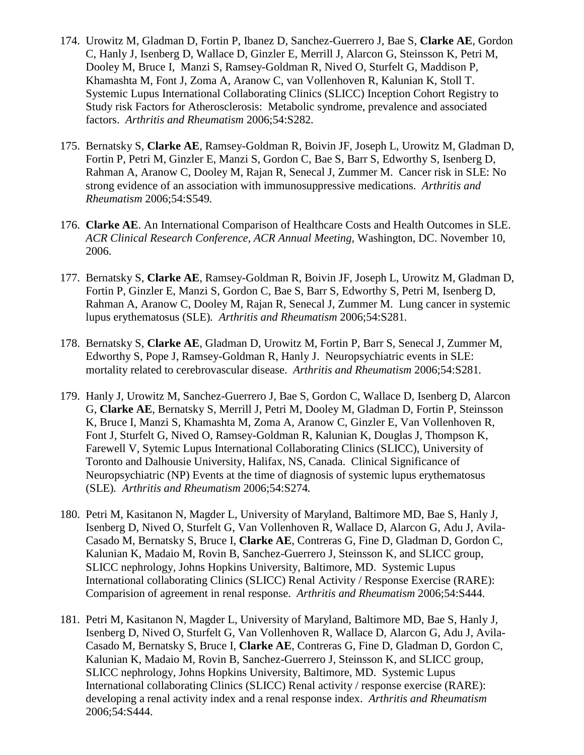- 174. Urowitz M, Gladman D, Fortin P, Ibanez D, Sanchez-Guerrero J, Bae S, **Clarke AE**, Gordon C, Hanly J, Isenberg D, Wallace D, Ginzler E, Merrill J, Alarcon G, Steinsson K, Petri M, Dooley M, Bruce I, Manzi S, Ramsey-Goldman R, Nived O, Sturfelt G, Maddison P, Khamashta M, Font J, Zoma A, Aranow C, van Vollenhoven R, Kalunian K, Stoll T. Systemic Lupus International Collaborating Clinics (SLICC) Inception Cohort Registry to Study risk Factors for Atherosclerosis: Metabolic syndrome, prevalence and associated factors. *Arthritis and Rheumatism* 2006;54:S282*.*
- 175. Bernatsky S, **Clarke AE**, Ramsey-Goldman R, Boivin JF, Joseph L, Urowitz M, Gladman D, Fortin P, Petri M, Ginzler E, Manzi S, Gordon C, Bae S, Barr S, Edworthy S, Isenberg D, Rahman A, Aranow C, Dooley M, Rajan R, Senecal J, Zummer M. Cancer risk in SLE: No strong evidence of an association with immunosuppressive medications. *Arthritis and Rheumatism* 2006;54:S549*.*
- 176. **Clarke AE**. An International Comparison of Healthcare Costs and Health Outcomes in SLE. *ACR Clinical Research Conference, ACR Annual Meeting,* Washington, DC. November 10, 2006.
- 177. Bernatsky S, **Clarke AE**, Ramsey-Goldman R, Boivin JF, Joseph L, Urowitz M, Gladman D, Fortin P, Ginzler E, Manzi S, Gordon C, Bae S, Barr S, Edworthy S, Petri M, Isenberg D, Rahman A, Aranow C, Dooley M, Rajan R, Senecal J, Zummer M. Lung cancer in systemic lupus erythematosus (SLE)*. Arthritis and Rheumatism* 2006;54:S281*.*
- 178. Bernatsky S, **Clarke AE**, Gladman D, Urowitz M, Fortin P, Barr S, Senecal J, Zummer M, Edworthy S, Pope J, Ramsey-Goldman R, Hanly J. Neuropsychiatric events in SLE: mortality related to cerebrovascular disease. *Arthritis and Rheumatism* 2006;54:S281*.*
- 179. Hanly J, Urowitz M, Sanchez-Guerrero J, Bae S, Gordon C, Wallace D, Isenberg D, Alarcon G, **Clarke AE**, Bernatsky S, Merrill J, Petri M, Dooley M, Gladman D, Fortin P, Steinsson K, Bruce I, Manzi S, Khamashta M, Zoma A, Aranow C, Ginzler E, Van Vollenhoven R, Font J, Sturfelt G, Nived O, Ramsey-Goldman R, Kalunian K, Douglas J, Thompson K, Farewell V, Sytemic Lupus International Collaborating Clinics (SLICC), University of Toronto and Dalhousie University, Halifax, NS, Canada. Clinical Significance of Neuropsychiatric (NP) Events at the time of diagnosis of systemic lupus erythematosus (SLE)*. Arthritis and Rheumatism* 2006;54:S274*.*
- 180. Petri M, Kasitanon N, Magder L, University of Maryland, Baltimore MD, Bae S, Hanly J, Isenberg D, Nived O, Sturfelt G, Van Vollenhoven R, Wallace D, Alarcon G, Adu J, Avila-Casado M, Bernatsky S, Bruce I, **Clarke AE**, Contreras G, Fine D, Gladman D, Gordon C, Kalunian K, Madaio M, Rovin B, Sanchez-Guerrero J, Steinsson K, and SLICC group, SLICC nephrology, Johns Hopkins University, Baltimore, MD. Systemic Lupus International collaborating Clinics (SLICC) Renal Activity / Response Exercise (RARE): Comparision of agreement in renal response. *Arthritis and Rheumatism* 2006;54:S444.
- 181. Petri M, Kasitanon N, Magder L, University of Maryland, Baltimore MD, Bae S, Hanly J, Isenberg D, Nived O, Sturfelt G, Van Vollenhoven R, Wallace D, Alarcon G, Adu J, Avila-Casado M, Bernatsky S, Bruce I, **Clarke AE**, Contreras G, Fine D, Gladman D, Gordon C, Kalunian K, Madaio M, Rovin B, Sanchez-Guerrero J, Steinsson K, and SLICC group, SLICC nephrology, Johns Hopkins University, Baltimore, MD. Systemic Lupus International collaborating Clinics (SLICC) Renal activity / response exercise (RARE): developing a renal activity index and a renal response index. *Arthritis and Rheumatism*  2006;54:S444.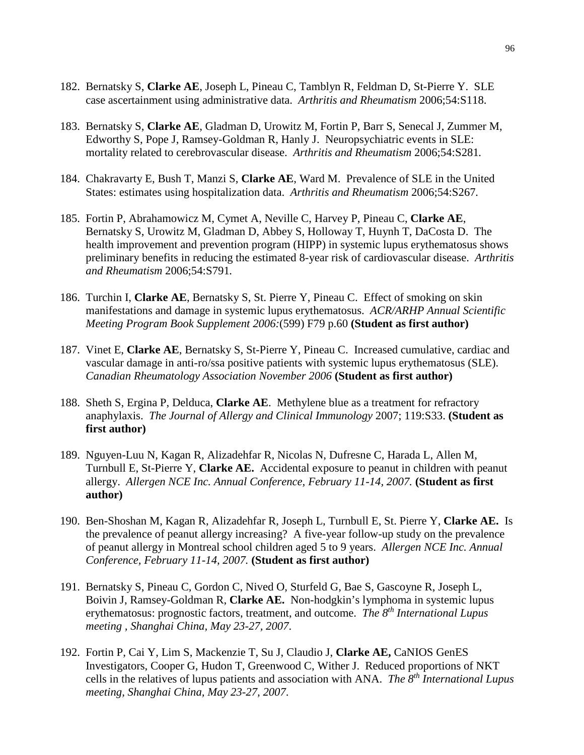- 182. Bernatsky S, **Clarke AE**, Joseph L, Pineau C, Tamblyn R, Feldman D, St-Pierre Y. SLE case ascertainment using administrative data. *Arthritis and Rheumatism* 2006;54:S118.
- 183. Bernatsky S, **Clarke AE**, Gladman D, Urowitz M, Fortin P, Barr S, Senecal J, Zummer M, Edworthy S, Pope J, Ramsey-Goldman R, Hanly J. Neuropsychiatric events in SLE: mortality related to cerebrovascular disease. *Arthritis and Rheumatism* 2006;54:S281*.*
- 184. Chakravarty E, Bush T, Manzi S, **Clarke AE**, Ward M. Prevalence of SLE in the United States: estimates using hospitalization data. *Arthritis and Rheumatism* 2006;54:S267*.*
- 185. Fortin P, Abrahamowicz M, Cymet A, Neville C, Harvey P, Pineau C, **Clarke AE**, Bernatsky S, Urowitz M, Gladman D, Abbey S, Holloway T, Huynh T, DaCosta D. The health improvement and prevention program (HIPP) in systemic lupus erythematosus shows preliminary benefits in reducing the estimated 8-year risk of cardiovascular disease. *Arthritis and Rheumatism* 2006;54:S791*.*
- 186. Turchin I, **Clarke AE**, Bernatsky S, St. Pierre Y, Pineau C. Effect of smoking on skin manifestations and damage in systemic lupus erythematosus. *ACR/ARHP Annual Scientific Meeting Program Book Supplement 2006:*(599) F79 p.60 **(Student as first author)**
- 187. Vinet E, **Clarke AE**, Bernatsky S, St-Pierre Y, Pineau C. Increased cumulative, cardiac and vascular damage in anti-ro/ssa positive patients with systemic lupus erythematosus (SLE). *Canadian Rheumatology Association November 2006* **(Student as first author)**
- 188. Sheth S, Ergina P, Delduca, **Clarke AE**. Methylene blue as a treatment for refractory anaphylaxis. *The Journal of Allergy and Clinical Immunology* 2007; 119:S33. **(Student as first author)**
- 189. Nguyen-Luu N, Kagan R, Alizadehfar R, Nicolas N, Dufresne C, Harada L, Allen M, Turnbull E, St-Pierre Y, **Clarke AE.** Accidental exposure to peanut in children with peanut allergy. *Allergen NCE Inc. Annual Conference, February 11-14, 2007.* **(Student as first author)**
- 190. Ben-Shoshan M, Kagan R, Alizadehfar R, Joseph L, Turnbull E, St. Pierre Y, **Clarke AE.** Is the prevalence of peanut allergy increasing? A five-year follow-up study on the prevalence of peanut allergy in Montreal school children aged 5 to 9 years. *Allergen NCE Inc. Annual Conference, February 11-14, 2007.* **(Student as first author)**
- 191. Bernatsky S, Pineau C, Gordon C, Nived O, Sturfeld G, Bae S, Gascoyne R, Joseph L, Boivin J, Ramsey-Goldman R, **Clarke AE.** Non-hodgkin's lymphoma in systemic lupus erythematosus: prognostic factors, treatment, and outcome. *The 8th International Lupus meeting , Shanghai China, May 23-27, 2007*.
- 192. Fortin P, Cai Y, Lim S, Mackenzie T, Su J, Claudio J, **Clarke AE,** CaNIOS GenES Investigators, Cooper G, Hudon T, Greenwood C, Wither J. Reduced proportions of NKT cells in the relatives of lupus patients and association with ANA. *The 8th International Lupus meeting, Shanghai China, May 23-27, 2007*.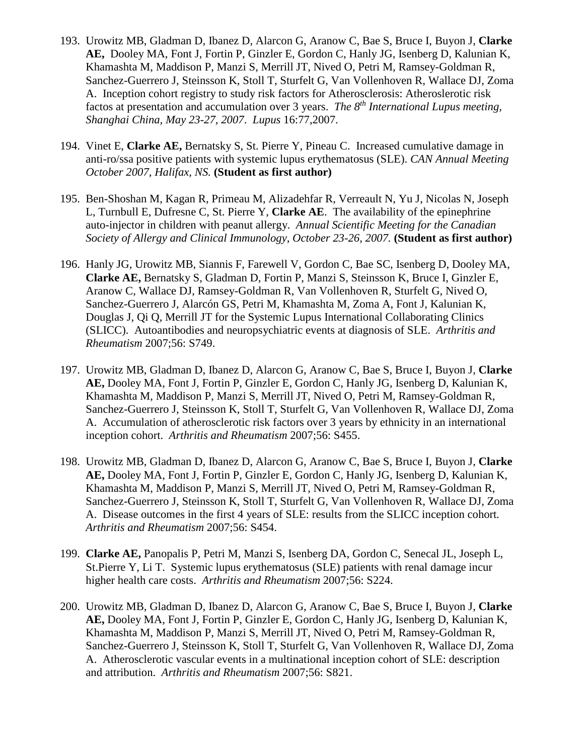- 193. Urowitz MB, Gladman D, Ibanez D, Alarcon G, Aranow C, Bae S, Bruce I, Buyon J, **Clarke AE,** Dooley MA, Font J, Fortin P, Ginzler E, Gordon C, Hanly JG, Isenberg D, Kalunian K, Khamashta M, Maddison P, Manzi S, Merrill JT, Nived O, Petri M, Ramsey-Goldman R, Sanchez-Guerrero J, Steinsson K, Stoll T, Sturfelt G, Van Vollenhoven R, Wallace DJ, Zoma A. Inception cohort registry to study risk factors for Atherosclerosis: Atheroslerotic risk factos at presentation and accumulation over 3 years. *The 8th International Lupus meeting, Shanghai China, May 23-27, 2007*. *Lupus* 16:77,2007.
- 194. Vinet E, **Clarke AE,** Bernatsky S, St. Pierre Y, Pineau C. Increased cumulative damage in anti-ro/ssa positive patients with systemic lupus erythematosus (SLE). *CAN Annual Meeting October 2007, Halifax, NS.* **(Student as first author)**
- 195. Ben-Shoshan M, Kagan R, Primeau M, Alizadehfar R, Verreault N, Yu J, Nicolas N, Joseph L, Turnbull E, Dufresne C, St. Pierre Y, **Clarke AE**. The availability of the epinephrine auto-injector in children with peanut allergy. *Annual Scientific Meeting for the Canadian Society of Allergy and Clinical Immunology, October 23-26, 2007.* **(Student as first author)**
- 196. Hanly JG, Urowitz MB, Siannis F, Farewell V, Gordon C, Bae SC, Isenberg D, Dooley MA, **Clarke AE,** Bernatsky S, Gladman D, Fortin P, Manzi S, Steinsson K, Bruce I, Ginzler E, Aranow C, Wallace DJ, Ramsey-Goldman R, Van Vollenhoven R, Sturfelt G, Nived O, Sanchez-Guerrero J, Alarcón GS, Petri M, Khamashta M, Zoma A, Font J, Kalunian K, Douglas J, Qi Q, Merrill JT for the Systemic Lupus International Collaborating Clinics (SLICC). Autoantibodies and neuropsychiatric events at diagnosis of SLE. *Arthritis and Rheumatism* 2007;56: S749.
- 197. Urowitz MB, Gladman D, Ibanez D, Alarcon G, Aranow C, Bae S, Bruce I, Buyon J, **Clarke AE,** Dooley MA, Font J, Fortin P, Ginzler E, Gordon C, Hanly JG, Isenberg D, Kalunian K, Khamashta M, Maddison P, Manzi S, Merrill JT, Nived O, Petri M, Ramsey-Goldman R, Sanchez-Guerrero J, Steinsson K, Stoll T, Sturfelt G, Van Vollenhoven R, Wallace DJ, Zoma A. Accumulation of atherosclerotic risk factors over 3 years by ethnicity in an international inception cohort. *Arthritis and Rheumatism* 2007;56: S455.
- 198. Urowitz MB, Gladman D, Ibanez D, Alarcon G, Aranow C, Bae S, Bruce I, Buyon J, **Clarke AE,** Dooley MA, Font J, Fortin P, Ginzler E, Gordon C, Hanly JG, Isenberg D, Kalunian K, Khamashta M, Maddison P, Manzi S, Merrill JT, Nived O, Petri M, Ramsey-Goldman R, Sanchez-Guerrero J, Steinsson K, Stoll T, Sturfelt G, Van Vollenhoven R, Wallace DJ, Zoma A. Disease outcomes in the first 4 years of SLE: results from the SLICC inception cohort*. Arthritis and Rheumatism* 2007;56: S454.
- 199. **Clarke AE,** Panopalis P, Petri M, Manzi S, Isenberg DA, Gordon C, Senecal JL, Joseph L, St.Pierre Y, Li T. Systemic lupus erythematosus (SLE) patients with renal damage incur higher health care costs. *Arthritis and Rheumatism* 2007;56: S224.
- 200. Urowitz MB, Gladman D, Ibanez D, Alarcon G, Aranow C, Bae S, Bruce I, Buyon J, **Clarke AE,** Dooley MA, Font J, Fortin P, Ginzler E, Gordon C, Hanly JG, Isenberg D, Kalunian K, Khamashta M, Maddison P, Manzi S, Merrill JT, Nived O, Petri M, Ramsey-Goldman R, Sanchez-Guerrero J, Steinsson K, Stoll T, Sturfelt G, Van Vollenhoven R, Wallace DJ, Zoma A. Atherosclerotic vascular events in a multinational inception cohort of SLE: description and attribution. *Arthritis and Rheumatism* 2007;56: S821.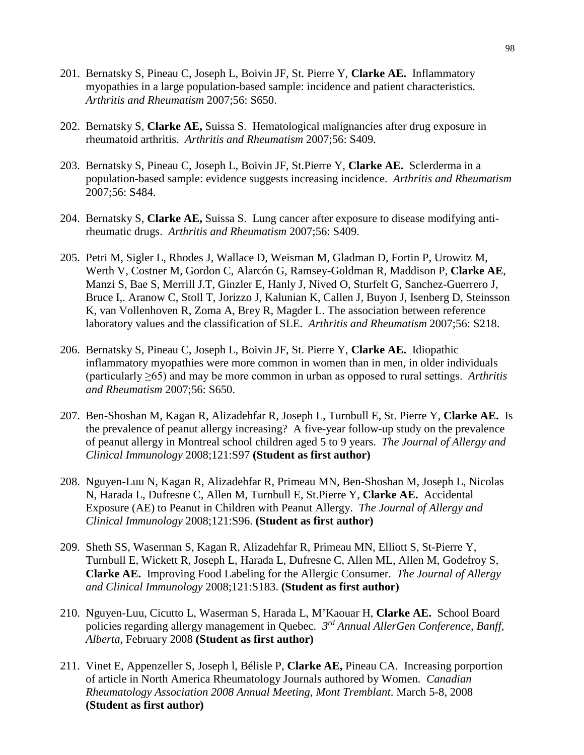- 201. Bernatsky S, Pineau C, Joseph L, Boivin JF, St. Pierre Y, **Clarke AE.** Inflammatory myopathies in a large population-based sample: incidence and patient characteristics. *Arthritis and Rheumatism* 2007;56: S650.
- 202. Bernatsky S, **Clarke AE,** Suissa S. Hematological malignancies after drug exposure in rheumatoid arthritis. *Arthritis and Rheumatism* 2007;56: S409.
- 203. Bernatsky S, Pineau C, Joseph L, Boivin JF, St.Pierre Y, **Clarke AE.** Sclerderma in a population-based sample: evidence suggests increasing incidence. *Arthritis and Rheumatism*  2007;56: S484.
- 204. Bernatsky S, **Clarke AE,** Suissa S. Lung cancer after exposure to disease modifying antirheumatic drugs. *Arthritis and Rheumatism* 2007;56: S409.
- 205. Petri M, Sigler L, Rhodes J, Wallace D, Weisman M, Gladman D, Fortin P, Urowitz M, Werth V, Costner M, Gordon C, Alarcón G, Ramsey-Goldman R, Maddison P, **Clarke AE**, Manzi S, Bae S, Merrill J.T, Ginzler E, Hanly J, Nived O, Sturfelt G, Sanchez-Guerrero J, Bruce I,. Aranow C, Stoll T, Jorizzo J, Kalunian K, Callen J, Buyon J, Isenberg D, Steinsson K, van Vollenhoven R, Zoma A, Brey R, Magder L. The association between reference laboratory values and the classification of SLE. *Arthritis and Rheumatism* 2007;56: S218.
- 206. Bernatsky S, Pineau C, Joseph L, Boivin JF, St. Pierre Y, **Clarke AE.** Idiopathic inflammatory myopathies were more common in women than in men, in older individuals (particularly ≥65) and may be more common in urban as opposed to rural settings. *Arthritis and Rheumatism* 2007;56: S650.
- 207. Ben-Shoshan M, Kagan R, Alizadehfar R, Joseph L, Turnbull E, St. Pierre Y, **Clarke AE.** Is the prevalence of peanut allergy increasing? A five-year follow-up study on the prevalence of peanut allergy in Montreal school children aged 5 to 9 years. *The Journal of Allergy and Clinical Immunology* 2008;121:S97 **(Student as first author)**
- 208. Nguyen-Luu N, Kagan R, Alizadehfar R, Primeau MN, Ben-Shoshan M, Joseph L, Nicolas N, Harada L, Dufresne C, Allen M, Turnbull E, St.Pierre Y, **Clarke AE.** Accidental Exposure (AE) to Peanut in Children with Peanut Allergy. *The Journal of Allergy and Clinical Immunology* 2008;121:S96. **(Student as first author)**
- 209. Sheth SS, Waserman S, Kagan R, Alizadehfar R, Primeau MN, Elliott S, St-Pierre Y, Turnbull E, Wickett R, Joseph L, Harada L, Dufresne C, Allen ML, Allen M, Godefroy S, **Clarke AE.** Improving Food Labeling for the Allergic Consumer. *The Journal of Allergy and Clinical Immunology* 2008;121:S183. **(Student as first author)**
- 210. Nguyen-Luu, Cicutto L, Waserman S, Harada L, M'Kaouar H, **Clarke AE.** School Board policies regarding allergy management in Quebec. *3rd Annual AllerGen Conference, Banff, Alberta,* February 2008 **(Student as first author)**
- 211. Vinet E, Appenzeller S, Joseph l, Bélisle P, **Clarke AE,** Pineau CA. Increasing porportion of article in North America Rheumatology Journals authored by Women. *Canadian Rheumatology Association 2008 Annual Meeting, Mont Tremblant*. March 5-8, 2008 **(Student as first author)**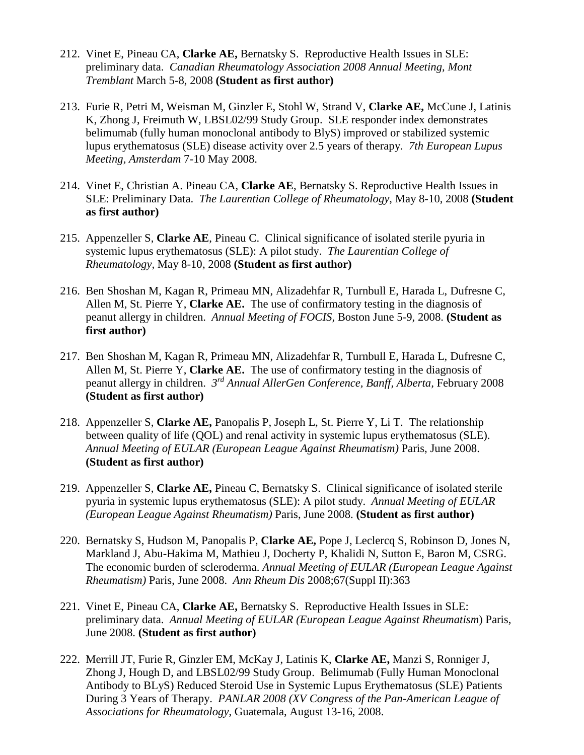- 212. Vinet E, Pineau CA, **Clarke AE,** Bernatsky S. Reproductive Health Issues in SLE: preliminary data. *Canadian Rheumatology Association 2008 Annual Meeting, Mont Tremblant* March 5-8, 2008 **(Student as first author)**
- 213. Furie R, Petri M, Weisman M, Ginzler E, Stohl W, Strand V, **Clarke AE,** McCune J, Latinis K, Zhong J, Freimuth W, LBSL02/99 Study Group. SLE responder index demonstrates belimumab (fully human monoclonal antibody to BlyS) improved or stabilized systemic lupus erythematosus (SLE) disease activity over 2.5 years of therapy. *7th European Lupus Meeting, Amsterdam* 7-10 May 2008.
- 214. Vinet E, Christian A. Pineau CA, **Clarke AE**, Bernatsky S. Reproductive Health Issues in SLE: Preliminary Data. *The Laurentian College of Rheumatology*, May 8-10, 2008 **(Student as first author)**
- 215. Appenzeller S, **Clarke AE**, Pineau C. Clinical significance of isolated sterile pyuria in systemic lupus erythematosus (SLE): A pilot study. *The Laurentian College of Rheumatology,* May 8-10, 2008 **(Student as first author)**
- 216. Ben Shoshan M, Kagan R, Primeau MN, Alizadehfar R, Turnbull E, Harada L, Dufresne C, Allen M, St. Pierre Y, **Clarke AE.** The use of confirmatory testing in the diagnosis of peanut allergy in children. *Annual Meeting of FOCIS,* Boston June 5-9, 2008. **(Student as first author)**
- 217. Ben Shoshan M, Kagan R, Primeau MN, Alizadehfar R, Turnbull E, Harada L, Dufresne C, Allen M, St. Pierre Y, **Clarke AE.** The use of confirmatory testing in the diagnosis of peanut allergy in children. *3rd Annual AllerGen Conference, Banff, Alberta,* February 2008 **(Student as first author)**
- 218. Appenzeller S, **Clarke AE,** Panopalis P, Joseph L, St. Pierre Y, Li T. The relationship between quality of life (QOL) and renal activity in systemic lupus erythematosus (SLE). *Annual Meeting of EULAR (European League Against Rheumatism)* Paris, June 2008. **(Student as first author)**
- 219. Appenzeller S, **Clarke AE,** Pineau C, Bernatsky S. Clinical significance of isolated sterile pyuria in systemic lupus erythematosus (SLE): A pilot study. *Annual Meeting of EULAR (European League Against Rheumatism)* Paris, June 2008. **(Student as first author)**
- 220. Bernatsky S, Hudson M, Panopalis P, **Clarke AE,** Pope J, Leclercq S, Robinson D, Jones N, Markland J, Abu-Hakima M, Mathieu J, Docherty P, Khalidi N, Sutton E, Baron M, CSRG. The economic burden of scleroderma. *Annual Meeting of EULAR (European League Against Rheumatism)* Paris, June 2008. *Ann Rheum Dis* 2008;67(Suppl II):363
- 221. Vinet E, Pineau CA, **Clarke AE,** Bernatsky S. Reproductive Health Issues in SLE: preliminary data. *Annual Meeting of EULAR (European League Against Rheumatism*) Paris, June 2008. **(Student as first author)**
- 222. Merrill JT, Furie R, Ginzler EM, McKay J, Latinis K, **Clarke AE,** Manzi S, Ronniger J, Zhong J, Hough D, and LBSL02/99 Study Group. Belimumab (Fully Human Monoclonal Antibody to BLyS) Reduced Steroid Use in Systemic Lupus Erythematosus (SLE) Patients During 3 Years of Therapy. *PANLAR 2008 (XV Congress of the Pan-American League of Associations for Rheumatology*, Guatemala, August 13-16, 2008.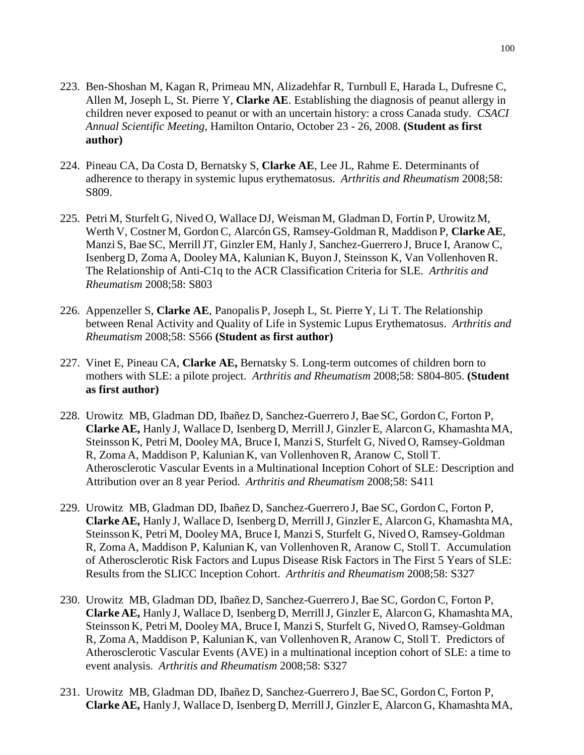- 223. Ben-Shoshan M, Kagan R, Primeau MN, Alizadehfar R, Turnbull E, Harada L, Dufresne C, Allen M, Joseph L, St. Pierre Y, **Clarke AE**. Establishing the diagnosis of peanut allergy in children never exposed to peanut or with an uncertain history: a cross Canada study. *CSACI Annual Scientific Meeting*, Hamilton Ontario, October 23 - 26, 2008. **(Student as first author)**
- 224. Pineau CA, Da Costa D, Bernatsky S, **Clarke AE**, Lee JL, Rahme E. Determinants of adherence to therapy in systemic lupus erythematosus. *Arthritis and Rheumatism* 2008;58: S809.
- 225. Petri M, Sturfelt G, Nived O, Wallace DJ, Weisman M, Gladman D, Fortin P, Urowitz M, Werth V, Costner M, Gordon C, Alarcón GS, Ramsey-Goldman R, Maddison P, **Clarke AE**, Manzi S, Bae SC, Merrill JT, Ginzler EM, Hanly J, Sanchez-Guerrero J, Bruce I, Aranow C, Isenberg D, Zoma A, Dooley MA, Kalunian K, Buyon J, Steinsson K, Van Vollenhoven R. The Relationship of Anti-C1q to the ACR Classification Criteria for SLE. *Arthritis and Rheumatism* 2008;58: S803
- 226. Appenzeller S, **Clarke AE**, Panopalis P, Joseph L, St. Pierre Y, Li T. The Relationship between Renal Activity and Quality of Life in Systemic Lupus Erythematosus. *Arthritis and Rheumatism* 2008;58: S566 **(Student as first author)**
- 227. Vinet E, Pineau CA, **Clarke AE,** Bernatsky S. Long-term outcomes of children born to mothers with SLE: a pilote project. *Arthritis and Rheumatism* 2008;58: S804-805. **(Student as first author)**
- 228. Urowitz MB, Gladman DD, Ibañez D, Sanchez-Guerrero J, Bae SC, Gordon C, Forton P, **Clarke AE,** Hanly J, Wallace D, Isenberg D, MerrillJ, Ginzler E, Alarcon G, Khamashta MA, Steinsson K, Petri M, Dooley MA, Bruce I, Manzi S, Sturfelt G, Nived O, Ramsey-Goldman R, Zoma A, Maddison P, Kalunian K, van Vollenhoven R, Aranow C, Stoll T. Atherosclerotic Vascular Events in a Multinational Inception Cohort of SLE: Description and Attribution over an 8 year Period. *Arthritis and Rheumatism* 2008;58: S411
- 229. Urowitz MB, Gladman DD, Ibañez D, Sanchez-Guerrero J, Bae SC, Gordon C, Forton P, **Clarke AE,** Hanly J, Wallace D, Isenberg D, MerrillJ, Ginzler E, Alarcon G, Khamashta MA, Steinsson K, Petri M, Dooley MA, Bruce I, Manzi S, Sturfelt G, Nived O, Ramsey-Goldman R, Zoma A, Maddison P, Kalunian K, van Vollenhoven R, Aranow C, Stoll T. Accumulation of Atherosclerotic Risk Factors and Lupus Disease Risk Factors in The First 5 Years of SLE: Results from the SLICC Inception Cohort. *Arthritis and Rheumatism* 2008;58: S327
- 230. Urowitz MB, Gladman DD, Ibañez D, Sanchez-Guerrero J, Bae SC, Gordon C, Forton P, **Clarke AE,** Hanly J, Wallace D, Isenberg D, MerrillJ, Ginzler E, Alarcon G, Khamashta MA, Steinsson K, Petri M, Dooley MA, Bruce I, Manzi S, Sturfelt G, Nived O, Ramsey-Goldman R, Zoma A, Maddison P, Kalunian K, van Vollenhoven R, Aranow C, Stoll T. Predictors of Atherosclerotic Vascular Events (AVE) in a multinational inception cohort of SLE: a time to event analysis. *Arthritis and Rheumatism* 2008;58: S327
- 231. Urowitz MB, Gladman DD, Ibañez D, Sanchez-Guerrero J, Bae SC, Gordon C, Forton P, **Clarke AE,** Hanly J, Wallace D, Isenberg D, MerrillJ, Ginzler E, Alarcon G, Khamashta MA,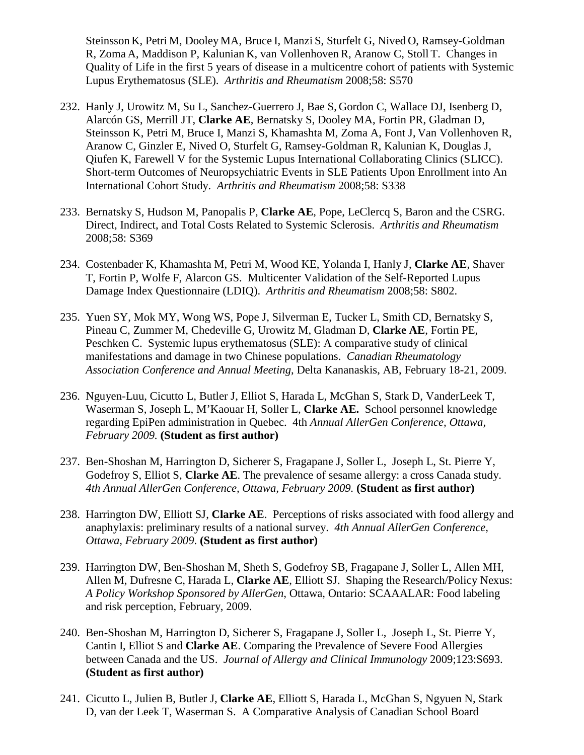Steinsson K, Petri M, Dooley MA, Bruce I, Manzi S, Sturfelt G, Nived O, Ramsey-Goldman R, Zoma A, Maddison P, Kalunian K, van Vollenhoven R, Aranow C, Stoll T. Changes in Quality of Life in the first 5 years of disease in a multicentre cohort of patients with Systemic Lupus Erythematosus (SLE). *Arthritis and Rheumatism* 2008;58: S570

- 232. Hanly J, Urowitz M, Su L, Sanchez-Guerrero J, Bae S, Gordon C, Wallace DJ, Isenberg D, Alarcón GS, Merrill JT, **Clarke AE**, Bernatsky S, Dooley MA, Fortin PR, Gladman D, Steinsson K, Petri M, Bruce I, Manzi S, Khamashta M, Zoma A, Font J, Van Vollenhoven R, Aranow C, Ginzler E, Nived O, Sturfelt G, Ramsey-Goldman R, Kalunian K, Douglas J, Qiufen K, Farewell V for the Systemic Lupus International Collaborating Clinics (SLICC). Short-term Outcomes of Neuropsychiatric Events in SLE Patients Upon Enrollment into An International Cohort Study. *Arthritis and Rheumatism* 2008;58: S338
- 233. Bernatsky S, Hudson M, Panopalis P, **Clarke AE**, Pope, LeClercq S, Baron and the CSRG. Direct, Indirect, and Total Costs Related to Systemic Sclerosis. *Arthritis and Rheumatism*  2008;58: S369
- 234. Costenbader K, Khamashta M, Petri M, Wood KE, Yolanda I, Hanly J, **Clarke AE**, Shaver T, Fortin P, Wolfe F, Alarcon GS. Multicenter Validation of the Self-Reported Lupus Damage Index Questionnaire (LDIQ). *Arthritis and Rheumatism* 2008;58: S802.
- 235. Yuen SY, Mok MY, Wong WS, Pope J, Silverman E, Tucker L, Smith CD, Bernatsky S, Pineau C, Zummer M, Chedeville G, Urowitz M, Gladman D, **Clarke AE**, Fortin PE, Peschken C. Systemic lupus erythematosus (SLE): A comparative study of clinical manifestations and damage in two Chinese populations. *Canadian Rheumatology Association Conference and Annual Meeting*, Delta Kananaskis, AB, February 18-21, 2009.
- 236. Nguyen-Luu, Cicutto L, Butler J, Elliot S, Harada L, McGhan S, Stark D, VanderLeek T, Waserman S, Joseph L, M'Kaouar H, Soller L, **Clarke AE.** School personnel knowledge regarding EpiPen administration in Quebec. 4th *Annual AllerGen Conference, Ottawa, February 2009.* **(Student as first author)**
- 237. Ben-Shoshan M, Harrington D, Sicherer S, Fragapane J, Soller L, Joseph L, St. Pierre Y, Godefroy S, Elliot S, **Clarke AE**. The prevalence of sesame allergy: a cross Canada study. *4th Annual AllerGen Conference, Ottawa, February 2009.* **(Student as first author)**
- 238. Harrington DW, Elliott SJ, **Clarke AE**. Perceptions of risks associated with food allergy and anaphylaxis: preliminary results of a national survey. *4th Annual AllerGen Conference, Ottawa, February 2009*. **(Student as first author)**
- 239. Harrington DW, Ben-Shoshan M, Sheth S, Godefroy SB, Fragapane J, Soller L, Allen MH, Allen M, Dufresne C, Harada L, **Clarke AE**, Elliott SJ. Shaping the Research/Policy Nexus: *A Policy Workshop Sponsored by AllerGen*, Ottawa, Ontario: SCAAALAR: Food labeling and risk perception, February, 2009.
- 240. Ben-Shoshan M, Harrington D, Sicherer S, Fragapane J, Soller L, Joseph L, St. Pierre Y, Cantin I, Elliot S and **Clarke AE**. Comparing the Prevalence of Severe Food Allergies between Canada and the US. *Journal of Allergy and Clinical Immunology* 2009;123:S693. **(Student as first author)**
- 241. Cicutto L, Julien B, Butler J, **Clarke AE**, Elliott S, Harada L, McGhan S, Ngyuen N, Stark D, van der Leek T, Waserman S. A Comparative Analysis of Canadian School Board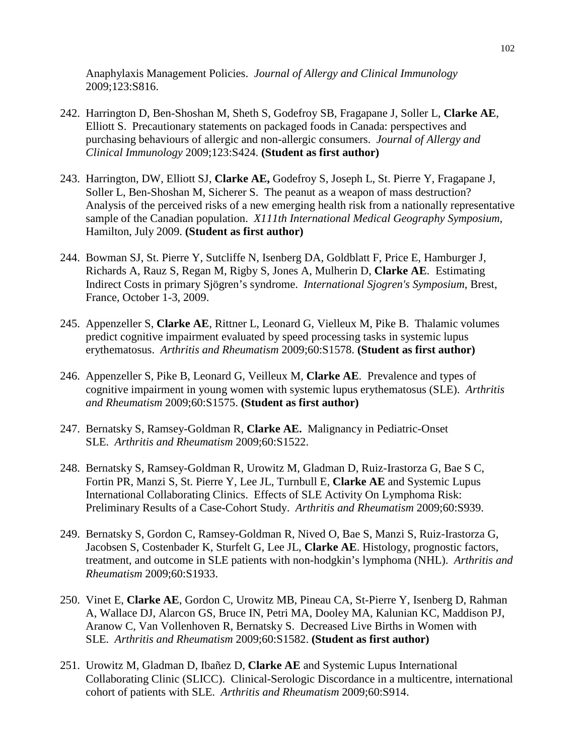Anaphylaxis Management Policies. *Journal of Allergy and Clinical Immunology* 2009;123:S816.

- 242. Harrington D, Ben-Shoshan M, Sheth S, Godefroy SB, Fragapane J, Soller L, **Clarke AE**, Elliott S. Precautionary statements on packaged foods in Canada: perspectives and purchasing behaviours of allergic and non-allergic consumers. *Journal of Allergy and Clinical Immunology* 2009;123:S424. **(Student as first author)**
- 243. Harrington, DW, Elliott SJ, **Clarke AE,** Godefroy S, Joseph L, St. Pierre Y, Fragapane J, Soller L, Ben-Shoshan M, Sicherer S. The peanut as a weapon of mass destruction? Analysis of the perceived risks of a new emerging health risk from a nationally representative sample of the Canadian population. *X111th International Medical Geography Symposium*, Hamilton, July 2009. **(Student as first author)**
- 244. Bowman SJ, St. Pierre Y, Sutcliffe N, Isenberg DA, Goldblatt F, Price E, Hamburger J, Richards A, Rauz S, Regan M, Rigby S, Jones A, Mulherin D, **Clarke AE**. Estimating Indirect Costs in primary Sjögren's syndrome. *International Sjogren's Symposium*, Brest, France, October 1-3, 2009.
- 245. Appenzeller S, **Clarke AE**, Rittner L, Leonard G, Vielleux M, Pike B. Thalamic volumes predict cognitive impairment evaluated by speed processing tasks in systemic lupus erythematosus. *Arthritis and Rheumatism* 2009;60:S1578. **(Student as first author)**
- 246. Appenzeller S, Pike B, Leonard G, Veilleux M, **Clarke AE**. Prevalence and types of cognitive impairment in young women with systemic lupus erythematosus (SLE). *Arthritis and Rheumatism* 2009;60:S1575. **(Student as first author)**
- 247. Bernatsky S, Ramsey-Goldman R, **Clarke AE.** Malignancy in Pediatric-Onset SLE. *Arthritis and Rheumatism* 2009;60:S1522.
- 248. Bernatsky S, Ramsey-Goldman R, Urowitz M, Gladman D, Ruiz-Irastorza G, Bae S C, Fortin PR, Manzi S, St. Pierre Y, Lee JL, Turnbull E, **Clarke AE** and Systemic Lupus International Collaborating Clinics. Effects of SLE Activity On Lymphoma Risk: Preliminary Results of a Case-Cohort Study. *Arthritis and Rheumatism* 2009;60:S939.
- 249. Bernatsky S, Gordon C, Ramsey-Goldman R, Nived O, Bae S, Manzi S, Ruiz-Irastorza G, Jacobsen S, Costenbader K, Sturfelt G, Lee JL, **Clarke AE**. Histology, prognostic factors, treatment, and outcome in SLE patients with non-hodgkin's lymphoma (NHL). *Arthritis and Rheumatism* 2009;60:S1933.
- 250. Vinet E, **Clarke AE**, Gordon C, Urowitz MB, Pineau CA, St-Pierre Y, Isenberg D, Rahman A, Wallace DJ, Alarcon GS, Bruce IN, Petri MA, Dooley MA, Kalunian KC, Maddison PJ, Aranow C, Van Vollenhoven R, Bernatsky S. Decreased Live Births in Women with SLE. *Arthritis and Rheumatism* 2009;60:S1582. **(Student as first author)**
- 251. Urowitz M, Gladman D, Ibañez D, **Clarke AE** and Systemic Lupus International Collaborating Clinic (SLICC). Clinical-Serologic Discordance in a multicentre, international cohort of patients with SLE. *Arthritis and Rheumatism* 2009;60:S914.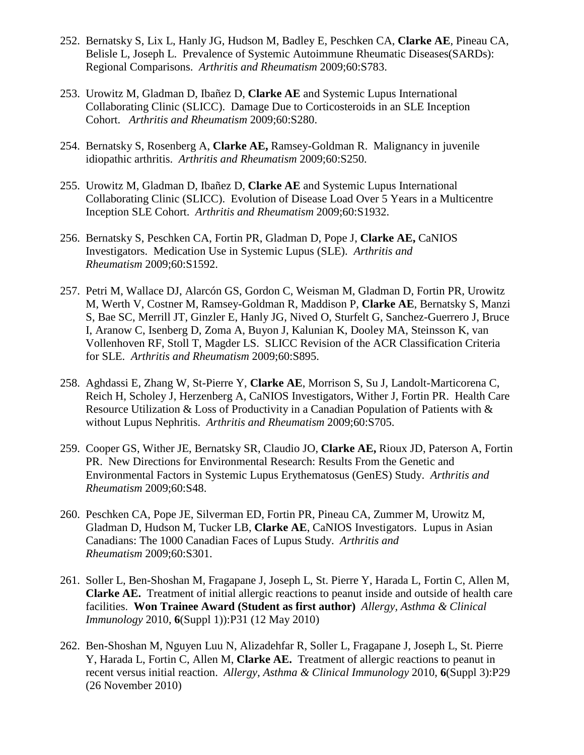- 252. Bernatsky S, Lix L, Hanly JG, Hudson M, Badley E, Peschken CA, **Clarke AE**, Pineau CA, Belisle L, Joseph L. Prevalence of Systemic Autoimmune Rheumatic Diseases(SARDs): Regional Comparisons. *Arthritis and Rheumatism* 2009;60:S783.
- 253. Urowitz M, Gladman D, Ibañez D, **Clarke AE** and Systemic Lupus International Collaborating Clinic (SLICC). Damage Due to Corticosteroids in an SLE Inception Cohort. *Arthritis and Rheumatism* 2009;60:S280.
- 254. Bernatsky S, Rosenberg A, **Clarke AE,** Ramsey-Goldman R. Malignancy in juvenile idiopathic arthritis. *Arthritis and Rheumatism* 2009;60:S250.
- 255. Urowitz M, Gladman D, Ibañez D, **Clarke AE** and Systemic Lupus International Collaborating Clinic (SLICC). Evolution of Disease Load Over 5 Years in a Multicentre Inception SLE Cohort. *Arthritis and Rheumatism* 2009;60:S1932.
- 256. Bernatsky S, Peschken CA, Fortin PR, Gladman D, Pope J, **Clarke AE,** CaNIOS Investigators. Medication Use in Systemic Lupus (SLE). *Arthritis and Rheumatism* 2009;60:S1592.
- 257. Petri M, Wallace DJ, Alarcón GS, Gordon C, Weisman M, Gladman D, Fortin PR, Urowitz M, Werth V, Costner M, Ramsey-Goldman R, Maddison P, **Clarke AE**, Bernatsky S, Manzi S, Bae SC, Merrill JT, Ginzler E, Hanly JG, Nived O, Sturfelt G, Sanchez-Guerrero J, Bruce I, Aranow C, Isenberg D, Zoma A, Buyon J, Kalunian K, Dooley MA, Steinsson K, van Vollenhoven RF, Stoll T, Magder LS. SLICC Revision of the ACR Classification Criteria for SLE. *Arthritis and Rheumatism* 2009;60:S895.
- 258. Aghdassi E, Zhang W, St-Pierre Y, **Clarke AE**, Morrison S, Su J, Landolt-Marticorena C, Reich H, Scholey J, Herzenberg A, CaNIOS Investigators, Wither J, Fortin PR. Health Care Resource Utilization & Loss of Productivity in a Canadian Population of Patients with & without Lupus Nephritis. *Arthritis and Rheumatism* 2009;60:S705.
- 259. Cooper GS, Wither JE, Bernatsky SR, Claudio JO, **Clarke AE,** Rioux JD, Paterson A, Fortin PR. New Directions for Environmental Research: Results From the Genetic and Environmental Factors in Systemic Lupus Erythematosus (GenES) Study. *Arthritis and Rheumatism* 2009;60:S48.
- 260. Peschken CA, Pope JE, Silverman ED, Fortin PR, Pineau CA, Zummer M, Urowitz M, Gladman D, Hudson M, Tucker LB, **Clarke AE**, CaNIOS Investigators. Lupus in Asian Canadians: The 1000 Canadian Faces of Lupus Study. *Arthritis and Rheumatism* 2009;60:S301.
- 261. Soller L, Ben-Shoshan M, Fragapane J, Joseph L, St. Pierre Y, Harada L, Fortin C, Allen M, **Clarke AE.** Treatment of initial allergic reactions to peanut inside and outside of health care facilities. **Won Trainee Award (Student as first author)** *Allergy, Asthma & Clinical Immunology* 2010, **6**(Suppl 1)):P31 (12 May 2010)
- 262. Ben-Shoshan M, Nguyen Luu N, Alizadehfar R, Soller L, Fragapane J, Joseph L, St. Pierre Y, Harada L, Fortin C, Allen M, **Clarke AE.** Treatment of allergic reactions to peanut in recent versus initial reaction. *Allergy, Asthma & Clinical Immunology* 2010, **6**(Suppl 3):P29 (26 November 2010)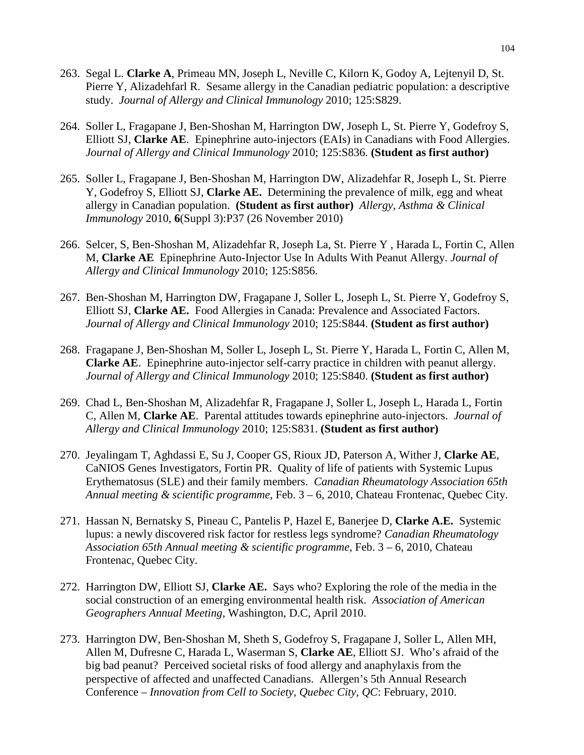- 263. Segal L. **Clarke A**, Primeau MN, Joseph L, Neville C, Kilorn K, Godoy A, Lejtenyil D, St. Pierre Y, Alizadehfarl R. Sesame allergy in the Canadian pediatric population: a descriptive study. *Journal of Allergy and Clinical Immunology* 2010; 125:S829.
- 264. Soller L, Fragapane J, Ben-Shoshan M, Harrington DW, Joseph L, St. Pierre Y, Godefroy S, Elliott SJ, **Clarke AE**. Epinephrine auto-injectors (EAIs) in Canadians with Food Allergies. *Journal of Allergy and Clinical Immunology* 2010; 125:S836. **(Student as first author)**
- 265. Soller L, Fragapane J, Ben-Shoshan M, Harrington DW, Alizadehfar R, Joseph L, St. Pierre Y, Godefroy S, Elliott SJ, **Clarke AE.** Determining the prevalence of milk, egg and wheat allergy in Canadian population. **(Student as first author)** *Allergy, Asthma & Clinical Immunology* 2010, **6**(Suppl 3):P37 (26 November 2010)
- 266. Selcer, S, Ben-Shoshan M, Alizadehfar R, Joseph La, St. Pierre Y , Harada L, Fortin C, Allen M, **Clarke AE** Epinephrine Auto-Injector Use In Adults With Peanut Allergy. *Journal of Allergy and Clinical Immunology* 2010; 125:S856.
- 267. Ben-Shoshan M, Harrington DW, Fragapane J, Soller L, Joseph L, St. Pierre Y, Godefroy S, Elliott SJ, **Clarke AE.** Food Allergies in Canada: Prevalence and Associated Factors. *Journal of Allergy and Clinical Immunology* 2010; 125:S844. **(Student as first author)**
- 268. Fragapane J, Ben-Shoshan M, Soller L, Joseph L, St. Pierre Y, Harada L, Fortin C, Allen M, **Clarke AE**. Epinephrine auto-injector self-carry practice in children with peanut allergy. *Journal of Allergy and Clinical Immunology* 2010; 125:S840. **(Student as first author)**
- 269. Chad L, Ben-Shoshan M, Alizadehfar R, Fragapane J, Soller L, Joseph L, Harada L, Fortin C, Allen M, **Clarke AE**. Parental attitudes towards epinephrine auto-injectors. *Journal of Allergy and Clinical Immunology* 2010; 125:S831. **(Student as first author)**
- 270. Jeyalingam T, Aghdassi E, Su J, Cooper GS, Rioux JD, Paterson A, Wither J, **Clarke AE**, CaNIOS Genes Investigators, Fortin PR. Quality of life of patients with Systemic Lupus Erythematosus (SLE) and their family members. *Canadian Rheumatology Association 65th Annual meeting & scientific programme,* Feb. 3 – 6, 2010, Chateau Frontenac, Quebec City.
- 271. Hassan N, Bernatsky S, Pineau C, Pantelis P, Hazel E, Banerjee D, **Clarke A.E.** Systemic lupus: a newly discovered risk factor for restless legs syndrome? *Canadian Rheumatology Association 65th Annual meeting & scientific programme*, Feb. 3 – 6, 2010, Chateau Frontenac, Quebec City.
- 272. Harrington DW, Elliott SJ, **Clarke AE.** Says who? Exploring the role of the media in the social construction of an emerging environmental health risk. *Association of American Geographers Annual Meeting*, Washington, D.C, April 2010.
- 273. Harrington DW, Ben-Shoshan M, Sheth S, Godefroy S, Fragapane J, Soller L, Allen MH, Allen M, Dufresne C, Harada L, Waserman S, **Clarke AE**, Elliott SJ. Who's afraid of the big bad peanut? Perceived societal risks of food allergy and anaphylaxis from the perspective of affected and unaffected Canadians. Allergen's 5th Annual Research Conference *– Innovation from Cell to Society, Quebec City, QC*: February, 2010.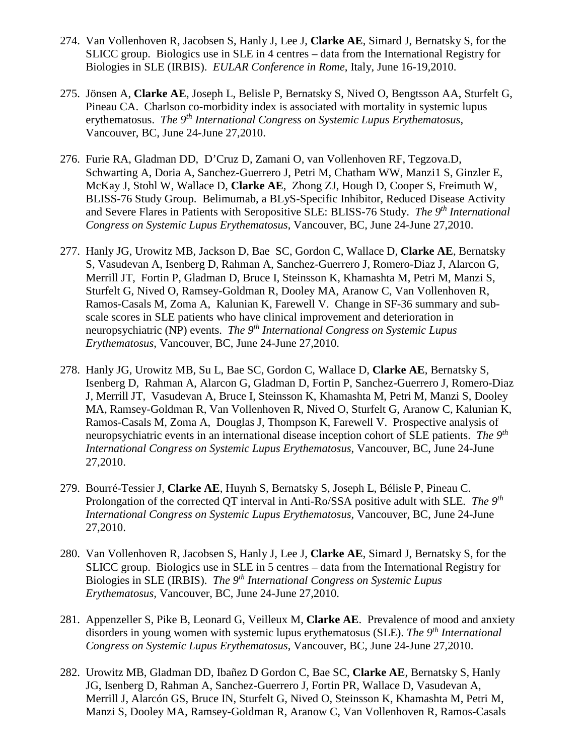- 274. Van Vollenhoven R, Jacobsen S, Hanly J, Lee J, **Clarke AE**, Simard J, Bernatsky S, for the SLICC group. Biologics use in SLE in 4 centres – data from the International Registry for Biologies in SLE (IRBIS). *EULAR Conference in Rome*, Italy, June 16-19,2010.
- 275. Jönsen A, **Clarke AE**, Joseph L, Belisle P, Bernatsky S, Nived O, Bengtsson AA, Sturfelt G, Pineau CA. Charlson co-morbidity index is associated with mortality in systemic lupus erythematosus. *The 9th International Congress on Systemic Lupus Erythematosus*, Vancouver, BC, June 24-June 27,2010.
- 276. Furie RA, Gladman DD, D'Cruz D, Zamani O, van Vollenhoven RF, Tegzova.D, Schwarting A, Doria A, Sanchez-Guerrero J, Petri M, Chatham WW, Manzi1 S, Ginzler E, McKay J, Stohl W, Wallace D, **Clarke AE**, Zhong ZJ, Hough D, Cooper S, Freimuth W, BLISS-76 Study Group. Belimumab, a BLyS-Specific Inhibitor, Reduced Disease Activity and Severe Flares in Patients with Seropositive SLE: BLISS-76 Study. *The 9th International Congress on Systemic Lupus Erythematosus*, Vancouver, BC, June 24-June 27,2010.
- 277. Hanly JG, Urowitz MB, Jackson D, Bae SC, Gordon C, Wallace D, **Clarke AE**, Bernatsky S, Vasudevan A, Isenberg D, Rahman A, Sanchez-Guerrero J, Romero-Diaz J, Alarcon G, Merrill JT, Fortin P, Gladman D, Bruce I, Steinsson K, Khamashta M, Petri M, Manzi S, Sturfelt G, Nived O, Ramsey-Goldman R, Dooley MA, Aranow C, Van Vollenhoven R, Ramos-Casals M, Zoma A, Kalunian K, Farewell V. Change in SF-36 summary and subscale scores in SLE patients who have clinical improvement and deterioration in neuropsychiatric (NP) events. *The 9th International Congress on Systemic Lupus Erythematosus*, Vancouver, BC, June 24-June 27,2010.
- 278. Hanly JG, Urowitz MB, Su L, Bae SC, Gordon C, Wallace D, **Clarke AE**, Bernatsky S, Isenberg D, Rahman A, Alarcon G, Gladman D, Fortin P, Sanchez-Guerrero J, Romero-Diaz J, Merrill JT, Vasudevan A, Bruce I, Steinsson K, Khamashta M, Petri M, Manzi S, Dooley MA, Ramsey-Goldman R, Van Vollenhoven R, Nived O, Sturfelt G, Aranow C, Kalunian K, Ramos-Casals M, Zoma A, Douglas J, Thompson K, Farewell V. Prospective analysis of neuropsychiatric events in an international disease inception cohort of SLE patients. *The 9th International Congress on Systemic Lupus Erythematosus*, Vancouver, BC, June 24-June 27,2010.
- 279. Bourré-Tessier J, **Clarke AE**, Huynh S, Bernatsky S, Joseph L, Bélisle P, Pineau C. Prolongation of the corrected QT interval in Anti-Ro/SSA positive adult with SLE*. The 9th International Congress on Systemic Lupus Erythematosus,* Vancouver, BC, June 24-June 27,2010.
- 280. Van Vollenhoven R, Jacobsen S, Hanly J, Lee J, **Clarke AE**, Simard J, Bernatsky S, for the SLICC group. Biologics use in SLE in 5 centres – data from the International Registry for Biologies in SLE (IRBIS). *The 9th International Congress on Systemic Lupus Erythematosus,* Vancouver, BC, June 24-June 27,2010.
- 281. Appenzeller S, Pike B, Leonard G, Veilleux M, **Clarke AE**. Prevalence of mood and anxiety disorders in young women with systemic lupus erythematosus (SLE). *The 9th International Congress on Systemic Lupus Erythematosus*, Vancouver, BC, June 24-June 27,2010.
- 282. Urowitz MB, Gladman DD, Ibañez D Gordon C, Bae SC, **Clarke AE**, Bernatsky S, Hanly JG, Isenberg D, Rahman A, Sanchez-Guerrero J, Fortin PR, Wallace D, Vasudevan A, Merrill J, Alarcón GS, Bruce IN, Sturfelt G, Nived O, Steinsson K, Khamashta M, Petri M, Manzi S, Dooley MA, Ramsey-Goldman R, Aranow C, Van Vollenhoven R, Ramos-Casals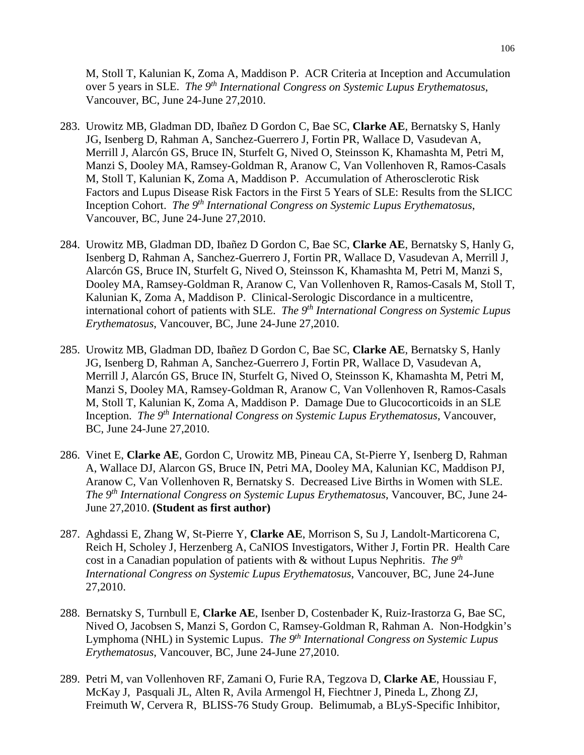M, Stoll T, Kalunian K, Zoma A, Maddison P. ACR Criteria at Inception and Accumulation over 5 years in SLE. *The 9th International Congress on Systemic Lupus Erythematosus*, Vancouver, BC, June 24-June 27,2010.

- 283. Urowitz MB, Gladman DD, Ibañez D Gordon C, Bae SC, **Clarke AE**, Bernatsky S, Hanly JG, Isenberg D, Rahman A, Sanchez-Guerrero J, Fortin PR, Wallace D, Vasudevan A, Merrill J, Alarcón GS, Bruce IN, Sturfelt G, Nived O, Steinsson K, Khamashta M, Petri M, Manzi S, Dooley MA, Ramsey-Goldman R, Aranow C, Van Vollenhoven R, Ramos-Casals M, Stoll T, Kalunian K, Zoma A, Maddison P. Accumulation of Atherosclerotic Risk Factors and Lupus Disease Risk Factors in the First 5 Years of SLE: Results from the SLICC Inception Cohort. *The 9th International Congress on Systemic Lupus Erythematosus*, Vancouver, BC, June 24-June 27,2010.
- 284. Urowitz MB, Gladman DD, Ibañez D Gordon C, Bae SC, **Clarke AE**, Bernatsky S, Hanly G, Isenberg D, Rahman A, Sanchez-Guerrero J, Fortin PR, Wallace D, Vasudevan A, Merrill J, Alarcón GS, Bruce IN, Sturfelt G, Nived O, Steinsson K, Khamashta M, Petri M, Manzi S, Dooley MA, Ramsey-Goldman R, Aranow C, Van Vollenhoven R, Ramos-Casals M, Stoll T, Kalunian K, Zoma A, Maddison P. Clinical-Serologic Discordance in a multicentre, international cohort of patients with SLE. *The 9th International Congress on Systemic Lupus Erythematosus*, Vancouver, BC, June 24-June 27,2010.
- 285. Urowitz MB, Gladman DD, Ibañez D Gordon C, Bae SC, **Clarke AE**, Bernatsky S, Hanly JG, Isenberg D, Rahman A, Sanchez-Guerrero J, Fortin PR, Wallace D, Vasudevan A, Merrill J, Alarcón GS, Bruce IN, Sturfelt G, Nived O, Steinsson K, Khamashta M, Petri M, Manzi S, Dooley MA, Ramsey-Goldman R, Aranow C, Van Vollenhoven R, Ramos-Casals M, Stoll T, Kalunian K, Zoma A, Maddison P. Damage Due to Glucocorticoids in an SLE Inception. *The 9th International Congress on Systemic Lupus Erythematosus*, Vancouver, BC, June 24-June 27,2010.
- 286. Vinet E, **Clarke AE**, Gordon C, Urowitz MB, Pineau CA, St-Pierre Y, Isenberg D, Rahman A, Wallace DJ, Alarcon GS, Bruce IN, Petri MA, Dooley MA, Kalunian KC, Maddison PJ, Aranow C, Van Vollenhoven R, Bernatsky S. Decreased Live Births in Women with SLE. *The 9th International Congress on Systemic Lupus Erythematosus*, Vancouver, BC, June 24- June 27,2010. **(Student as first author)**
- 287. Aghdassi E, Zhang W, St-Pierre Y, **Clarke AE**, Morrison S, Su J, Landolt-Marticorena C, Reich H, Scholey J, Herzenberg A, CaNIOS Investigators, Wither J, Fortin PR. Health Care cost in a Canadian population of patients with & without Lupus Nephritis. *The 9th International Congress on Systemic Lupus Erythematosus*, Vancouver, BC, June 24-June 27,2010.
- 288. Bernatsky S, Turnbull E, **Clarke AE**, Isenber D, Costenbader K, Ruiz-Irastorza G, Bae SC, Nived O, Jacobsen S, Manzi S, Gordon C, Ramsey-Goldman R, Rahman A. Non-Hodgkin's Lymphoma (NHL) in Systemic Lupus. *The 9th International Congress on Systemic Lupus Erythematosus*, Vancouver, BC, June 24-June 27,2010.
- 289. Petri M, van Vollenhoven RF, Zamani O, Furie RA, Tegzova D, **Clarke AE**, Houssiau F, McKay J, Pasquali JL, Alten R, Avila Armengol H, Fiechtner J, Pineda L, Zhong ZJ, Freimuth W, Cervera R, BLISS-76 Study Group. Belimumab, a BLyS-Specific Inhibitor,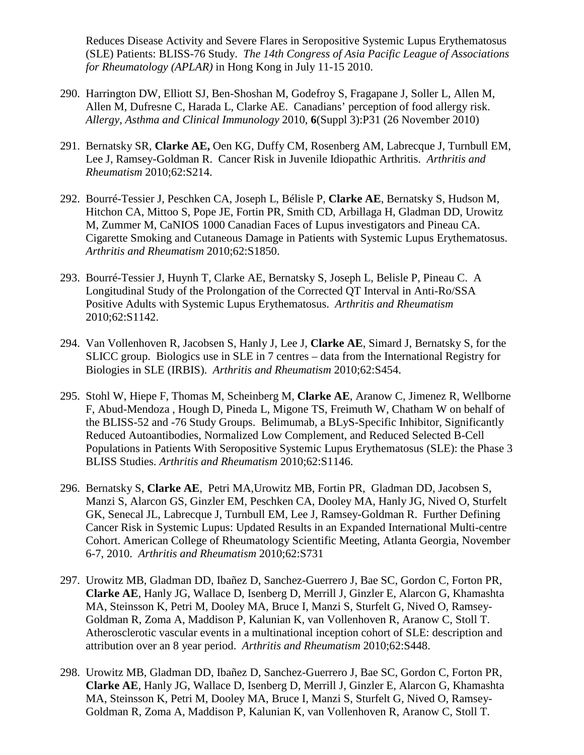Reduces Disease Activity and Severe Flares in Seropositive Systemic Lupus Erythematosus (SLE) Patients: BLISS-76 Study. *The 14th Congress of Asia Pacific League of Associations for Rheumatology (APLAR)* in Hong Kong in July 11-15 2010.

- 290. Harrington DW, Elliott SJ, Ben-Shoshan M, Godefroy S, Fragapane J, Soller L, Allen M, Allen M, Dufresne C, Harada L, Clarke AE. Canadians' perception of food allergy risk. *Allergy, Asthma and Clinical Immunology* 2010, **6**(Suppl 3):P31 (26 November 2010)
- 291. Bernatsky SR, **Clarke AE,** Oen KG, Duffy CM, Rosenberg AM, Labrecque J, Turnbull EM, Lee J, Ramsey-Goldman R. Cancer Risk in Juvenile Idiopathic Arthritis. *Arthritis and Rheumatism* 2010;62:S214.
- 292. Bourré-Tessier J, Peschken CA, Joseph L, Bélisle P, **Clarke AE**, Bernatsky S, Hudson M, Hitchon CA, Mittoo S, Pope JE, Fortin PR, Smith CD, Arbillaga H, Gladman DD, Urowitz M, Zummer M, CaNIOS 1000 Canadian Faces of Lupus investigators and Pineau CA. Cigarette Smoking and Cutaneous Damage in Patients with Systemic Lupus Erythematosus. *Arthritis and Rheumatism* 2010;62:S1850.
- 293. Bourré-Tessier J, Huynh T, Clarke AE, Bernatsky S, Joseph L, Belisle P, Pineau C. A Longitudinal Study of the Prolongation of the Corrected QT Interval in Anti-Ro/SSA Positive Adults with Systemic Lupus Erythematosus. *Arthritis and Rheumatism* 2010;62:S1142.
- 294. Van Vollenhoven R, Jacobsen S, Hanly J, Lee J, **Clarke AE**, Simard J, Bernatsky S, for the SLICC group. Biologics use in SLE in 7 centres – data from the International Registry for Biologies in SLE (IRBIS). *Arthritis and Rheumatism* 2010;62:S454.
- 295. Stohl W, Hiepe F, Thomas M, Scheinberg M, **Clarke AE**, Aranow C, Jimenez R, Wellborne F, Abud-Mendoza , Hough D, Pineda L, Migone TS, Freimuth W, Chatham W on behalf of the BLISS-52 and -76 Study Groups. Belimumab, a BLyS-Specific Inhibitor, Significantly Reduced Autoantibodies, Normalized Low Complement, and Reduced Selected B-Cell Populations in Patients With Seropositive Systemic Lupus Erythematosus (SLE): the Phase 3 BLISS Studies. *Arthritis and Rheumatism* 2010;62:S1146.
- 296. Bernatsky S, **Clarke AE**, Petri MA,Urowitz MB, Fortin PR, Gladman DD, Jacobsen S, Manzi S, Alarcon GS, Ginzler EM, Peschken CA, Dooley MA, Hanly JG, Nived O, Sturfelt GK, Senecal JL, Labrecque J, Turnbull EM, Lee J, Ramsey-Goldman R. Further Defining Cancer Risk in Systemic Lupus: Updated Results in an Expanded International Multi-centre Cohort. American College of Rheumatology Scientific Meeting, Atlanta Georgia, November 6-7, 2010. *Arthritis and Rheumatism* 2010;62:S731
- 297. Urowitz MB, Gladman DD, Ibañez D, Sanchez-Guerrero J, Bae SC, Gordon C, Forton PR, **Clarke AE**, Hanly JG, Wallace D, Isenberg D, Merrill J, Ginzler E, Alarcon G, Khamashta MA, Steinsson K, Petri M, Dooley MA, Bruce I, Manzi S, Sturfelt G, Nived O, Ramsey-Goldman R, Zoma A, Maddison P, Kalunian K, van Vollenhoven R, Aranow C, Stoll T. Atherosclerotic vascular events in a multinational inception cohort of SLE: description and attribution over an 8 year period. *Arthritis and Rheumatism* 2010;62:S448.
- 298. Urowitz MB, Gladman DD, Ibañez D, Sanchez-Guerrero J, Bae SC, Gordon C, Forton PR, **Clarke AE**, Hanly JG, Wallace D, Isenberg D, Merrill J, Ginzler E, Alarcon G, Khamashta MA, Steinsson K, Petri M, Dooley MA, Bruce I, Manzi S, Sturfelt G, Nived O, Ramsey-Goldman R, Zoma A, Maddison P, Kalunian K, van Vollenhoven R, Aranow C, Stoll T.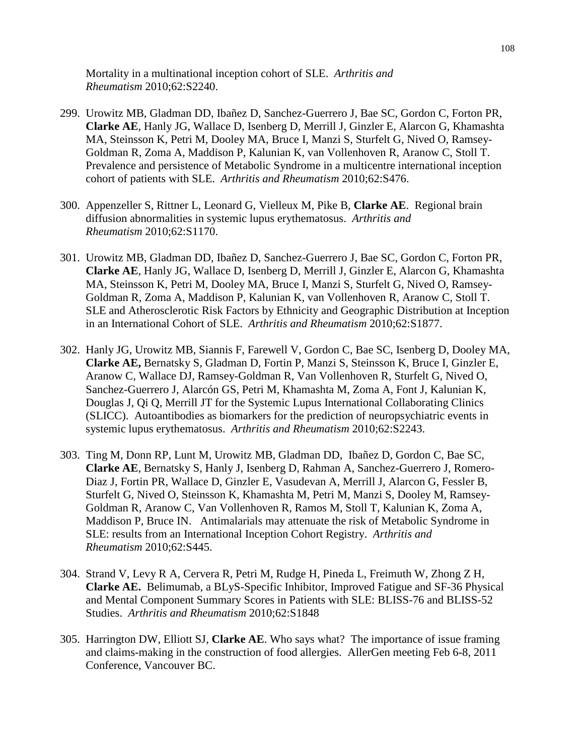Mortality in a multinational inception cohort of SLE. *Arthritis and Rheumatism* 2010;62:S2240.

- 299. Urowitz MB, Gladman DD, Ibañez D, Sanchez-Guerrero J, Bae SC, Gordon C, Forton PR, **Clarke AE**, Hanly JG, Wallace D, Isenberg D, Merrill J, Ginzler E, Alarcon G, Khamashta MA, Steinsson K, Petri M, Dooley MA, Bruce I, Manzi S, Sturfelt G, Nived O, Ramsey-Goldman R, Zoma A, Maddison P, Kalunian K, van Vollenhoven R, Aranow C, Stoll T. Prevalence and persistence of Metabolic Syndrome in a multicentre international inception cohort of patients with SLE. *Arthritis and Rheumatism* 2010;62:S476.
- 300. Appenzeller S, Rittner L, Leonard G, Vielleux M, Pike B, **Clarke AE**. Regional brain diffusion abnormalities in systemic lupus erythematosus. *Arthritis and Rheumatism* 2010;62:S1170.
- 301. Urowitz MB, Gladman DD, Ibañez D, Sanchez-Guerrero J, Bae SC, Gordon C, Forton PR, **Clarke AE**, Hanly JG, Wallace D, Isenberg D, Merrill J, Ginzler E, Alarcon G, Khamashta MA, Steinsson K, Petri M, Dooley MA, Bruce I, Manzi S, Sturfelt G, Nived O, Ramsey-Goldman R, Zoma A, Maddison P, Kalunian K, van Vollenhoven R, Aranow C, Stoll T. SLE and Atherosclerotic Risk Factors by Ethnicity and Geographic Distribution at Inception in an International Cohort of SLE. *Arthritis and Rheumatism* 2010;62:S1877.
- 302. Hanly JG, Urowitz MB, Siannis F, Farewell V, Gordon C, Bae SC, Isenberg D, Dooley MA, **Clarke AE,** Bernatsky S, Gladman D, Fortin P, Manzi S, Steinsson K, Bruce I, Ginzler E, Aranow C, Wallace DJ, Ramsey-Goldman R, Van Vollenhoven R, Sturfelt G, Nived O, Sanchez-Guerrero J, Alarcón GS, Petri M, Khamashta M, Zoma A, Font J, Kalunian K, Douglas J, Qi Q, Merrill JT for the Systemic Lupus International Collaborating Clinics (SLICC). Autoantibodies as biomarkers for the prediction of neuropsychiatric events in systemic lupus erythematosus. *Arthritis and Rheumatism* 2010;62:S2243.
- 303. Ting M, Donn RP, Lunt M, Urowitz MB, Gladman DD, Ibañez D, Gordon C, Bae SC, **Clarke AE**, Bernatsky S, Hanly J, Isenberg D, Rahman A, Sanchez-Guerrero J, Romero-Diaz J, Fortin PR, Wallace D, Ginzler E, Vasudevan A, Merrill J, Alarcon G, Fessler B, Sturfelt G, Nived O, Steinsson K, Khamashta M, Petri M, Manzi S, Dooley M, Ramsey-Goldman R, Aranow C, Van Vollenhoven R, Ramos M, Stoll T, Kalunian K, Zoma A, Maddison P, Bruce IN. Antimalarials may attenuate the risk of Metabolic Syndrome in SLE: results from an International Inception Cohort Registry. *Arthritis and Rheumatism* 2010;62:S445.
- 304. Strand V, Levy R A, Cervera R, Petri M, Rudge H, Pineda L, Freimuth W, Zhong Z H, **Clarke AE.** Belimumab, a BLyS-Specific Inhibitor, Improved Fatigue and SF-36 Physical and Mental Component Summary Scores in Patients with SLE: BLISS-76 and BLISS-52 Studies. *Arthritis and Rheumatism* 2010;62:S1848
- 305. Harrington DW, Elliott SJ, **Clarke AE**. Who says what? The importance of issue framing and claims-making in the construction of food allergies. AllerGen meeting Feb 6-8, 2011 Conference, Vancouver BC.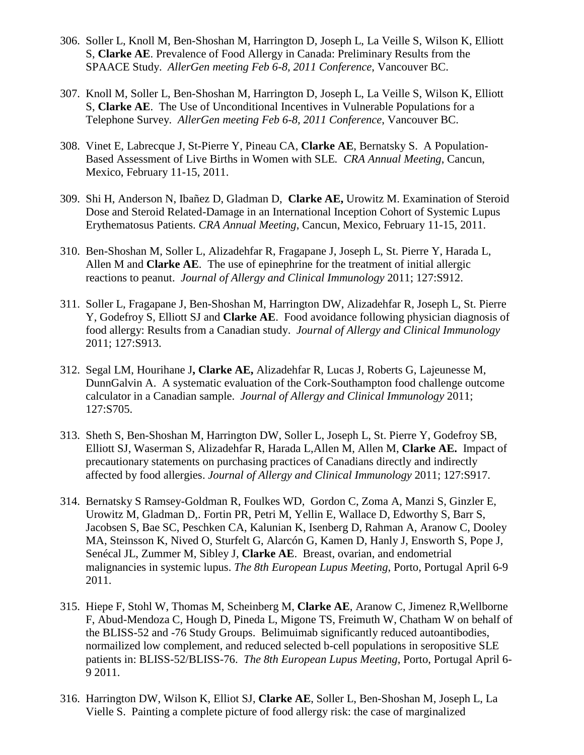- 306. Soller L, Knoll M, Ben-Shoshan M, Harrington D, Joseph L, La Veille S, Wilson K, Elliott S, **Clarke AE**. Prevalence of Food Allergy in Canada: Preliminary Results from the SPAACE Study. *AllerGen meeting Feb 6-8, 2011 Conference*, Vancouver BC.
- 307. Knoll M, Soller L, Ben-Shoshan M, Harrington D, Joseph L, La Veille S, Wilson K, Elliott S, **Clarke AE**. The Use of Unconditional Incentives in Vulnerable Populations for a Telephone Survey*. AllerGen meeting Feb 6-8, 2011 Conference*, Vancouver BC.
- 308. Vinet E, Labrecque J, St-Pierre Y, Pineau CA, **Clarke AE**, Bernatsky S. A Population-Based Assessment of Live Births in Women with SLE*. CRA Annual Meeting*, Cancun, Mexico, February 11-15, 2011.
- 309. Shi H, Anderson N, Ibañez D, Gladman D, **Clarke AE,** Urowitz M. Examination of Steroid Dose and Steroid Related-Damage in an International Inception Cohort of Systemic Lupus Erythematosus Patients. *CRA Annual Meeting*, Cancun, Mexico, February 11-15, 2011.
- 310. Ben-Shoshan M, Soller L, Alizadehfar R, Fragapane J, Joseph L, St. Pierre Y, Harada L, Allen M and **Clarke AE**. The use of epinephrine for the treatment of initial allergic reactions to peanut. *Journal of Allergy and Clinical Immunology* 2011; 127:S912.
- 311. Soller L, Fragapane J, Ben-Shoshan M, Harrington DW, Alizadehfar R, Joseph L, St. Pierre Y, Godefroy S, Elliott SJ and **Clarke AE**. Food avoidance following physician diagnosis of food allergy: Results from a Canadian study. *Journal of Allergy and Clinical Immunology* 2011; 127:S913.
- 312. Segal LM, Hourihane J**, Clarke AE,** Alizadehfar R, Lucas J, Roberts G, Lajeunesse M, DunnGalvin A. A systematic evaluation of the Cork-Southampton food challenge outcome calculator in a Canadian sample. *Journal of Allergy and Clinical Immunology* 2011; 127:S705.
- 313. Sheth S, Ben-Shoshan M, Harrington DW, Soller L, Joseph L, St. Pierre Y, Godefroy SB, Elliott SJ, Waserman S, Alizadehfar R, Harada L,Allen M, Allen M, **Clarke AE.** Impact of precautionary statements on purchasing practices of Canadians directly and indirectly affected by food allergies. *Journal of Allergy and Clinical Immunology* 2011; 127:S917.
- 314. Bernatsky S Ramsey-Goldman R, Foulkes WD, Gordon C, Zoma A, Manzi S, Ginzler E, Urowitz M, Gladman D,. Fortin PR, Petri M, Yellin E, Wallace D, Edworthy S, Barr S, Jacobsen S, Bae SC, Peschken CA, Kalunian K, Isenberg D, Rahman A, Aranow C, Dooley MA, Steinsson K, Nived O, Sturfelt G, Alarcón G, Kamen D, Hanly J, Ensworth S, Pope J, Senécal JL, Zummer M, Sibley J, **Clarke AE**. Breast, ovarian, and endometrial malignancies in systemic lupus. *The 8th European Lupus Meeting*, Porto, Portugal April 6-9 2011.
- 315. Hiepe F, Stohl W, Thomas M, Scheinberg M, **Clarke AE**, Aranow C, Jimenez R,Wellborne F, Abud-Mendoza C, Hough D, Pineda L, Migone TS, Freimuth W, Chatham W on behalf of the BLISS-52 and -76 Study Groups. Belimuimab significantly reduced autoantibodies, normailized low complement, and reduced selected b-cell populations in seropositive SLE patients in: BLISS-52/BLISS-76. *The 8th European Lupus Meeting*, Porto, Portugal April 6- 9 2011.
- 316. Harrington DW, Wilson K, Elliot SJ, **Clarke AE**, Soller L, Ben-Shoshan M, Joseph L, La Vielle S. Painting a complete picture of food allergy risk: the case of marginalized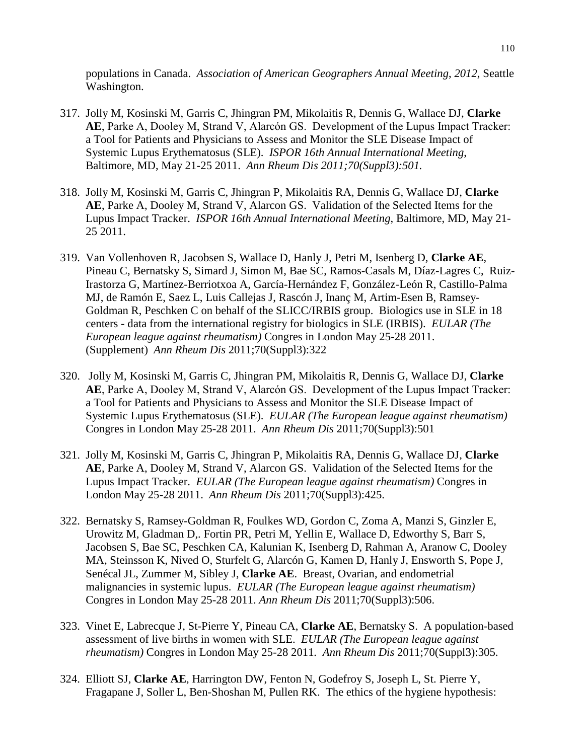populations in Canada. *Association of American Geographers Annual Meeting*, *2012*, Seattle Washington.

- 317. Jolly M, Kosinski M, Garris C, Jhingran PM, Mikolaitis R, Dennis G, Wallace DJ, **Clarke AE**, Parke A, Dooley M, Strand V, Alarcόn GS. Development of the Lupus Impact Tracker: a Tool for Patients and Physicians to Assess and Monitor the SLE Disease Impact of Systemic Lupus Erythematosus (SLE). *ISPOR 16th Annual International Meeting*, Baltimore, MD, May 21-25 2011. *Ann Rheum Dis 2011;70(Suppl3):501.*
- 318. Jolly M, Kosinski M, Garris C, Jhingran P, Mikolaitis RA, Dennis G, Wallace DJ, **Clarke AE**, Parke A, Dooley M, Strand V, Alarcon GS. Validation of the Selected Items for the Lupus Impact Tracker. *ISPOR 16th Annual International Meeting*, Baltimore, MD, May 21- 25 2011.
- 319. Van Vollenhoven R, Jacobsen S, Wallace D, Hanly J, Petri M, Isenberg D, **Clarke AE**, Pineau C, Bernatsky S, Simard J, Simon M, Bae SC, Ramos-Casals M, Díaz-Lagres C, Ruiz-Irastorza G, Martínez-Berriotxoa A, García-Hernández F, González-León R, Castillo-Palma MJ, de Ramón E, Saez L, Luis Callejas J, Rascón J, Inanç M, Artim-Esen B, Ramsey-Goldman R, Peschken C on behalf of the SLICC/IRBIS group. Biologics use in SLE in 18 centers - data from the international registry for biologics in SLE (IRBIS). *EULAR (The European league against rheumatism)* Congres in London May 25-28 2011. (Supplement) *Ann Rheum Dis* 2011;70(Suppl3):322
- 320. Jolly M, Kosinski M, Garris C, Jhingran PM, Mikolaitis R, Dennis G, Wallace DJ, **Clarke AE**, Parke A, Dooley M, Strand V, Alarcόn GS. Development of the Lupus Impact Tracker: a Tool for Patients and Physicians to Assess and Monitor the SLE Disease Impact of Systemic Lupus Erythematosus (SLE). *EULAR (The European league against rheumatism)*  Congres in London May 25-28 2011. *Ann Rheum Dis* 2011;70(Suppl3):501
- 321. Jolly M, Kosinski M, Garris C, Jhingran P, Mikolaitis RA, Dennis G, Wallace DJ, **Clarke AE**, Parke A, Dooley M, Strand V, Alarcon GS. Validation of the Selected Items for the Lupus Impact Tracker. *EULAR (The European league against rheumatism)* Congres in London May 25-28 2011. *Ann Rheum Dis* 2011;70(Suppl3):425.
- 322. Bernatsky S, Ramsey-Goldman R, Foulkes WD, Gordon C, Zoma A, Manzi S, Ginzler E, Urowitz M, Gladman D,. Fortin PR, Petri M, Yellin E, Wallace D, Edworthy S, Barr S, Jacobsen S, Bae SC, Peschken CA, Kalunian K, Isenberg D, Rahman A, Aranow C, Dooley MA, Steinsson K, Nived O, Sturfelt G, Alarcón G, Kamen D, Hanly J, Ensworth S, Pope J, Senécal JL, Zummer M, Sibley J, **Clarke AE**. Breast, Ovarian, and endometrial malignancies in systemic lupus. *EULAR (The European league against rheumatism)*  Congres in London May 25-28 2011. *Ann Rheum Dis* 2011;70(Suppl3):506.
- 323. Vinet E, Labrecque J, St-Pierre Y, Pineau CA, **Clarke AE**, Bernatsky S. A population-based assessment of live births in women with SLE. *EULAR (The European league against rheumatism)* Congres in London May 25-28 2011*. Ann Rheum Dis* 2011;70(Suppl3):305.
- 324. Elliott SJ, **Clarke AE**, Harrington DW, Fenton N, Godefroy S, Joseph L, St. Pierre Y, Fragapane J, Soller L, Ben-Shoshan M, Pullen RK. The ethics of the hygiene hypothesis: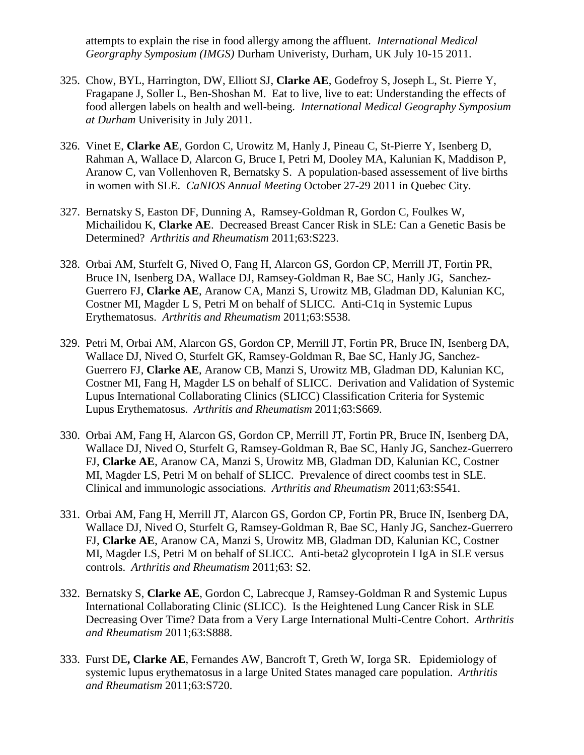attempts to explain the rise in food allergy among the affluent*. International Medical Georgraphy Symposium (IMGS)* Durham Univeristy, Durham, UK July 10-15 2011.

- 325. Chow, BYL, Harrington, DW, Elliott SJ, **Clarke AE**, Godefroy S, Joseph L, St. Pierre Y, Fragapane J, Soller L, Ben-Shoshan M. Eat to live, live to eat: Understanding the effects of food allergen labels on health and well-being. *International Medical Geography Symposium at Durham* Univerisity in July 2011.
- 326. Vinet E, **Clarke AE**, Gordon C, Urowitz M, Hanly J, Pineau C, St-Pierre Y, Isenberg D, Rahman A, Wallace D, Alarcon G, Bruce I, Petri M, Dooley MA, Kalunian K, Maddison P, Aranow C, van Vollenhoven R, Bernatsky S. A population-based assessement of live births in women with SLE. *CaNIOS Annual Meeting* October 27-29 2011 in Quebec City.
- 327. Bernatsky S, Easton DF, Dunning A, Ramsey-Goldman R, Gordon C, Foulkes W, Michailidou K, **Clarke AE**. Decreased Breast Cancer Risk in SLE: Can a Genetic Basis be Determined? *Arthritis and Rheumatism* 2011;63:S223.
- 328. Orbai AM, Sturfelt G, Nived O, Fang H, Alarcon GS, Gordon CP, Merrill JT, Fortin PR, Bruce IN, Isenberg DA, Wallace DJ, Ramsey-Goldman R, Bae SC, Hanly JG, Sanchez-Guerrero FJ, **Clarke AE**, Aranow CA, Manzi S, Urowitz MB, Gladman DD, Kalunian KC, Costner MI, Magder L S, Petri M on behalf of SLICC. Anti-C1q in Systemic Lupus Erythematosus. *Arthritis and Rheumatism* 2011;63:S538.
- 329. Petri M, Orbai AM, Alarcon GS, Gordon CP, Merrill JT, Fortin PR, Bruce IN, Isenberg DA, Wallace DJ, Nived O, Sturfelt GK, Ramsey-Goldman R, Bae SC, Hanly JG, Sanchez-Guerrero FJ, **Clarke AE**, Aranow CB, Manzi S, Urowitz MB, Gladman DD, Kalunian KC, Costner MI, Fang H, Magder LS on behalf of SLICC. Derivation and Validation of Systemic Lupus International Collaborating Clinics (SLICC) Classification Criteria for Systemic Lupus Erythematosus. *Arthritis and Rheumatism* 2011;63:S669.
- 330. Orbai AM, Fang H, Alarcon GS, Gordon CP, Merrill JT, Fortin PR, Bruce IN, Isenberg DA, Wallace DJ, Nived O, Sturfelt G, Ramsey-Goldman R, Bae SC, Hanly JG, Sanchez-Guerrero FJ, **Clarke AE**, Aranow CA, Manzi S, Urowitz MB, Gladman DD, Kalunian KC, Costner MI, Magder LS, Petri M on behalf of SLICC. Prevalence of direct coombs test in SLE. Clinical and immunologic associations. *Arthritis and Rheumatism* 2011;63:S541.
- 331. Orbai AM, Fang H, Merrill JT, Alarcon GS, Gordon CP, Fortin PR, Bruce IN, Isenberg DA, Wallace DJ, Nived O, Sturfelt G, Ramsey-Goldman R, Bae SC, Hanly JG, Sanchez-Guerrero FJ, **Clarke AE**, Aranow CA, Manzi S, Urowitz MB, Gladman DD, Kalunian KC, Costner MI, Magder LS, Petri M on behalf of SLICC. Anti-beta2 glycoprotein I IgA in SLE versus controls. *Arthritis and Rheumatism* 2011;63: S2.
- 332. Bernatsky S, **Clarke AE**, Gordon C, Labrecque J, Ramsey-Goldman R and Systemic Lupus International Collaborating Clinic (SLICC). Is the Heightened Lung Cancer Risk in SLE Decreasing Over Time? Data from a Very Large International Multi-Centre Cohort. *Arthritis and Rheumatism* 2011;63:S888.
- 333. Furst DE**, Clarke AE**, Fernandes AW, Bancroft T, Greth W, Iorga SR. Epidemiology of systemic lupus erythematosus in a large United States managed care population. *Arthritis and Rheumatism* 2011;63:S720.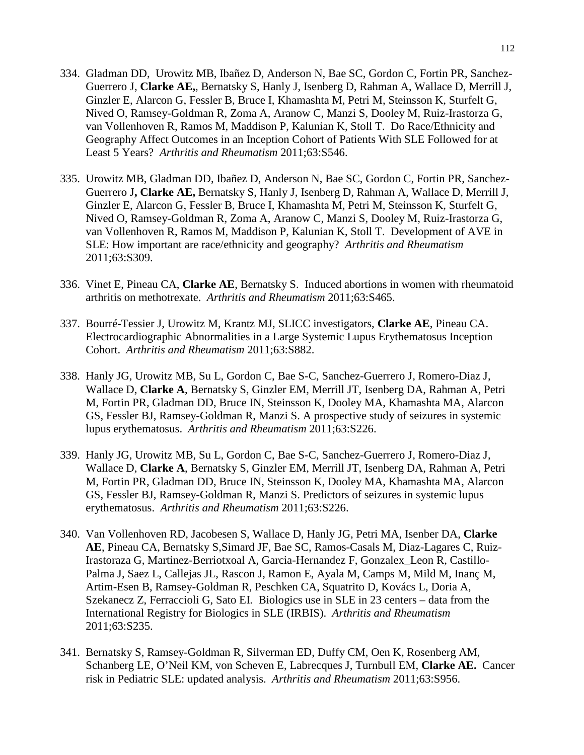- 334. Gladman DD, Urowitz MB, Ibañez D, Anderson N, Bae SC, Gordon C, Fortin PR, Sanchez-Guerrero J, **Clarke AE,**, Bernatsky S, Hanly J, Isenberg D, Rahman A, Wallace D, Merrill J, Ginzler E, Alarcon G, Fessler B, Bruce I, Khamashta M, Petri M, Steinsson K, Sturfelt G, Nived O, Ramsey-Goldman R, Zoma A, Aranow C, Manzi S, Dooley M, Ruiz-Irastorza G, van Vollenhoven R, Ramos M, Maddison P, Kalunian K, Stoll T. Do Race/Ethnicity and Geography Affect Outcomes in an Inception Cohort of Patients With SLE Followed for at Least 5 Years? *Arthritis and Rheumatism* 2011;63:S546.
- 335. Urowitz MB, Gladman DD, Ibañez D, Anderson N, Bae SC, Gordon C, Fortin PR, Sanchez-Guerrero J**, Clarke AE,** Bernatsky S, Hanly J, Isenberg D, Rahman A, Wallace D, Merrill J, Ginzler E, Alarcon G, Fessler B, Bruce I, Khamashta M, Petri M, Steinsson K, Sturfelt G, Nived O, Ramsey-Goldman R, Zoma A, Aranow C, Manzi S, Dooley M, Ruiz-Irastorza G, van Vollenhoven R, Ramos M, Maddison P, Kalunian K, Stoll T. Development of AVE in SLE: How important are race/ethnicity and geography? *Arthritis and Rheumatism* 2011;63:S309.
- 336. Vinet E, Pineau CA, **Clarke AE**, Bernatsky S. Induced abortions in women with rheumatoid arthritis on methotrexate. *Arthritis and Rheumatism* 2011;63:S465.
- 337. Bourré-Tessier J, Urowitz M, Krantz MJ, SLICC investigators, **Clarke AE**, Pineau CA. Electrocardiographic Abnormalities in a Large Systemic Lupus Erythematosus Inception Cohort. *Arthritis and Rheumatism* 2011;63:S882.
- 338. Hanly JG, Urowitz MB, Su L, Gordon C, Bae S-C, Sanchez-Guerrero J, Romero-Diaz J, Wallace D, **Clarke A**, Bernatsky S, Ginzler EM, Merrill JT, Isenberg DA, Rahman A, Petri M, Fortin PR, Gladman DD, Bruce IN, Steinsson K, Dooley MA, Khamashta MA, Alarcon GS, Fessler BJ, Ramsey-Goldman R, Manzi S. A prospective study of seizures in systemic lupus erythematosus. *Arthritis and Rheumatism* 2011;63:S226.
- 339. Hanly JG, Urowitz MB, Su L, Gordon C, Bae S-C, Sanchez-Guerrero J, Romero-Diaz J, Wallace D, **Clarke A**, Bernatsky S, Ginzler EM, Merrill JT, Isenberg DA, Rahman A, Petri M, Fortin PR, Gladman DD, Bruce IN, Steinsson K, Dooley MA, Khamashta MA, Alarcon GS, Fessler BJ, Ramsey-Goldman R, Manzi S. Predictors of seizures in systemic lupus erythematosus. *Arthritis and Rheumatism* 2011;63:S226.
- 340. Van Vollenhoven RD, Jacobesen S, Wallace D, Hanly JG, Petri MA, Isenber DA, **Clarke AE**, Pineau CA, Bernatsky S,Simard JF, Bae SC, Ramos-Casals M, Diaz-Lagares C, Ruiz-Irastoraza G, Martinez-Berriotxoal A, Garcia-Hernandez F, Gonzalex\_Leon R, Castillo-Palma J, Saez L, Callejas JL, Rascon J, Ramon E, Ayala M, Camps M, Mild M, Inanç M, Artim-Esen B, Ramsey-Goldman R, Peschken CA, Squatrito D, Kovács L, Doria A, Szekanecz Z, Ferraccioli G, Sato EI. Biologics use in SLE in 23 centers – data from the International Registry for Biologics in SLE (IRBIS). *Arthritis and Rheumatism* 2011;63:S235.
- 341. Bernatsky S, Ramsey-Goldman R, Silverman ED, Duffy CM, Oen K, Rosenberg AM, Schanberg LE, O'Neil KM, von Scheven E, Labrecques J, Turnbull EM, **Clarke AE.** Cancer risk in Pediatric SLE: updated analysis. *Arthritis and Rheumatism* 2011;63:S956.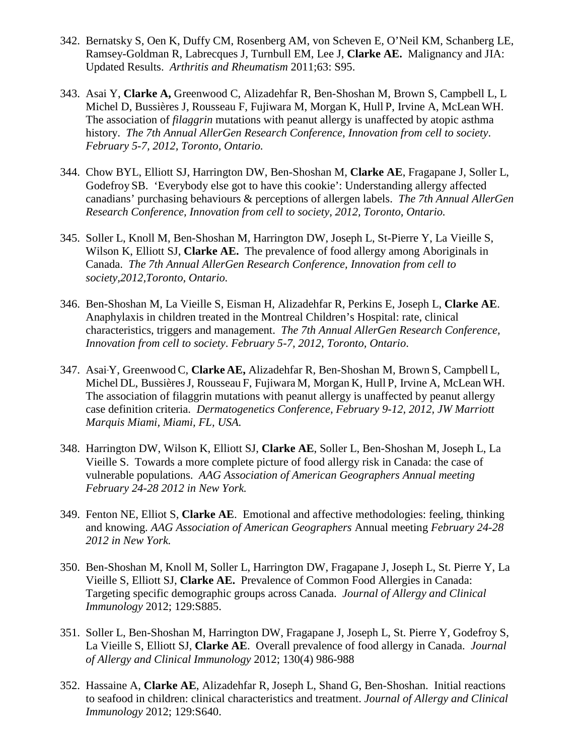- 342. Bernatsky S, Oen K, Duffy CM, Rosenberg AM, von Scheven E, O'Neil KM, Schanberg LE, Ramsey-Goldman R, Labrecques J, Turnbull EM, Lee J, **Clarke AE.** Malignancy and JIA: Updated Results. *Arthritis and Rheumatism* 2011;63: S95.
- 343. Asai Y, **Clarke A,** Greenwood C, Alizadehfar R, Ben-Shoshan M, Brown S, Campbell L, L Michel D, Bussières J, Rousseau F, Fujiwara M, Morgan K, Hull P, Irvine A, McLean WH. The association of *filaggrin* mutations with peanut allergy is unaffected by atopic asthma history. *The 7th Annual AllerGen Research Conference, Innovation from cell to society*. *February 5-7, 2012, Toronto, Ontario.*
- 344. Chow BYL, Elliott SJ, Harrington DW, Ben-Shoshan M, **Clarke AE**, Fragapane J, Soller L, Godefroy SB. 'Everybody else got to have this cookie': Understanding allergy affected canadians' purchasing behaviours & perceptions of allergen labels. *The 7th Annual AllerGen Research Conference, Innovation from cell to society, 2012, Toronto, Ontario.*
- 345. Soller L, Knoll M, Ben-Shoshan M, Harrington DW, Joseph L, St-Pierre Y, La Vieille S, Wilson K, Elliott SJ, **Clarke AE.** The prevalence of food allergy among Aboriginals in Canada. *The 7th Annual AllerGen Research Conference, Innovation from cell to society,2012,Toronto, Ontario.*
- 346. Ben-Shoshan M, La Vieille S, Eisman H, Alizadehfar R, Perkins E, Joseph L, **Clarke AE**. Anaphylaxis in children treated in the Montreal Children's Hospital: rate, clinical characteristics, triggers and management. *The 7th Annual AllerGen Research Conference, Innovation from cell to society*. *February 5-7, 2012, Toronto, Ontario*.
- 347. Asai Y, Greenwood C, **Clarke AE,** Alizadehfar R, Ben-Shoshan M, Brown S, Campbell L, Michel DL, BussièresJ, Rousseau F, Fujiwara M, Morgan K, Hull P, Irvine A, McLean WH. The association of filaggrin mutations with peanut allergy is unaffected by peanut allergy case definition criteria. *Dermatogenetics Conference, February 9-12, 2012, JW Marriott Marquis Miami, Miami, FL, USA.*
- 348. Harrington DW, Wilson K, Elliott SJ, **Clarke AE**, Soller L, Ben-Shoshan M, Joseph L, La Vieille S. Towards a more complete picture of food allergy risk in Canada: the case of vulnerable populations. *AAG Association of American Geographers Annual meeting February 24-28 2012 in New York.*
- 349. Fenton NE, Elliot S, **Clarke AE**. Emotional and affective methodologies: feeling, thinking and knowing. *AAG Association of American Geographers* Annual meeting *February 24-28 2012 in New York.*
- 350. Ben-Shoshan M, Knoll M, Soller L, Harrington DW, Fragapane J, Joseph L, St. Pierre Y, La Vieille S, Elliott SJ, **Clarke AE.** Prevalence of Common Food Allergies in Canada: Targeting specific demographic groups across Canada. *Journal of Allergy and Clinical Immunology* 2012; 129:S885.
- 351. Soller L, Ben-Shoshan M, Harrington DW, Fragapane J, Joseph L, St. Pierre Y, Godefroy S, La Vieille S, Elliott SJ, **Clarke AE**. Overall prevalence of food allergy in Canada. *Journal of Allergy and Clinical Immunology* 2012; 130(4) 986-988
- 352. Hassaine A, **Clarke AE**, Alizadehfar R, Joseph L, Shand G, Ben-Shoshan. Initial reactions to seafood in children: clinical characteristics and treatment. *Journal of Allergy and Clinical Immunology* 2012; 129:S640.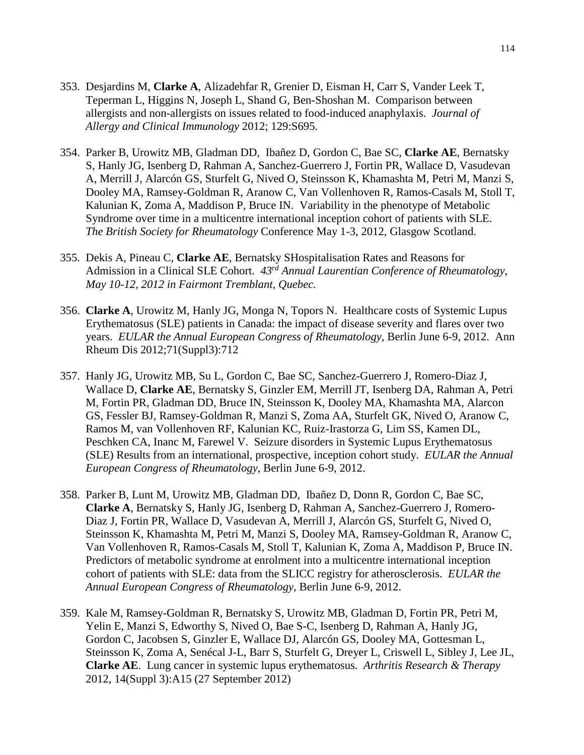- 353. Desjardins M, **Clarke A**, Alizadehfar R, Grenier D, Eisman H, Carr S, Vander Leek T, Teperman L, Higgins N, Joseph L, Shand G, Ben-Shoshan M. Comparison between allergists and non-allergists on issues related to food-induced anaphylaxis. *Journal of Allergy and Clinical Immunology* 2012; 129:S695.
- 354. Parker B, Urowitz MB, Gladman DD, Ibañez D, Gordon C, Bae SC, **Clarke AE**, Bernatsky S, Hanly JG, Isenberg D, Rahman A, Sanchez-Guerrero J, Fortin PR, Wallace D, Vasudevan A, Merrill J, Alarcón GS, Sturfelt G, Nived O, Steinsson K, Khamashta M, Petri M, Manzi S, Dooley MA, Ramsey-Goldman R, Aranow C, Van Vollenhoven R, Ramos-Casals M, Stoll T, Kalunian K, Zoma A, Maddison P, Bruce IN. Variability in the phenotype of Metabolic Syndrome over time in a multicentre international inception cohort of patients with SLE. *The British Society for Rheumatology* Conference May 1-3, 2012, Glasgow Scotland.
- 355. Dekis A, Pineau C, **Clarke AE**, Bernatsky SHospitalisation Rates and Reasons for Admission in a Clinical SLE Cohort. *43rd Annual Laurentian Conference of Rheumatology*, *May 10-12, 2012 in Fairmont Tremblant, Quebec.*
- 356. **Clarke A**, Urowitz M, Hanly JG, Monga N, Topors N. Healthcare costs of Systemic Lupus Erythematosus (SLE) patients in Canada: the impact of disease severity and flares over two years. *EULAR the Annual European Congress of Rheumatology*, Berlin June 6-9, 2012. Ann Rheum Dis 2012;71(Suppl3):712
- 357. Hanly JG, Urowitz MB, Su L, Gordon C, Bae SC, Sanchez-Guerrero J, Romero-Diaz J, Wallace D, **Clarke AE**, Bernatsky S, Ginzler EM, Merrill JT, Isenberg DA, Rahman A, Petri M, Fortin PR, Gladman DD, Bruce IN, Steinsson K, Dooley MA, Khamashta MA, Alarcon GS, Fessler BJ, Ramsey-Goldman R, Manzi S, Zoma AA, Sturfelt GK, Nived O, Aranow C, Ramos M, van Vollenhoven RF, Kalunian KC, Ruiz-Irastorza G, Lim SS, Kamen DL, Peschken CA, Inanc M, Farewel V. Seizure disorders in Systemic Lupus Erythematosus (SLE) Results from an international, prospective, inception cohort study. *EULAR the Annual European Congress of Rheumatology*, Berlin June 6-9, 2012.
- 358. Parker B, Lunt M, Urowitz MB, Gladman DD, Ibañez D, Donn R, Gordon C, Bae SC, **Clarke A**, Bernatsky S, Hanly JG, Isenberg D, Rahman A, Sanchez-Guerrero J, Romero-Diaz J, Fortin PR, Wallace D, Vasudevan A, Merrill J, Alarcón GS, Sturfelt G, Nived O, Steinsson K, Khamashta M, Petri M, Manzi S, Dooley MA, Ramsey-Goldman R, Aranow C, Van Vollenhoven R, Ramos-Casals M, Stoll T, Kalunian K, Zoma A, Maddison P, Bruce IN. Predictors of metabolic syndrome at enrolment into a multicentre international inception cohort of patients with SLE: data from the SLICC registry for atherosclerosis. *EULAR the Annual European Congress of Rheumatology,* Berlin June 6-9, 2012.
- 359. Kale M, Ramsey-Goldman R, Bernatsky S, Urowitz MB, Gladman D, Fortin PR, Petri M, Yelin E, Manzi S, Edworthy S, Nived O, Bae S-C, Isenberg D, Rahman A, Hanly JG, Gordon C, Jacobsen S, Ginzler E, Wallace DJ, Alarcón GS, Dooley MA, Gottesman L, Steinsson K, Zoma A, Senécal J-L, Barr S, Sturfelt G, Dreyer L, Criswell L, Sibley J, Lee JL, **Clarke AE**. Lung cancer in systemic lupus erythematosus. *Arthritis Research & Therapy* 2012, 14(Suppl 3):A15 (27 September 2012)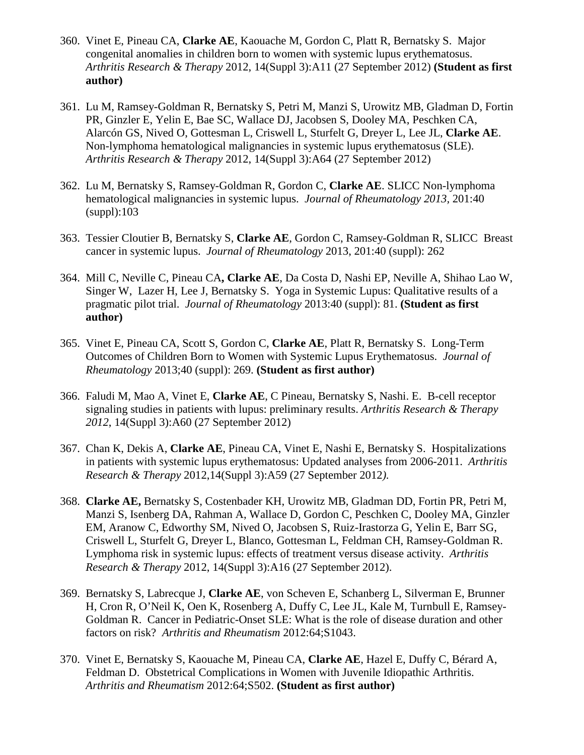- 360. Vinet E, Pineau CA, **Clarke AE**, Kaouache M, Gordon C, Platt R, Bernatsky S. Major congenital anomalies in children born to women with systemic lupus erythematosus. *Arthritis Research & Therapy* 2012, 14(Suppl 3):A11 (27 September 2012) **(Student as first author)**
- 361. Lu M, Ramsey-Goldman R, Bernatsky S, Petri M, Manzi S, Urowitz MB, Gladman D, Fortin PR, Ginzler E, Yelin E, Bae SC, Wallace DJ, Jacobsen S, Dooley MA, Peschken CA, Alarcón GS, Nived O, Gottesman L, Criswell L, Sturfelt G, Dreyer L, Lee JL, **Clarke AE**. Non-lymphoma hematological malignancies in systemic lupus erythematosus (SLE). *Arthritis Research & Therapy* 2012, 14(Suppl 3):A64 (27 September 2012)
- 362. Lu M, Bernatsky S, Ramsey-Goldman R, Gordon C, **Clarke AE**. SLICC Non-lymphoma hematological malignancies in systemic lupus. *Journal of Rheumatology 2013,* 201:40 (suppl):103
- 363. Tessier Cloutier B, Bernatsky S, **Clarke AE**, Gordon C, Ramsey-Goldman R, SLICC Breast cancer in systemic lupus. *Journal of Rheumatology* 2013, 201:40 (suppl): 262
- 364. Mill C, Neville C, Pineau CA**, Clarke AE**, Da Costa D, Nashi EP, Neville A, Shihao Lao W, Singer W, Lazer H, Lee J, Bernatsky S. Yoga in Systemic Lupus: Qualitative results of a pragmatic pilot trial. *Journal of Rheumatology* 2013:40 (suppl): 81. **(Student as first author)**
- 365. Vinet E, Pineau CA, Scott S, Gordon C, **Clarke AE**, Platt R, Bernatsky S. Long-Term Outcomes of Children Born to Women with Systemic Lupus Erythematosus. *Journal of Rheumatology* 2013;40 (suppl): 269. **(Student as first author)**
- 366. Faludi M, Mao A, Vinet E, **Clarke AE**, C Pineau, Bernatsky S, Nashi. E. B-cell receptor signaling studies in patients with lupus: preliminary results. *Arthritis Research & Therapy 2012*, 14(Suppl 3):A60 (27 September 2012)
- 367. Chan K, Dekis A, **Clarke AE**, Pineau CA, Vinet E, Nashi E, Bernatsky S. Hospitalizations in patients with systemic lupus erythematosus: Updated analyses from 2006-2011. *Arthritis Research & Therapy* 2012,14(Suppl 3):A59 (27 September 2012*).*
- 368. **Clarke AE,** Bernatsky S, Costenbader KH, Urowitz MB, Gladman DD, Fortin PR, Petri M, Manzi S, Isenberg DA, Rahman A, Wallace D, Gordon C, Peschken C, Dooley MA, Ginzler EM, Aranow C, Edworthy SM, Nived O, Jacobsen S, Ruiz-Irastorza G, Yelin E, Barr SG, Criswell L, Sturfelt G, Dreyer L, Blanco, Gottesman L, Feldman CH, Ramsey-Goldman R. Lymphoma risk in systemic lupus: effects of treatment versus disease activity. *Arthritis Research & Therapy* 2012, 14(Suppl 3):A16 (27 September 2012).
- 369. Bernatsky S, Labrecque J, **Clarke AE**, von Scheven E, Schanberg L, Silverman E, Brunner H, Cron R, O'Neil K, Oen K, Rosenberg A, Duffy C, Lee JL, Kale M, Turnbull E, Ramsey-Goldman R. Cancer in Pediatric-Onset SLE: What is the role of disease duration and other factors on risk? *Arthritis and Rheumatism* 2012:64;S1043.
- 370. Vinet E, Bernatsky S, Kaouache M, Pineau CA, **Clarke AE**, Hazel E, Duffy C, Bérard A, Feldman D. Obstetrical Complications in Women with Juvenile Idiopathic Arthritis. *Arthritis and Rheumatism* 2012:64;S502. **(Student as first author)**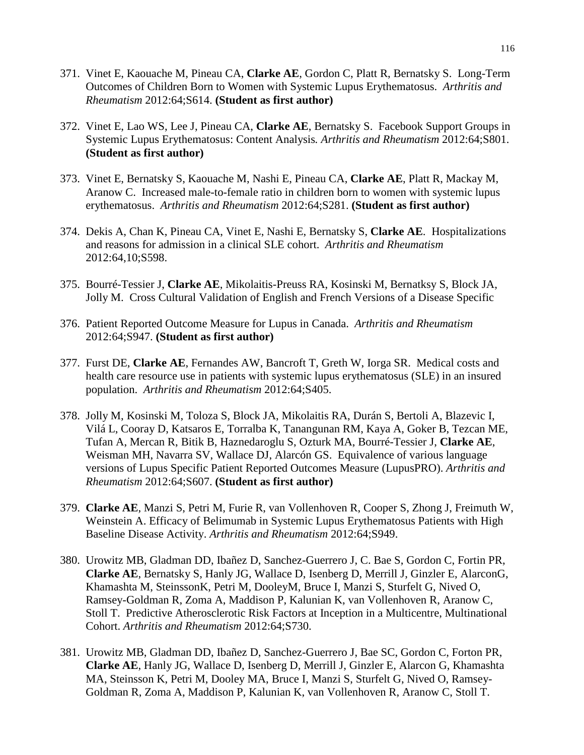- 371. Vinet E, Kaouache M, Pineau CA, **Clarke AE**, Gordon C, Platt R, Bernatsky S. Long-Term Outcomes of Children Born to Women with Systemic Lupus Erythematosus. *Arthritis and Rheumatism* 2012:64;S614. **(Student as first author)**
- 372. Vinet E, Lao WS, Lee J, Pineau CA, **Clarke AE**, Bernatsky S. Facebook Support Groups in Systemic Lupus Erythematosus: Content Analysis*. Arthritis and Rheumatism* 2012:64;S801. **(Student as first author)**
- 373. Vinet E, Bernatsky S, Kaouache M, Nashi E, Pineau CA, **Clarke AE**, Platt R, Mackay M, Aranow C. Increased male-to-female ratio in children born to women with systemic lupus erythematosus. *Arthritis and Rheumatism* 2012:64;S281. **(Student as first author)**
- 374. Dekis A, Chan K, Pineau CA, Vinet E, Nashi E, Bernatsky S, **Clarke AE**. Hospitalizations and reasons for admission in a clinical SLE cohort. *Arthritis and Rheumatism* 2012:64,10;S598.
- 375. Bourré-Tessier J, **Clarke AE**, Mikolaitis-Preuss RA, Kosinski M, Bernatksy S, Block JA, Jolly M. Cross Cultural Validation of English and French Versions of a Disease Specific
- 376. Patient Reported Outcome Measure for Lupus in Canada. *Arthritis and Rheumatism*  2012:64;S947. **(Student as first author)**
- 377. Furst DE, **Clarke AE**, Fernandes AW, Bancroft T, Greth W, Iorga SR. Medical costs and health care resource use in patients with systemic lupus erythematosus (SLE) in an insured population. *Arthritis and Rheumatism* 2012:64;S405.
- 378. Jolly M, Kosinski M, Toloza S, Block JA, Mikolaitis RA, Durán S, Bertoli A, Blazevic I, Vilá L, Cooray D, Katsaros E, Torralba K, Tanangunan RM, Kaya A, Goker B, Tezcan ME, Tufan A, Mercan R, Bitik B, Haznedaroglu S, Ozturk MA, Bourré-Tessier J, **Clarke AE**, Weisman MH, Navarra SV, Wallace DJ, Alarcón GS. Equivalence of various language versions of Lupus Specific Patient Reported Outcomes Measure (LupusPRO). *Arthritis and Rheumatism* 2012:64;S607. **(Student as first author)**
- 379. **Clarke AE**, Manzi S, Petri M, Furie R, van Vollenhoven R, Cooper S, Zhong J, Freimuth W, Weinstein A. Efficacy of Belimumab in Systemic Lupus Erythematosus Patients with High Baseline Disease Activity. *Arthritis and Rheumatism* 2012:64;S949.
- 380. Urowitz MB, Gladman DD, Ibañez D, Sanchez-Guerrero J, C. Bae S, Gordon C, Fortin PR, **Clarke AE**, Bernatsky S, Hanly JG, Wallace D, Isenberg D, Merrill J, Ginzler E, AlarconG, Khamashta M, SteinssonK, Petri M, DooleyM, Bruce I, Manzi S, Sturfelt G, Nived O, Ramsey-Goldman R, Zoma A, Maddison P, Kalunian K, van Vollenhoven R, Aranow C, Stoll T. Predictive Atherosclerotic Risk Factors at Inception in a Multicentre, Multinational Cohort. *Arthritis and Rheumatism* 2012:64;S730.
- 381. Urowitz MB, Gladman DD, Ibañez D, Sanchez-Guerrero J, Bae SC, Gordon C, Forton PR, **Clarke AE**, Hanly JG, Wallace D, Isenberg D, Merrill J, Ginzler E, Alarcon G, Khamashta MA, Steinsson K, Petri M, Dooley MA, Bruce I, Manzi S, Sturfelt G, Nived O, Ramsey-Goldman R, Zoma A, Maddison P, Kalunian K, van Vollenhoven R, Aranow C, Stoll T.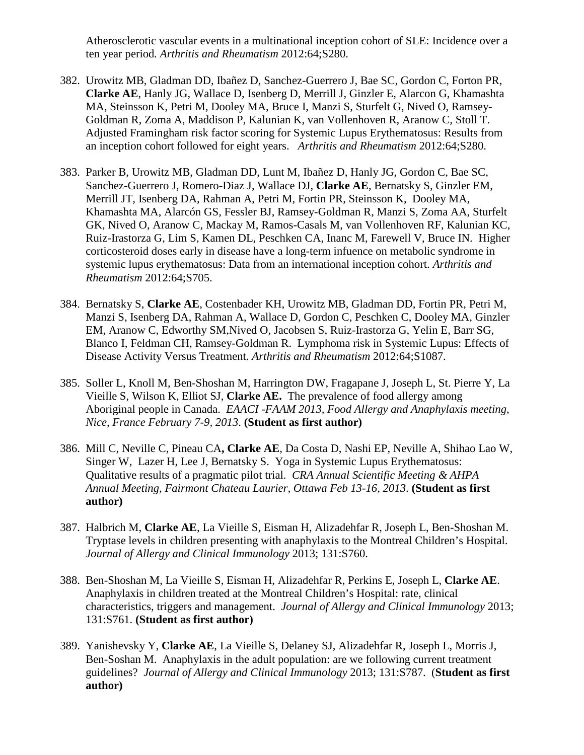Atherosclerotic vascular events in a multinational inception cohort of SLE: Incidence over a ten year period*. Arthritis and Rheumatism* 2012:64;S280.

- 382. Urowitz MB, Gladman DD, Ibañez D, Sanchez-Guerrero J, Bae SC, Gordon C, Forton PR, **Clarke AE**, Hanly JG, Wallace D, Isenberg D, Merrill J, Ginzler E, Alarcon G, Khamashta MA, Steinsson K, Petri M, Dooley MA, Bruce I, Manzi S, Sturfelt G, Nived O, Ramsey-Goldman R, Zoma A, Maddison P, Kalunian K, van Vollenhoven R, Aranow C, Stoll T. Adjusted Framingham risk factor scoring for Systemic Lupus Erythematosus: Results from an inception cohort followed for eight years. *Arthritis and Rheumatism* 2012:64;S280.
- 383. Parker B, Urowitz MB, Gladman DD, Lunt M, Ibañez D, Hanly JG, Gordon C, Bae SC, Sanchez-Guerrero J, Romero-Diaz J, Wallace DJ, **Clarke AE**, Bernatsky S, Ginzler EM, Merrill JT, Isenberg DA, Rahman A, Petri M, Fortin PR, Steinsson K, Dooley MA, Khamashta MA, Alarcón GS, Fessler BJ, Ramsey-Goldman R, Manzi S, Zoma AA, Sturfelt GK, Nived O, Aranow C, Mackay M, Ramos-Casals M, van Vollenhoven RF, Kalunian KC, Ruiz-Irastorza G, Lim S, Kamen DL, Peschken CA, Inanc M, Farewell V, Bruce IN. Higher corticosteroid doses early in disease have a long-term infuence on metabolic syndrome in systemic lupus erythematosus: Data from an international inception cohort. *Arthritis and Rheumatism* 2012:64;S705.
- 384. Bernatsky S, **Clarke AE**, Costenbader KH, Urowitz MB, Gladman DD, Fortin PR, Petri M, Manzi S, Isenberg DA, Rahman A, Wallace D, Gordon C, Peschken C, Dooley MA, Ginzler EM, Aranow C, Edworthy SM,Nived O, Jacobsen S, Ruiz-Irastorza G, Yelin E, Barr SG, Blanco I, Feldman CH, Ramsey-Goldman R. Lymphoma risk in Systemic Lupus: Effects of Disease Activity Versus Treatment*. Arthritis and Rheumatism* 2012:64;S1087.
- 385. Soller L, Knoll M, Ben-Shoshan M, Harrington DW, Fragapane J, Joseph L, St. Pierre Y, La Vieille S, Wilson K, Elliot SJ, **Clarke AE.** The prevalence of food allergy among Aboriginal people in Canada. *EAACI -FAAM 2013, Food Allergy and Anaphylaxis meeting, Nice, France February 7-9, 2013*. **(Student as first author)**
- 386. Mill C, Neville C, Pineau CA**, Clarke AE**, Da Costa D, Nashi EP, Neville A, Shihao Lao W, Singer W, Lazer H, Lee J, Bernatsky S. Yoga in Systemic Lupus Erythematosus: Qualitative results of a pragmatic pilot trial. *CRA Annual Scientific Meeting & AHPA Annual Meeting*, *Fairmont Chateau Laurier, Ottawa Feb 13-16, 2013*. **(Student as first author)**
- 387. Halbrich M, **Clarke AE**, La Vieille S, Eisman H, Alizadehfar R, Joseph L, Ben-Shoshan M. Tryptase levels in children presenting with anaphylaxis to the Montreal Children's Hospital. *Journal of Allergy and Clinical Immunology* 2013; 131:S760.
- 388. Ben-Shoshan M, La Vieille S, Eisman H, Alizadehfar R, Perkins E, Joseph L, **Clarke AE**. Anaphylaxis in children treated at the Montreal Children's Hospital: rate, clinical characteristics, triggers and management. *Journal of Allergy and Clinical Immunology* 2013; 131:S761. **(Student as first author)**
- 389. Yanishevsky Y, **Clarke AE**, La Vieille S, Delaney SJ, Alizadehfar R, Joseph L, Morris J, Ben-Soshan M. Anaphylaxis in the adult population: are we following current treatment guidelines? *Journal of Allergy and Clinical Immunology* 2013; 131:S787. (**Student as first author)**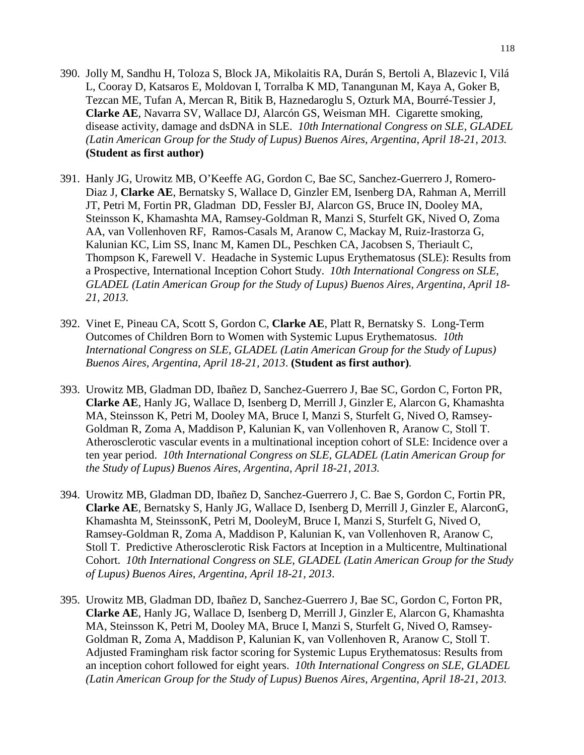- 390. Jolly M, Sandhu H, Toloza S, Block JA, Mikolaitis RA, Durán S, Bertoli A, Blazevic I, Vilá L, Cooray D, Katsaros E, Moldovan I, Torralba K MD, Tanangunan M, Kaya A, Goker B, Tezcan ME, Tufan A, Mercan R, Bitik B, Haznedaroglu S, Ozturk MA, Bourré-Tessier J, **Clarke AE**, Navarra SV, Wallace DJ, Alarcón GS, Weisman MH. Cigarette smoking, disease activity, damage and dsDNA in SLE. *10th International Congress on SLE, GLADEL (Latin American Group for the Study of Lupus) Buenos Aires, Argentina, April 18-21, 2013.* **(Student as first author)**
- 391. Hanly JG, Urowitz MB, O'Keeffe AG, Gordon C, Bae SC, Sanchez-Guerrero J, Romero-Diaz J, **Clarke AE**, Bernatsky S, Wallace D, Ginzler EM, Isenberg DA, Rahman A, Merrill JT, Petri M, Fortin PR, Gladman DD, Fessler BJ, Alarcon GS, Bruce IN, Dooley MA, Steinsson K, Khamashta MA, Ramsey-Goldman R, Manzi S, Sturfelt GK, Nived O, Zoma AA, van Vollenhoven RF, Ramos-Casals M, Aranow C, Mackay M, Ruiz-Irastorza G, Kalunian KC, Lim SS, Inanc M, Kamen DL, Peschken CA, Jacobsen S, Theriault C, Thompson K, Farewell V. Headache in Systemic Lupus Erythematosus (SLE): Results from a Prospective, International Inception Cohort Study. *10th International Congress on SLE*, *GLADEL (Latin American Group for the Study of Lupus) Buenos Aires, Argentina, April 18- 21, 2013.*
- 392. Vinet E, Pineau CA, Scott S, Gordon C, **Clarke AE**, Platt R, Bernatsky S. Long-Term Outcomes of Children Born to Women with Systemic Lupus Erythematosus. *10th International Congress on SLE*, *GLADEL (Latin American Group for the Study of Lupus) Buenos Aires, Argentina, April 18-21, 2013*. **(Student as first author)***.*
- 393. Urowitz MB, Gladman DD, Ibañez D, Sanchez-Guerrero J, Bae SC, Gordon C, Forton PR, **Clarke AE**, Hanly JG, Wallace D, Isenberg D, Merrill J, Ginzler E, Alarcon G, Khamashta MA, Steinsson K, Petri M, Dooley MA, Bruce I, Manzi S, Sturfelt G, Nived O, Ramsey-Goldman R, Zoma A, Maddison P, Kalunian K, van Vollenhoven R, Aranow C, Stoll T. Atherosclerotic vascular events in a multinational inception cohort of SLE: Incidence over a ten year period. *10th International Congress on SLE, GLADEL (Latin American Group for the Study of Lupus) Buenos Aires, Argentina, April 18-21, 2013.*
- 394. Urowitz MB, Gladman DD, Ibañez D, Sanchez-Guerrero J, C. Bae S, Gordon C, Fortin PR, **Clarke AE**, Bernatsky S, Hanly JG, Wallace D, Isenberg D, Merrill J, Ginzler E, AlarconG, Khamashta M, SteinssonK, Petri M, DooleyM, Bruce I, Manzi S, Sturfelt G, Nived O, Ramsey-Goldman R, Zoma A, Maddison P, Kalunian K, van Vollenhoven R, Aranow C, Stoll T. Predictive Atherosclerotic Risk Factors at Inception in a Multicentre, Multinational Cohort. *10th International Congress on SLE*, *GLADEL (Latin American Group for the Study of Lupus) Buenos Aires, Argentina, April 18-21, 2013*.
- 395. Urowitz MB, Gladman DD, Ibañez D, Sanchez-Guerrero J, Bae SC, Gordon C, Forton PR, **Clarke AE**, Hanly JG, Wallace D, Isenberg D, Merrill J, Ginzler E, Alarcon G, Khamashta MA, Steinsson K, Petri M, Dooley MA, Bruce I, Manzi S, Sturfelt G, Nived O, Ramsey-Goldman R, Zoma A, Maddison P, Kalunian K, van Vollenhoven R, Aranow C, Stoll T. Adjusted Framingham risk factor scoring for Systemic Lupus Erythematosus: Results from an inception cohort followed for eight years. *10th International Congress on SLE*, *GLADEL (Latin American Group for the Study of Lupus) Buenos Aires, Argentina, April 18-21, 2013.*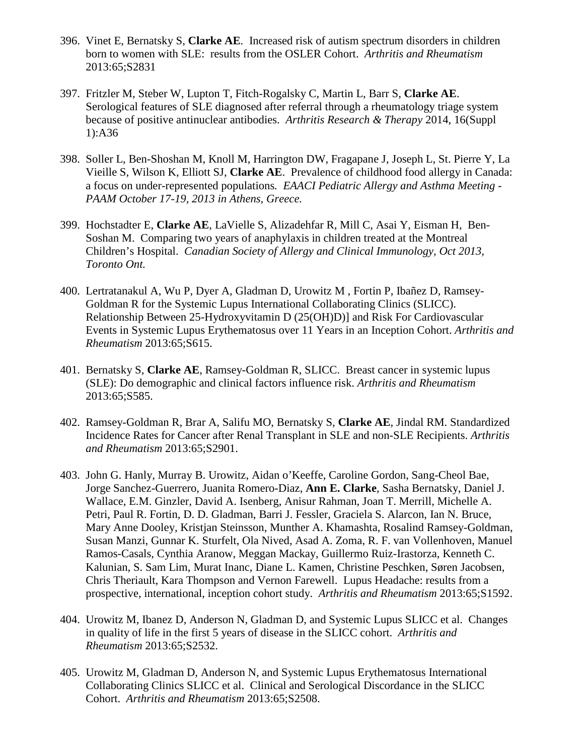- 396. Vinet E, Bernatsky S, **Clarke AE**. Increased risk of autism spectrum disorders in children born to women with SLE: results from the OSLER Cohort. *Arthritis and Rheumatism*  2013:65;S2831
- 397. Fritzler M, Steber W, Lupton T, Fitch-Rogalsky C, Martin L, Barr S, **Clarke AE**. Serological features of SLE diagnosed after referral through a rheumatology triage system because of positive antinuclear antibodies. *Arthritis Research & Therapy* 2014, 16(Suppl 1):A36
- 398. Soller L, Ben-Shoshan M, Knoll M, Harrington DW, Fragapane J, Joseph L, St. Pierre Y, La Vieille S, Wilson K, Elliott SJ, **Clarke AE**. Prevalence of childhood food allergy in Canada: a focus on under-represented populations*. EAACI Pediatric Allergy and Asthma Meeting - PAAM October 17-19, 2013 in Athens, Greece.*
- 399. Hochstadter E, **Clarke AE**, LaVielle S, Alizadehfar R, Mill C, Asai Y, Eisman H, Ben-Soshan M. Comparing two years of anaphylaxis in children treated at the Montreal Children's Hospital. *Canadian Society of Allergy and Clinical Immunology, Oct 2013, Toronto Ont.*
- 400. Lertratanakul A, Wu P, Dyer A, Gladman D, Urowitz M , Fortin P, Ibañez D, Ramsey-Goldman R for the Systemic Lupus International Collaborating Clinics (SLICC). Relationship Between 25-Hydroxyvitamin D (25(OH)D)] and Risk For Cardiovascular Events in Systemic Lupus Erythematosus over 11 Years in an Inception Cohort. *Arthritis and Rheumatism* 2013:65;S615.
- 401. Bernatsky S, **Clarke AE**, Ramsey-Goldman R, SLICC. Breast cancer in systemic lupus (SLE): Do demographic and clinical factors influence risk. *Arthritis and Rheumatism*  2013:65;S585.
- 402. Ramsey-Goldman R, Brar A, Salifu MO, Bernatsky S, **Clarke AE**, Jindal RM. Standardized Incidence Rates for Cancer after Renal Transplant in SLE and non-SLE Recipients. *Arthritis and Rheumatism* 2013:65;S2901.
- 403. John G. Hanly, Murray B. Urowitz, Aidan o'Keeffe, Caroline Gordon, Sang-Cheol Bae, Jorge Sanchez-Guerrero, Juanita Romero-Diaz, **Ann E. Clarke**, Sasha Bernatsky, Daniel J. Wallace, E.M. Ginzler, David A. Isenberg, Anisur Rahman, Joan T. Merrill, Michelle A. Petri, Paul R. Fortin, D. D. Gladman, Barri J. Fessler, Graciela S. Alarcon, Ian N. Bruce, Mary Anne Dooley, Kristjan Steinsson, Munther A. Khamashta, Rosalind Ramsey-Goldman, Susan Manzi, Gunnar K. Sturfelt, Ola Nived, Asad A. Zoma, R. F. van Vollenhoven, Manuel Ramos-Casals, Cynthia Aranow, Meggan Mackay, Guillermo Ruiz-Irastorza, Kenneth C. Kalunian, S. Sam Lim, Murat Inanc, Diane L. Kamen, Christine Peschken, Søren Jacobsen, Chris Theriault, Kara Thompson and Vernon Farewell. Lupus Headache: results from a prospective, international, inception cohort study. *Arthritis and Rheumatism* 2013:65;S1592.
- 404. Urowitz M, Ibanez D, Anderson N, Gladman D, and Systemic Lupus SLICC et al. Changes in quality of life in the first 5 years of disease in the SLICC cohort. *Arthritis and Rheumatism* 2013:65;S2532.
- 405. Urowitz M, Gladman D, Anderson N, and Systemic Lupus Erythematosus International Collaborating Clinics SLICC et al. Clinical and Serological Discordance in the SLICC Cohort. *Arthritis and Rheumatism* 2013:65;S2508.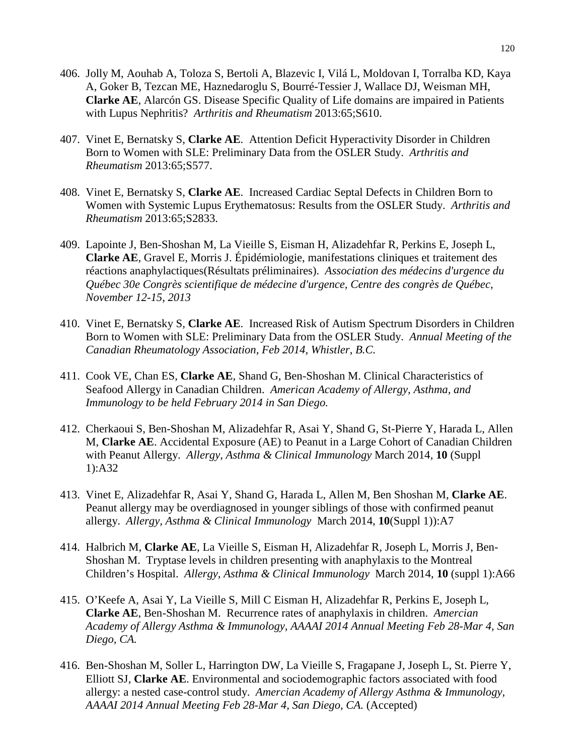- 406. Jolly M, Aouhab A, Toloza S, Bertoli A, Blazevic I, Vilá L, Moldovan I, Torralba KD, Kaya A, Goker B, Tezcan ME, Haznedaroglu S, Bourré-Tessier J, Wallace DJ, Weisman MH, **Clarke AE**, Alarcón GS. Disease Specific Quality of Life domains are impaired in Patients with Lupus Nephritis? *Arthritis and Rheumatism* 2013:65;S610.
- 407. Vinet E, Bernatsky S, **Clarke AE**. Attention Deficit Hyperactivity Disorder in Children Born to Women with SLE: Preliminary Data from the OSLER Study. *Arthritis and Rheumatism* 2013:65;S577.
- 408. Vinet E, Bernatsky S, **Clarke AE**. Increased Cardiac Septal Defects in Children Born to Women with Systemic Lupus Erythematosus: Results from the OSLER Study. *Arthritis and Rheumatism* 2013:65;S2833.
- 409. Lapointe J, Ben-Shoshan M, La Vieille S, Eisman H, Alizadehfar R, Perkins E, Joseph L, **Clarke AE**, Gravel E, Morris J. Épidémiologie, manifestations cliniques et traitement des réactions anaphylactiques(Résultats préliminaires). *Association des médecins d'urgence du Québec 30e Congrès scientifique de médecine d'urgence, Centre des congrès de Québec, November 12-15, 2013*
- 410. Vinet E, Bernatsky S, **Clarke AE**. Increased Risk of Autism Spectrum Disorders in Children Born to Women with SLE: Preliminary Data from the OSLER Study. *Annual Meeting of the Canadian Rheumatology Association, Feb 2014, Whistler, B.C.*
- 411. Cook VE, Chan ES, **Clarke AE**, Shand G, Ben-Shoshan M. Clinical Characteristics of Seafood Allergy in Canadian Children. *American Academy of Allergy, Asthma, and Immunology to be held February 2014 in San Diego.*
- 412. Cherkaoui S, Ben-Shoshan M, Alizadehfar R, Asai Y, Shand G, St-Pierre Y, Harada L, Allen M, **Clarke AE**. Accidental Exposure (AE) to Peanut in a Large Cohort of Canadian Children with Peanut Allergy. *Allergy, Asthma & Clinical Immunology* March 2014, **10** (Suppl 1):A32
- 413. Vinet E, Alizadehfar R, Asai Y, Shand G, Harada L, Allen M, Ben Shoshan M, **Clarke AE**. Peanut allergy may be overdiagnosed in younger siblings of those with confirmed peanut allergy. *Allergy, Asthma & Clinical Immunology* March 2014, **10**(Suppl 1)):A7
- 414. Halbrich M, **Clarke AE**, La Vieille S, Eisman H, Alizadehfar R, Joseph L, Morris J, Ben-Shoshan M. Tryptase levels in children presenting with anaphylaxis to the Montreal Children's Hospital. *Allergy, Asthma & Clinical Immunology* March 2014, **10** (suppl 1):A66
- 415. O'Keefe A, Asai Y, La Vieille S, Mill C Eisman H, Alizadehfar R, Perkins E, Joseph L, **Clarke AE**, Ben-Shoshan M. Recurrence rates of anaphylaxis in children. *Amercian Academy of Allergy Asthma & Immunology, AAAAI 2014 Annual Meeting Feb 28-Mar 4, San Diego, CA.*
- 416. Ben-Shoshan M, Soller L, Harrington DW, La Vieille S, Fragapane J, Joseph L, St. Pierre Y, Elliott SJ, **Clarke AE**. Environmental and sociodemographic factors associated with food allergy: a nested case-control study. *Amercian Academy of Allergy Asthma & Immunology, AAAAI 2014 Annual Meeting Feb 28-Mar 4, San Diego, CA.* (Accepted)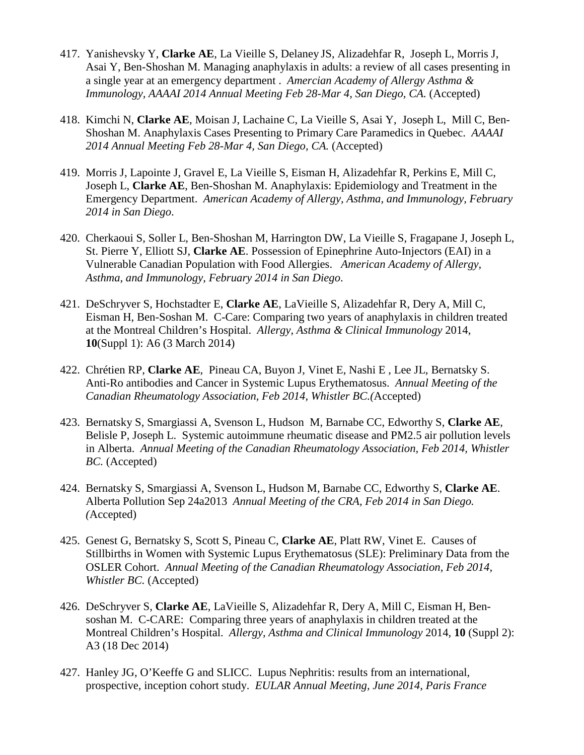- 417. Yanishevsky Y, **Clarke AE**, La Vieille S, Delaney JS, Alizadehfar R, Joseph L, Morris J, Asai Y, Ben-Shoshan M. Managing anaphylaxis in adults: a review of all cases presenting in a single year at an emergency department . *Amercian Academy of Allergy Asthma & Immunology, AAAAI 2014 Annual Meeting Feb 28-Mar 4, San Diego, CA.* (Accepted)
- 418. Kimchi N, **Clarke AE**, Moisan J, Lachaine C, La Vieille S, Asai Y, Joseph L, Mill C, Ben-Shoshan M. Anaphylaxis Cases Presenting to Primary Care Paramedics in Quebec. *AAAAI 2014 Annual Meeting Feb 28-Mar 4, San Diego, CA.* (Accepted)
- 419. Morris J, Lapointe J, Gravel E, La Vieille S, Eisman H, Alizadehfar R, Perkins E, Mill C, Joseph L, **Clarke AE**, Ben-Shoshan M. Anaphylaxis: Epidemiology and Treatment in the Emergency Department. *American Academy of Allergy, Asthma, and Immunology, February 2014 in San Diego*.
- 420. Cherkaoui S, Soller L, Ben-Shoshan M, Harrington DW, La Vieille S, Fragapane J, Joseph L, St. Pierre Y, Elliott SJ, **Clarke AE**. Possession of Epinephrine Auto-Injectors (EAI) in a Vulnerable Canadian Population with Food Allergies. *American Academy of Allergy, Asthma, and Immunology, February 2014 in San Diego*.
- 421. DeSchryver S, Hochstadter E, **Clarke AE**, LaVieille S, Alizadehfar R, Dery A, Mill C, Eisman H, Ben-Soshan M. C-Care: Comparing two years of anaphylaxis in children treated at the Montreal Children's Hospital. *Allergy, Asthma & Clinical Immunology* 2014, **10**(Suppl 1): A6 (3 March 2014)
- 422. Chrétien RP, **Clarke AE**, Pineau CA, Buyon J, Vinet E, Nashi E , Lee JL, Bernatsky S. Anti-Ro antibodies and Cancer in Systemic Lupus Erythematosus. *Annual Meeting of the Canadian Rheumatology Association, Feb 2014, Whistler BC.(*Accepted)
- 423. Bernatsky S, Smargiassi A, Svenson L, Hudson M, Barnabe CC, Edworthy S, **Clarke AE**, Belisle P, Joseph L. Systemic autoimmune rheumatic disease and PM2.5 air pollution levels in Alberta. *Annual Meeting of the Canadian Rheumatology Association, Feb 2014, Whistler BC.* (Accepted)
- 424. Bernatsky S, Smargiassi A, Svenson L, Hudson M, Barnabe CC, Edworthy S, **Clarke AE**. Alberta Pollution Sep 24a2013 *Annual Meeting of the CRA, Feb 2014 in San Diego. (*Accepted)
- 425. Genest G, Bernatsky S, Scott S, Pineau C, **Clarke AE**, Platt RW, Vinet E. Causes of Stillbirths in Women with Systemic Lupus Erythematosus (SLE): Preliminary Data from the OSLER Cohort. *Annual Meeting of the Canadian Rheumatology Association, Feb 2014, Whistler BC.* (Accepted)
- 426. DeSchryver S, **Clarke AE**, LaVieille S, Alizadehfar R, Dery A, Mill C, Eisman H, Bensoshan M. C-CARE: Comparing three years of anaphylaxis in children treated at the Montreal Children's Hospital. *Allergy, Asthma and Clinical Immunology* 2014, **10** (Suppl 2): A3 (18 Dec 2014)
- 427. Hanley JG, O'Keeffe G and SLICC. Lupus Nephritis: results from an international, prospective, inception cohort study. *EULAR Annual Meeting, June 2014, Paris France*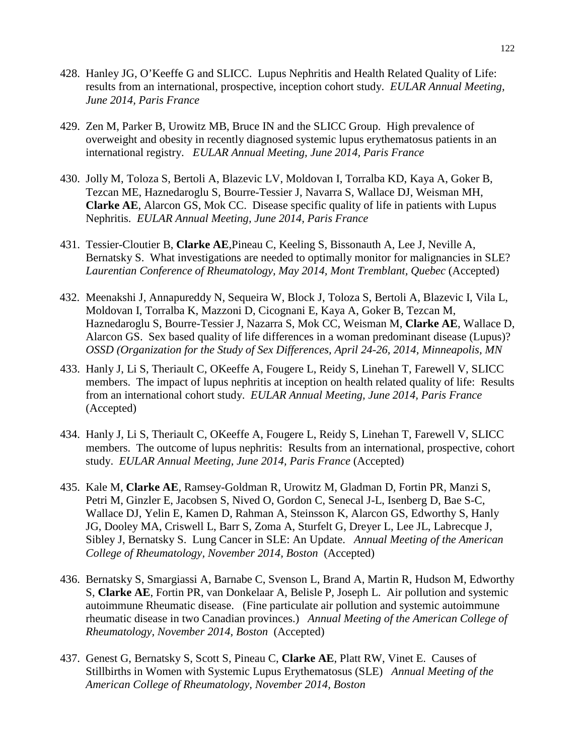- 428. Hanley JG, O'Keeffe G and SLICC. Lupus Nephritis and Health Related Quality of Life: results from an international, prospective, inception cohort study. *EULAR Annual Meeting, June 2014, Paris France*
- 429. Zen M, Parker B, Urowitz MB, Bruce IN and the SLICC Group. High prevalence of overweight and obesity in recently diagnosed systemic lupus erythematosus patients in an international registry. *EULAR Annual Meeting, June 2014, Paris France*
- 430. Jolly M, Toloza S, Bertoli A, Blazevic LV, Moldovan I, Torralba KD, Kaya A, Goker B, Tezcan ME, Haznedaroglu S, Bourre-Tessier J, Navarra S, Wallace DJ, Weisman MH, **Clarke AE**, Alarcon GS, Mok CC. Disease specific quality of life in patients with Lupus Nephritis. *EULAR Annual Meeting, June 2014, Paris France*
- 431. Tessier-Cloutier B, **Clarke AE**,Pineau C, Keeling S, Bissonauth A, Lee J, Neville A, Bernatsky S. What investigations are needed to optimally monitor for malignancies in SLE? *Laurentian Conference of Rheumatology, May 2014, Mont Tremblant, Quebec* (Accepted)
- 432. Meenakshi J, Annapureddy N, Sequeira W, Block J, Toloza S, Bertoli A, Blazevic I, Vila L, Moldovan I, Torralba K, Mazzoni D, Cicognani E, Kaya A, Goker B, Tezcan M, Haznedaroglu S, Bourre-Tessier J, Nazarra S, Mok CC, Weisman M, **Clarke AE**, Wallace D, Alarcon GS. Sex based quality of life differences in a woman predominant disease (Lupus)? *OSSD (Organization for the Study of Sex Differences, April 24-26, 2014, Minneapolis, MN*
- 433. Hanly J, Li S, Theriault C, OKeeffe A, Fougere L, Reidy S, Linehan T, Farewell V, SLICC members. The impact of lupus nephritis at inception on health related quality of life: Results from an international cohort study. *EULAR Annual Meeting, June 2014, Paris France*  (Accepted)
- 434. Hanly J, Li S, Theriault C, OKeeffe A, Fougere L, Reidy S, Linehan T, Farewell V, SLICC members. The outcome of lupus nephritis: Results from an international, prospective, cohort study. *EULAR Annual Meeting, June 2014, Paris France* (Accepted)
- 435. Kale M, **Clarke AE**, Ramsey-Goldman R, Urowitz M, Gladman D, Fortin PR, Manzi S, Petri M, Ginzler E, Jacobsen S, Nived O, Gordon C, Senecal J-L, Isenberg D, Bae S-C, Wallace DJ, Yelin E, Kamen D, Rahman A, Steinsson K, Alarcon GS, Edworthy S, Hanly JG, Dooley MA, Criswell L, Barr S, Zoma A, Sturfelt G, Dreyer L, Lee JL, Labrecque J, Sibley J, Bernatsky S. Lung Cancer in SLE: An Update. *Annual Meeting of the American College of Rheumatology, November 2014, Boston* (Accepted)
- 436. Bernatsky S, Smargiassi A, Barnabe C, Svenson L, Brand A, Martin R, Hudson M, Edworthy S, **Clarke AE**, Fortin PR, van Donkelaar A, Belisle P, Joseph L. Air pollution and systemic autoimmune Rheumatic disease. (Fine particulate air pollution and systemic autoimmune rheumatic disease in two Canadian provinces.) *Annual Meeting of the American College of Rheumatology, November 2014, Boston* (Accepted)
- 437. Genest G, Bernatsky S, Scott S, Pineau C, **Clarke AE**, Platt RW, Vinet E. Causes of Stillbirths in Women with Systemic Lupus Erythematosus (SLE) *Annual Meeting of the American College of Rheumatology, November 2014, Boston*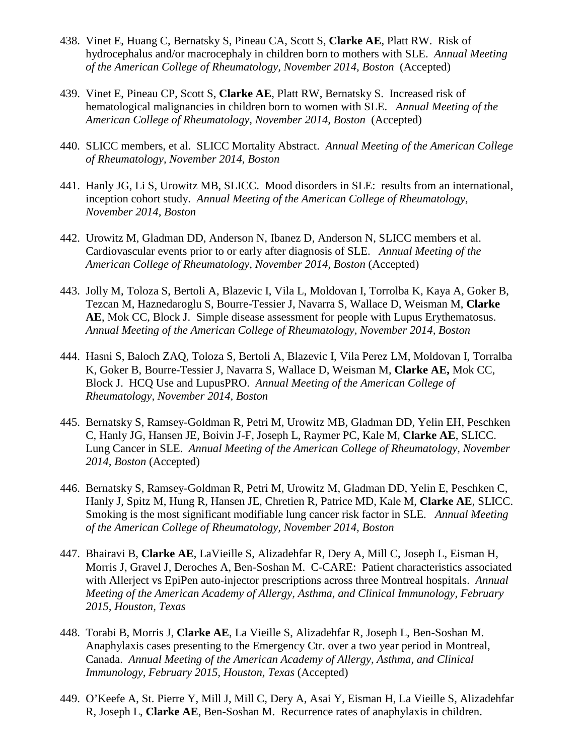- 438. Vinet E, Huang C, Bernatsky S, Pineau CA, Scott S, **Clarke AE**, Platt RW. Risk of hydrocephalus and/or macrocephaly in children born to mothers with SLE. *Annual Meeting of the American College of Rheumatology, November 2014, Boston* (Accepted)
- 439. Vinet E, Pineau CP, Scott S, **Clarke AE**, Platt RW, Bernatsky S. Increased risk of hematological malignancies in children born to women with SLE. *Annual Meeting of the American College of Rheumatology, November 2014, Boston* (Accepted)
- 440. SLICC members, et al. SLICC Mortality Abstract. *Annual Meeting of the American College of Rheumatology, November 2014, Boston*
- 441. Hanly JG, Li S, Urowitz MB, SLICC. Mood disorders in SLE: results from an international, inception cohort study. *Annual Meeting of the American College of Rheumatology, November 2014, Boston*
- 442. Urowitz M, Gladman DD, Anderson N, Ibanez D, Anderson N, SLICC members et al. Cardiovascular events prior to or early after diagnosis of SLE. *Annual Meeting of the American College of Rheumatology, November 2014, Boston* (Accepted)
- 443. Jolly M, Toloza S, Bertoli A, Blazevic I, Vila L, Moldovan I, Torrolba K, Kaya A, Goker B, Tezcan M, Haznedaroglu S, Bourre-Tessier J, Navarra S, Wallace D, Weisman M, **Clarke AE**, Mok CC, Block J. Simple disease assessment for people with Lupus Erythematosus. *Annual Meeting of the American College of Rheumatology, November 2014, Boston*
- 444. Hasni S, Baloch ZAQ, Toloza S, Bertoli A, Blazevic I, Vila Perez LM, Moldovan I, Torralba K, Goker B, Bourre-Tessier J, Navarra S, Wallace D, Weisman M, **Clarke AE,** Mok CC, Block J. HCQ Use and LupusPRO. *Annual Meeting of the American College of Rheumatology, November 2014, Boston*
- 445. Bernatsky S, Ramsey-Goldman R, Petri M, Urowitz MB, Gladman DD, Yelin EH, Peschken C, Hanly JG, Hansen JE, Boivin J-F, Joseph L, Raymer PC, Kale M, **Clarke AE**, SLICC. Lung Cancer in SLE. *Annual Meeting of the American College of Rheumatology, November 2014, Boston* (Accepted)
- 446. Bernatsky S, Ramsey-Goldman R, Petri M, Urowitz M, Gladman DD, Yelin E, Peschken C, Hanly J, Spitz M, Hung R, Hansen JE, Chretien R, Patrice MD, Kale M, **Clarke AE**, SLICC. Smoking is the most significant modifiable lung cancer risk factor in SLE. *Annual Meeting of the American College of Rheumatology, November 2014, Boston*
- 447. Bhairavi B, **Clarke AE**, LaVieille S, Alizadehfar R, Dery A, Mill C, Joseph L, Eisman H, Morris J, Gravel J, Deroches A, Ben-Soshan M. C-CARE: Patient characteristics associated with Allerject vs EpiPen auto-injector prescriptions across three Montreal hospitals. *Annual Meeting of the American Academy of Allergy, Asthma, and Clinical Immunology, February 2015, Houston, Texas*
- 448. Torabi B, Morris J, **Clarke AE**, La Vieille S, Alizadehfar R, Joseph L, Ben-Soshan M. Anaphylaxis cases presenting to the Emergency Ctr. over a two year period in Montreal, Canada. *Annual Meeting of the American Academy of Allergy, Asthma, and Clinical Immunology, February 2015, Houston, Texas* (Accepted)
- 449. O'Keefe A, St. Pierre Y, Mill J, Mill C, Dery A, Asai Y, Eisman H, La Vieille S, Alizadehfar R, Joseph L, **Clarke AE**, Ben-Soshan M. Recurrence rates of anaphylaxis in children.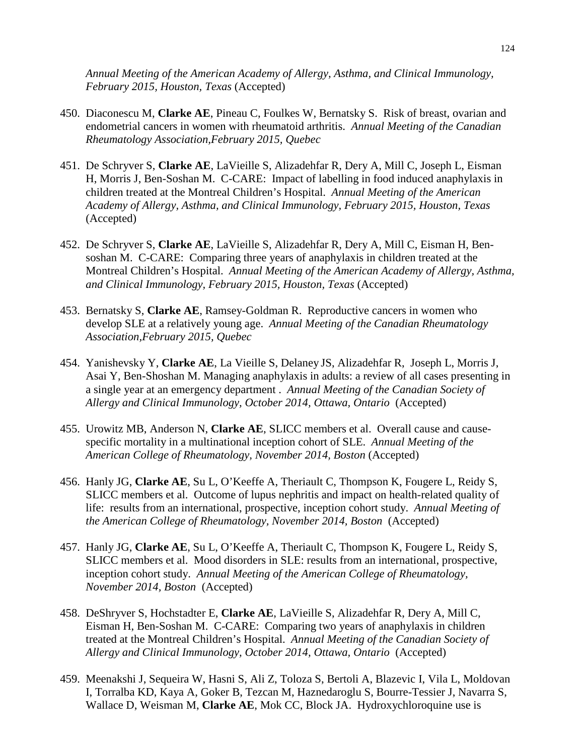*Annual Meeting of the American Academy of Allergy, Asthma, and Clinical Immunology, February 2015, Houston, Texas* (Accepted)

- 450. Diaconescu M, **Clarke AE**, Pineau C, Foulkes W, Bernatsky S. Risk of breast, ovarian and endometrial cancers in women with rheumatoid arthritis. *Annual Meeting of the Canadian Rheumatology Association,February 2015, Quebec*
- 451. De Schryver S, **Clarke AE**, LaVieille S, Alizadehfar R, Dery A, Mill C, Joseph L, Eisman H, Morris J, Ben-Soshan M. C-CARE: Impact of labelling in food induced anaphylaxis in children treated at the Montreal Children's Hospital. *Annual Meeting of the American Academy of Allergy, Asthma, and Clinical Immunology, February 2015, Houston, Texas*  (Accepted)
- 452. De Schryver S, **Clarke AE**, LaVieille S, Alizadehfar R, Dery A, Mill C, Eisman H, Bensoshan M. C-CARE: Comparing three years of anaphylaxis in children treated at the Montreal Children's Hospital. *Annual Meeting of the American Academy of Allergy, Asthma, and Clinical Immunology, February 2015, Houston, Texas* (Accepted)
- 453. Bernatsky S, **Clarke AE**, Ramsey-Goldman R. Reproductive cancers in women who develop SLE at a relatively young age. *Annual Meeting of the Canadian Rheumatology Association,February 2015, Quebec*
- 454. Yanishevsky Y, **Clarke AE**, La Vieille S, Delaney JS, Alizadehfar R, Joseph L, Morris J, Asai Y, Ben-Shoshan M. Managing anaphylaxis in adults: a review of all cases presenting in a single year at an emergency department . *Annual Meeting of the Canadian Society of Allergy and Clinical Immunology, October 2014, Ottawa, Ontario* (Accepted)
- 455. Urowitz MB, Anderson N, **Clarke AE**, SLICC members et al. Overall cause and causespecific mortality in a multinational inception cohort of SLE. *Annual Meeting of the American College of Rheumatology, November 2014, Boston* (Accepted)
- 456. Hanly JG, **Clarke AE**, Su L, O'Keeffe A, Theriault C, Thompson K, Fougere L, Reidy S, SLICC members et al. Outcome of lupus nephritis and impact on health-related quality of life: results from an international, prospective, inception cohort study. *Annual Meeting of the American College of Rheumatology, November 2014, Boston* (Accepted)
- 457. Hanly JG, **Clarke AE**, Su L, O'Keeffe A, Theriault C, Thompson K, Fougere L, Reidy S, SLICC members et al. Mood disorders in SLE: results from an international, prospective, inception cohort study. *Annual Meeting of the American College of Rheumatology, November 2014, Boston* (Accepted)
- 458. DeShryver S, Hochstadter E, **Clarke AE**, LaVieille S, Alizadehfar R, Dery A, Mill C, Eisman H, Ben-Soshan M. C-CARE: Comparing two years of anaphylaxis in children treated at the Montreal Children's Hospital. *Annual Meeting of the Canadian Society of Allergy and Clinical Immunology, October 2014, Ottawa, Ontario* (Accepted)
- 459. Meenakshi J, Sequeira W, Hasni S, Ali Z, Toloza S, Bertoli A, Blazevic I, Vila L, Moldovan I, Torralba KD, Kaya A, Goker B, Tezcan M, Haznedaroglu S, Bourre-Tessier J, Navarra S, Wallace D, Weisman M, **Clarke AE**, Mok CC, Block JA. Hydroxychloroquine use is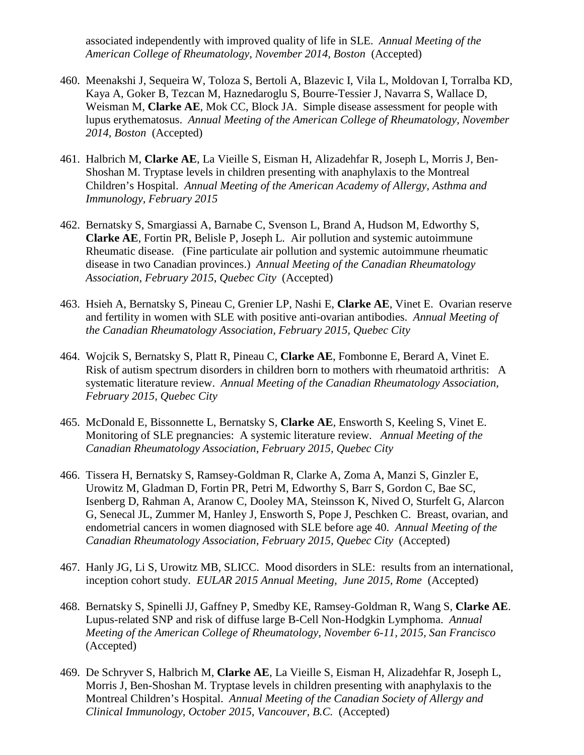associated independently with improved quality of life in SLE. *Annual Meeting of the American College of Rheumatology, November 2014, Boston* (Accepted)

- 460. Meenakshi J, Sequeira W, Toloza S, Bertoli A, Blazevic I, Vila L, Moldovan I, Torralba KD, Kaya A, Goker B, Tezcan M, Haznedaroglu S, Bourre-Tessier J, Navarra S, Wallace D, Weisman M, **Clarke AE**, Mok CC, Block JA. Simple disease assessment for people with lupus erythematosus. *Annual Meeting of the American College of Rheumatology, November 2014, Boston* (Accepted)
- 461. Halbrich M, **Clarke AE**, La Vieille S, Eisman H, Alizadehfar R, Joseph L, Morris J, Ben-Shoshan M. Tryptase levels in children presenting with anaphylaxis to the Montreal Children's Hospital. *Annual Meeting of the American Academy of Allergy, Asthma and Immunology, February 2015*
- 462. Bernatsky S, Smargiassi A, Barnabe C, Svenson L, Brand A, Hudson M, Edworthy S, **Clarke AE**, Fortin PR, Belisle P, Joseph L. Air pollution and systemic autoimmune Rheumatic disease. (Fine particulate air pollution and systemic autoimmune rheumatic disease in two Canadian provinces.) *Annual Meeting of the Canadian Rheumatology Association, February 2015*, *Quebec City* (Accepted)
- 463. Hsieh A, Bernatsky S, Pineau C, Grenier LP, Nashi E, **Clarke AE**, Vinet E. Ovarian reserve and fertility in women with SLE with positive anti-ovarian antibodies. *Annual Meeting of the Canadian Rheumatology Association, February 2015, Quebec City*
- 464. Wojcik S, Bernatsky S, Platt R, Pineau C, **Clarke AE**, Fombonne E, Berard A, Vinet E. Risk of autism spectrum disorders in children born to mothers with rheumatoid arthritis: A systematic literature review. *Annual Meeting of the Canadian Rheumatology Association, February 2015, Quebec City*
- 465. McDonald E, Bissonnette L, Bernatsky S, **Clarke AE**, Ensworth S, Keeling S, Vinet E. Monitoring of SLE pregnancies: A systemic literature review. *Annual Meeting of the Canadian Rheumatology Association, February 2015, Quebec City*
- 466. Tissera H, Bernatsky S, Ramsey-Goldman R, Clarke A, Zoma A, Manzi S, Ginzler E, Urowitz M, Gladman D, Fortin PR, Petri M, Edworthy S, Barr S, Gordon C, Bae SC, Isenberg D, Rahman A, Aranow C, Dooley MA, Steinsson K, Nived O, Sturfelt G, Alarcon G, Senecal JL, Zummer M, Hanley J, Ensworth S, Pope J, Peschken C. Breast, ovarian, and endometrial cancers in women diagnosed with SLE before age 40. *Annual Meeting of the Canadian Rheumatology Association, February 2015, Quebec City* (Accepted)
- 467. Hanly JG, Li S, Urowitz MB, SLICC. Mood disorders in SLE: results from an international, inception cohort study. *EULAR 2015 Annual Meeting, June 2015, Rome* (Accepted)
- 468. Bernatsky S, Spinelli JJ, Gaffney P, Smedby KE, Ramsey-Goldman R, Wang S, **Clarke AE**. Lupus-related SNP and risk of diffuse large B-Cell Non-Hodgkin Lymphoma. *Annual Meeting of the American College of Rheumatology, November 6-11, 2015, San Francisco*  (Accepted)
- 469. De Schryver S, Halbrich M, **Clarke AE**, La Vieille S, Eisman H, Alizadehfar R, Joseph L, Morris J, Ben-Shoshan M. Tryptase levels in children presenting with anaphylaxis to the Montreal Children's Hospital. *Annual Meeting of the Canadian Society of Allergy and Clinical Immunology, October 2015, Vancouver, B.C.* (Accepted)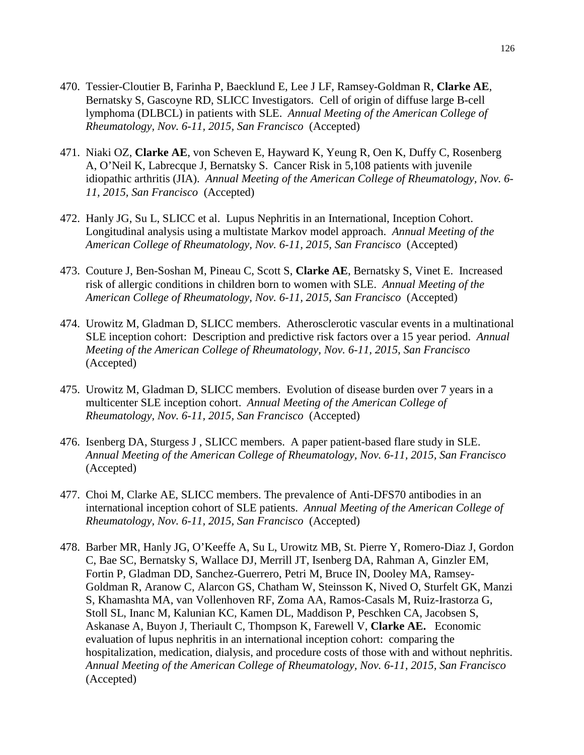- 470. Tessier-Cloutier B, Farinha P, Baecklund E, Lee J LF, Ramsey-Goldman R, **Clarke AE**, Bernatsky S, Gascoyne RD, SLICC Investigators. Cell of origin of diffuse large B-cell lymphoma (DLBCL) in patients with SLE. *Annual Meeting of the American College of Rheumatology, Nov. 6-11, 2015, San Francisco* (Accepted)
- 471. Niaki OZ, **Clarke AE**, von Scheven E, Hayward K, Yeung R, Oen K, Duffy C, Rosenberg A, O'Neil K, Labrecque J, Bernatsky S. Cancer Risk in 5,108 patients with juvenile idiopathic arthritis (JIA). *Annual Meeting of the American College of Rheumatology, Nov. 6- 11, 2015, San Francisco* (Accepted)
- 472. Hanly JG, Su L, SLICC et al. Lupus Nephritis in an International, Inception Cohort. Longitudinal analysis using a multistate Markov model approach. *Annual Meeting of the American College of Rheumatology, Nov. 6-11, 2015, San Francisco* (Accepted)
- 473. Couture J, Ben-Soshan M, Pineau C, Scott S, **Clarke AE**, Bernatsky S, Vinet E. Increased risk of allergic conditions in children born to women with SLE. *Annual Meeting of the American College of Rheumatology, Nov. 6-11, 2015, San Francisco* (Accepted)
- 474. Urowitz M, Gladman D, SLICC members. Atherosclerotic vascular events in a multinational SLE inception cohort: Description and predictive risk factors over a 15 year period. *Annual Meeting of the American College of Rheumatology, Nov. 6-11, 2015, San Francisco* (Accepted)
- 475. Urowitz M, Gladman D, SLICC members. Evolution of disease burden over 7 years in a multicenter SLE inception cohort. *Annual Meeting of the American College of Rheumatology, Nov. 6-11, 2015, San Francisco* (Accepted)
- 476. Isenberg DA, Sturgess J , SLICC members. A paper patient-based flare study in SLE. *Annual Meeting of the American College of Rheumatology, Nov. 6-11, 2015, San Francisco* (Accepted)
- 477. Choi M, Clarke AE, SLICC members. The prevalence of Anti-DFS70 antibodies in an international inception cohort of SLE patients. *Annual Meeting of the American College of Rheumatology, Nov. 6-11, 2015, San Francisco* (Accepted)
- 478. Barber MR, Hanly JG, O'Keeffe A, Su L, Urowitz MB, St. Pierre Y, Romero-Diaz J, Gordon C, Bae SC, Bernatsky S, Wallace DJ, Merrill JT, Isenberg DA, Rahman A, Ginzler EM, Fortin P, Gladman DD, Sanchez-Guerrero, Petri M, Bruce IN, Dooley MA, Ramsey-Goldman R, Aranow C, Alarcon GS, Chatham W, Steinsson K, Nived O, Sturfelt GK, Manzi S, Khamashta MA, van Vollenhoven RF, Zoma AA, Ramos-Casals M, Ruiz-Irastorza G, Stoll SL, Inanc M, Kalunian KC, Kamen DL, Maddison P, Peschken CA, Jacobsen S, Askanase A, Buyon J, Theriault C, Thompson K, Farewell V, **Clarke AE.** Economic evaluation of lupus nephritis in an international inception cohort: comparing the hospitalization, medication, dialysis, and procedure costs of those with and without nephritis. *Annual Meeting of the American College of Rheumatology, Nov. 6-11, 2015, San Francisco* (Accepted)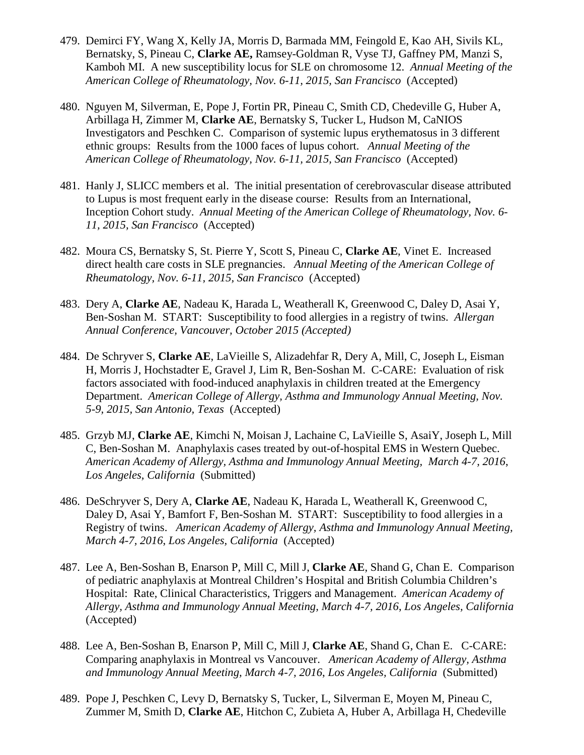- 479. Demirci FY, Wang X, Kelly JA, Morris D, Barmada MM, Feingold E, Kao AH, Sivils KL, Bernatsky, S, Pineau C, **Clarke AE,** Ramsey-Goldman R, Vyse TJ, Gaffney PM, Manzi S, Kamboh MI. A new susceptibility locus for SLE on chromosome 12. *Annual Meeting of the American College of Rheumatology, Nov. 6-11, 2015, San Francisco* (Accepted)
- 480. Nguyen M, Silverman, E, Pope J, Fortin PR, Pineau C, Smith CD, Chedeville G, Huber A, Arbillaga H, Zimmer M, **Clarke AE**, Bernatsky S, Tucker L, Hudson M, CaNIOS Investigators and Peschken C. Comparison of systemic lupus erythematosus in 3 different ethnic groups: Results from the 1000 faces of lupus cohort. *Annual Meeting of the American College of Rheumatology, Nov. 6-11, 2015, San Francisco* (Accepted)
- 481. Hanly J, SLICC members et al. The initial presentation of cerebrovascular disease attributed to Lupus is most frequent early in the disease course: Results from an International, Inception Cohort study. *Annual Meeting of the American College of Rheumatology, Nov. 6- 11, 2015, San Francisco* (Accepted)
- 482. Moura CS, Bernatsky S, St. Pierre Y, Scott S, Pineau C, **Clarke AE**, Vinet E. Increased direct health care costs in SLE pregnancies. *Annual Meeting of the American College of Rheumatology, Nov. 6-11, 2015, San Francisco* (Accepted)
- 483. Dery A, **Clarke AE**, Nadeau K, Harada L, Weatherall K, Greenwood C, Daley D, Asai Y, Ben-Soshan M. START: Susceptibility to food allergies in a registry of twins. *Allergan Annual Conference, Vancouver, October 2015 (Accepted)*
- 484. De Schryver S, **Clarke AE**, LaVieille S, Alizadehfar R, Dery A, Mill, C, Joseph L, Eisman H, Morris J, Hochstadter E, Gravel J, Lim R, Ben-Soshan M. C-CARE: Evaluation of risk factors associated with food-induced anaphylaxis in children treated at the Emergency Department. *American College of Allergy, Asthma and Immunology Annual Meeting, Nov. 5-9, 2015, San Antonio, Texas* (Accepted)
- 485. Grzyb MJ, **Clarke AE**, Kimchi N, Moisan J, Lachaine C, LaVieille S, AsaiY, Joseph L, Mill C, Ben-Soshan M. Anaphylaxis cases treated by out-of-hospital EMS in Western Quebec. *American Academy of Allergy, Asthma and Immunology Annual Meeting, March 4-7, 2016*, *Los Angeles, California* (Submitted)
- 486. DeSchryver S, Dery A, **Clarke AE**, Nadeau K, Harada L, Weatherall K, Greenwood C, Daley D, Asai Y, Bamfort F, Ben-Soshan M. START: Susceptibility to food allergies in a Registry of twins. *American Academy of Allergy, Asthma and Immunology Annual Meeting, March 4-7, 2016*, *Los Angeles, California* (Accepted)
- 487. Lee A, Ben-Soshan B, Enarson P, Mill C, Mill J, **Clarke AE**, Shand G, Chan E. Comparison of pediatric anaphylaxis at Montreal Children's Hospital and British Columbia Children's Hospital: Rate, Clinical Characteristics, Triggers and Management. *American Academy of Allergy, Asthma and Immunology Annual Meeting, March 4-7, 2016*, *Los Angeles, California* (Accepted)
- 488. Lee A, Ben-Soshan B, Enarson P, Mill C, Mill J, **Clarke AE**, Shand G, Chan E. C-CARE: Comparing anaphylaxis in Montreal vs Vancouver. *American Academy of Allergy, Asthma and Immunology Annual Meeting, March 4-7, 2016*, *Los Angeles, California* (Submitted)
- 489. Pope J, Peschken C, Levy D, Bernatsky S, Tucker, L, Silverman E, Moyen M, Pineau C, Zummer M, Smith D, **Clarke AE**, Hitchon C, Zubieta A, Huber A, Arbillaga H, Chedeville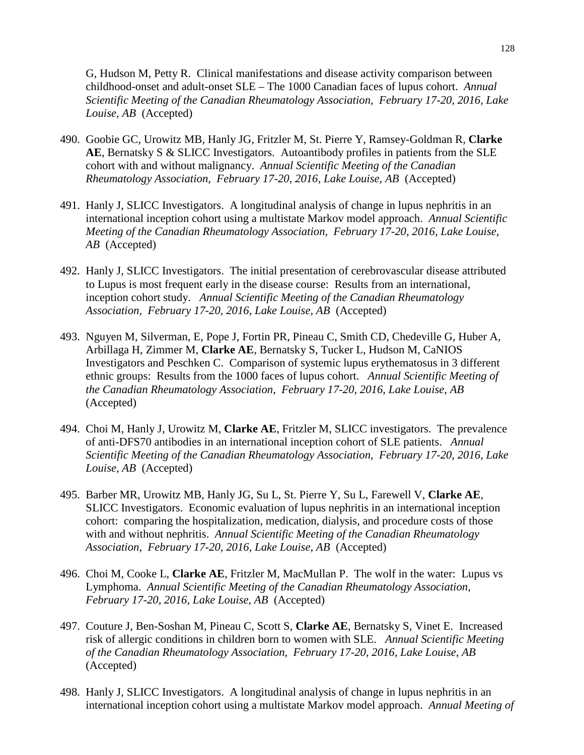G, Hudson M, Petty R. Clinical manifestations and disease activity comparison between childhood-onset and adult-onset SLE – The 1000 Canadian faces of lupus cohort. *Annual Scientific Meeting of the Canadian Rheumatology Association, February 17-20, 2016, Lake Louise, AB* (Accepted)

- 490. Goobie GC, Urowitz MB, Hanly JG, Fritzler M, St. Pierre Y, Ramsey-Goldman R, **Clarke AE**, Bernatsky S & SLICC Investigators. Autoantibody profiles in patients from the SLE cohort with and without malignancy. *Annual Scientific Meeting of the Canadian Rheumatology Association, February 17-20, 2016, Lake Louise, AB* (Accepted)
- 491. Hanly J, SLICC Investigators. A longitudinal analysis of change in lupus nephritis in an international inception cohort using a multistate Markov model approach. *Annual Scientific Meeting of the Canadian Rheumatology Association, February 17-20, 2016, Lake Louise, AB* (Accepted)
- 492. Hanly J, SLICC Investigators. The initial presentation of cerebrovascular disease attributed to Lupus is most frequent early in the disease course: Results from an international, inception cohort study. *Annual Scientific Meeting of the Canadian Rheumatology Association, February 17-20, 2016, Lake Louise, AB* (Accepted)
- 493. Nguyen M, Silverman, E, Pope J, Fortin PR, Pineau C, Smith CD, Chedeville G, Huber A, Arbillaga H, Zimmer M, **Clarke AE**, Bernatsky S, Tucker L, Hudson M, CaNIOS Investigators and Peschken C. Comparison of systemic lupus erythematosus in 3 different ethnic groups: Results from the 1000 faces of lupus cohort. *Annual Scientific Meeting of the Canadian Rheumatology Association, February 17-20, 2016, Lake Louise, AB* (Accepted)
- 494. Choi M, Hanly J, Urowitz M, **Clarke AE**, Fritzler M, SLICC investigators. The prevalence of anti-DFS70 antibodies in an international inception cohort of SLE patients. *Annual Scientific Meeting of the Canadian Rheumatology Association, February 17-20, 2016, Lake Louise, AB* (Accepted)
- 495. Barber MR, Urowitz MB, Hanly JG, Su L, St. Pierre Y, Su L, Farewell V, **Clarke AE**, SLICC Investigators. Economic evaluation of lupus nephritis in an international inception cohort: comparing the hospitalization, medication, dialysis, and procedure costs of those with and without nephritis. *Annual Scientific Meeting of the Canadian Rheumatology Association, February 17-20, 2016, Lake Louise, AB* (Accepted)
- 496. Choi M, Cooke L, **Clarke AE**, Fritzler M, MacMullan P. The wolf in the water: Lupus vs Lymphoma. *Annual Scientific Meeting of the Canadian Rheumatology Association, February 17-20, 2016, Lake Louise, AB* (Accepted)
- 497. Couture J, Ben-Soshan M, Pineau C, Scott S, **Clarke AE**, Bernatsky S, Vinet E. Increased risk of allergic conditions in children born to women with SLE. *Annual Scientific Meeting of the Canadian Rheumatology Association, February 17-20, 2016, Lake Louise, AB* (Accepted)
- 498. Hanly J, SLICC Investigators. A longitudinal analysis of change in lupus nephritis in an international inception cohort using a multistate Markov model approach. *Annual Meeting of*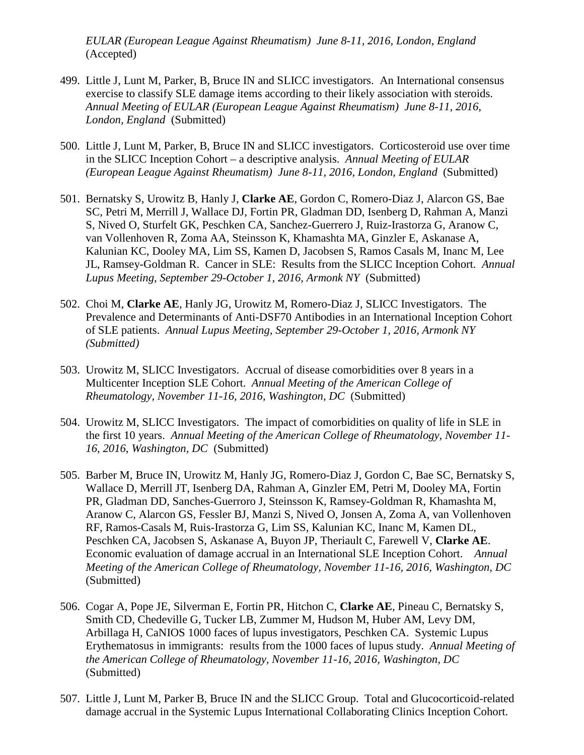*EULAR (European League Against Rheumatism) June 8-11, 2016, London, England*  (Accepted)

- 499. Little J, Lunt M, Parker, B, Bruce IN and SLICC investigators. An International consensus exercise to classify SLE damage items according to their likely association with steroids. *Annual Meeting of EULAR (European League Against Rheumatism) June 8-11, 2016, London, England* (Submitted)
- 500. Little J, Lunt M, Parker, B, Bruce IN and SLICC investigators. Corticosteroid use over time in the SLICC Inception Cohort – a descriptive analysis. *Annual Meeting of EULAR (European League Against Rheumatism) June 8-11, 2016, London, England* (Submitted)
- 501. Bernatsky S, Urowitz B, Hanly J, **Clarke AE**, Gordon C, Romero-Diaz J, Alarcon GS, Bae SC, Petri M, Merrill J, Wallace DJ, Fortin PR, Gladman DD, Isenberg D, Rahman A, Manzi S, Nived O, Sturfelt GK, Peschken CA, Sanchez-Guerrero J, Ruiz-Irastorza G, Aranow C, van Vollenhoven R, Zoma AA, Steinsson K, Khamashta MA, Ginzler E, Askanase A, Kalunian KC, Dooley MA, Lim SS, Kamen D, Jacobsen S, Ramos Casals M, Inanc M, Lee JL, Ramsey-Goldman R. Cancer in SLE: Results from the SLICC Inception Cohort. *Annual Lupus Meeting, September 29-October 1, 2016, Armonk NY* (Submitted)
- 502. Choi M, **Clarke AE**, Hanly JG, Urowitz M, Romero-Diaz J, SLICC Investigators. The Prevalence and Determinants of Anti-DSF70 Antibodies in an International Inception Cohort of SLE patients. *Annual Lupus Meeting, September 29-October 1, 2016, Armonk NY (Submitted)*
- 503. Urowitz M, SLICC Investigators. Accrual of disease comorbidities over 8 years in a Multicenter Inception SLE Cohort. *Annual Meeting of the American College of Rheumatology, November 11-16, 2016, Washington, DC* (Submitted)
- 504. Urowitz M, SLICC Investigators. The impact of comorbidities on quality of life in SLE in the first 10 years. *Annual Meeting of the American College of Rheumatology, November 11- 16, 2016, Washington, DC* (Submitted)
- 505. Barber M, Bruce IN, Urowitz M, Hanly JG, Romero-Diaz J, Gordon C, Bae SC, Bernatsky S, Wallace D, Merrill JT, Isenberg DA, Rahman A, Ginzler EM, Petri M, Dooley MA, Fortin PR, Gladman DD, Sanches-Guerroro J, Steinsson K, Ramsey-Goldman R, Khamashta M, Aranow C, Alarcon GS, Fessler BJ, Manzi S, Nived O, Jonsen A, Zoma A, van Vollenhoven RF, Ramos-Casals M, Ruis-Irastorza G, Lim SS, Kalunian KC, Inanc M, Kamen DL, Peschken CA, Jacobsen S, Askanase A, Buyon JP, Theriault C, Farewell V, **Clarke AE**. Economic evaluation of damage accrual in an International SLE Inception Cohort. *Annual Meeting of the American College of Rheumatology, November 11-16, 2016, Washington, DC*  (Submitted)
- 506. Cogar A, Pope JE, Silverman E, Fortin PR, Hitchon C, **Clarke AE**, Pineau C, Bernatsky S, Smith CD, Chedeville G, Tucker LB, Zummer M, Hudson M, Huber AM, Levy DM, Arbillaga H, CaNIOS 1000 faces of lupus investigators, Peschken CA. Systemic Lupus Erythematosus in immigrants: results from the 1000 faces of lupus study. *Annual Meeting of the American College of Rheumatology, November 11-16, 2016, Washington, DC*  (Submitted)
- 507. Little J, Lunt M, Parker B, Bruce IN and the SLICC Group. Total and Glucocorticoid-related damage accrual in the Systemic Lupus International Collaborating Clinics Inception Cohort.